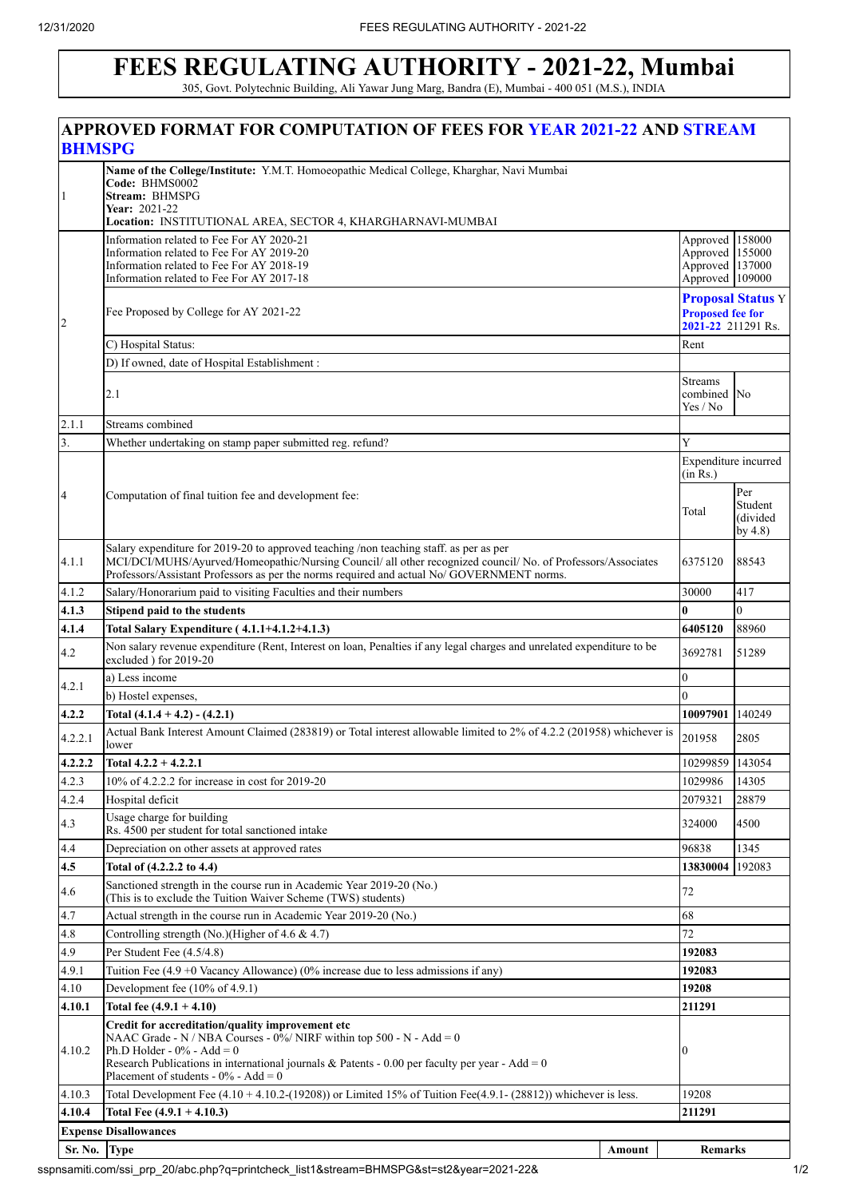# **FEES REGULATING AUTHORITY - 2021-22, Mumbai**

305, Govt. Polytechnic Building, Ali Yawar Jung Marg, Bandra (E), Mumbai - 400 051 (M.S.), INDIA

| <b>BHMSPG</b>        | <b>APPROVED FORMAT FOR COMPUTATION OF FEES FOR YEAR 2021-22 AND STREAM</b>                                                                                                                                                                                                                                                  |                                  |                                                                          |                                          |  |  |  |  |
|----------------------|-----------------------------------------------------------------------------------------------------------------------------------------------------------------------------------------------------------------------------------------------------------------------------------------------------------------------------|----------------------------------|--------------------------------------------------------------------------|------------------------------------------|--|--|--|--|
| 1                    | Name of the College/Institute: Y.M.T. Homoeopathic Medical College, Kharghar, Navi Mumbai<br>Code: BHMS0002<br>Stream: BHMSPG<br>Year: 2021-22<br>Location: INSTITUTIONAL AREA, SECTOR 4, KHARGHARNAVI-MUMBAI                                                                                                               |                                  |                                                                          |                                          |  |  |  |  |
|                      | Information related to Fee For AY 2020-21<br>Information related to Fee For AY 2019-20<br>Information related to Fee For AY 2018-19<br>Information related to Fee For AY 2017-18                                                                                                                                            |                                  | Approved 158000<br>Approved 155000<br>Approved 137000<br>Approved 109000 |                                          |  |  |  |  |
| $\vert$ <sub>2</sub> | Fee Proposed by College for AY 2021-22                                                                                                                                                                                                                                                                                      |                                  | <b>Proposed fee for</b><br>2021-22 211291 Rs.                            | <b>Proposal Status Y</b>                 |  |  |  |  |
|                      | C) Hospital Status:                                                                                                                                                                                                                                                                                                         |                                  | Rent                                                                     |                                          |  |  |  |  |
|                      | D) If owned, date of Hospital Establishment :<br>2.1                                                                                                                                                                                                                                                                        |                                  | <b>Streams</b><br>combined No<br>Yes / No                                |                                          |  |  |  |  |
| 2.1.1                | Streams combined                                                                                                                                                                                                                                                                                                            |                                  |                                                                          |                                          |  |  |  |  |
| 3.                   | Whether undertaking on stamp paper submitted reg. refund?                                                                                                                                                                                                                                                                   |                                  | Y                                                                        |                                          |  |  |  |  |
|                      |                                                                                                                                                                                                                                                                                                                             | Expenditure incurred<br>(in Rs.) |                                                                          |                                          |  |  |  |  |
| $\overline{4}$       | Computation of final tuition fee and development fee:                                                                                                                                                                                                                                                                       |                                  | Total                                                                    | Per<br>Student<br>(divided<br>by $4.8$ ) |  |  |  |  |
| 4.1.1                | Salary expenditure for 2019-20 to approved teaching /non teaching staff. as per as per<br>MCI/DCI/MUHS/Ayurved/Homeopathic/Nursing Council/ all other recognized council/ No. of Professors/Associates<br>Professors/Assistant Professors as per the norms required and actual No/GOVERNMENT norms.                         |                                  | 6375120                                                                  | 88543                                    |  |  |  |  |
| 4.1.2                | Salary/Honorarium paid to visiting Faculties and their numbers                                                                                                                                                                                                                                                              |                                  | 30000                                                                    | 417                                      |  |  |  |  |
| 4.1.3                | Stipend paid to the students                                                                                                                                                                                                                                                                                                |                                  | $\mathbf{0}$                                                             | $\overline{0}$                           |  |  |  |  |
| 4.1.4                | Total Salary Expenditure (4.1.1+4.1.2+4.1.3)                                                                                                                                                                                                                                                                                | 6405120                          | 88960                                                                    |                                          |  |  |  |  |
| 4.2                  | Non salary revenue expenditure (Rent, Interest on loan, Penalties if any legal charges and unrelated expenditure to be<br>excluded ) for 2019-20                                                                                                                                                                            |                                  | 3692781                                                                  | 51289                                    |  |  |  |  |
| 4.2.1                | a) Less income                                                                                                                                                                                                                                                                                                              |                                  | $\overline{0}$<br>$\Omega$                                               |                                          |  |  |  |  |
|                      | b) Hostel expenses,                                                                                                                                                                                                                                                                                                         |                                  |                                                                          |                                          |  |  |  |  |
| 4.2.2                | Total $(4.1.4 + 4.2) - (4.2.1)$<br>Actual Bank Interest Amount Claimed (283819) or Total interest allowable limited to 2% of 4.2.2 (201958) whichever is                                                                                                                                                                    |                                  | 10097901                                                                 | 140249                                   |  |  |  |  |
| 4.2.2.1<br>4.2.2.2   | lower<br>Total $4.2.2 + 4.2.2.1$                                                                                                                                                                                                                                                                                            |                                  | 201958<br>10299859 143054                                                | 2805                                     |  |  |  |  |
| 4.2.3                | 10% of 4.2.2.2 for increase in cost for 2019-20                                                                                                                                                                                                                                                                             |                                  | 1029986                                                                  | 14305                                    |  |  |  |  |
| 4.2.4                | Hospital deficit                                                                                                                                                                                                                                                                                                            |                                  | 2079321                                                                  | 28879                                    |  |  |  |  |
| 4.3                  | Usage charge for building<br>Rs. 4500 per student for total sanctioned intake                                                                                                                                                                                                                                               |                                  | 324000                                                                   | 4500                                     |  |  |  |  |
| 4.4                  | Depreciation on other assets at approved rates                                                                                                                                                                                                                                                                              |                                  | 96838                                                                    | 1345                                     |  |  |  |  |
| 4.5                  | Total of (4.2.2.2 to 4.4)                                                                                                                                                                                                                                                                                                   |                                  | 13830004                                                                 | 192083                                   |  |  |  |  |
| 4.6                  | Sanctioned strength in the course run in Academic Year 2019-20 (No.)<br>(This is to exclude the Tuition Waiver Scheme (TWS) students)                                                                                                                                                                                       |                                  | 72                                                                       |                                          |  |  |  |  |
| 4.7                  | Actual strength in the course run in Academic Year 2019-20 (No.)                                                                                                                                                                                                                                                            |                                  | 68                                                                       |                                          |  |  |  |  |
| 4.8                  | Controlling strength (No.)(Higher of 4.6 & 4.7)                                                                                                                                                                                                                                                                             |                                  | 72                                                                       |                                          |  |  |  |  |
| 4.9                  | Per Student Fee (4.5/4.8)                                                                                                                                                                                                                                                                                                   |                                  | 192083                                                                   |                                          |  |  |  |  |
| 4.9.1                | Tuition Fee $(4.9 + 0$ Vacancy Allowance) (0% increase due to less admissions if any)                                                                                                                                                                                                                                       |                                  | 192083                                                                   |                                          |  |  |  |  |
| 4.10                 | Development fee $(10\% \text{ of } 4.9.1)$<br>Total fee $(4.9.1 + 4.10)$                                                                                                                                                                                                                                                    |                                  | 19208<br>211291                                                          |                                          |  |  |  |  |
| 4.10.1<br>4.10.2     | Credit for accreditation/quality improvement etc<br>NAAC Grade - N / NBA Courses - $0\%$ / NIRF within top 500 - N - Add = 0<br>Ph.D Holder - $0\%$ - Add = 0<br>$\mathbf{0}$<br>Research Publications in international journals & Patents - 0.00 per faculty per year - Add = 0<br>Placement of students - $0\%$ - Add = 0 |                                  |                                                                          |                                          |  |  |  |  |
| 4.10.3               | Total Development Fee $(4.10 + 4.10.2 - (19208))$ or Limited 15% of Tuition Fee $(4.9.1 - (28812))$ whichever is less.                                                                                                                                                                                                      |                                  | 19208                                                                    |                                          |  |  |  |  |
| 4.10.4               | Total Fee $(4.9.1 + 4.10.3)$                                                                                                                                                                                                                                                                                                |                                  | 211291                                                                   |                                          |  |  |  |  |
|                      | <b>Expense Disallowances</b>                                                                                                                                                                                                                                                                                                |                                  |                                                                          |                                          |  |  |  |  |
| Sr. No.              | <b>Type</b>                                                                                                                                                                                                                                                                                                                 | Amount                           | <b>Remarks</b>                                                           |                                          |  |  |  |  |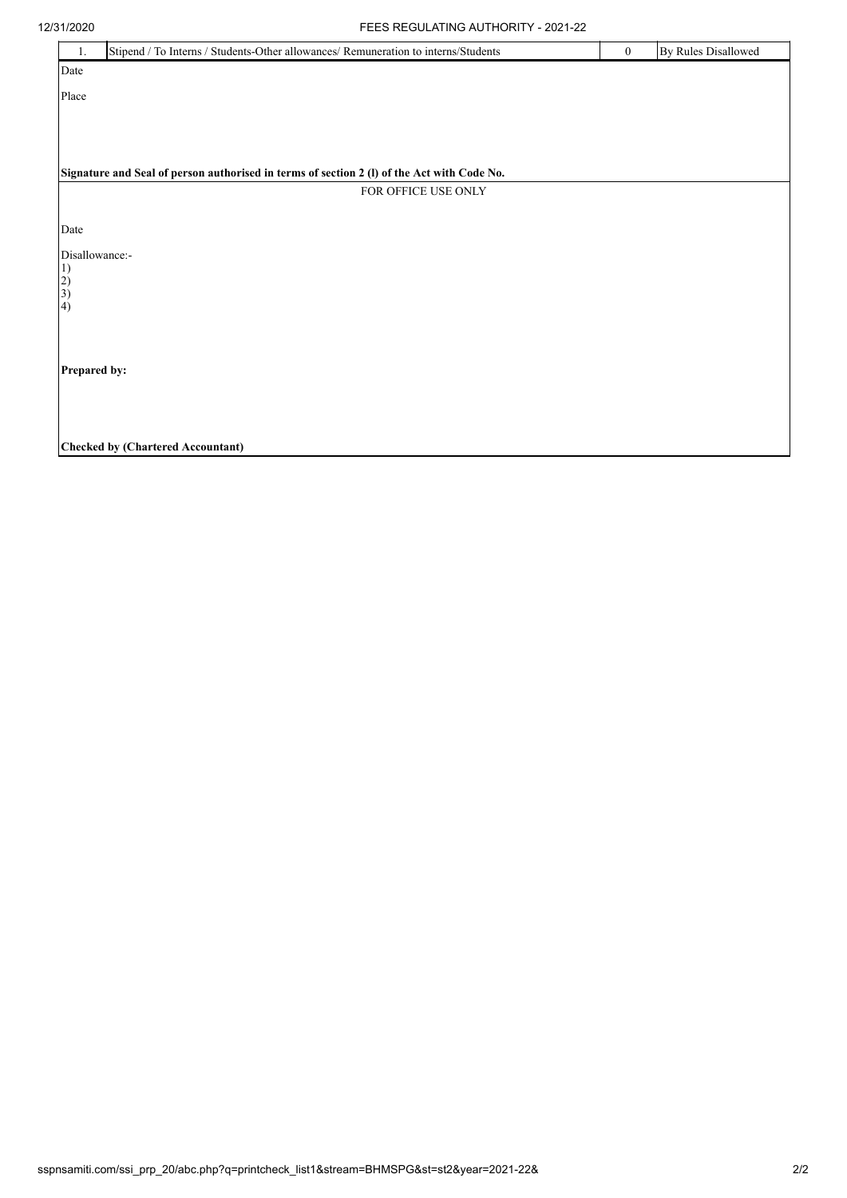| 12/31/2020           | FEES REGULATING AUTHORITY - 2021-22                                                        |              |                            |
|----------------------|--------------------------------------------------------------------------------------------|--------------|----------------------------|
| 1.                   | Stipend / To Interns / Students-Other allowances/ Remuneration to interns/Students         | $\mathbf{0}$ | <b>By Rules Disallowed</b> |
| Date                 |                                                                                            |              |                            |
| Place                |                                                                                            |              |                            |
|                      |                                                                                            |              |                            |
|                      |                                                                                            |              |                            |
|                      | Signature and Seal of person authorised in terms of section 2 (I) of the Act with Code No. |              |                            |
|                      | FOR OFFICE USE ONLY                                                                        |              |                            |
|                      |                                                                                            |              |                            |
| Date                 |                                                                                            |              |                            |
| Disallowance:-<br>1) |                                                                                            |              |                            |
| $\left( 2\right)$    |                                                                                            |              |                            |
| 3)<br>(4)            |                                                                                            |              |                            |
|                      |                                                                                            |              |                            |
|                      |                                                                                            |              |                            |
| Prepared by:         |                                                                                            |              |                            |
|                      |                                                                                            |              |                            |
|                      |                                                                                            |              |                            |
|                      | <b>Checked by (Chartered Accountant)</b>                                                   |              |                            |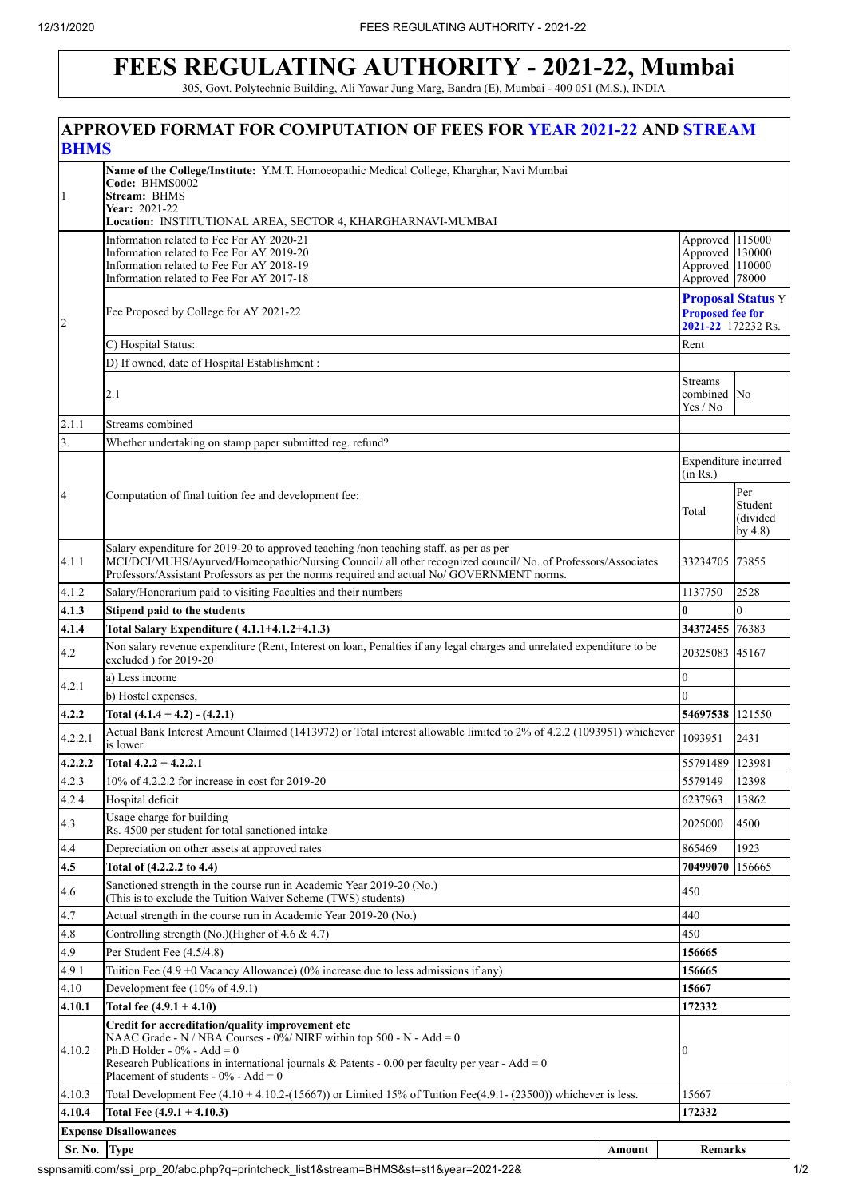1

 $\overline{\mathcal{L}}$ 

# **FEES REGULATING AUTHORITY - 2021-22, Mumbai**

305, Govt. Polytechnic Building, Ali Yawar Jung Marg, Bandra (E), Mumbai - 400 051 (M.S.), INDIA **APPROVED FORMAT FOR COMPUTATION OF FEES FOR YEAR 2021-22 AND STREAM BHMS Name of the College/Institute:** Y.M.T. Homoeopathic Medical College, Kharghar, Navi Mumbai **Code:** BHMS0002 **Stream:** BHMS **Year:** 2021-22 **Location:** INSTITUTIONAL AREA, SECTOR 4, KHARGHARNAVI-MUMBAI Information related to Fee For AY 2020-21 Information related to Fee For AY 2019-20 Information related to Fee For AY 2018-19 Information related to Fee For AY 2017-18 Approved Approved 130000 Approved 110000 Approved Fee Proposed by College for AY 2021-22 **Proposal Status** Y **Proposed fee for 2021-22** 172232 Rs. C) Hospital Status: Rent D) If owned, date of Hospital Establishment : 2.1 Streams combined Yes / No 2.1.1 Streams combined Whether undertaking on stamp paper submitted reg. refund? Computation of final tuition fee and development fee: Expenditure incurred  $(in Rs.)$ Total 4.1.1 Salary expenditure for 2019-20 to approved teaching /non teaching staff. as per as per MCI/DCI/MUHS/Ayurved/Homeopathic/Nursing Council/ all other recognized council/ No. of Professors/Associates Professors/Assistant Professors as per the norms required and actual No/ GOVERNMENT norms. 33234705 73855 4.1.2 Salary/Honorarium paid to visiting Faculties and their numbers 11.13750 1.137750 2528 **4.1.3 Stipend paid to the students 0** 0 **4.1.4 Total Salary Expenditure ( 4.1.1+4.1.2+4.1.3) 34372455** 76383 4.2 Non salary revenue expenditure (Rent, Interest on loan, Penalties if any legal charges and unrelated expenditure to be excluded ) for 2019-20 <br>excluded ) for 2019-20 4.2.1 a) Less income 0 b) Hostel expenses, **4.2.2 Total (4.1.4 + 4.2) - (4.2.1) 54697538** 121550 4.2.2.1 Actual Bank Interest Amount Claimed (1413972) or Total interest allowable limited to 2% of 4.2.2 (1093951) whichever is lower <sup>1093951</sup> <sup>2431</sup> **4.2.2.2 Total 4.2.2 + 4.2.2.1** 55791489 123981 4.2.3 10% of 4.2.2.2 for increase in cost for 2019-20 5579149 12398 4.2.4 Hospital deficit 6237963 13862 4.3 Usage charge for building Usage charge for building<br>Rs. 4500 per student for total sanctioned intake 20025000 4500 4.4 Depreciation on other assets at approved rates 865469 1923 **4.5 Total of (4.2.2.2 to 4.4) 70499070** 156665 Sanctioned strength in the course run in Academic Year 2019-20 (No.) Sanctioned strength in the course run in Academic Year 2019-20 (NO.)<br>(This is to exclude the Tuition Waiver Scheme (TWS) students) 450 4.7 Actual strength in the course run in Academic Year 2019-20 (No.) 440 4.8 Controlling strength (No.)(Higher of 4.6  $\&$  4.7) 450 4.9 Per Student Fee (4.5/4.8) **156665** 4.9.1 Tuition Fee (4.9 +0 Vacancy Allowance) (0% increase due to less admissions if any) **156665** 4.10 Development fee (10% of 4.9.1) **15667 4.10.1 Total fee (4.9.1 + 4.10) 172332** 4.10.2 **Credit for accreditation/quality improvement etc**  NAAC Grade - N / NBA Courses -  $0\%$  / NIRF within top 500 - N - Add = 0 Ph.D Holder -  $0\%$  - Add = 0 Research Publications in international journals  $\&$  Patents - 0.00 per faculty per year - Add = 0 Placement of students -  $0\%$  - Add = 0  $\overline{0}$ 4.10.3 Total Development Fee (4.10 + 4.10.2-(15667)) or Limited 15% of Tuition Fee(4.9.1- (23500)) whichever is less. 15667 **4.10.4 Total Fee (4.9.1 + 4.10.3) 172332**

**Sr. No. Type Amount Remarks**

sspnsamiti.com/ssi\_prp\_20/abc.php?q=printcheck\_list1&stream=BHMS&st=st1&year=2021-22& 1/2

**Expense Disallowances**

115000

78000

No

Per Student (divided by 4.8)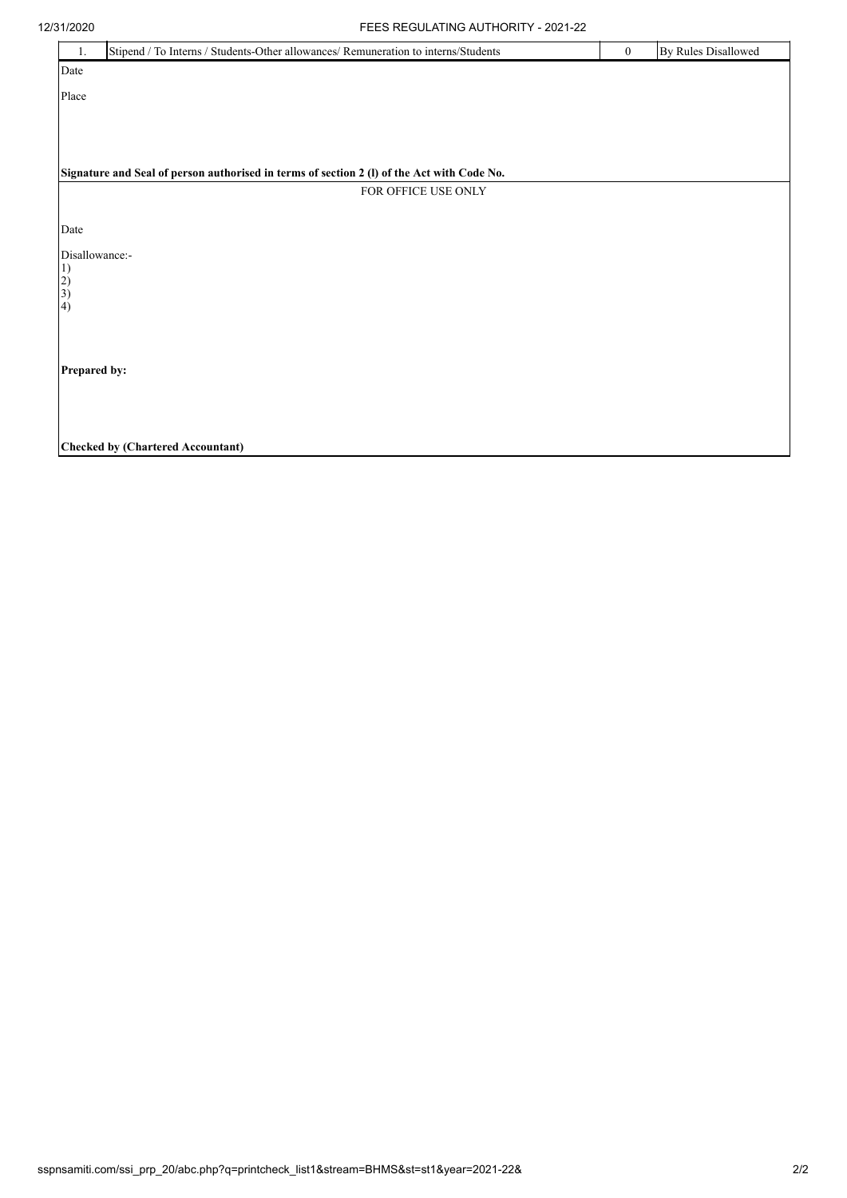| 12/31/2020                                | FEES REGULATING AUTHORITY - 2021-22                                                        |              |                            |
|-------------------------------------------|--------------------------------------------------------------------------------------------|--------------|----------------------------|
| 1.                                        | Stipend / To Interns / Students-Other allowances/ Remuneration to interns/Students         | $\mathbf{0}$ | <b>By Rules Disallowed</b> |
| Date                                      |                                                                                            |              |                            |
| Place                                     |                                                                                            |              |                            |
|                                           |                                                                                            |              |                            |
|                                           |                                                                                            |              |                            |
|                                           | Signature and Seal of person authorised in terms of section 2 (I) of the Act with Code No. |              |                            |
|                                           | FOR OFFICE USE ONLY                                                                        |              |                            |
| Date                                      |                                                                                            |              |                            |
| Disallowance:-<br>1)<br>$\left( 2\right)$ |                                                                                            |              |                            |
| 3)<br>(4)                                 |                                                                                            |              |                            |
| Prepared by:                              |                                                                                            |              |                            |
|                                           |                                                                                            |              |                            |
|                                           | <b>Checked by (Chartered Accountant)</b>                                                   |              |                            |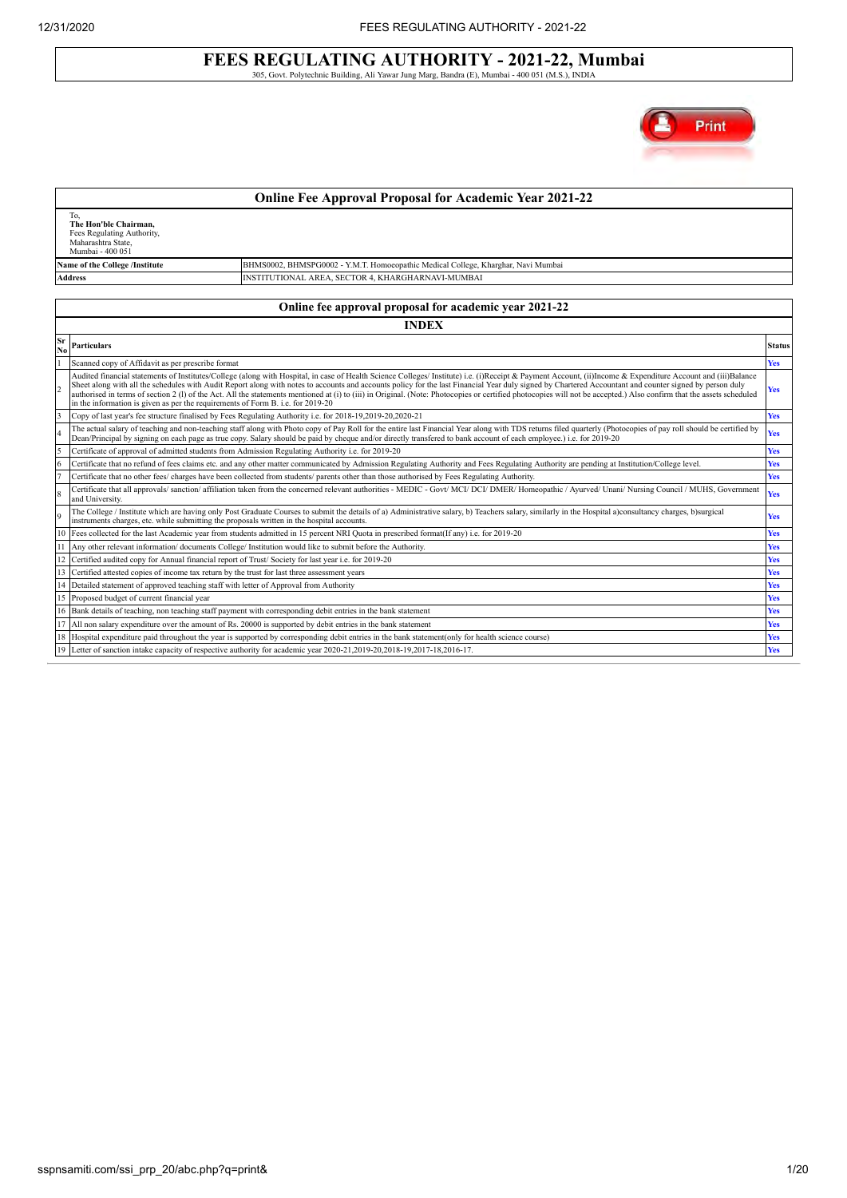## **FEES REGULATING AUTHORITY - 2021-22, Mumbai** 305, Govt. Polytechnic Building, Ali Yawar Jung Marg, Bandra (E), Mumbai - 400 051 (M.S.), INDIA

Print

|                 |                                                                                                                                                                                                                                                                                                                                                                                                                                                                                                                                                                                                                                                                                                                                           | <b>Online Fee Approval Proposal for Academic Year 2021-22</b>                                                                                                                                                                                                                                                                                                                           |               |  |  |  |  |  |  |
|-----------------|-------------------------------------------------------------------------------------------------------------------------------------------------------------------------------------------------------------------------------------------------------------------------------------------------------------------------------------------------------------------------------------------------------------------------------------------------------------------------------------------------------------------------------------------------------------------------------------------------------------------------------------------------------------------------------------------------------------------------------------------|-----------------------------------------------------------------------------------------------------------------------------------------------------------------------------------------------------------------------------------------------------------------------------------------------------------------------------------------------------------------------------------------|---------------|--|--|--|--|--|--|
|                 | To,<br>The Hon'ble Chairman.<br>Fees Regulating Authority,<br>Maharashtra State,<br>Mumbai - 400 051                                                                                                                                                                                                                                                                                                                                                                                                                                                                                                                                                                                                                                      |                                                                                                                                                                                                                                                                                                                                                                                         |               |  |  |  |  |  |  |
|                 | Name of the College /Institute                                                                                                                                                                                                                                                                                                                                                                                                                                                                                                                                                                                                                                                                                                            | BHMS0002, BHMSPG0002 - Y.M.T. Homoeopathic Medical College, Kharghar, Navi Mumbai                                                                                                                                                                                                                                                                                                       |               |  |  |  |  |  |  |
|                 | <b>Address</b>                                                                                                                                                                                                                                                                                                                                                                                                                                                                                                                                                                                                                                                                                                                            | INSTITUTIONAL AREA, SECTOR 4, KHARGHARNAVI-MUMBAI                                                                                                                                                                                                                                                                                                                                       |               |  |  |  |  |  |  |
|                 |                                                                                                                                                                                                                                                                                                                                                                                                                                                                                                                                                                                                                                                                                                                                           |                                                                                                                                                                                                                                                                                                                                                                                         |               |  |  |  |  |  |  |
|                 |                                                                                                                                                                                                                                                                                                                                                                                                                                                                                                                                                                                                                                                                                                                                           | Online fee approval proposal for academic year 2021-22                                                                                                                                                                                                                                                                                                                                  |               |  |  |  |  |  |  |
|                 |                                                                                                                                                                                                                                                                                                                                                                                                                                                                                                                                                                                                                                                                                                                                           | <b>INDEX</b>                                                                                                                                                                                                                                                                                                                                                                            |               |  |  |  |  |  |  |
| Sr<br>No        | <b>Particulars</b>                                                                                                                                                                                                                                                                                                                                                                                                                                                                                                                                                                                                                                                                                                                        |                                                                                                                                                                                                                                                                                                                                                                                         | <b>Status</b> |  |  |  |  |  |  |
|                 | Scanned copy of Affidavit as per prescribe format                                                                                                                                                                                                                                                                                                                                                                                                                                                                                                                                                                                                                                                                                         |                                                                                                                                                                                                                                                                                                                                                                                         | <b>Yes</b>    |  |  |  |  |  |  |
| $\overline{2}$  | Audited financial statements of Institutes/College (along with Hospital, in case of Health Science Colleges/ Institute) i.e. (i)Receipt & Payment Account, (ii)Income & Expenditure Account and (iii)Balance<br>Sheet along with all the schedules with Audit Report along with notes to accounts and accounts policy for the last Financial Year duly signed by Chartered Accountant and counter signed by person duly<br>Yes<br>authorised in terms of section 2 (I) of the Act. All the statements mentioned at (i) to (iii) in Original. (Note: Photocopies or certified photocopies will not be accepted.) Also confirm that the assets scheduled<br>in the information is given as per the requirements of Form B. i.e. for 2019-20 |                                                                                                                                                                                                                                                                                                                                                                                         |               |  |  |  |  |  |  |
| 3               |                                                                                                                                                                                                                                                                                                                                                                                                                                                                                                                                                                                                                                                                                                                                           | Copy of last year's fee structure finalised by Fees Regulating Authority i.e. for 2018-19,2019-20,2020-21                                                                                                                                                                                                                                                                               | <b>Yes</b>    |  |  |  |  |  |  |
| $\overline{4}$  |                                                                                                                                                                                                                                                                                                                                                                                                                                                                                                                                                                                                                                                                                                                                           | The actual salary of teaching and non-teaching staff along with Photo copy of Pay Roll for the entire last Financial Year along with TDS returns filed quarterly (Photocopies of pay roll should be certified by<br>Dean/Principal by signing on each page as true copy. Salary should be paid by cheque and/or directly transfered to bank account of each employee.) i.e. for 2019-20 | <b>Yes</b>    |  |  |  |  |  |  |
| $\overline{5}$  | Certificate of approval of admitted students from Admission Regulating Authority i.e. for 2019-20                                                                                                                                                                                                                                                                                                                                                                                                                                                                                                                                                                                                                                         |                                                                                                                                                                                                                                                                                                                                                                                         | <b>Yes</b>    |  |  |  |  |  |  |
| $6\overline{6}$ |                                                                                                                                                                                                                                                                                                                                                                                                                                                                                                                                                                                                                                                                                                                                           | Certificate that no refund of fees claims etc. and any other matter communicated by Admission Regulating Authority and Fees Regulating Authority are pending at Institution/College level.                                                                                                                                                                                              | Yes           |  |  |  |  |  |  |
| $\overline{7}$  |                                                                                                                                                                                                                                                                                                                                                                                                                                                                                                                                                                                                                                                                                                                                           | Certificate that no other fees/ charges have been collected from students/ parents other than those authorised by Fees Regulating Authority.                                                                                                                                                                                                                                            | <b>Yes</b>    |  |  |  |  |  |  |
| 8               | and University.                                                                                                                                                                                                                                                                                                                                                                                                                                                                                                                                                                                                                                                                                                                           | Certificate that all approvals/ sanction/ affiliation taken from the concerned relevant authorities - MEDIC - Govt/ MCI/ DCI/ DMER/ Homeopathic / Ayurved/ Unani/ Nursing Council / MUHS, Government                                                                                                                                                                                    | <b>Yes</b>    |  |  |  |  |  |  |
| 9               | instruments charges, etc. while submitting the proposals written in the hospital accounts.                                                                                                                                                                                                                                                                                                                                                                                                                                                                                                                                                                                                                                                | The College / Institute which are having only Post Graduate Courses to submit the details of a) Administrative salary, b) Teachers salary, similarly in the Hospital a) consultancy charges, b)surgical                                                                                                                                                                                 | <b>Yes</b>    |  |  |  |  |  |  |
| 10              |                                                                                                                                                                                                                                                                                                                                                                                                                                                                                                                                                                                                                                                                                                                                           | Fees collected for the last Academic year from students admitted in 15 percent NRI Quota in prescribed format(If any) i.e. for 2019-20                                                                                                                                                                                                                                                  | <b>Yes</b>    |  |  |  |  |  |  |
| 11              |                                                                                                                                                                                                                                                                                                                                                                                                                                                                                                                                                                                                                                                                                                                                           | Any other relevant information/documents College/ Institution would like to submit before the Authority.                                                                                                                                                                                                                                                                                | <b>Yes</b>    |  |  |  |  |  |  |
| 12              | Certified audited copy for Annual financial report of Trust/Society for last year i.e. for 2019-20                                                                                                                                                                                                                                                                                                                                                                                                                                                                                                                                                                                                                                        |                                                                                                                                                                                                                                                                                                                                                                                         | <b>Yes</b>    |  |  |  |  |  |  |
| 13              | Certified attested copies of income tax return by the trust for last three assessment years                                                                                                                                                                                                                                                                                                                                                                                                                                                                                                                                                                                                                                               |                                                                                                                                                                                                                                                                                                                                                                                         | <b>Yes</b>    |  |  |  |  |  |  |
| 14              | Detailed statement of approved teaching staff with letter of Approval from Authority                                                                                                                                                                                                                                                                                                                                                                                                                                                                                                                                                                                                                                                      |                                                                                                                                                                                                                                                                                                                                                                                         | <b>Yes</b>    |  |  |  |  |  |  |
| 15              | Proposed budget of current financial year                                                                                                                                                                                                                                                                                                                                                                                                                                                                                                                                                                                                                                                                                                 |                                                                                                                                                                                                                                                                                                                                                                                         | <b>Yes</b>    |  |  |  |  |  |  |
| 16              |                                                                                                                                                                                                                                                                                                                                                                                                                                                                                                                                                                                                                                                                                                                                           | Bank details of teaching, non teaching staff payment with corresponding debit entries in the bank statement                                                                                                                                                                                                                                                                             | <b>Yes</b>    |  |  |  |  |  |  |
| 17              |                                                                                                                                                                                                                                                                                                                                                                                                                                                                                                                                                                                                                                                                                                                                           | All non salary expenditure over the amount of Rs. 20000 is supported by debit entries in the bank statement                                                                                                                                                                                                                                                                             | <b>Yes</b>    |  |  |  |  |  |  |
| 18              |                                                                                                                                                                                                                                                                                                                                                                                                                                                                                                                                                                                                                                                                                                                                           | Hospital expenditure paid throughout the year is supported by corresponding debit entries in the bank statement(only for health science course)                                                                                                                                                                                                                                         | <b>Yes</b>    |  |  |  |  |  |  |
| 19              |                                                                                                                                                                                                                                                                                                                                                                                                                                                                                                                                                                                                                                                                                                                                           | Letter of sanction intake capacity of respective authority for academic year 2020-21,2019-20,2018-19,2017-18,2016-17.                                                                                                                                                                                                                                                                   | <b>Yes</b>    |  |  |  |  |  |  |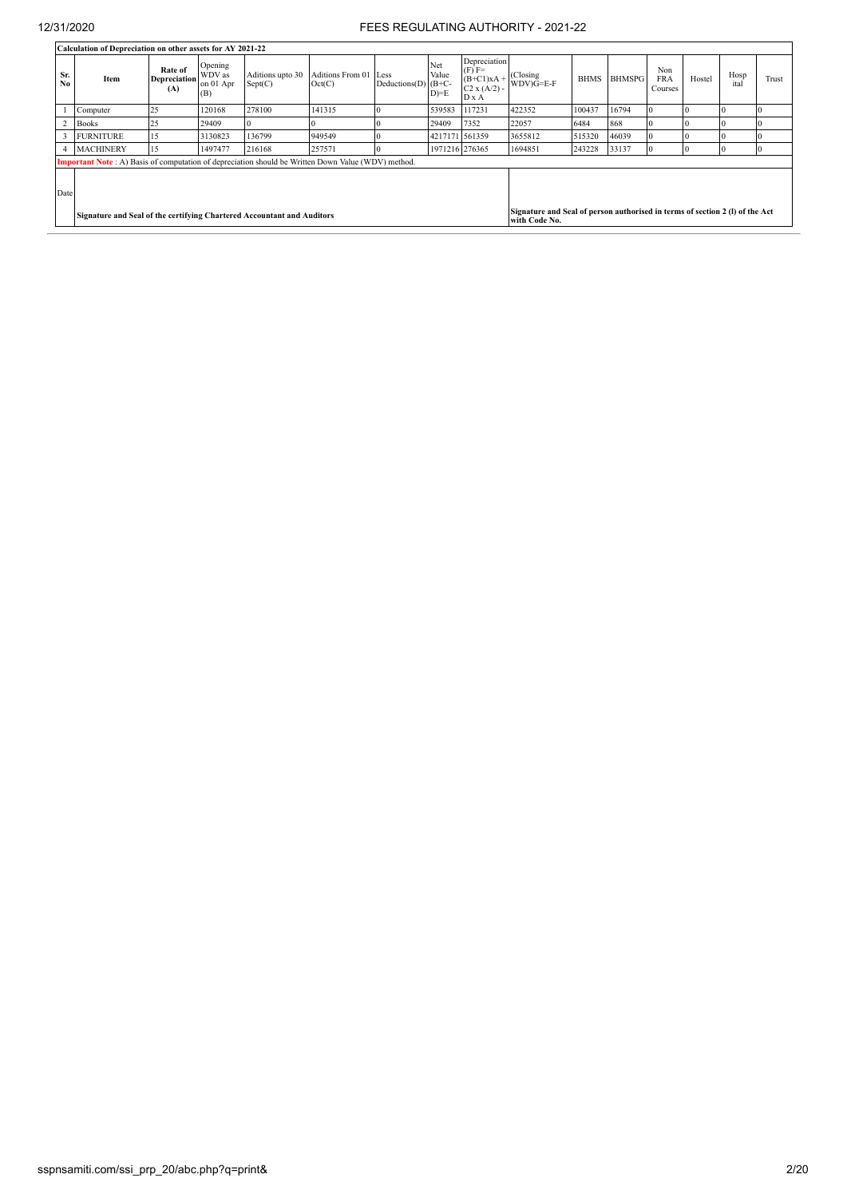|                       | Calculation of Depreciation on other assets for AY 2021-22                                                                                                              |                                |                                       |                             |                            |                               |                        |                                                                     |                          |             |               |                              |          |              |       |
|-----------------------|-------------------------------------------------------------------------------------------------------------------------------------------------------------------------|--------------------------------|---------------------------------------|-----------------------------|----------------------------|-------------------------------|------------------------|---------------------------------------------------------------------|--------------------------|-------------|---------------|------------------------------|----------|--------------|-------|
| Sr.<br>N <sub>0</sub> | Item                                                                                                                                                                    | Rate of<br>Depreciation<br>(A) | Opening<br>WDV as<br>on 01 Apr<br>(B) | Aditions upto 30<br>Sept(C) | Aditions From 01<br>Oct(C) | Less<br>Deductions(D) $(B+C-$ | Net<br>Value<br>$D)=E$ | Depreciation<br>$(F)$ F=<br>$(B+C1)xA +$<br>$C2 x (A/2) -$<br>D x A | (Closing)<br>$WDV)G=E-F$ | <b>BHMS</b> | <b>BHMSPG</b> | Non<br><b>FRA</b><br>Courses | Hostel   | Hosp<br>ital | Trust |
|                       | Computer                                                                                                                                                                | 25                             | 120168                                | 278100                      | 141315                     |                               | 539583                 | 117231                                                              | 422352                   | 100437      | 16794         |                              | 0        |              |       |
|                       | <b>Books</b>                                                                                                                                                            | 25                             | 29409                                 |                             |                            |                               | 29409                  | 7352                                                                | 22057                    | 6484        | 868           |                              | ١C       |              |       |
|                       | <b>FURNITURE</b>                                                                                                                                                        | 15                             | 3130823                               | 136799                      | 949549                     |                               | 4217171 561359         |                                                                     | 3655812                  | 515320      | 46039         |                              | ١C       |              |       |
| 4                     | <b>MACHINERY</b>                                                                                                                                                        | 15                             | 1497477                               | 216168                      | 257571                     |                               | 1971216 276365         |                                                                     | 1694851                  | 243228      | 33137         |                              | $\Omega$ | $\Omega$     | Ю     |
|                       | <b>Important Note</b> : A) Basis of computation of depreciation should be Written Down Value (WDV) method.                                                              |                                |                                       |                             |                            |                               |                        |                                                                     |                          |             |               |                              |          |              |       |
| Date                  | Signature and Seal of person authorised in terms of section 2 (I) of the Act<br>Signature and Seal of the certifying Chartered Accountant and Auditors<br>with Code No. |                                |                                       |                             |                            |                               |                        |                                                                     |                          |             |               |                              |          |              |       |
|                       |                                                                                                                                                                         |                                |                                       |                             |                            |                               |                        |                                                                     |                          |             |               |                              |          |              |       |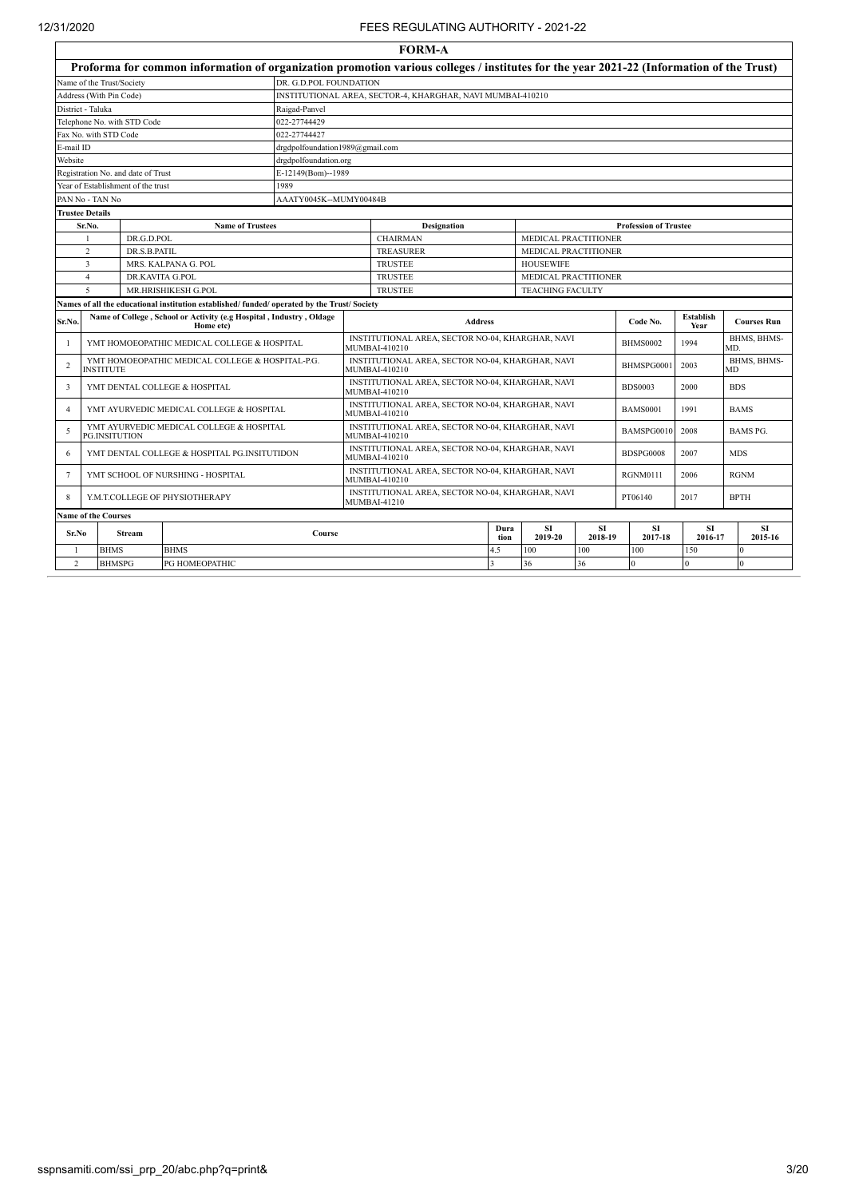Ì

|                                                |                                      |                                    |                                                                                              |                        |                                                                          | <b>FORM-A</b>                                                                                                                           |              |                                                     |                      |                              |                      |                    |  |  |
|------------------------------------------------|--------------------------------------|------------------------------------|----------------------------------------------------------------------------------------------|------------------------|--------------------------------------------------------------------------|-----------------------------------------------------------------------------------------------------------------------------------------|--------------|-----------------------------------------------------|----------------------|------------------------------|----------------------|--------------------|--|--|
|                                                |                                      |                                    |                                                                                              |                        |                                                                          | Proforma for common information of organization promotion various colleges / institutes for the year 2021-22 (Information of the Trust) |              |                                                     |                      |                              |                      |                    |  |  |
|                                                | Name of the Trust/Society            |                                    |                                                                                              | DR. G.D.POL FOUNDATION |                                                                          |                                                                                                                                         |              |                                                     |                      |                              |                      |                    |  |  |
|                                                | Address (With Pin Code)              |                                    |                                                                                              |                        |                                                                          | INSTITUTIONAL AREA, SECTOR-4, KHARGHAR, NAVI MUMBAI-410210                                                                              |              |                                                     |                      |                              |                      |                    |  |  |
|                                                | District - Taluka                    |                                    |                                                                                              | Raigad-Panvel          |                                                                          |                                                                                                                                         |              |                                                     |                      |                              |                      |                    |  |  |
|                                                |                                      | Telephone No. with STD Code        |                                                                                              | 022-27744429           |                                                                          |                                                                                                                                         |              |                                                     |                      |                              |                      |                    |  |  |
|                                                | Fax No. with STD Code                |                                    |                                                                                              | 022-27744427           |                                                                          |                                                                                                                                         |              |                                                     |                      |                              |                      |                    |  |  |
| E-mail ID                                      |                                      |                                    |                                                                                              |                        | drgdpolfoundation1989@gmail.com                                          |                                                                                                                                         |              |                                                     |                      |                              |                      |                    |  |  |
| Website                                        |                                      |                                    |                                                                                              | drgdpolfoundation.org  |                                                                          |                                                                                                                                         |              |                                                     |                      |                              |                      |                    |  |  |
|                                                |                                      | Registration No. and date of Trust |                                                                                              | E-12149(Bom)--1989     |                                                                          |                                                                                                                                         |              |                                                     |                      |                              |                      |                    |  |  |
|                                                |                                      | Year of Establishment of the trust |                                                                                              | 1989                   |                                                                          |                                                                                                                                         |              |                                                     |                      |                              |                      |                    |  |  |
|                                                | PAN No - TAN No                      |                                    |                                                                                              | AAATY0045K--MUMY00484B |                                                                          |                                                                                                                                         |              |                                                     |                      |                              |                      |                    |  |  |
|                                                | <b>Trustee Details</b>               |                                    |                                                                                              |                        |                                                                          |                                                                                                                                         |              |                                                     |                      |                              |                      |                    |  |  |
|                                                | Sr.No.                               |                                    | <b>Name of Trustees</b>                                                                      |                        |                                                                          | <b>Designation</b>                                                                                                                      |              |                                                     |                      | <b>Profession of Trustee</b> |                      |                    |  |  |
| DR.G.D.POL<br>$\overline{2}$<br>DR S B PATIL   |                                      |                                    |                                                                                              |                        |                                                                          | <b>CHAIRMAN</b><br><b>TREASURER</b>                                                                                                     |              | MEDICAL PRACTITIONER<br><b>MEDICAL PRACTITIONER</b> |                      |                              |                      |                    |  |  |
| $\overline{\mathbf{3}}$<br>MRS. KALPANA G. POL |                                      |                                    |                                                                                              |                        |                                                                          | <b>TRUSTEE</b>                                                                                                                          |              | <b>HOUSEWIFE</b>                                    |                      |                              |                      |                    |  |  |
|                                                | DR.KAVITA G.POL<br>$\overline{4}$    |                                    |                                                                                              |                        |                                                                          | <b>TRUSTEE</b>                                                                                                                          |              | MEDICAL PRACTITIONER                                |                      |                              |                      |                    |  |  |
|                                                | $\mathcal{L}$<br>MR.HRISHIKESH G.POL |                                    |                                                                                              |                        |                                                                          | <b>TRUSTEE</b>                                                                                                                          |              | <b>TEACHING FACULTY</b>                             |                      |                              |                      |                    |  |  |
|                                                |                                      |                                    | Names of all the educational institution established/ funded/ operated by the Trust/ Society |                        |                                                                          |                                                                                                                                         |              |                                                     |                      |                              |                      |                    |  |  |
| Sr.No.                                         |                                      |                                    | Name of College, School or Activity (e.g Hospital, Industry, Oldage<br>Home etc)             |                        |                                                                          | <b>Address</b>                                                                                                                          |              |                                                     |                      | Code No.                     | Establish<br>Year    | <b>Courses Run</b> |  |  |
| -1                                             |                                      |                                    | YMT HOMOEOPATHIC MEDICAL COLLEGE & HOSPITAL                                                  |                        |                                                                          | INSTITUTIONAL AREA, SECTOR NO-04, KHARGHAR, NAVI                                                                                        |              |                                                     |                      | <b>BHMS0002</b>              | 1994                 | BHMS, BHMS-        |  |  |
| $\overline{2}$                                 |                                      |                                    | YMT HOMOEOPATHIC MEDICAL COLLEGE & HOSPITAL-P.G.                                             |                        | MUMBAI-410210<br>MD.<br>INSTITUTIONAL AREA, SECTOR NO-04, KHARGHAR, NAVI |                                                                                                                                         |              |                                                     |                      |                              | BHMS, BHMS-          |                    |  |  |
|                                                | <b>INSTITUTE</b>                     |                                    |                                                                                              |                        |                                                                          | MUMBAI-410210                                                                                                                           |              |                                                     |                      | BHMSPG0001                   | 2003                 | МD                 |  |  |
| 3                                              |                                      |                                    | YMT DENTAL COLLEGE & HOSPITAL                                                                |                        |                                                                          | INSTITUTIONAL AREA, SECTOR NO-04, KHARGHAR, NAVI<br>MUMBAI-410210                                                                       |              |                                                     |                      | <b>BDS0003</b>               | 2000                 | <b>BDS</b>         |  |  |
| $\overline{A}$                                 |                                      |                                    | YMT AYURVEDIC MEDICAL COLLEGE & HOSPITAL                                                     |                        |                                                                          | INSTITUTIONAL AREA, SECTOR NO-04, KHARGHAR, NAVI<br>MUMBAI-410210                                                                       |              |                                                     |                      | <b>BAMS0001</b>              | 1991                 | <b>BAMS</b>        |  |  |
| -5                                             | <b>PG.INSITUTION</b>                 |                                    | YMT AYURVEDIC MEDICAL COLLEGE & HOSPITAL                                                     |                        |                                                                          | INSTITUTIONAL AREA, SECTOR NO-04, KHARGHAR, NAVI<br>MUMBAI-410210                                                                       |              |                                                     |                      | BAMSPG0010                   | 2008                 | BAMS PG.           |  |  |
| 6                                              |                                      |                                    | YMT DENTAL COLLEGE & HOSPITAL PG.INSITUTIDON                                                 |                        |                                                                          | INSTITUTIONAL AREA, SECTOR NO-04, KHARGHAR, NAVI<br>MUMBAI-410210                                                                       |              |                                                     |                      | BDSPG0008                    | 2007                 | <b>MDS</b>         |  |  |
| 7                                              | YMT SCHOOL OF NURSHING - HOSPITAL    |                                    |                                                                                              |                        |                                                                          | INSTITUTIONAL AREA, SECTOR NO-04, KHARGHAR, NAVI<br>MUMBAI-410210                                                                       |              |                                                     |                      | <b>RGNM0111</b>              | 2006                 | <b>RGNM</b>        |  |  |
| Y.M.T.COLLEGE OF PHYSIOTHERAPY<br>8            |                                      |                                    |                                                                                              |                        |                                                                          | INSTITUTIONAL AREA, SECTOR NO-04, KHARGHAR, NAVI<br>MUMBAI-41210                                                                        |              |                                                     |                      | PT06140                      | 2017                 | <b>BPTH</b>        |  |  |
| <b>Name of the Courses</b>                     |                                      |                                    |                                                                                              |                        |                                                                          |                                                                                                                                         |              |                                                     |                      |                              |                      |                    |  |  |
|                                                | Sr.No<br><b>Stream</b>               |                                    |                                                                                              | Course                 |                                                                          |                                                                                                                                         | Dura<br>tion | <b>SI</b><br>2019-20                                | <b>SI</b><br>2018-19 | SI<br>2017-18                | <b>SI</b><br>2016-17 | SI.<br>2015-16     |  |  |
| <b>BHMS</b><br><b>BHMS</b><br>-1               |                                      |                                    |                                                                                              |                        |                                                                          | 4.5                                                                                                                                     | 100          | 100                                                 | 100                  | 150                          | $\Omega$             |                    |  |  |
| $\overline{2}$                                 |                                      | <b>BHMSPG</b>                      | PG HOMEOPATHIC                                                                               |                        |                                                                          |                                                                                                                                         | $\mathbf{3}$ | 36                                                  | 36                   | $\Omega$                     | $\Omega$             | $\Omega$           |  |  |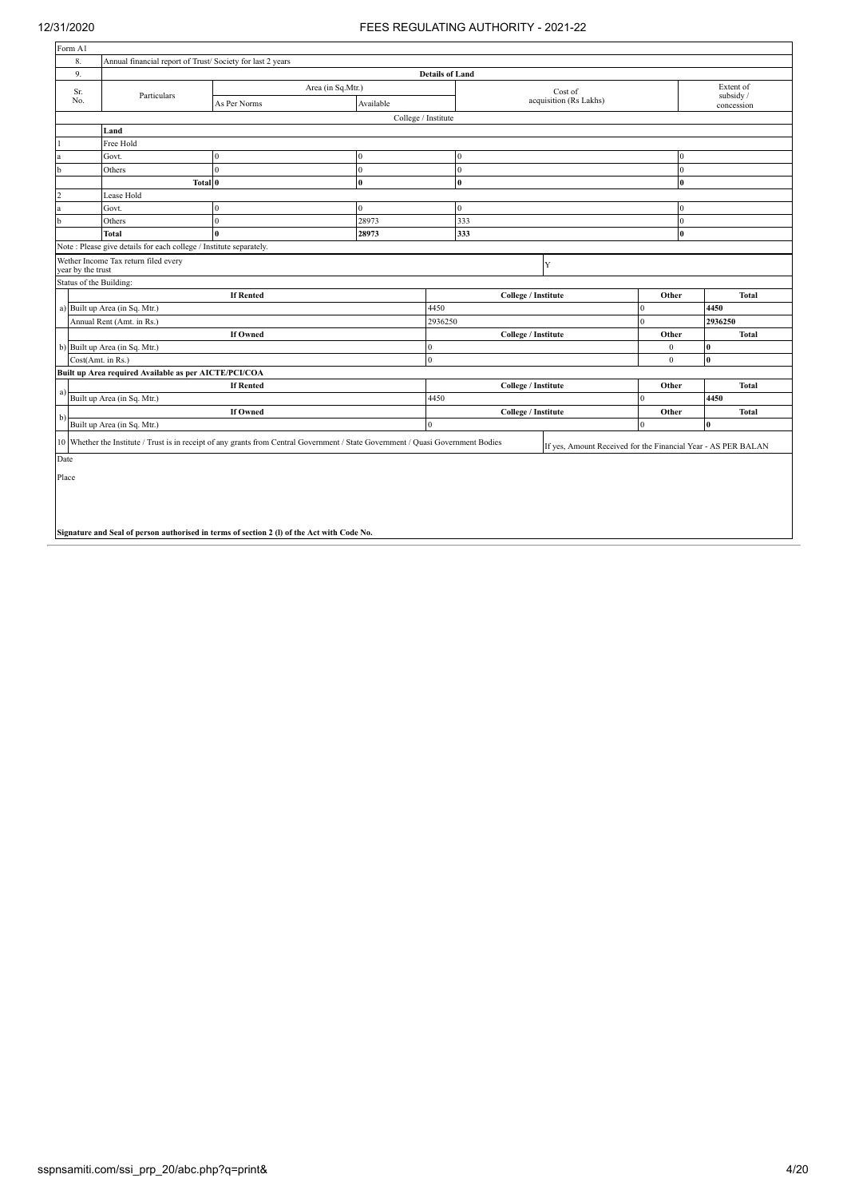| Form A1        |                                                                                            |                                                                                                                                   |                     |                        |                     |                                                               |              |              |                                                                                                                                         |  |  |
|----------------|--------------------------------------------------------------------------------------------|-----------------------------------------------------------------------------------------------------------------------------------|---------------------|------------------------|---------------------|---------------------------------------------------------------|--------------|--------------|-----------------------------------------------------------------------------------------------------------------------------------------|--|--|
| 8.             | Annual financial report of Trust/Society for last 2 years                                  |                                                                                                                                   |                     |                        |                     |                                                               |              |              |                                                                                                                                         |  |  |
| 9.             |                                                                                            |                                                                                                                                   |                     | <b>Details of Land</b> |                     |                                                               |              |              |                                                                                                                                         |  |  |
| Sr.            | Particulars                                                                                | Area (in Sq.Mtr.)                                                                                                                 |                     |                        |                     | Cost of                                                       |              |              |                                                                                                                                         |  |  |
| No.            |                                                                                            | As Per Norms                                                                                                                      | Available           |                        |                     | acquisition (Rs Lakhs)                                        |              |              |                                                                                                                                         |  |  |
|                |                                                                                            |                                                                                                                                   | College / Institute |                        |                     |                                                               |              |              |                                                                                                                                         |  |  |
|                | Land                                                                                       |                                                                                                                                   |                     |                        |                     |                                                               |              |              |                                                                                                                                         |  |  |
|                | Free Hold                                                                                  |                                                                                                                                   |                     |                        |                     |                                                               |              |              |                                                                                                                                         |  |  |
| la             | Govt.                                                                                      | $\mathbf{0}$                                                                                                                      | $\Omega$            |                        | $\Omega$            |                                                               |              | $\mathbf{0}$ | Extent of<br>subsidy /<br>concession<br><b>Total</b><br>2936250<br><b>Total</b><br><b>Total</b><br>4450<br><b>Total</b><br>$\mathbf{0}$ |  |  |
| $\mathbf b$    | Others                                                                                     | $\mathbf{0}$                                                                                                                      | $\theta$            |                        | $\Omega$            |                                                               |              | $\mathbf{0}$ |                                                                                                                                         |  |  |
|                | Total 0                                                                                    |                                                                                                                                   | $\mathbf{0}$        |                        | $\bf{0}$            |                                                               |              | $\bf{0}$     |                                                                                                                                         |  |  |
| $\overline{2}$ | Lease Hold                                                                                 |                                                                                                                                   |                     |                        |                     |                                                               |              |              |                                                                                                                                         |  |  |
| la             | Govt.                                                                                      | $\mathbf{0}$                                                                                                                      | $\overline{0}$      |                        | $\overline{0}$      |                                                               |              |              |                                                                                                                                         |  |  |
| $\mathbf{b}$   | Others                                                                                     | $\mathbf{0}$                                                                                                                      | 28973               |                        | 333                 |                                                               |              | $\mathbf{0}$ |                                                                                                                                         |  |  |
|                | Total                                                                                      | $\mathbf{0}$                                                                                                                      | 28973               |                        | 333                 |                                                               |              | $\bf{0}$     |                                                                                                                                         |  |  |
|                | Note: Please give details for each college / Institute separately.                         |                                                                                                                                   |                     |                        |                     |                                                               |              |              |                                                                                                                                         |  |  |
|                | Wether Income Tax return filed every<br>Y<br>year by the trust                             |                                                                                                                                   |                     |                        |                     |                                                               |              |              |                                                                                                                                         |  |  |
|                | Status of the Building:                                                                    |                                                                                                                                   |                     |                        |                     |                                                               |              |              |                                                                                                                                         |  |  |
|                |                                                                                            | <b>If Rented</b>                                                                                                                  |                     |                        | College / Institute |                                                               | Other        |              |                                                                                                                                         |  |  |
|                | a) Built up Area (in Sq. Mtr.)                                                             |                                                                                                                                   |                     | 4450                   |                     |                                                               | $\mathbf{0}$ | 4450         |                                                                                                                                         |  |  |
|                | Annual Rent (Amt. in Rs.)                                                                  |                                                                                                                                   |                     | 2936250                |                     |                                                               | $\mathbf{0}$ |              |                                                                                                                                         |  |  |
|                |                                                                                            | <b>If Owned</b>                                                                                                                   |                     |                        | College / Institute |                                                               | Other        |              |                                                                                                                                         |  |  |
|                | b) Built up Area (in Sq. Mtr.)                                                             |                                                                                                                                   |                     | $\mathbf{0}$           |                     |                                                               | $\mathbf{0}$ | $\bf{0}$     |                                                                                                                                         |  |  |
|                | Cost(Amt. in Rs.)                                                                          |                                                                                                                                   |                     | $\theta$               |                     |                                                               | $\theta$     | $\mathbf{0}$ |                                                                                                                                         |  |  |
|                | Built up Area required Available as per AICTE/PCI/COA                                      |                                                                                                                                   |                     |                        |                     |                                                               |              |              |                                                                                                                                         |  |  |
| a)             |                                                                                            | <b>If Rented</b>                                                                                                                  |                     |                        | College / Institute |                                                               | Other        |              |                                                                                                                                         |  |  |
|                | Built up Area (in Sq. Mtr.)                                                                |                                                                                                                                   |                     | 4450                   |                     |                                                               | $\Omega$     |              |                                                                                                                                         |  |  |
| b)             |                                                                                            | <b>If Owned</b>                                                                                                                   |                     |                        | College / Institute |                                                               | Other        |              |                                                                                                                                         |  |  |
|                | Built up Area (in Sq. Mtr.)                                                                |                                                                                                                                   |                     | $\theta$               |                     |                                                               | $\mathbf{0}$ |              |                                                                                                                                         |  |  |
|                |                                                                                            | 10 Whether the Institute / Trust is in receipt of any grants from Central Government / State Government / Quasi Government Bodies |                     |                        |                     | If yes, Amount Received for the Financial Year - AS PER BALAN |              |              |                                                                                                                                         |  |  |
| Date           |                                                                                            |                                                                                                                                   |                     |                        |                     |                                                               |              |              |                                                                                                                                         |  |  |
| Place          |                                                                                            |                                                                                                                                   |                     |                        |                     |                                                               |              |              |                                                                                                                                         |  |  |
|                | Signature and Seal of person authorised in terms of section 2 (1) of the Act with Code No. |                                                                                                                                   |                     |                        |                     |                                                               |              |              |                                                                                                                                         |  |  |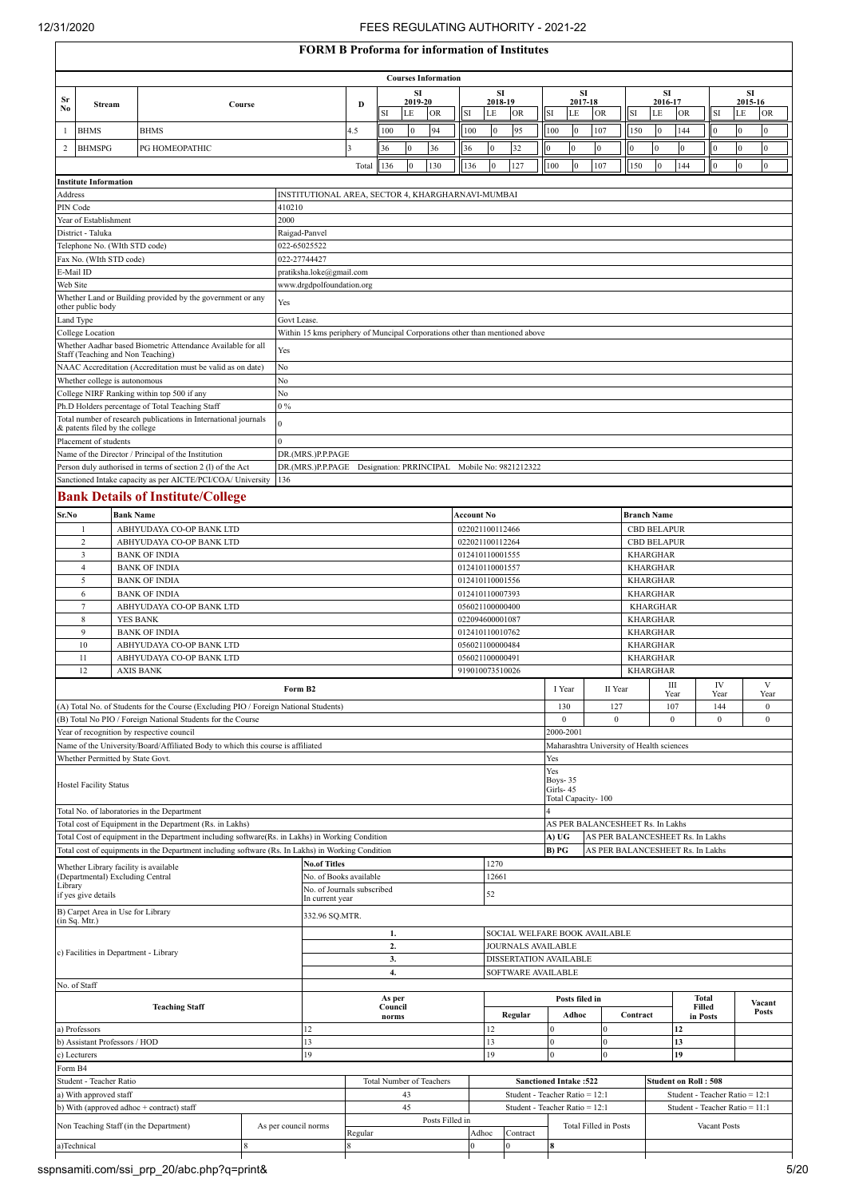$\overline{1}$ 

#### 12/31/2020 FEES REGULATING AUTHORITY - 2021-22

### **FORM B Proforma for information of Institutes**

|                                           | FORM B Protorma tor intormation of institutes |                  |                                                                                                                                                                                                      |                      |                                                                             |         |                  |                      |                                               |     |                                    |                                |  |                                                                                                    |                              |                                |                    |                                    |                                                                      |                                |      |                        |                  |  |
|-------------------------------------------|-----------------------------------------------|------------------|------------------------------------------------------------------------------------------------------------------------------------------------------------------------------------------------------|----------------------|-----------------------------------------------------------------------------|---------|------------------|----------------------|-----------------------------------------------|-----|------------------------------------|--------------------------------|--|----------------------------------------------------------------------------------------------------|------------------------------|--------------------------------|--------------------|------------------------------------|----------------------------------------------------------------------|--------------------------------|------|------------------------|------------------|--|
|                                           |                                               |                  |                                                                                                                                                                                                      |                      |                                                                             |         |                  |                      | <b>Courses Information</b>                    |     |                                    |                                |  |                                                                                                    |                              |                                |                    |                                    |                                                                      |                                |      |                        |                  |  |
| Sr                                        |                                               |                  |                                                                                                                                                                                                      |                      |                                                                             | D       |                  | <b>SI</b><br>2019-20 |                                               |     | 2018-19                            | SI                             |  |                                                                                                    | SI<br>2017-18                |                                |                    |                                    | <b>SI</b><br>2016-17                                                 |                                |      | SI<br>2015-16          |                  |  |
| No                                        | Stream                                        |                  | Course                                                                                                                                                                                               |                      |                                                                             |         | SI               | LE                   | <b>OR</b>                                     | SI  | LE                                 | <b>OR</b>                      |  | LE<br>SI                                                                                           | OR                           |                                | SI                 | LE                                 | <b>OR</b>                                                            | SI                             |      | LE                     | <b>OR</b>        |  |
| 1                                         | <b>BHMS</b>                                   |                  | <b>BHMS</b>                                                                                                                                                                                          |                      |                                                                             | 4.5     | 100              | $\Omega$             | 94                                            | 100 | $\mathbf{0}$                       | 95                             |  | 100                                                                                                |                              | 107                            | 150                | $\mathbf{0}$                       | 144                                                                  | $\theta$                       |      | $\boldsymbol{0}$       | $\boldsymbol{0}$ |  |
| 2                                         | <b>BHMSPG</b>                                 |                  | PG HOMEOPATHIC                                                                                                                                                                                       |                      |                                                                             | 3       | 36               | $\mathbf{0}$         | 36                                            | 36  | $\bf{0}$                           | 32                             |  | $\mathbf{0}$<br>$\overline{0}$                                                                     | $\mathbf{0}$                 |                                | $\mathbf{0}$       | $\Omega$                           | $\bf{0}$                                                             | $\mathbf{0}$                   |      | $\boldsymbol{0}$       | $\boldsymbol{0}$ |  |
|                                           |                                               |                  |                                                                                                                                                                                                      |                      |                                                                             | Total   | 136              | $\mathbf{0}$         | 130                                           | 136 | $\theta$                           | 127                            |  | 100                                                                                                | $\overline{0}$<br>107        |                                | 150                | $\mathbf{0}$                       | 144                                                                  | $\bf{0}$                       |      | $\mathbf{0}$           | $\bf{0}$         |  |
|                                           | <b>Institute Information</b>                  |                  |                                                                                                                                                                                                      |                      |                                                                             |         |                  |                      |                                               |     |                                    |                                |  |                                                                                                    |                              |                                |                    |                                    |                                                                      |                                |      |                        |                  |  |
| Address                                   |                                               |                  |                                                                                                                                                                                                      |                      | INSTITUTIONAL AREA, SECTOR 4, KHARGHARNAVI-MUMBAI                           |         |                  |                      |                                               |     |                                    |                                |  |                                                                                                    |                              |                                |                    |                                    |                                                                      |                                |      |                        |                  |  |
| PIN Code                                  |                                               |                  |                                                                                                                                                                                                      | 410210               |                                                                             |         |                  |                      |                                               |     |                                    |                                |  |                                                                                                    |                              |                                |                    |                                    |                                                                      |                                |      |                        |                  |  |
|                                           | Year of Establishment<br>District - Taluka    |                  |                                                                                                                                                                                                      | 2000                 | Raigad-Panvel                                                               |         |                  |                      |                                               |     |                                    |                                |  |                                                                                                    |                              |                                |                    |                                    |                                                                      |                                |      |                        |                  |  |
|                                           | Telephone No. (WIth STD code)                 |                  |                                                                                                                                                                                                      |                      | 022-65025522                                                                |         |                  |                      |                                               |     |                                    |                                |  |                                                                                                    |                              |                                |                    |                                    |                                                                      |                                |      |                        |                  |  |
|                                           | Fax No. (WIth STD code)                       |                  |                                                                                                                                                                                                      |                      | 022-27744427                                                                |         |                  |                      |                                               |     |                                    |                                |  |                                                                                                    |                              |                                |                    |                                    |                                                                      |                                |      |                        |                  |  |
| E-Mail ID<br>Web Site                     |                                               |                  |                                                                                                                                                                                                      |                      | pratiksha.loke@gmail.com<br>www.drgdpolfoundation.org                       |         |                  |                      |                                               |     |                                    |                                |  |                                                                                                    |                              |                                |                    |                                    |                                                                      |                                |      |                        |                  |  |
|                                           |                                               |                  | Whether Land or Building provided by the government or any                                                                                                                                           | Yes                  |                                                                             |         |                  |                      |                                               |     |                                    |                                |  |                                                                                                    |                              |                                |                    |                                    |                                                                      |                                |      |                        |                  |  |
| Land Type                                 | other public body                             |                  |                                                                                                                                                                                                      |                      | Govt Lease.                                                                 |         |                  |                      |                                               |     |                                    |                                |  |                                                                                                    |                              |                                |                    |                                    |                                                                      |                                |      |                        |                  |  |
|                                           | College Location                              |                  |                                                                                                                                                                                                      |                      | Within 15 kms periphery of Muncipal Corporations other than mentioned above |         |                  |                      |                                               |     |                                    |                                |  |                                                                                                    |                              |                                |                    |                                    |                                                                      |                                |      |                        |                  |  |
|                                           |                                               |                  | Whether Aadhar based Biometric Attendance Available for all                                                                                                                                          | Yes                  |                                                                             |         |                  |                      |                                               |     |                                    |                                |  |                                                                                                    |                              |                                |                    |                                    |                                                                      |                                |      |                        |                  |  |
|                                           | Staff (Teaching and Non Teaching)             |                  | NAAC Accreditation (Accreditation must be valid as on date)                                                                                                                                          |                      | No                                                                          |         |                  |                      |                                               |     |                                    |                                |  |                                                                                                    |                              |                                |                    |                                    |                                                                      |                                |      |                        |                  |  |
|                                           | Whether college is autonomous                 |                  |                                                                                                                                                                                                      | No                   |                                                                             |         |                  |                      |                                               |     |                                    |                                |  |                                                                                                    |                              |                                |                    |                                    |                                                                      |                                |      |                        |                  |  |
|                                           |                                               |                  | College NIRF Ranking within top 500 if any                                                                                                                                                           | No                   | $0\%$                                                                       |         |                  |                      |                                               |     |                                    |                                |  |                                                                                                    |                              |                                |                    |                                    |                                                                      |                                |      |                        |                  |  |
|                                           |                                               |                  | Ph.D Holders percentage of Total Teaching Staff                                                                                                                                                      |                      |                                                                             |         |                  |                      |                                               |     |                                    |                                |  |                                                                                                    |                              |                                |                    |                                    |                                                                      |                                |      |                        |                  |  |
|                                           | & patents filed by the college                |                  | Total number of research publications in International journals                                                                                                                                      | $\Omega$             |                                                                             |         |                  |                      |                                               |     |                                    |                                |  |                                                                                                    |                              |                                |                    |                                    |                                                                      |                                |      |                        |                  |  |
|                                           | Placement of students                         |                  |                                                                                                                                                                                                      | $\theta$             |                                                                             |         |                  |                      |                                               |     |                                    |                                |  |                                                                                                    |                              |                                |                    |                                    |                                                                      |                                |      |                        |                  |  |
|                                           |                                               |                  | Name of the Director / Principal of the Institution<br>Person duly authorised in terms of section 2 (l) of the Act                                                                                   |                      | DR.(MRS.)P.P.PAGE<br>DR.(MRS.)P.P.PAGE                                      |         |                  |                      | Designation: PRRINCIPAL Mobile No: 9821212322 |     |                                    |                                |  |                                                                                                    |                              |                                |                    |                                    |                                                                      |                                |      |                        |                  |  |
|                                           |                                               |                  | Sanctioned Intake capacity as per AICTE/PCI/COA/ University                                                                                                                                          | 136                  |                                                                             |         |                  |                      |                                               |     |                                    |                                |  |                                                                                                    |                              |                                |                    |                                    |                                                                      |                                |      |                        |                  |  |
|                                           | <b>Bank Details of Institute/College</b>      |                  |                                                                                                                                                                                                      |                      |                                                                             |         |                  |                      |                                               |     |                                    |                                |  |                                                                                                    |                              |                                |                    |                                    |                                                                      |                                |      |                        |                  |  |
| Sr.No                                     |                                               | <b>Bank Name</b> |                                                                                                                                                                                                      |                      |                                                                             |         |                  |                      |                                               |     | <b>Account No</b>                  |                                |  |                                                                                                    |                              |                                | <b>Branch Name</b> |                                    |                                                                      |                                |      |                        |                  |  |
|                                           | -1                                            |                  | ABHYUDAYA CO-OP BANK LTD                                                                                                                                                                             |                      |                                                                             |         |                  |                      |                                               |     | 022021100112466                    |                                |  |                                                                                                    |                              |                                |                    |                                    | <b>CBD BELAPUR</b>                                                   |                                |      |                        |                  |  |
|                                           | $\overline{c}$                                |                  | ABHYUDAYA CO-OP BANK LTD                                                                                                                                                                             |                      |                                                                             |         |                  |                      |                                               |     | 022021100112264                    |                                |  | <b>CBD BELAPUR</b>                                                                                 |                              |                                |                    |                                    |                                                                      |                                |      |                        |                  |  |
|                                           | 3<br>$\overline{4}$                           |                  | <b>BANK OF INDIA</b><br><b>BANK OF INDIA</b>                                                                                                                                                         |                      |                                                                             |         |                  |                      |                                               |     | 012410110001555<br>012410110001557 |                                |  |                                                                                                    |                              |                                |                    | <b>KHARGHAR</b><br><b>KHARGHAR</b> |                                                                      |                                |      |                        |                  |  |
|                                           | 5                                             |                  | <b>BANK OF INDIA</b>                                                                                                                                                                                 |                      |                                                                             |         |                  |                      |                                               |     | 012410110001556                    |                                |  |                                                                                                    |                              |                                |                    | <b>KHARGHAR</b>                    |                                                                      |                                |      |                        |                  |  |
|                                           | 6                                             |                  | <b>BANK OF INDIA</b>                                                                                                                                                                                 |                      |                                                                             |         |                  |                      |                                               |     | 012410110007393                    |                                |  |                                                                                                    |                              |                                |                    | <b>KHARGHAR</b>                    |                                                                      |                                |      |                        |                  |  |
|                                           | $7\phantom{.0}$                               |                  | ABHYUDAYA CO-OP BANK LTD                                                                                                                                                                             |                      |                                                                             |         |                  |                      |                                               |     | 056021100000400                    |                                |  |                                                                                                    |                              |                                |                    | <b>KHARGHAR</b>                    |                                                                      |                                |      |                        |                  |  |
|                                           | $\,$ 8 $\,$<br>9                              | <b>YES BANK</b>  | <b>BANK OF INDIA</b>                                                                                                                                                                                 |                      |                                                                             |         |                  |                      |                                               |     | 022094600001087<br>012410110010762 |                                |  |                                                                                                    |                              |                                |                    | <b>KHARGHAR</b><br><b>KHARGHAR</b> |                                                                      |                                |      |                        |                  |  |
|                                           | 10                                            |                  | ABHYUDAYA CO-OP BANK LTD                                                                                                                                                                             |                      |                                                                             |         |                  |                      |                                               |     | 056021100000484                    |                                |  |                                                                                                    |                              |                                |                    | <b>KHARGHAR</b>                    |                                                                      |                                |      |                        |                  |  |
|                                           | 11                                            |                  | ABHYUDAYA CO-OP BANK LTD                                                                                                                                                                             |                      |                                                                             |         |                  |                      |                                               |     | 056021100000491                    |                                |  |                                                                                                    |                              |                                |                    | <b>KHARGHAR</b>                    |                                                                      |                                |      |                        |                  |  |
|                                           | 12                                            | <b>AXIS BANK</b> |                                                                                                                                                                                                      |                      |                                                                             |         |                  |                      |                                               |     | 919010073510026                    |                                |  |                                                                                                    |                              |                                |                    | <b>KHARGHAR</b>                    | Ш                                                                    |                                | IV   |                        | V                |  |
|                                           |                                               |                  |                                                                                                                                                                                                      |                      | Form B2                                                                     |         |                  |                      |                                               |     |                                    |                                |  | I Year                                                                                             |                              | II Year                        |                    |                                    | Year                                                                 |                                | Year |                        | Year             |  |
|                                           |                                               |                  | (A) Total No. of Students for the Course (Excluding PIO / Foreign National Students)                                                                                                                 |                      |                                                                             |         |                  |                      |                                               |     |                                    |                                |  | 107<br>144<br>130<br>127<br>$\overline{0}$<br>$\boldsymbol{0}$<br>$\boldsymbol{0}$<br>$\mathbf{0}$ |                              |                                |                    |                                    | $\mathbf{0}$                                                         |                                |      |                        |                  |  |
|                                           |                                               |                  | (B) Total No PIO / Foreign National Students for the Course<br>Year of recognition by respective council                                                                                             |                      |                                                                             |         |                  |                      |                                               |     |                                    |                                |  | 2000-2001                                                                                          |                              |                                |                    |                                    |                                                                      |                                |      |                        | $\mathbf{0}$     |  |
|                                           |                                               |                  | Name of the University/Board/Affiliated Body to which this course is affiliated                                                                                                                      |                      |                                                                             |         |                  |                      |                                               |     |                                    |                                |  | Maharashtra University of Health sciences                                                          |                              |                                |                    |                                    |                                                                      |                                |      |                        |                  |  |
|                                           | Whether Permitted by State Govt.              |                  |                                                                                                                                                                                                      |                      |                                                                             |         |                  |                      |                                               |     |                                    |                                |  | Yes                                                                                                |                              |                                |                    |                                    |                                                                      |                                |      |                        |                  |  |
|                                           |                                               |                  |                                                                                                                                                                                                      |                      |                                                                             |         |                  |                      |                                               |     |                                    |                                |  | Yes<br><b>Boys-35</b>                                                                              |                              |                                |                    |                                    |                                                                      |                                |      |                        |                  |  |
|                                           | <b>Hostel Facility Status</b>                 |                  |                                                                                                                                                                                                      |                      |                                                                             |         |                  |                      |                                               |     |                                    |                                |  | Girls-45<br>Total Capacity-100                                                                     |                              |                                |                    |                                    |                                                                      |                                |      |                        |                  |  |
|                                           |                                               |                  | Total No. of laboratories in the Department                                                                                                                                                          |                      |                                                                             |         |                  |                      |                                               |     |                                    |                                |  |                                                                                                    |                              |                                |                    |                                    |                                                                      |                                |      |                        |                  |  |
|                                           |                                               |                  | Total cost of Equipment in the Department (Rs. in Lakhs)                                                                                                                                             |                      |                                                                             |         |                  |                      |                                               |     |                                    |                                |  | AS PER BALANCESHEET Rs. In Lakhs                                                                   |                              |                                |                    |                                    |                                                                      |                                |      |                        |                  |  |
|                                           |                                               |                  | Total Cost of equipment in the Department including software(Rs. in Lakhs) in Working Condition<br>Total cost of equipments in the Department including software (Rs. In Lakhs) in Working Condition |                      |                                                                             |         |                  |                      |                                               |     |                                    |                                |  | A) UG<br>B) PG                                                                                     |                              |                                |                    |                                    | AS PER BALANCESHEET Rs. In Lakhs<br>AS PER BALANCESHEET Rs. In Lakhs |                                |      |                        |                  |  |
|                                           |                                               |                  | Whether Library facility is available                                                                                                                                                                |                      | <b>No.of Titles</b>                                                         |         |                  |                      |                                               |     | 1270                               |                                |  |                                                                                                    |                              |                                |                    |                                    |                                                                      |                                |      |                        |                  |  |
|                                           | (Departmental) Excluding Central              |                  |                                                                                                                                                                                                      |                      | No. of Books available                                                      |         |                  |                      |                                               |     | 12661                              |                                |  |                                                                                                    |                              |                                |                    |                                    |                                                                      |                                |      |                        |                  |  |
| Library                                   | if yes give details                           |                  |                                                                                                                                                                                                      |                      | No. of Journals subscribed<br>In current year                               |         |                  |                      |                                               |     | 52                                 |                                |  |                                                                                                    |                              |                                |                    |                                    |                                                                      |                                |      |                        |                  |  |
|                                           | B) Carpet Area in Use for Library             |                  |                                                                                                                                                                                                      |                      | 332.96 SQ.MTR.                                                              |         |                  |                      |                                               |     |                                    |                                |  |                                                                                                    |                              |                                |                    |                                    |                                                                      |                                |      |                        |                  |  |
|                                           | (in Sq. Mtr.)                                 |                  |                                                                                                                                                                                                      |                      |                                                                             |         | 1.               |                      |                                               |     |                                    |                                |  | SOCIAL WELFARE BOOK AVAILABLE                                                                      |                              |                                |                    |                                    |                                                                      |                                |      |                        |                  |  |
|                                           |                                               |                  |                                                                                                                                                                                                      |                      |                                                                             |         | 2.               |                      |                                               |     |                                    |                                |  | JOURNALS AVAILABLE                                                                                 |                              |                                |                    |                                    |                                                                      |                                |      |                        |                  |  |
|                                           |                                               |                  | c) Facilities in Department - Library                                                                                                                                                                |                      |                                                                             |         | 3.               |                      |                                               |     |                                    |                                |  | DISSERTATION AVAILABLE                                                                             |                              |                                |                    |                                    |                                                                      |                                |      |                        |                  |  |
|                                           |                                               |                  |                                                                                                                                                                                                      |                      | 4.                                                                          |         |                  |                      |                                               |     |                                    | SOFTWARE AVAILABLE             |  |                                                                                                    |                              |                                |                    |                                    |                                                                      |                                |      |                        |                  |  |
|                                           | No. of Staff                                  |                  |                                                                                                                                                                                                      |                      |                                                                             |         | As per           |                      |                                               |     |                                    |                                |  |                                                                                                    | Posts filed in               |                                |                    |                                    |                                                                      | Total                          |      |                        |                  |  |
|                                           | <b>Teaching Staff</b>                         |                  |                                                                                                                                                                                                      |                      |                                                                             |         | Council<br>norms |                      |                                               |     |                                    | Regular                        |  | Adhoc                                                                                              |                              |                                | Contract           |                                    | Filled<br>in Posts                                                   |                                |      | Vacant<br><b>Posts</b> |                  |  |
|                                           | a) Professors                                 |                  |                                                                                                                                                                                                      |                      | 12                                                                          |         |                  |                      |                                               |     | 12                                 |                                |  | $\mathbf{0}$                                                                                       |                              |                                |                    |                                    | 12                                                                   |                                |      |                        |                  |  |
|                                           | b) Assistant Professors / HOD                 |                  |                                                                                                                                                                                                      |                      | 13<br>19                                                                    |         |                  |                      |                                               |     | 13                                 |                                |  | $\mathbf{0}$                                                                                       |                              | $\mathbf{0}$                   |                    |                                    | 13                                                                   |                                |      |                        |                  |  |
|                                           | c) Lecturers                                  |                  |                                                                                                                                                                                                      |                      |                                                                             |         |                  |                      |                                               |     | 19                                 |                                |  | $\mathbf{0}$                                                                                       |                              | $\mathbf{0}$                   |                    |                                    | 19                                                                   |                                |      |                        |                  |  |
| Form B4<br>Student - Teacher Ratio        |                                               |                  |                                                                                                                                                                                                      |                      |                                                                             |         |                  |                      | <b>Total Number of Teachers</b>               |     |                                    |                                |  | <b>Sanctioned Intake: 522</b>                                                                      |                              |                                |                    |                                    | <b>Student on Roll: 508</b>                                          |                                |      |                        |                  |  |
| a) With approved staff                    |                                               |                  |                                                                                                                                                                                                      |                      |                                                                             |         |                  | 43                   |                                               |     |                                    |                                |  | Student - Teacher Ratio = 12:1                                                                     |                              |                                |                    |                                    |                                                                      | Student - Teacher Ratio = 12:1 |      |                        |                  |  |
| b) With (approved adhoc + contract) staff |                                               |                  |                                                                                                                                                                                                      |                      |                                                                             | 45      |                  |                      |                                               |     |                                    | Student - Teacher Ratio = 12:1 |  |                                                                                                    |                              | Student - Teacher Ratio = 11:1 |                    |                                    |                                                                      |                                |      |                        |                  |  |
|                                           |                                               |                  | Non Teaching Staff (in the Department)                                                                                                                                                               | As per council norms |                                                                             | Regular |                  |                      | Posts Filled in                               |     | Adhoc                              | Contract                       |  |                                                                                                    | <b>Total Filled in Posts</b> |                                |                    |                                    |                                                                      | Vacant Posts                   |      |                        |                  |  |
|                                           | a)Technical                                   |                  |                                                                                                                                                                                                      |                      |                                                                             |         |                  |                      |                                               |     |                                    |                                |  | 8                                                                                                  |                              |                                |                    |                                    |                                                                      |                                |      |                        |                  |  |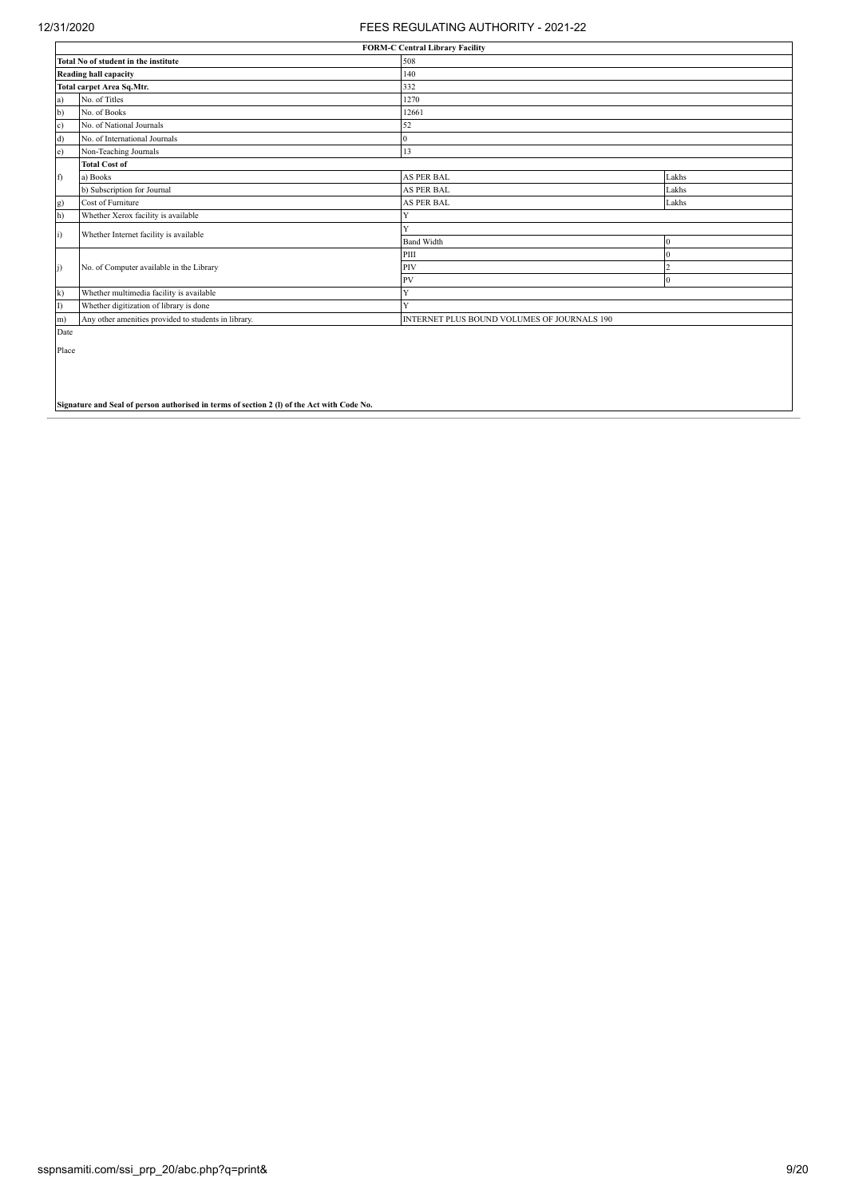|            | <b>FORM-C Central Library Facility</b>                                                     |                                             |          |  |  |  |  |  |  |  |
|------------|--------------------------------------------------------------------------------------------|---------------------------------------------|----------|--|--|--|--|--|--|--|
|            | Total No of student in the institute                                                       | 508                                         |          |  |  |  |  |  |  |  |
|            | <b>Reading hall capacity</b>                                                               | 140                                         |          |  |  |  |  |  |  |  |
|            | <b>Total carpet Area Sq.Mtr.</b>                                                           | 332                                         |          |  |  |  |  |  |  |  |
| a)         | No. of Titles                                                                              | 1270                                        |          |  |  |  |  |  |  |  |
| b)         | No. of Books                                                                               | 12661                                       |          |  |  |  |  |  |  |  |
| c)         | No. of National Journals                                                                   | 52                                          |          |  |  |  |  |  |  |  |
| d)         | No. of International Journals                                                              | $\overline{0}$                              |          |  |  |  |  |  |  |  |
| e)         | Non-Teaching Journals                                                                      | 13                                          |          |  |  |  |  |  |  |  |
|            | <b>Total Cost of</b>                                                                       |                                             |          |  |  |  |  |  |  |  |
| f)         | a) Books                                                                                   | <b>AS PER BAL</b>                           | Lakhs    |  |  |  |  |  |  |  |
|            | b) Subscription for Journal                                                                | <b>AS PER BAL</b>                           | Lakhs    |  |  |  |  |  |  |  |
| g)         | Cost of Furniture                                                                          | AS PER BAL                                  | Lakhs    |  |  |  |  |  |  |  |
| h)         | Whether Xerox facility is available                                                        | Y                                           |          |  |  |  |  |  |  |  |
| $\ddot{1}$ | Whether Internet facility is available                                                     | Y                                           |          |  |  |  |  |  |  |  |
|            |                                                                                            | <b>Band Width</b>                           | $\Omega$ |  |  |  |  |  |  |  |
|            |                                                                                            | PIII                                        | $\Omega$ |  |  |  |  |  |  |  |
| $\ddot{1}$ | No. of Computer available in the Library                                                   | PIV                                         |          |  |  |  |  |  |  |  |
|            |                                                                                            | PV                                          | $\Omega$ |  |  |  |  |  |  |  |
| k)         | Whether multimedia facility is available                                                   | Y                                           |          |  |  |  |  |  |  |  |
| I)         | Whether digitization of library is done                                                    | Y                                           |          |  |  |  |  |  |  |  |
| m)         | Any other amenities provided to students in library.                                       | INTERNET PLUS BOUND VOLUMES OF JOURNALS 190 |          |  |  |  |  |  |  |  |
| Date       |                                                                                            |                                             |          |  |  |  |  |  |  |  |
| Place      |                                                                                            |                                             |          |  |  |  |  |  |  |  |
|            |                                                                                            |                                             |          |  |  |  |  |  |  |  |
|            |                                                                                            |                                             |          |  |  |  |  |  |  |  |
|            |                                                                                            |                                             |          |  |  |  |  |  |  |  |
|            |                                                                                            |                                             |          |  |  |  |  |  |  |  |
|            | Signature and Seal of person authorised in terms of section 2 (1) of the Act with Code No. |                                             |          |  |  |  |  |  |  |  |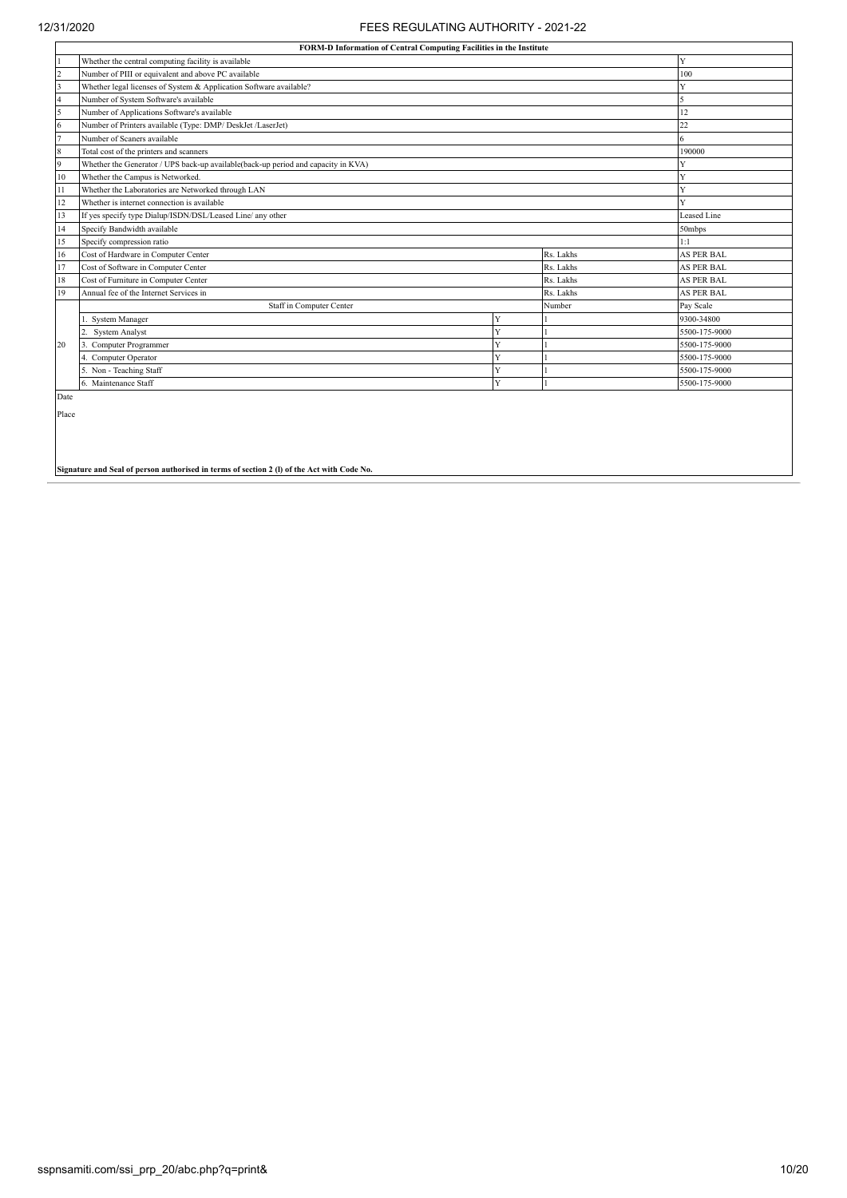|                                                                                        | FORM-D Information of Central Computing Facilities in the Institute               |   |           |                   |  |  |  |  |  |
|----------------------------------------------------------------------------------------|-----------------------------------------------------------------------------------|---|-----------|-------------------|--|--|--|--|--|
|                                                                                        | Whether the central computing facility is available                               |   |           | Y                 |  |  |  |  |  |
| $\overline{c}$                                                                         | Number of PIII or equivalent and above PC available                               |   |           | 100               |  |  |  |  |  |
| $\overline{\mathbf{3}}$                                                                | Whether legal licenses of System & Application Software available?                |   |           | v                 |  |  |  |  |  |
| $\overline{4}$                                                                         | Number of System Software's available                                             |   |           |                   |  |  |  |  |  |
| 5                                                                                      | Number of Applications Software's available                                       |   |           | $\overline{2}$    |  |  |  |  |  |
| 6                                                                                      | Number of Printers available (Type: DMP/ DeskJet /LaserJet)                       |   |           | 22                |  |  |  |  |  |
| $\overline{7}$                                                                         | Number of Scaners available                                                       |   |           | 6                 |  |  |  |  |  |
| 8                                                                                      | Total cost of the printers and scanners                                           |   |           | 190000            |  |  |  |  |  |
| 9                                                                                      | Whether the Generator / UPS back-up available(back-up period and capacity in KVA) |   |           |                   |  |  |  |  |  |
| 10                                                                                     | Whether the Campus is Networked.                                                  |   |           | Y                 |  |  |  |  |  |
| Whether the Laboratories are Networked through LAN<br>11                               |                                                                                   |   |           |                   |  |  |  |  |  |
| Whether is internet connection is available<br>12                                      |                                                                                   |   |           |                   |  |  |  |  |  |
| If yes specify type Dialup/ISDN/DSL/Leased Line/ any other<br><b>Leased Line</b><br>13 |                                                                                   |   |           |                   |  |  |  |  |  |
| Specify Bandwidth available<br>14<br>50mbps                                            |                                                                                   |   |           |                   |  |  |  |  |  |
| 15                                                                                     | Specify compression ratio                                                         |   |           | 1:1               |  |  |  |  |  |
| 16                                                                                     | Cost of Hardware in Computer Center                                               |   | Rs. Lakhs | <b>AS PER BAL</b> |  |  |  |  |  |
| 17                                                                                     | Cost of Software in Computer Center                                               |   | Rs Lakhs  | <b>AS PER BAL</b> |  |  |  |  |  |
| 18                                                                                     | Cost of Furniture in Computer Center                                              |   | Rs. Lakhs | <b>AS PER BAL</b> |  |  |  |  |  |
| 19                                                                                     | Annual fee of the Internet Services in                                            |   | Rs. Lakhs | <b>AS PER BAL</b> |  |  |  |  |  |
|                                                                                        | Staff in Computer Center                                                          |   | Number    | Pay Scale         |  |  |  |  |  |
|                                                                                        | <b>System Manager</b>                                                             | Y |           | 9300-34800        |  |  |  |  |  |
|                                                                                        | <b>System Analyst</b>                                                             | Y |           | 5500-175-9000     |  |  |  |  |  |
| 20                                                                                     | Computer Programmer                                                               | Ÿ |           | 5500-175-9000     |  |  |  |  |  |
|                                                                                        | 4. Computer Operator                                                              | Ÿ |           | 5500-175-9000     |  |  |  |  |  |
|                                                                                        | 5. Non - Teaching Staff                                                           | Y |           | 5500-175-9000     |  |  |  |  |  |
|                                                                                        | 6. Maintenance Staff                                                              | Ÿ |           | 5500-175-9000     |  |  |  |  |  |
| Date                                                                                   |                                                                                   |   |           |                   |  |  |  |  |  |

Place

**Signature and Seal of person authorised in terms of section 2 (l) of the Act with Code No.**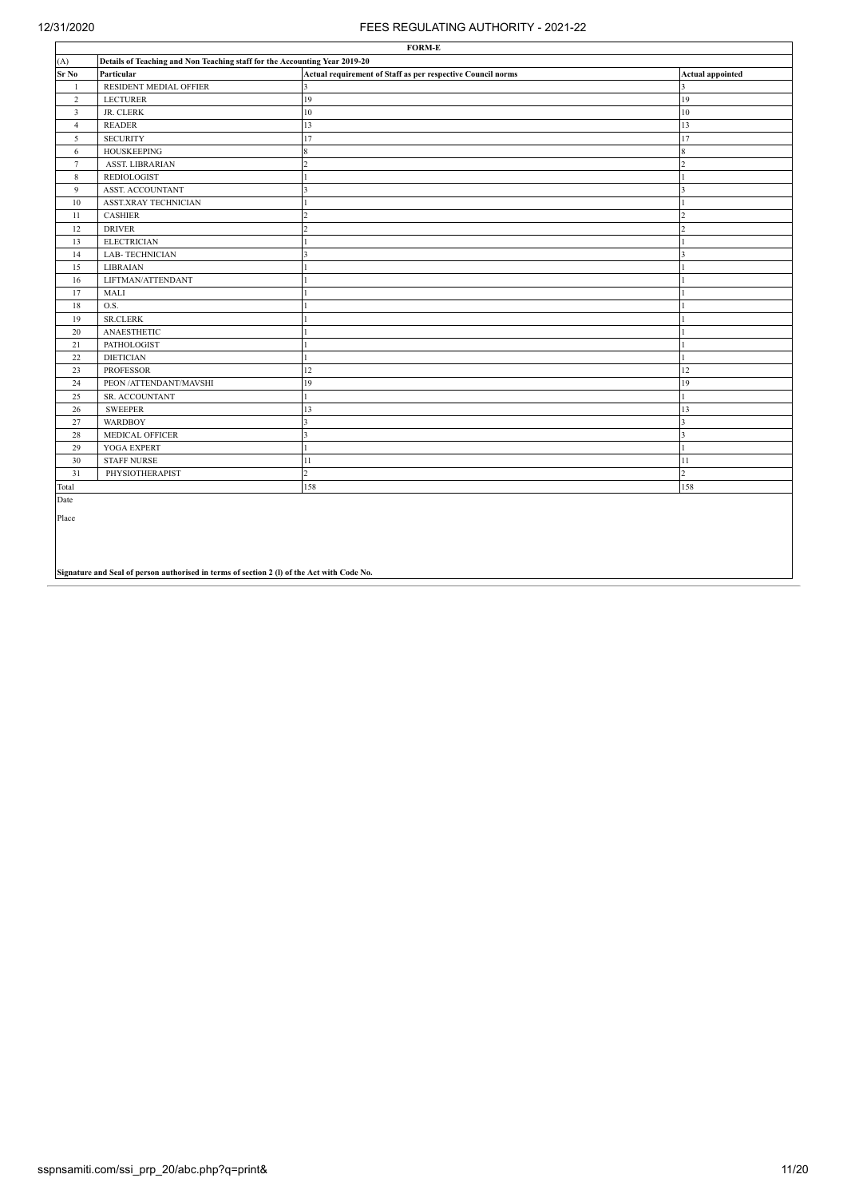| <b>FORM-E</b>   |                                                                            |                                                             |                         |  |  |  |  |  |  |
|-----------------|----------------------------------------------------------------------------|-------------------------------------------------------------|-------------------------|--|--|--|--|--|--|
| (A)             | Details of Teaching and Non Teaching staff for the Accounting Year 2019-20 |                                                             |                         |  |  |  |  |  |  |
| $\rm Sr~\rm No$ | Particular                                                                 | Actual requirement of Staff as per respective Council norms | <b>Actual appointed</b> |  |  |  |  |  |  |
| $\mathbf{1}$    | RESIDENT MEDIAL OFFIER                                                     | $\mathbf{3}$                                                | $\mathbf{3}$            |  |  |  |  |  |  |
| $\overline{2}$  | <b>LECTURER</b>                                                            | 19                                                          | 19                      |  |  |  |  |  |  |
| $\overline{3}$  | JR. CLERK                                                                  | 10                                                          | 10                      |  |  |  |  |  |  |
| $\overline{4}$  | <b>READER</b>                                                              | 13                                                          | 13                      |  |  |  |  |  |  |
| 5               | <b>SECURITY</b>                                                            | 17                                                          | 17                      |  |  |  |  |  |  |
| 6               | <b>HOUSKEEPING</b>                                                         | $\boldsymbol{8}$                                            | 8                       |  |  |  |  |  |  |
| $7\overline{ }$ | <b>ASST. LIBRARIAN</b>                                                     |                                                             | $\overline{2}$          |  |  |  |  |  |  |
| 8               | <b>REDIOLOGIST</b>                                                         |                                                             |                         |  |  |  |  |  |  |
| 9               | <b>ASST. ACCOUNTANT</b>                                                    |                                                             | 3                       |  |  |  |  |  |  |
| 10              | <b>ASST.XRAY TECHNICIAN</b>                                                |                                                             |                         |  |  |  |  |  |  |
| 11              | <b>CASHIER</b>                                                             |                                                             | $\mathcal{P}$           |  |  |  |  |  |  |
| 12              | <b>DRIVER</b>                                                              |                                                             | $\mathcal{P}$           |  |  |  |  |  |  |
| 13              | <b>ELECTRICIAN</b>                                                         |                                                             |                         |  |  |  |  |  |  |
| 14              | <b>LAB-TECHNICIAN</b>                                                      |                                                             | $\overline{3}$          |  |  |  |  |  |  |
| 15              | <b>LIBRAIAN</b>                                                            |                                                             |                         |  |  |  |  |  |  |
| 16              | LIFTMAN/ATTENDANT                                                          |                                                             |                         |  |  |  |  |  |  |
| 17              | <b>MALI</b>                                                                |                                                             |                         |  |  |  |  |  |  |
| 18              | O.S.                                                                       |                                                             |                         |  |  |  |  |  |  |
| 19              | <b>SR.CLERK</b>                                                            |                                                             |                         |  |  |  |  |  |  |
| 20              | ANAESTHETIC                                                                |                                                             |                         |  |  |  |  |  |  |
| 21              | PATHOLOGIST                                                                |                                                             |                         |  |  |  |  |  |  |
| 22              | <b>DIETICIAN</b>                                                           |                                                             |                         |  |  |  |  |  |  |
| 23              | <b>PROFESSOR</b>                                                           | 12                                                          | 12                      |  |  |  |  |  |  |
| 24              | PEON / ATTENDANT/MAVSHI                                                    | 19                                                          | 19                      |  |  |  |  |  |  |
| 25              | SR. ACCOUNTANT                                                             |                                                             |                         |  |  |  |  |  |  |
| 26              | <b>SWEEPER</b>                                                             | 13                                                          | 13                      |  |  |  |  |  |  |
| 27              | <b>WARDBOY</b>                                                             |                                                             | $\overline{\mathbf{3}}$ |  |  |  |  |  |  |
| 28              | MEDICAL OFFICER                                                            |                                                             | 3                       |  |  |  |  |  |  |
| 29              | YOGA EXPERT                                                                |                                                             |                         |  |  |  |  |  |  |
| 30              | <b>STAFF NURSE</b>                                                         | 11                                                          | 11                      |  |  |  |  |  |  |
| 31              | PHYSIOTHERAPIST                                                            | ,                                                           | $\overline{2}$          |  |  |  |  |  |  |
| Total           |                                                                            | 158                                                         | 158                     |  |  |  |  |  |  |
| Date            |                                                                            |                                                             |                         |  |  |  |  |  |  |

Place

**Signature and Seal of person authorised in terms of section 2 (l) of the Act with Code No.**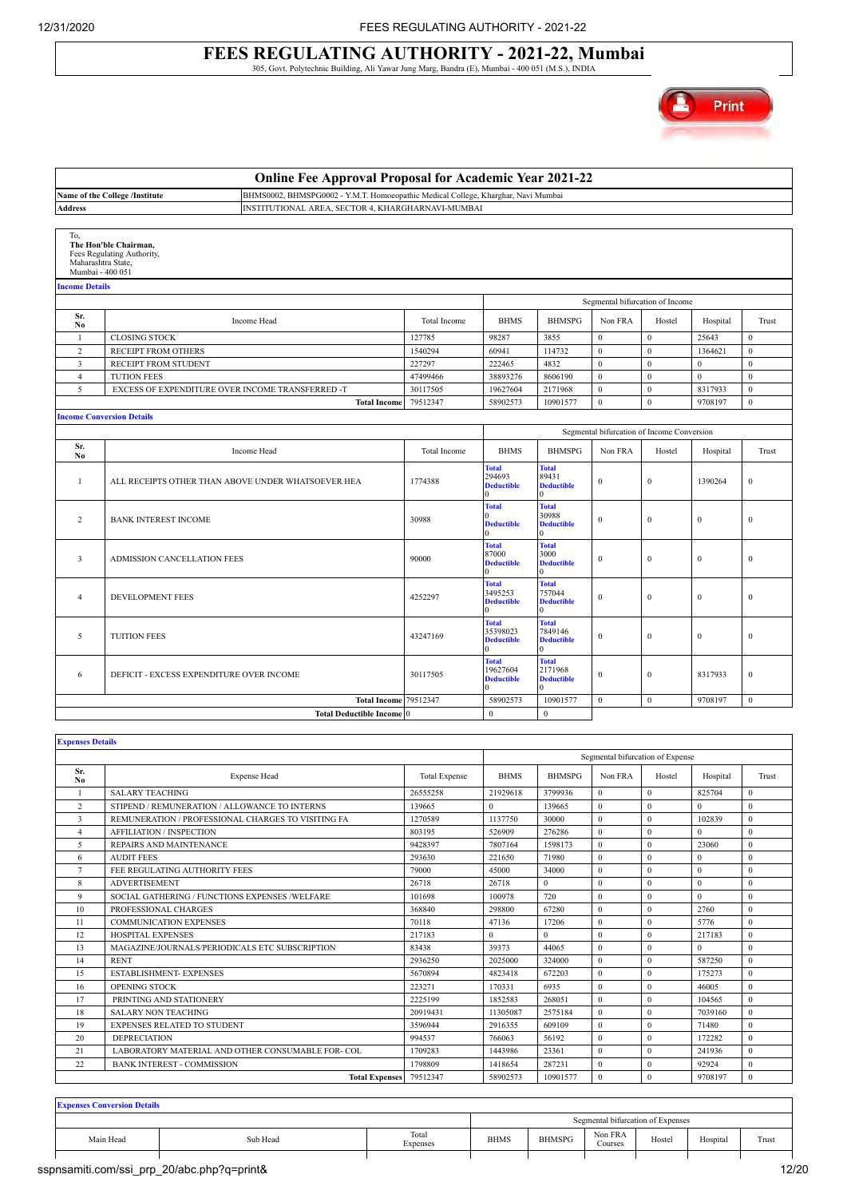### **FEES REGULATING AUTHORITY - 2021-22, Mumbai** 305, Govt. Polytechnic Building, Ali Yawar Jung Marg, Bandra (E), Mumbai - 400 051 (M.S.), INDIA



|                                               |                                                         | <b>Online Fee Approval Proposal for Academic Year 2021-22</b>                     |                      |                                                    |                                                          |                  |                                            |                    |                  |
|-----------------------------------------------|---------------------------------------------------------|-----------------------------------------------------------------------------------|----------------------|----------------------------------------------------|----------------------------------------------------------|------------------|--------------------------------------------|--------------------|------------------|
|                                               | Name of the College /Institute                          | BHMS0002, BHMSPG0002 - Y.M.T. Homoeopathic Medical College, Kharghar, Navi Mumbai |                      |                                                    |                                                          |                  |                                            |                    |                  |
| <b>Address</b>                                |                                                         | INSTITUTIONAL AREA, SECTOR 4, KHARGHARNAVI-MUMBAI                                 |                      |                                                    |                                                          |                  |                                            |                    |                  |
|                                               |                                                         |                                                                                   |                      |                                                    |                                                          |                  |                                            |                    |                  |
| To,<br>Maharashtra State,<br>Mumbai - 400 051 | The Hon'ble Chairman,<br>Fees Regulating Authority,     |                                                                                   |                      |                                                    |                                                          |                  |                                            |                    |                  |
| <b>Income Details</b>                         |                                                         |                                                                                   |                      |                                                    |                                                          |                  |                                            |                    |                  |
|                                               |                                                         |                                                                                   |                      |                                                    |                                                          |                  | Segmental bifurcation of Income            |                    |                  |
| Sr.                                           | Income Head                                             |                                                                                   | Total Income         | <b>BHMS</b>                                        | <b>BHMSPG</b>                                            | Non FRA          | Hostel                                     | Hospital           | Trust            |
| No<br>$\mathbf{1}$                            |                                                         |                                                                                   | 127785               | 98287                                              | 3855                                                     | $\theta$         | $\bf{0}$                                   | 25643              | $\theta$         |
| $\overline{c}$                                | <b>CLOSING STOCK</b><br>RECEIPT FROM OTHERS             |                                                                                   | 1540294              | 60941                                              | 114732                                                   | $\mathbf 0$      | $\mathbf 0$                                | 1364621            | $\mathbf 0$      |
|                                               |                                                         |                                                                                   | 227297               | 222465                                             | 4832                                                     | $\mathbf{0}$     | $\mathbf{0}$                               | $\mathbf{0}$       | $\boldsymbol{0}$ |
| $\overline{\mathbf{3}}$                       | RECEIPT FROM STUDENT                                    |                                                                                   |                      |                                                    |                                                          | $\mathbf 0$      | $\mathbf 0$                                | $\boldsymbol{0}$   | $\mathbf{0}$     |
| $\overline{4}$                                | <b>TUTION FEES</b>                                      |                                                                                   | 47499466<br>30117505 | 38893276                                           | 8606190<br>2171968                                       | $\mathbf{0}$     | $\mathbf{0}$                               |                    | $\overline{0}$   |
| 5                                             | EXCESS OF EXPENDITURE OVER INCOME TRANSFERRED -T        | <b>Total Income</b>                                                               | 79512347             | 19627604<br>58902573                               | 10901577                                                 | $\mathbf{0}$     | $\mathbf{0}$                               | 8317933<br>9708197 | $\mathbf{0}$     |
|                                               |                                                         |                                                                                   |                      |                                                    |                                                          |                  |                                            |                    |                  |
|                                               | <b>Income Conversion Details</b>                        |                                                                                   |                      |                                                    |                                                          |                  |                                            |                    |                  |
|                                               |                                                         |                                                                                   |                      |                                                    |                                                          |                  | Segmental bifurcation of Income Conversion |                    |                  |
| Sr.<br>No                                     | Income Head                                             |                                                                                   | Total Income         | <b>BHMS</b>                                        | <b>BHMSPG</b>                                            | Non FRA          | Hostel                                     | Hospital           | Trust            |
| $\mathbf{1}$                                  | ALL RECEIPTS OTHER THAN ABOVE UNDER WHATSOEVER HEA      |                                                                                   | 1774388              | <b>Total</b><br>294693<br><b>Deductible</b>        | <b>Total</b><br>89431<br><b>Deductible</b>               | $\mathbf{0}$     | $\mathbf{0}$                               | 1390264            | $\theta$         |
| $\overline{2}$                                | <b>BANK INTEREST INCOME</b>                             |                                                                                   | 30988                | <b>Total</b><br>0<br><b>Deductible</b>             | <b>Total</b><br>30988<br><b>Deductible</b>               | $\mathbf{0}$     | $\boldsymbol{0}$                           | $\mathbf{0}$       | $\overline{0}$   |
| $\overline{3}$                                | <b>ADMISSION CANCELLATION FEES</b>                      |                                                                                   | 90000                | <b>Total</b><br>87000<br><b>Deductible</b><br>0    | <b>Total</b><br>3000<br><b>Deductible</b><br>$\Omega$    | $\mathbf{0}$     | $\mathbf{0}$                               | $\mathbf{0}$       | $\mathbf{0}$     |
| $\overline{4}$                                | DEVELOPMENT FEES                                        |                                                                                   | 4252297              | <b>Total</b><br>3495253<br><b>Deductible</b>       | <b>Total</b><br>757044<br><b>Deductible</b><br>$\Omega$  | $\mathbf{0}$     | $\mathbf{0}$                               | $\mathbf{0}$       | $\overline{0}$   |
| 5                                             | <b>TUITION FEES</b>                                     |                                                                                   | 43247169             | <b>Total</b><br>35398023<br><b>Deductible</b>      | <b>Total</b><br>7849146<br><b>Deductible</b><br>$\alpha$ | $\mathbf{0}$     | $\mathbf{0}$                               | $\mathbf{0}$       | $\overline{0}$   |
| 6                                             | DEFICIT - EXCESS EXPENDITURE OVER INCOME                |                                                                                   | 30117505             | <b>Total</b><br>19627604<br><b>Deductible</b><br>0 | <b>Total</b><br>2171968<br><b>Deductible</b>             | $\boldsymbol{0}$ | $\boldsymbol{0}$                           | 8317933            | $\mathbf{0}$     |
|                                               |                                                         | <b>Total Income</b>                                                               | 79512347             | 58902573                                           | 10901577                                                 | $\mathbf{0}$     | $\mathbf{0}$                               | 9708197            | $\mathbf{0}$     |
|                                               |                                                         | <b>Total Deductible Income 0</b>                                                  |                      | $\mathbf{0}$                                       | $\mathbf{0}$                                             |                  |                                            |                    |                  |
|                                               |                                                         |                                                                                   |                      |                                                    |                                                          |                  |                                            |                    |                  |
| <b>Expenses Details</b>                       |                                                         |                                                                                   |                      |                                                    |                                                          |                  |                                            |                    |                  |
|                                               |                                                         |                                                                                   |                      |                                                    |                                                          |                  | Segmental bifurcation of Expense           |                    |                  |
| Sr.                                           | <b>Expense Head</b>                                     |                                                                                   | <b>Total Expense</b> | <b>BHMS</b>                                        | <b>BHMSPG</b>                                            | Non FRA          | Hostel                                     | Hospital           | Trust            |
| N <sub>0</sub><br>$\overline{1}$              |                                                         |                                                                                   | 26555258             | 21929618                                           | 3799936                                                  | $\mathbf{0}$     | $\mathbf{0}$                               | 825704             | $\mathbf{0}$     |
| $\overline{2}$                                | <b>SALARY TEACHING</b>                                  | 139665                                                                            | $\theta$             |                                                    | $\theta$                                                 | $\theta$         | $\theta$                                   | $\mathbf{0}$       |                  |
|                                               | STIPEND / REMUNERATION / ALLOWANCE TO INTERNS           |                                                                                   |                      |                                                    | 139665                                                   |                  |                                            |                    |                  |
|                                               | REMUNERATION / PROFESSIONAL CHARGES TO VISITING FA<br>3 |                                                                                   |                      | 1137750                                            | 30000                                                    | $\mathbf{0}$     | $\mathbf{0}$                               | 102839             | $\overline{0}$   |
| $\overline{4}$                                | <b>AFFILIATION / INSPECTION</b>                         |                                                                                   | 803195               | 526909                                             | 276286                                                   | $\mathbf{0}$     | $\mathbf{0}$                               | $\Omega$           | $\theta$         |
| 5                                             | REPAIRS AND MAINTENANCE                                 |                                                                                   | 9428397              | 7807164                                            | 1598173                                                  | $\mathbf{0}$     | $\mathbf{0}$                               | 23060              | $\mathbf{0}$     |
| 6                                             | <b>AUDIT FEES</b>                                       |                                                                                   | 293630               | 221650                                             | 71980                                                    | $\theta$         | $\theta$                                   | $\mathbf{0}$       | $\mathbf{0}$     |

|    | FEE REGULATING AUTHORITY FEES                     | 79000    | 45000    | 34000    | $\theta$     | $\Omega$ | 0       | $\mathbf{0}$   |
|----|---------------------------------------------------|----------|----------|----------|--------------|----------|---------|----------------|
| 8  | <b>ADVERTISEMENT</b>                              | 26718    | 26718    | $\Omega$ | $\theta$     |          |         | $\mathbf{0}$   |
| 9  | SOCIAL GATHERING / FUNCTIONS EXPENSES /WELFARE    | 101698   | 100978   | 720      | $\theta$     |          |         | $\overline{0}$ |
| 10 | PROFESSIONAL CHARGES                              | 368840   | 298800   | 67280    | $\theta$     | -0       | 2760    | $\Omega$       |
| 11 | <b>COMMUNICATION EXPENSES</b>                     | 70118    | 47136    | 17206    | $\theta$     | $\Omega$ | 5776    | $\mathbf{0}$   |
| 12 | <b>HOSPITAL EXPENSES</b>                          | 217183   | $\theta$ | $\Omega$ | $\theta$     |          | 217183  | $\overline{0}$ |
| 13 | MAGAZINE/JOURNALS/PERIODICALS ETC SUBSCRIPTION    | 83438    | 39373    | 44065    | $\mathbf{0}$ |          |         | $\overline{0}$ |
| 14 | <b>RENT</b>                                       | 2936250  | 2025000  | 324000   | $\Omega$     |          | 587250  | $\overline{0}$ |
| 15 | <b>ESTABLISHMENT- EXPENSES</b>                    | 5670894  | 4823418  | 672203   | $\theta$     |          | 175273  | $\overline{0}$ |
| 16 | OPENING STOCK                                     | 223271   | 170331   | 6935     | $\mathbf{0}$ |          | 46005   | $\overline{0}$ |
| 17 | PRINTING AND STATIONERY                           | 2225199  | 1852583  | 268051   | $\mathbf{0}$ |          | 104565  | $\overline{0}$ |
| 18 | <b>SALARY NON TEACHING</b>                        | 20919431 | 11305087 | 2575184  | $\mathbf{0}$ |          | 7039160 | $\mathbf{0}$   |
| 19 | <b>EXPENSES RELATED TO STUDENT</b>                | 3596944  | 2916355  | 609109   | $\mathbf{0}$ |          | 71480   | $\mathbf{0}$   |
| 20 | <b>DEPRECIATION</b>                               | 994537   | 766063   | 56192    | $\mathbf{0}$ |          | 172282  | $\overline{0}$ |
| 21 | LABORATORY MATERIAL AND OTHER CONSUMABLE FOR- COL | 1709283  | 1443986  | 23361    | $\Omega$     |          | 241936  | $\mathbf{0}$   |
| 22 | <b>BANK INTEREST - COMMISSION</b>                 | 1798809  | 1418654  | 287231   | $\theta$     |          | 92924   | $\mathbf{0}$   |
|    | <b>Total Expenses</b>                             | 79512347 | 58902573 | 10901577 | $\mathbf{0}$ | $\bf{0}$ | 9708197 | $\mathbf{0}$   |

**Expenses Conversion Details**

|           |                       |                   |             |               | Segmental bifurcation of Expenses |        |                                 |       |
|-----------|-----------------------|-------------------|-------------|---------------|-----------------------------------|--------|---------------------------------|-------|
| Main Head | Sub Head<br>. <b></b> | Total<br>Expenses | <b>BHMS</b> | <b>BHMSPG</b> | Non FRA<br>Courses                | Hostel | Hospital<br>and the contract of | Trust |
|           |                       |                   |             |               |                                   |        |                                 |       |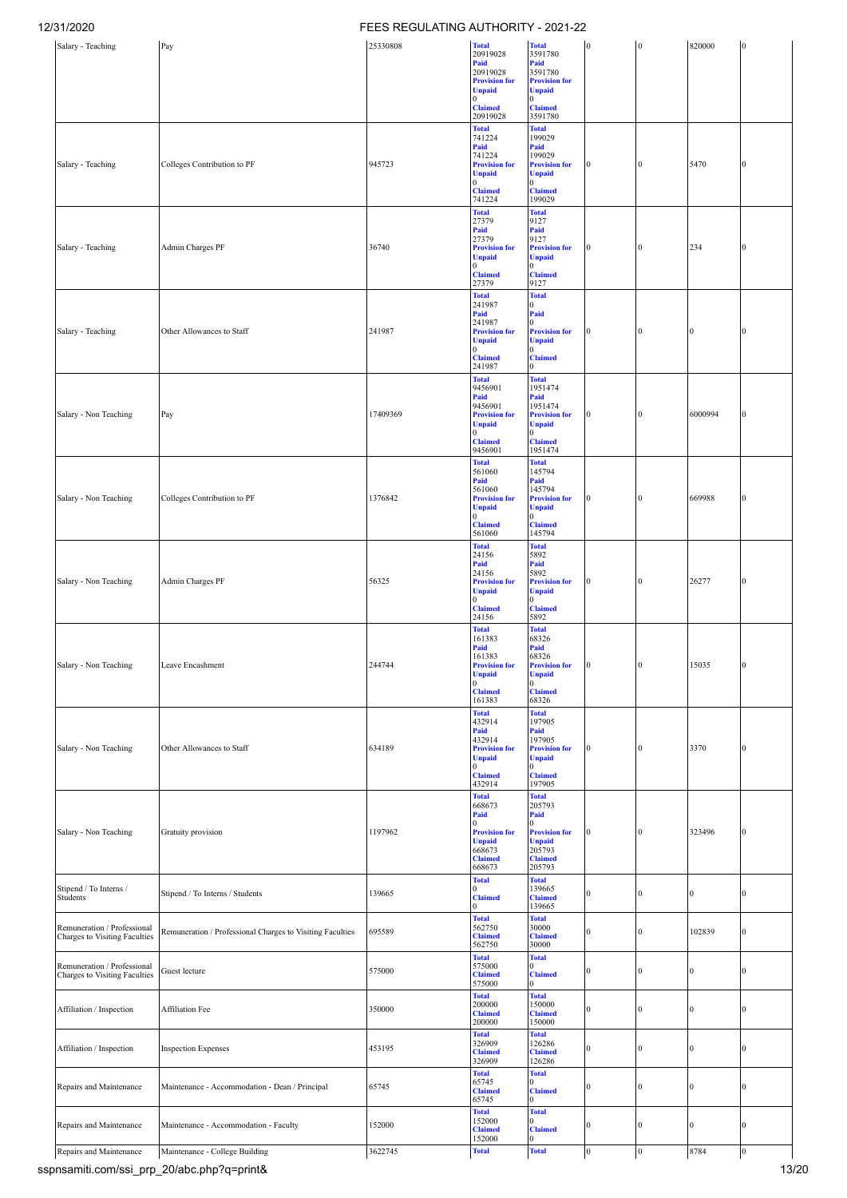| ט מעבוו טו                                                   |                                                           | NEGOLATING AUTHONITY - 2021-22 |                                       |                                        |                  |                  |              |                |
|--------------------------------------------------------------|-----------------------------------------------------------|--------------------------------|---------------------------------------|----------------------------------------|------------------|------------------|--------------|----------------|
| Salary - Teaching                                            | Pay                                                       | 25330808                       | <b>Total</b><br>20919028              | <b>Total</b><br>3591780                | $\bf{0}$         | $\bf{0}$         | 820000       |                |
|                                                              |                                                           |                                | Paid<br>20919028                      | Paid<br>3591780                        |                  |                  |              |                |
|                                                              |                                                           |                                | <b>Provision for</b><br>Unpaid        | <b>Provision for</b><br><b>Unpaid</b>  |                  |                  |              |                |
|                                                              |                                                           |                                | $\Omega$                              | $\Omega$                               |                  |                  |              |                |
|                                                              |                                                           |                                | <b>Claimed</b><br>20919028            | <b>Claimed</b><br>3591780              |                  |                  |              |                |
|                                                              |                                                           |                                | <b>Total</b><br>741224                | <b>Total</b><br>199029                 |                  |                  |              |                |
|                                                              |                                                           |                                | Paid<br>741224                        | Paid<br>199029                         |                  |                  |              |                |
| Salary - Teaching                                            | Colleges Contribution to PF                               | 945723                         | <b>Provision for</b>                  | <b>Provision for</b>                   | $\Omega$         | 0                | 5470         |                |
|                                                              |                                                           |                                | <b>Unpaid</b><br>$\Omega$             | <b>Unpaid</b><br>$\overline{0}$        |                  |                  |              |                |
|                                                              |                                                           |                                | <b>Claimed</b><br>741224              | <b>Claimed</b><br>199029               |                  |                  |              |                |
|                                                              |                                                           |                                | <b>Total</b><br>27379                 | <b>Total</b><br>9127                   |                  |                  |              |                |
|                                                              |                                                           |                                | Paid                                  | Paid                                   |                  |                  |              |                |
| Salary - Teaching                                            | Admin Charges PF                                          | 36740                          | 27379<br><b>Provision for</b>         | 9127<br><b>Provision for</b>           | $\bf{0}$         | $\mathbf{0}$     | 234          | $\mathbf{0}$   |
|                                                              |                                                           |                                | Unpaid<br>0                           | <b>Unpaid</b><br>$\overline{0}$        |                  |                  |              |                |
|                                                              |                                                           |                                | <b>Claimed</b><br>27379               | <b>Claimed</b><br>9127                 |                  |                  |              |                |
|                                                              |                                                           |                                | <b>Total</b>                          | <b>Total</b>                           |                  |                  |              |                |
|                                                              |                                                           |                                | 241987<br>Paid                        | $\mathbf{0}$<br>Paid                   |                  |                  |              |                |
| Salary - Teaching                                            | Other Allowances to Staff                                 | 241987                         | 241987<br><b>Provision for</b>        | $\mathbf{0}$<br><b>Provision for</b>   | $\bf{0}$         | $\mathbf{0}$     | $\Omega$     | $\mathbf{0}$   |
|                                                              |                                                           |                                | <b>Unpaid</b><br>$\Omega$             | <b>Unpaid</b><br>$\overline{0}$        |                  |                  |              |                |
|                                                              |                                                           |                                | <b>Claimed</b><br>241987              | <b>Claimed</b><br>$\mathbf{0}$         |                  |                  |              |                |
|                                                              |                                                           |                                | <b>Total</b>                          | <b>Total</b>                           |                  |                  |              |                |
|                                                              |                                                           |                                | 9456901<br>Paid                       | 1951474<br>Paid                        |                  |                  |              |                |
| Salary - Non Teaching                                        | Pay                                                       | 17409369                       | 9456901<br><b>Provision for</b>       | 1951474<br><b>Provision for</b>        | $\bf{0}$         | $\bf{0}$         | 6000994      | $\Omega$       |
|                                                              |                                                           |                                | Unpaid                                | <b>Unpaid</b>                          |                  |                  |              |                |
|                                                              |                                                           |                                | <b>Claimed</b>                        | $\mathbf{0}$<br><b>Claimed</b>         |                  |                  |              |                |
|                                                              |                                                           |                                | 9456901<br><b>Total</b>               | 1951474<br><b>Total</b>                |                  |                  |              |                |
|                                                              |                                                           |                                | 561060                                | 145794                                 |                  |                  |              |                |
|                                                              |                                                           |                                | Paid<br>561060                        | Paid<br>145794                         |                  |                  |              |                |
| Salary - Non Teaching                                        | Colleges Contribution to PF                               | 1376842                        | <b>Provision for</b><br><b>Unpaid</b> | <b>Provision for</b><br><b>Unpaid</b>  | $\bf{0}$         | $\bf{0}$         | 669988       | $\Omega$       |
|                                                              |                                                           |                                | $\mathbf{0}$                          | $\overline{0}$                         |                  |                  |              |                |
|                                                              |                                                           |                                | <b>Claimed</b><br>561060              | <b>Claimed</b><br>145794               |                  |                  |              |                |
|                                                              |                                                           |                                | <b>Total</b><br>24156                 | <b>Total</b><br>5892                   |                  |                  |              |                |
|                                                              |                                                           |                                | Paid<br>24156                         | Paid<br>5892                           |                  |                  |              |                |
| Salary - Non Teaching                                        | Admin Charges PF                                          | 56325                          | <b>Provision for</b><br>Unpaid        | <b>Provision for</b>                   | $\bf{0}$         | $\bf{0}$         | 26277        | $\mathbf{0}$   |
|                                                              |                                                           |                                | 0                                     | Unpaid $\frac{0}{0}$                   |                  |                  |              |                |
|                                                              |                                                           |                                | <b>Claimed</b><br>24156               | <b>Claimed</b><br>5892                 |                  |                  |              |                |
|                                                              |                                                           |                                | <b>Total</b><br>161383                | <b>Total</b><br>68326                  |                  |                  |              |                |
|                                                              |                                                           |                                | Paid<br>161383                        | Paid<br>68326                          |                  |                  |              |                |
| Salary - Non Teaching                                        | Leave Encashment                                          | 244744                         | <b>Provision for</b>                  | <b>Provision for</b>                   | $\overline{0}$   | $\overline{0}$   | 15035        | $\bf{0}$       |
|                                                              |                                                           |                                | <b>Unpaid</b><br>$\mathbf{0}$         | <b>Unpaid</b><br>$\overline{0}$        |                  |                  |              |                |
|                                                              |                                                           |                                | <b>Claimed</b><br>161383              | <b>Claimed</b><br>68326                |                  |                  |              |                |
|                                                              |                                                           |                                | <b>Total</b><br>432914                | <b>Total</b><br>197905                 |                  |                  |              |                |
|                                                              |                                                           |                                | Paid                                  | Paid                                   |                  |                  |              |                |
| Salary - Non Teaching                                        | Other Allowances to Staff                                 | 634189                         | 432914<br><b>Provision for</b>        | 197905<br><b>Provision for</b>         | $\bf{0}$         | $\mathbf{0}$     | 3370         | $\theta$       |
|                                                              |                                                           |                                | Unpaid<br>0                           | <b>Unpaid</b><br>$\mathbf{0}$          |                  |                  |              |                |
|                                                              |                                                           |                                | <b>Claimed</b><br>432914              | <b>Claimed</b><br>197905               |                  |                  |              |                |
|                                                              |                                                           |                                | <b>Total</b>                          | <b>Total</b>                           |                  |                  |              |                |
|                                                              |                                                           |                                | 668673<br>Paid                        | 205793<br>Paid                         |                  |                  |              |                |
| Salary - Non Teaching                                        | Gratuity provision                                        | 1197962                        | $\Omega$<br><b>Provision for</b>      | $\overline{0}$<br><b>Provision for</b> | $\bf{0}$         | $\mathbf{0}$     | 323496       | 0              |
|                                                              |                                                           |                                | Unpaid<br>668673                      | <b>Unpaid</b><br>205793                |                  |                  |              |                |
|                                                              |                                                           |                                | <b>Claimed</b>                        | <b>Claimed</b>                         |                  |                  |              |                |
|                                                              |                                                           |                                | 668673<br><b>Total</b>                | 205793<br><b>Total</b>                 |                  |                  |              |                |
| Stipend / To Interns /<br>Students                           | Stipend / To Interns / Students                           | 139665                         | $\Omega$<br><b>Claimed</b>            | 139665<br><b>Claimed</b>               | $\mathbf{0}$     | $\mathbf{0}$     | $\mathbf{0}$ | $\bf{0}$       |
|                                                              |                                                           |                                | 0                                     | 139665                                 |                  |                  |              |                |
| Remuneration / Professional                                  |                                                           | 695589                         | <b>Total</b><br>562750                | <b>Total</b><br>30000                  |                  | $\mathbf{0}$     | 102839       | $\theta$       |
| Charges to Visiting Faculties                                | Remuneration / Professional Charges to Visiting Faculties |                                | <b>Claimed</b><br>562750              | <b>Claimed</b><br>30000                | $\bf{0}$         |                  |              |                |
|                                                              |                                                           |                                | <b>Total</b>                          | <b>Total</b>                           |                  |                  |              |                |
| Remuneration / Professional<br>Charges to Visiting Faculties | Guest lecture                                             | 575000                         | 575000<br><b>Claimed</b>              | $\mathbf{0}$<br><b>Claimed</b>         | $\bf{0}$         | $\mathbf{0}$     | $\theta$     | 0              |
|                                                              |                                                           |                                | 575000<br><b>Total</b>                | 0<br><b>Total</b>                      |                  |                  |              |                |
| Affiliation / Inspection                                     | Affiliation Fee                                           | 350000                         | 200000                                | 150000                                 | $\mathbf{0}$     | $\boldsymbol{0}$ | $\Omega$     | $\overline{0}$ |
|                                                              |                                                           |                                | <b>Claimed</b><br>200000              | <b>Claimed</b><br>150000               |                  |                  |              |                |
|                                                              |                                                           |                                | <b>Total</b><br>326909                | <b>Total</b><br>126286                 |                  |                  |              |                |
| Affiliation / Inspection                                     | <b>Inspection Expenses</b>                                | 453195                         | <b>Claimed</b>                        | <b>Claimed</b>                         | $\boldsymbol{0}$ | $\boldsymbol{0}$ | $\theta$     | $\overline{0}$ |
|                                                              |                                                           |                                | 326909<br><b>Total</b>                | 126286<br><b>Total</b>                 |                  |                  |              |                |
| Repairs and Maintenance                                      | Maintenance - Accommodation - Dean / Principal            | 65745                          | 65745<br><b>Claimed</b>               | $^{(1)}$<br><b>Claimed</b>             | $\bf{0}$         | $\boldsymbol{0}$ | $\theta$     | $\overline{0}$ |
|                                                              |                                                           |                                | 65745                                 | $\mathbf{0}$                           |                  |                  |              |                |
|                                                              |                                                           |                                | <b>Total</b><br>152000                | <b>Total</b><br>$\overline{0}$         |                  |                  |              |                |
| Repairs and Maintenance                                      | Maintenance - Accommodation - Faculty                     | 152000                         | <b>Claimed</b><br>152000              | <b>Claimed</b><br>$\bf{0}$             | $\bf{0}$         | $\boldsymbol{0}$ | 0            | 0              |
| Repairs and Maintenance                                      | Maintenance - College Building                            | 3622745                        | <b>Total</b>                          | <b>Total</b>                           | $\boldsymbol{0}$ | $\mathbf{0}$     | 8784         | $\overline{0}$ |

sspnsamiti.com/ssi\_prp\_20/abc.php?q=print& 13/20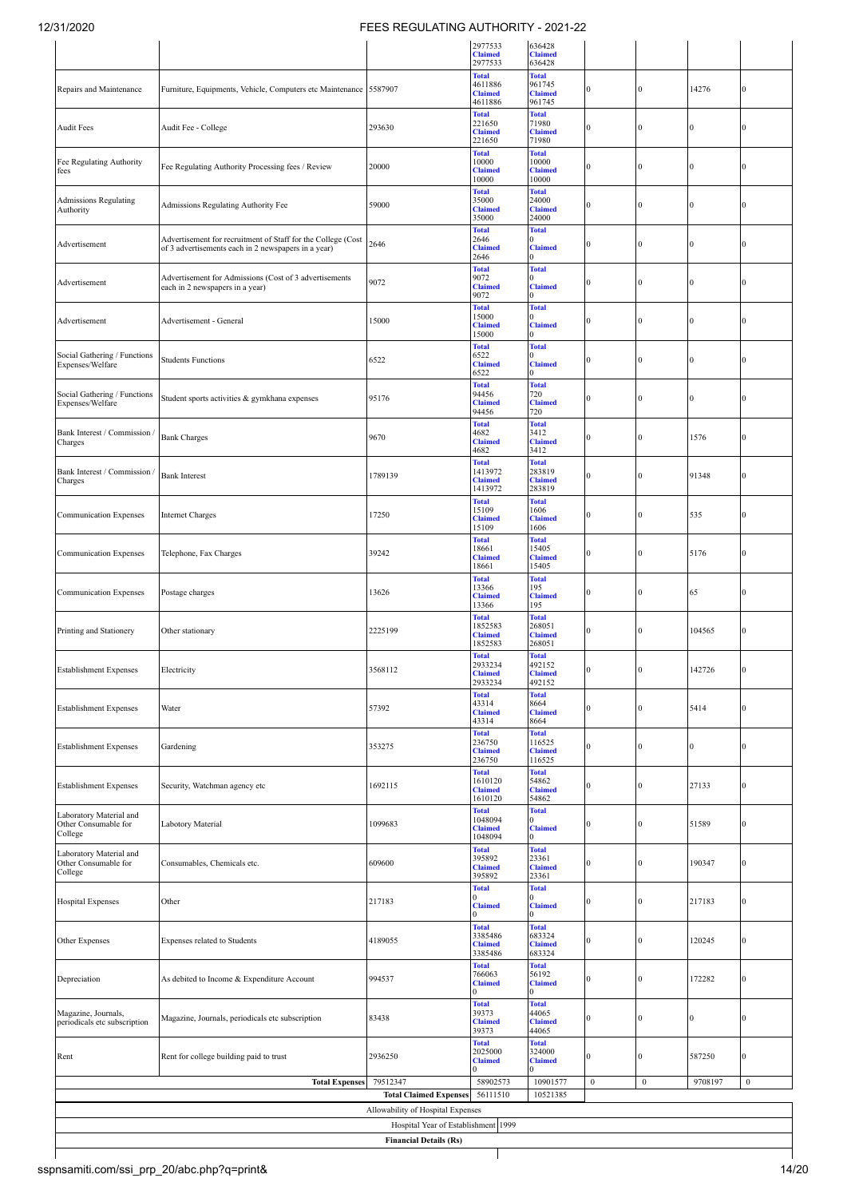|                                                            |                                                                                                                     |                                                                          | 2977533<br><b>Claimed</b><br>2977533                 | 636428<br><b>Claimed</b><br>636428                 |              |                  |              |                  |
|------------------------------------------------------------|---------------------------------------------------------------------------------------------------------------------|--------------------------------------------------------------------------|------------------------------------------------------|----------------------------------------------------|--------------|------------------|--------------|------------------|
| Repairs and Maintenance                                    | Furniture, Equipments, Vehicle, Computers etc Maintenance 5587907                                                   |                                                                          | <b>Total</b><br>4611886<br><b>Claimed</b><br>4611886 | <b>Total</b><br>961745<br><b>Claimed</b><br>961745 | $\Omega$     | $\mathbf{0}$     | 14276        | $\mathbf{0}$     |
| <b>Audit Fees</b>                                          | Audit Fee - College                                                                                                 | 293630                                                                   | <b>Total</b><br>221650<br><b>Claimed</b><br>221650   | <b>Total</b><br>71980<br><b>Claimed</b><br>71980   |              | $\Omega$         | $\Omega$     | $\mathbf{0}$     |
| Fee Regulating Authority<br>fees                           | Fee Regulating Authority Processing fees / Review                                                                   | 20000                                                                    | <b>Total</b><br>10000<br><b>Claimed</b><br>10000     | <b>Total</b><br>10000<br><b>Claimed</b><br>10000   |              | $\mathbf{0}$     | $\Omega$     | $\mathbf{0}$     |
| <b>Admissions Regulating</b><br>Authority                  | Admissions Regulating Authority Fee                                                                                 | 59000                                                                    | <b>Total</b><br>35000<br><b>Claimed</b><br>35000     | <b>Total</b><br>24000<br><b>Claimed</b><br>24000   |              | $\theta$         | $\Omega$     | $\mathbf{0}$     |
| Advertisement                                              | Advertisement for recruitment of Staff for the College (Cost<br>of 3 advertisements each in 2 newspapers in a year) | 2646                                                                     | <b>Total</b><br>2646<br><b>Claimed</b><br>2646       | <b>Total</b><br><b>Claimed</b>                     | 0            | $\mathbf{0}$     | $\Omega$     | $\mathbf{0}$     |
| Advertisement                                              | Advertisement for Admissions (Cost of 3 advertisements<br>each in 2 newspapers in a year)                           | 9072                                                                     | <b>Total</b><br>9072<br><b>Claimed</b><br>9072       | <b>Total</b><br><b>Claimed</b><br>o                | 0            | $\mathbf{0}$     | $\Omega$     | $\mathbf{0}$     |
| Advertisement                                              | Advertisement - General                                                                                             | 15000                                                                    | <b>Total</b><br>15000<br><b>Claimed</b><br>15000     | <b>Total</b><br><b>Claimed</b><br>0                | 0            | $\mathbf{0}$     | $\Omega$     | $\bf{0}$         |
| Social Gathering / Functions<br>Expenses/Welfare           | <b>Students Functions</b>                                                                                           | 6522                                                                     | <b>Total</b><br>6522<br><b>Claimed</b><br>6522       | <b>Total</b><br>o<br><b>Claimed</b><br>$\Omega$    | 0            | $\bf{0}$         | $\mathbf{0}$ | $\mathbf{0}$     |
| Social Gathering / Functions<br>Expenses/Welfare           | Student sports activities & gymkhana expenses                                                                       | 95176                                                                    | <b>Total</b><br>94456<br><b>Claimed</b><br>94456     | <b>Total</b><br>720<br><b>Claimed</b><br>720       | 0            | $\mathbf{0}$     | $\mathbf{0}$ | $\mathbf{0}$     |
| Bank Interest / Commission<br>Charges                      | <b>Bank Charges</b>                                                                                                 | 9670                                                                     | <b>Total</b><br>4682<br><b>Claimed</b><br>4682       | <b>Total</b><br>3412<br><b>Claimed</b><br>3412     | 0            | $\mathbf{0}$     | 1576         | $\mathbf{0}$     |
| Bank Interest / Commission /<br>Charges                    | <b>Bank Interest</b>                                                                                                | 1789139                                                                  | <b>Total</b><br>1413972<br><b>Claimed</b><br>1413972 | <b>Total</b><br>283819<br><b>Claimed</b><br>283819 |              | $\Omega$         | 91348        | $\mathbf{0}$     |
| Communication Expenses                                     | <b>Internet Charges</b>                                                                                             | 17250                                                                    | <b>Total</b><br>15109<br><b>Claimed</b><br>15109     | <b>Total</b><br>1606<br><b>Claimed</b><br>1606     | $\Omega$     | $\mathbf{0}$     | 535          | $\overline{0}$   |
| Communication Expenses                                     | Telephone, Fax Charges                                                                                              | 39242                                                                    | <b>Total</b><br>18661<br><b>Claimed</b><br>18661     | <b>Total</b><br>15405<br><b>Claimed</b><br>15405   | $\Omega$     | $\Omega$         | 5176         | $\mathbf{0}$     |
| <b>Communication Expenses</b>                              | Postage charges                                                                                                     | 13626                                                                    | <b>Total</b><br>13366<br><b>Claimed</b><br>13366     | <b>Total</b><br>195<br><b>Claimed</b><br>195       | 0            | $\mathbf{0}$     | 65           | $\mathbf{0}$     |
| Printing and Stationery                                    | Other stationary                                                                                                    | 2225199                                                                  | <b>Total</b><br>1852583<br><b>Claimed</b><br>1852583 | <b>Total</b><br>268051<br><b>Claimed</b><br>268051 | 0            | $\mathbf{0}$     | 104565       | $\mathbf{0}$     |
| <b>Establishment Expenses</b>                              | Electricity                                                                                                         | 3568112                                                                  | <b>Total</b><br>2933234<br><b>Claimed</b><br>2933234 | <b>Total</b><br>492152<br><b>Claimed</b><br>492152 |              | v                | 142726       |                  |
| <b>Establishment Expenses</b>                              | Water                                                                                                               | 57392                                                                    | <b>Total</b><br>43314<br><b>Claimed</b><br>43314     | <b>Total</b><br>8664<br><b>Claimed</b><br>8664     | 0            | $\bf{0}$         | 5414         | $\bf{0}$         |
| <b>Establishment Expenses</b>                              | Gardening                                                                                                           | 353275                                                                   | <b>Total</b><br>236750<br><b>Claimed</b><br>236750   | <b>Total</b><br>116525<br><b>Claimed</b><br>116525 | 0            | $\bf{0}$         | $\mathbf{0}$ | $\mathbf{0}$     |
| <b>Establishment Expenses</b>                              | Security, Watchman agency etc                                                                                       | 1692115                                                                  | <b>Total</b><br>1610120<br><b>Claimed</b><br>1610120 | <b>Total</b><br>54862<br><b>Claimed</b><br>54862   | 0            | $\mathbf{0}$     | 27133        | $\mathbf{0}$     |
| Laboratory Material and<br>Other Consumable for<br>College | Labotory Material                                                                                                   | 1099683                                                                  | <b>Total</b><br>1048094<br><b>Claimed</b><br>1048094 | <b>Total</b><br><b>Claimed</b><br>0                | 0            | $\bf{0}$         | 51589        | $\bf{0}$         |
| Laboratory Material and<br>Other Consumable for<br>College | Consumables, Chemicals etc.                                                                                         | 609600                                                                   | <b>Total</b><br>395892<br><b>Claimed</b><br>395892   | <b>Total</b><br>23361<br><b>Claimed</b><br>23361   | 0            | $\mathbf{0}$     | 190347       | $\bf{0}$         |
| <b>Hospital Expenses</b>                                   | Other                                                                                                               | 217183                                                                   | <b>Total</b><br><b>Claimed</b><br>0                  | <b>Total</b><br><b>Claimed</b><br>$\Omega$         | 0            | $\bf{0}$         | 217183       | $\bf{0}$         |
| Other Expenses                                             | Expenses related to Students                                                                                        | 4189055                                                                  | <b>Total</b><br>3385486<br><b>Claimed</b><br>3385486 | <b>Total</b><br>683324<br><b>Claimed</b><br>683324 | 0            | $\bf{0}$         | 120245       | $\bf{0}$         |
| Depreciation                                               | As debited to Income & Expenditure Account                                                                          | 994537                                                                   | <b>Total</b><br>766063<br><b>Claimed</b><br>0        | <b>Total</b><br>56192<br><b>Claimed</b><br>0       | 0            | $\bf{0}$         | 172282       | $\bf{0}$         |
| Magazine, Journals,<br>periodicals etc subscription        | Magazine, Journals, periodicals etc subscription                                                                    | 83438                                                                    | <b>Total</b><br>39373<br><b>Claimed</b><br>39373     | <b>Total</b><br>44065<br><b>Claimed</b><br>44065   | 0            | $\bf{0}$         | $\bf{0}$     | $\bf{0}$         |
| Rent                                                       | Rent for college building paid to trust                                                                             | 2936250                                                                  | <b>Total</b><br>2025000<br><b>Claimed</b>            | <b>Total</b><br>324000<br><b>Claimed</b><br>0      | 0            | $\bf{0}$         | 587250       | $\bf{0}$         |
|                                                            | <b>Total Expenses</b>                                                                                               | 79512347                                                                 | 58902573                                             | 10901577                                           | $\mathbf{0}$ | $\boldsymbol{0}$ | 9708197      | $\boldsymbol{0}$ |
|                                                            |                                                                                                                     | <b>Total Claimed Expenses</b>                                            | 56111510                                             | 10521385                                           |              |                  |              |                  |
|                                                            |                                                                                                                     | Allowability of Hospital Expenses<br>Hospital Year of Establishment 1999 |                                                      |                                                    |              |                  |              |                  |
|                                                            |                                                                                                                     | <b>Financial Details (Rs)</b>                                            |                                                      |                                                    |              |                  |              |                  |
|                                                            |                                                                                                                     |                                                                          |                                                      |                                                    |              |                  |              |                  |
|                                                            |                                                                                                                     |                                                                          |                                                      |                                                    |              |                  |              |                  |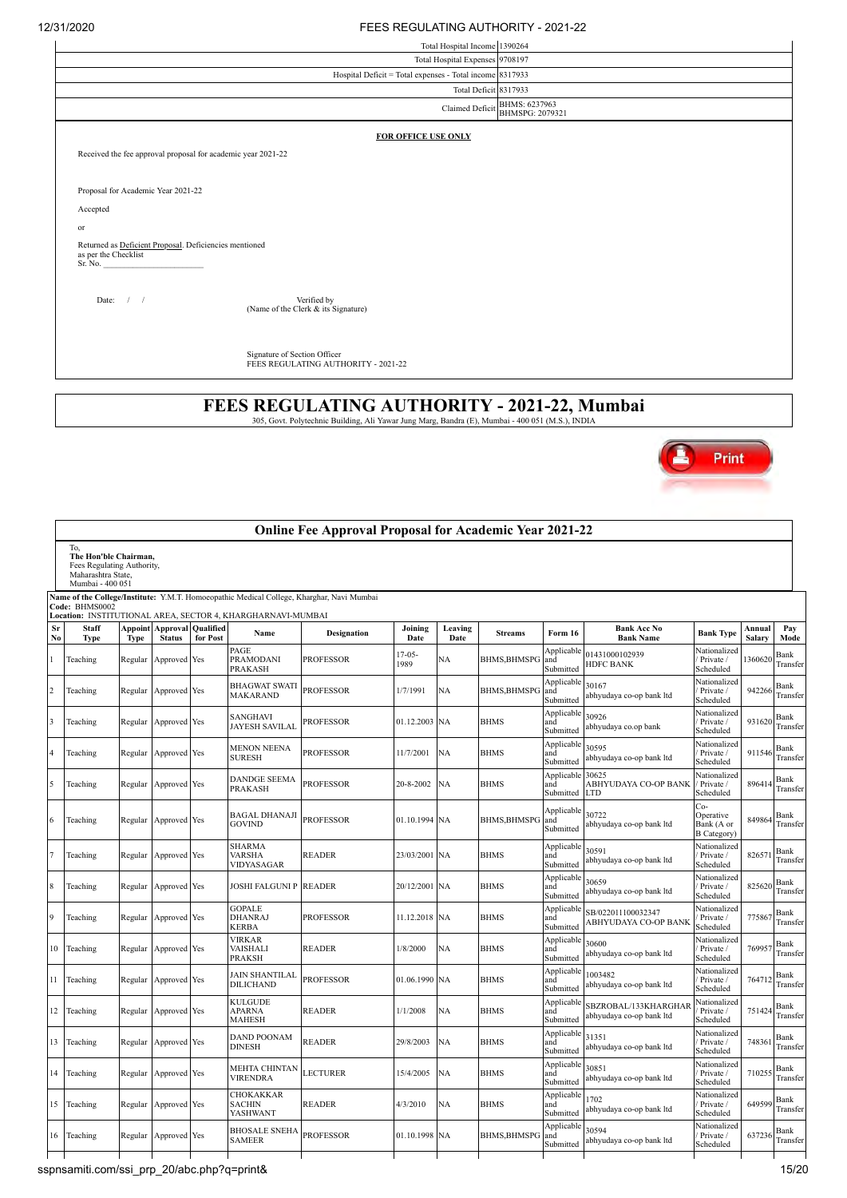| <u>JIL JA J</u> | <u>I LLOILOULAIN O AUTHONITE ZULTZZ</u>                           |                                                  |
|-----------------|-------------------------------------------------------------------|--------------------------------------------------|
|                 | Total Hospital Income 1390264                                     |                                                  |
|                 | Total Hospital Expenses 9708197                                   |                                                  |
|                 | Hospital Deficit = Total expenses - Total income 8317933          |                                                  |
|                 | Total Deficit 8317933                                             |                                                  |
|                 |                                                                   | Claimed Deficit BHMS: 6237963<br>BHMSPG: 2079321 |
|                 | FOR OFFICE USE ONLY                                               |                                                  |
|                 | Received the fee approval proposal for academic year 2021-22      |                                                  |
|                 |                                                                   |                                                  |
|                 | Proposal for Academic Year 2021-22                                |                                                  |
|                 | Accepted                                                          |                                                  |
| or              |                                                                   |                                                  |
|                 | Returned as Deficient Proposal. Deficiencies mentioned            |                                                  |
|                 | as per the Checklist<br>Sr. No.                                   |                                                  |
|                 |                                                                   |                                                  |
|                 | Verified by<br>Date: $/$ /<br>(Name of the Clerk & its Signature) |                                                  |
|                 |                                                                   |                                                  |
|                 |                                                                   |                                                  |
|                 | Signature of Section Officer                                      |                                                  |
|                 | FEES REGULATING AUTHORITY - 2021-22                               |                                                  |

**FEES REGULATING AUTHORITY - 2021-22, Mumbai** 305, Govt. Polytechnic Building, Ali Yawar Jung Marg, Bandra (E), Mumbai - 400 051 (M.S.), INDIA



|                |                                                                                                      |                        |                           |                              |                                                             | <b>Online Fee Approval Proposal for Academic Year 2021-22</b>                             |                     |                 |                     |                                |                                                  |                                                      |                  |                  |
|----------------|------------------------------------------------------------------------------------------------------|------------------------|---------------------------|------------------------------|-------------------------------------------------------------|-------------------------------------------------------------------------------------------|---------------------|-----------------|---------------------|--------------------------------|--------------------------------------------------|------------------------------------------------------|------------------|------------------|
|                | To,<br>The Hon'ble Chairman,<br>Fees Regulating Authority,<br>Maharashtra State,<br>Mumbai - 400 051 |                        |                           |                              |                                                             |                                                                                           |                     |                 |                     |                                |                                                  |                                                      |                  |                  |
|                | Code: BHMS0002                                                                                       |                        |                           |                              | Location: INSTITUTIONAL AREA, SECTOR 4, KHARGHARNAVI-MUMBAI | Name of the College/Institute: Y.M.T. Homoeopathic Medical College, Kharghar, Navi Mumbai |                     |                 |                     |                                |                                                  |                                                      |                  |                  |
| Sr<br>No       | Staff<br><b>Type</b>                                                                                 | Appoint<br><b>Type</b> | Approval<br><b>Status</b> | <b>Qualified</b><br>for Post | Name                                                        | Designation                                                                               | Joining<br>Date     | Leaving<br>Date | <b>Streams</b>      | Form 16                        | <b>Bank Acc No</b><br><b>Bank Name</b>           | <b>Bank Type</b>                                     | Annual<br>Salary | Pay<br>Mode      |
|                | Teaching                                                                                             | Regular                | Approved Yes              |                              | PAGE<br>PRAMODANI<br><b>PRAKASH</b>                         | PROFESSOR                                                                                 | $17 - 05 -$<br>1989 | NА              | <b>BHMS, BHMSPG</b> | Applicable<br>and<br>Submitted | 01431000102939<br><b>HDFC BANK</b>               | Nationalized<br>Private /<br>Scheduled               | 1360620          | Bank<br>Transfer |
| $\overline{c}$ | Teaching                                                                                             | Regular                | Approved Yes              |                              | BHAGWAT SWATI<br>MAKARAND                                   | <b>PROFESSOR</b>                                                                          | 1/7/1991            | NA              | <b>BHMS, BHMSPO</b> | Applicable<br>and<br>Submitted | 30167<br>abhyudaya co-op bank ltd                | Nationalized<br>Private /<br>Scheduled               | 942266           | Bank<br>Transfer |
| 3              | Teaching                                                                                             | Regular                | Approved Yes              |                              | <b>SANGHAVI</b><br>JAYESH SAVILAI                           | PROFESSOR                                                                                 | 01.12.2003          | <b>NA</b>       | <b>BHMS</b>         | Applicable<br>and<br>Submitted | 30926<br>abhyudaya co.op bank                    | Nationalized<br>Private /<br>Scheduled               | 931620           | Bank<br>Transfer |
|                | Teaching                                                                                             | Regular                | Approved Yes              |                              | <b>MENON NEENA</b><br><b>SURESH</b>                         | <b>PROFESSOR</b>                                                                          | 11/7/2001           | <b>NA</b>       | <b>BHMS</b>         | Applicable<br>and<br>Submitted | 30595<br>abhyudaya co-op bank ltd                | Nationalized<br>Private /<br>Scheduled               | 911546           | Bank<br>Transfer |
| 5              | Teaching                                                                                             | Regular                | Approved Yes              |                              | <b>DANDGE SEEMA</b><br>PRAKASH                              | <b>PROFESSOR</b>                                                                          | 20-8-2002           | NA              | <b>BHMS</b>         | Applicable<br>and<br>Submitted | 30625<br>ABHYUDAYA CO-OP BANK<br>LTD             | Nationalized<br>Private /<br>Scheduled               | 896414           | Bank<br>Transfer |
| 6              | Teaching                                                                                             | Regular                | Approved Yes              |                              | BAGAL DHANAJI<br><b>GOVIND</b>                              | <b>PROFESSOR</b>                                                                          | 01.10.1994 NA       |                 | <b>BHMS, BHMSPG</b> | Applicable<br>and<br>Submitted | 30722<br>abhyudaya co-op bank ltd                | Co-<br>Operative<br>Bank (A or<br><b>B</b> Category) | 849864           | Bank<br>Transfer |
|                | Teaching                                                                                             |                        | Regular Approved Yes      |                              | <b>SHARMA</b><br>VARSHA<br>VIDYASAGAR                       | <b>READER</b>                                                                             | 23/03/2001 NA       |                 | <b>BHMS</b>         | Applicable<br>and<br>Submitted | 30591<br>abhyudaya co-op bank ltd                | Nationalized<br>Private /<br>Scheduled               | 826571           | Bank<br>Transfer |
| 8              | Teaching                                                                                             |                        | Regular Approved Yes      |                              | JOSHI FALGUNI P READER                                      |                                                                                           | 20/12/2001 NA       |                 | <b>BHMS</b>         | Applicable<br>and<br>Submitted | 30659<br>abhyudaya co-op bank ltd                | Nationalized<br>Private /<br>Scheduled               | 825620           | Bank<br>Transfer |
|                | Teaching                                                                                             | Regular                | Approved Yes              |                              | <b>GOPALE</b><br>DHANRAJ<br>KERBA                           | <b>PROFESSOR</b>                                                                          | 11.12.2018 NA       |                 | <b>BHMS</b>         | Applicable<br>and<br>Submitted | SB/022011100032347<br>ABHYUDAYA CO-OP BANK       | Nationalized<br>Private /<br>Scheduled               | 775867           | Bank<br>Transfer |
| 10             | Teaching                                                                                             |                        | Regular Approved Yes      |                              | <b>VIRKAR</b><br>VAISHALI<br><b>PRAKSH</b>                  | <b>READER</b>                                                                             | 1/8/2000            | NA              | <b>BHMS</b>         | Applicable<br>and<br>Submitted | 30600<br>abhyudaya co-op bank ltd                | Nationalized<br>Private /<br>Scheduled               | 769957           | Bank<br>Transfer |
| 11             | Teaching                                                                                             |                        | Regular Approved Yes      |                              | JAIN SHANTILAL<br>DILICHAND                                 | <b>PROFESSOR</b>                                                                          | 01.06.1990          | <b>NA</b>       | <b>BHMS</b>         | Applicable<br>and<br>Submitted | 1003482<br>abhyudaya co-op bank ltd              | Nationalized<br>Private /<br>Scheduled               | 764712           | Bank<br>Transfer |
| 12             | Teaching                                                                                             | Regular                | Approved Yes              |                              | <b>KULGUDE</b><br><b>APARNA</b><br><b>MAHESH</b>            | <b>READER</b>                                                                             | 1/1/2008            | NA              | <b>BHMS</b>         | Applicable<br>and<br>Submitted | SBZROBAL/133KHARGHAF<br>abhyudaya co-op bank ltd | Nationalized<br>Private /<br>Scheduled               | 751424           | Bank<br>Transfer |
| 13             | Teaching                                                                                             |                        | Regular Approved Yes      |                              | DAND POONAM<br><b>DINESH</b>                                | <b>READER</b>                                                                             | 29/8/2003           | NA              | <b>BHMS</b>         | Applicable<br>and<br>Submitted | 31351<br>abhyudaya co-op bank ltd                | Nationalized<br>Private /<br>Scheduled               | 748361           | Bank<br>Transfer |
| 14             | Teaching                                                                                             |                        | Regular Approved Yes      |                              | MEHTA CHINTAN<br><b>VIRENDRA</b>                            | LECTURER                                                                                  | 15/4/2005           | <b>NA</b>       | <b>BHMS</b>         | Applicable<br>and<br>Submitted | 30851<br>abhyudaya co-op bank ltd                | Nationalized<br>Private /<br>Scheduled               | 710255           | Bank<br>Transfer |
| 15             | Teaching                                                                                             | Regular                | Approved Yes              |                              | <b>CHOKAKKAR</b><br><b>SACHIN</b><br>YASHWANT               | <b>READER</b>                                                                             | 4/3/2010            | NA              | <b>BHMS</b>         | Applicable<br>and<br>Submitted | 1702<br>abhyudaya co-op bank ltd                 | Nationalized<br>Private /<br>Scheduled               | 649599           | Bank<br>Transfer |
|                | 16 Teaching                                                                                          |                        | Regular Approved Yes      |                              | <b>BHOSALE SNEHA</b><br><b>SAMEER</b>                       | <b>PROFESSOR</b>                                                                          | 01.10.1998          | <b>NA</b>       | <b>BHMS, BHMSPG</b> | Applicable<br>and<br>Submitted | 30594<br>abhyudaya co-op bank ltd                | Nationalized<br>Private /<br>Scheduled               | 637236           | Bank<br>Transfer |
|                |                                                                                                      |                        |                           |                              |                                                             |                                                                                           |                     |                 |                     |                                |                                                  |                                                      |                  |                  |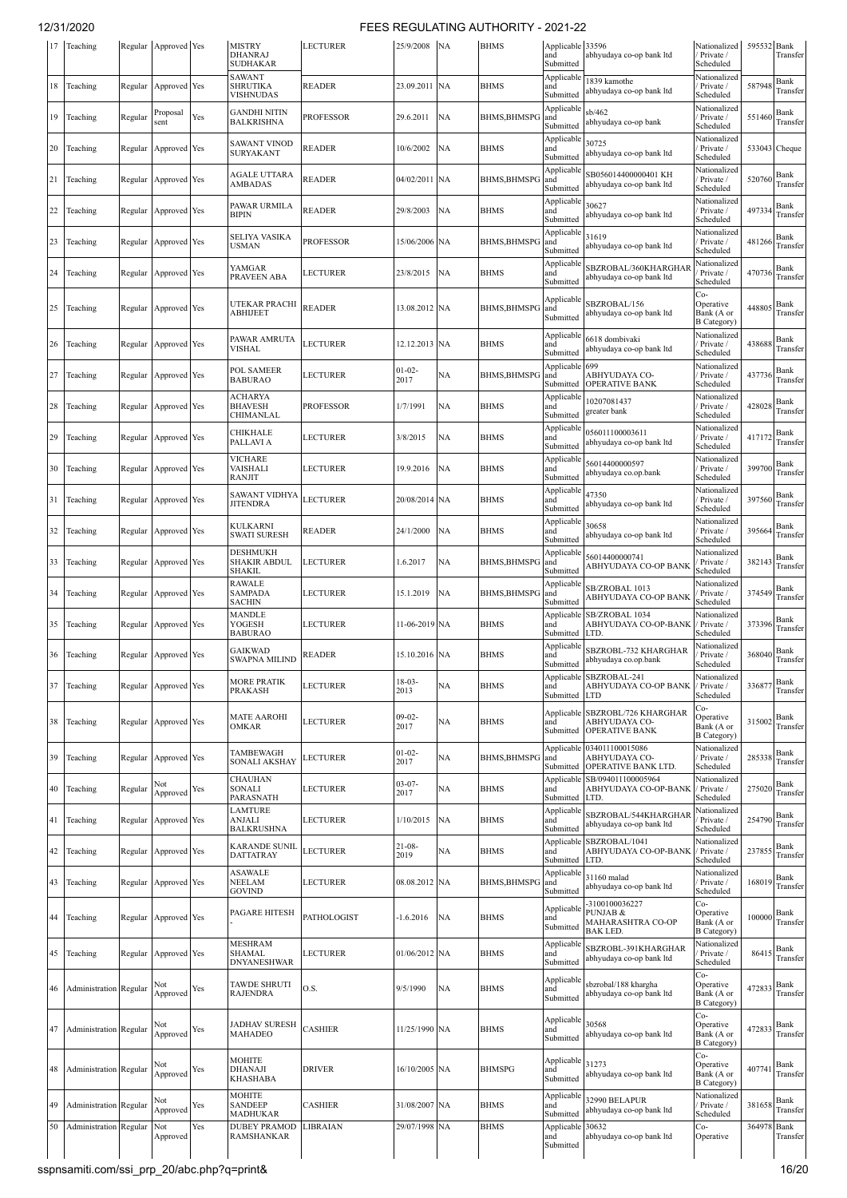| 17 | Teaching                      |         | Regular Approved Yes |     | <b>MISTRY</b><br><b>DHANRAJ</b><br><b>SUDHAKAR</b> | <b>LECTURER</b>  | 25/9/2008           | <b>NA</b> | <b>BHMS</b>         | Applicable 33596<br>and<br>Submitted | abhyudaya co-op bank ltd                                                  | Nationalized<br>Private /<br>Scheduled               | 595532 Bank | Transfer         |
|----|-------------------------------|---------|----------------------|-----|----------------------------------------------------|------------------|---------------------|-----------|---------------------|--------------------------------------|---------------------------------------------------------------------------|------------------------------------------------------|-------------|------------------|
| 18 | Teaching                      | Regular | Approved Yes         |     | <b>SAWANT</b><br>SHRUTIKA<br>VISHNUDAS             | <b>READER</b>    | 23.09.2011          | <b>NA</b> | <b>BHMS</b>         | Applicable<br>and<br>Submitted       | 1839 kamothe<br>abhyudaya co-op bank ltd                                  | Nationalized<br>Private /<br>Scheduled               | 587948      | Bank<br>Transfer |
| 19 | Teaching                      | Regular | Proposal<br>sent     | Yes | <b>GANDHI NITIN</b><br>BALKRISHNA                  | <b>PROFESSOR</b> | 29.6.2011           | NA        | <b>BHMS, BHMSPO</b> | Applicable<br>and<br>Submitted       | sb/462<br>abhyudaya co-op bank                                            | Nationalized<br>Private /<br>Scheduled               | 551460      | Bank<br>Transfer |
| 20 | Teaching                      | Regular | Approved Yes         |     | SAWANT VINOD<br>SURYAKANT                          | <b>READER</b>    | 10/6/2002           | NA        | <b>BHMS</b>         | Applicable<br>and<br>Submitted       | 30725<br>abhyudaya co-op bank ltd                                         | Nationalized<br>Private /<br>Scheduled               |             | 533043 Cheque    |
| 21 | Teaching                      | Regular | Approved Yes         |     | <b>AGALE UTTARA</b><br>AMBADAS                     | <b>READER</b>    | 04/02/2011 NA       |           | <b>BHMS, BHMSPO</b> | Applicable<br>and<br>Submitted       | SB056014400000401 KH<br>abhyudaya co-op bank ltd                          | Nationalized<br>Private /<br>Scheduled               | 520760      | Bank<br>Transfer |
| 22 | Teaching                      | Regular | Approved Yes         |     | PAWAR URMILA<br>BIPIN                              | <b>READER</b>    | 29/8/2003           | NA        | <b>BHMS</b>         | Applicable<br>and<br>Submitted       | 30627<br>abhyudaya co-op bank ltd                                         | Nationalized<br>Private /<br>Scheduled               | 497334      | Bank<br>Transfer |
| 23 | Teaching                      | Regular | Approved Yes         |     | SELIYA VASIKA<br>USMAN                             | <b>PROFESSOR</b> | 15/06/2006 NA       |           | <b>BHMS, BHMSPO</b> | Applicabl<br>and<br>Submitted        | 31619<br>abhyudaya co-op bank ltd                                         | Nationalized<br>Private /<br>Scheduled               | 481266      | Bank<br>Transfer |
| 24 | Teaching                      |         | Regular Approved Yes |     | YAMGAR<br>PRAVEEN ABA                              | LECTURER         | 23/8/2015           | NA        | <b>BHMS</b>         | Applicable<br>and<br>Submitted       | SBZROBAL/360KHARGHAF<br>abhyudaya co-op bank ltd                          | Nationalized<br>Private /<br>Scheduled               | 470736      | Bank<br>Transfer |
| 25 | Teaching                      | Regular | Approved Yes         |     | UTEKAR PRACHI<br>ABHIJEET                          | <b>READER</b>    | 13.08.2012 NA       |           | <b>BHMS, BHMSPO</b> | Applicable<br>and<br>Submitted       | SBZROBAL/156<br>abhyudaya co-op bank ltd                                  | Co-<br>Operative<br>Bank (A or<br><b>B</b> Category) | 448805      | Bank<br>Transfer |
| 26 | Teaching                      | Regular | Approved Yes         |     | PAWAR AMRUTA<br>VISHAL                             | <b>LECTURER</b>  | 12.12.2013 NA       |           | <b>BHMS</b>         | Applicable<br>and<br>Submitted       | 6618 dombivaki<br>abhyudaya co-op bank ltd                                | Nationalized<br>Private /<br>Scheduled               | 438688      | Bank<br>Transfer |
| 27 | Teaching                      | Regular | Approved Yes         |     | POL SAMEER<br><b>BABURAO</b>                       | <b>LECTURER</b>  | $01 - 02 -$<br>2017 | NA        | <b>BHMS, BHMSP</b>  | Applicable<br>and<br>Submitted       | 699<br>ABHYUDAYA CO-<br><b>OPERATIVE BANK</b>                             | Nationalized<br>Private /<br>Scheduled               | 437736      | Bank<br>Transfer |
| 28 | Teaching                      | Regular | Approved Yes         |     | ACHARYA<br><b>BHAVESH</b><br>CHIMANLAL             | <b>PROFESSOR</b> | 1/7/1991            | NA        | <b>BHMS</b>         | Applicable<br>and<br>Submitted       | 10207081437<br>greater bank                                               | Nationalized<br>Private /<br>Scheduled               | 428028      | Bank<br>Transfer |
| 29 | Teaching                      | Regular | Approved Yes         |     | CHIKHALE<br>PALLAVI A                              | <b>LECTURER</b>  | 3/8/2015            | NA        | <b>BHMS</b>         | Applicable<br>and<br>Submitted       | 056011100003611<br>abhyudaya co-op bank ltd                               | Nationalized<br>Private /<br>Scheduled               | 417172      | Bank<br>Transfer |
| 30 | Teaching                      | Regular | Approved Yes         |     | VICHARE<br>VAISHALI<br><b>RANJIT</b>               | <b>LECTURER</b>  | 19.9.2016           | NA        | <b>BHMS</b>         | Applicable<br>and<br>Submitted       | 56014400000597<br>abhyudaya co.op.bank                                    | Nationalized<br>Private /<br>Scheduled               | 399700      | Bank<br>Transfer |
| 31 | Teaching                      | Regular | Approved Yes         |     | <b>SAWANT VIDHYA</b><br>JITENDRA                   | <b>LECTURER</b>  | 20/08/2014 NA       |           | <b>BHMS</b>         | Applicable<br>and<br>Submitted       | 47350<br>abhyudaya co-op bank ltd                                         | Nationalized<br>Private /<br>Scheduled               | 397560      | Bank<br>Transfer |
| 32 | Teaching                      | Regular | Approved Yes         |     | KULKARNI<br>SWATI SURESH                           | <b>READER</b>    | 24/1/2000           | NA        | <b>BHMS</b>         | Applicable<br>and<br>Submitted       | 30658<br>abhyudaya co-op bank ltd                                         | Nationalized<br>Private /<br>Scheduled               | 395664      | Bank<br>Transfer |
| 33 | Teaching                      | Regular | Approved Yes         |     | DESHMUKH<br>SHAKIR ABDUL<br>SHAKIL                 | <b>LECTURER</b>  | 1.6.2017            | NA        | BHMS, BHMSPO        | Applicable<br>and<br>Submitted       | 56014400000741<br>ABHYUDAYA CO-OP BANK                                    | Nationalized<br>Private /<br>Scheduled               | 382143      | Bank<br>Transfer |
| 34 | Teaching                      | Regular | Approved Yes         |     | RAWALE<br><b>SAMPADA</b><br><b>SACHIN</b>          | LECTURER         | 15.1.2019           | NA        | <b>BHMS, BHMSPO</b> | Applicabl<br>and<br>Submitted        | SB/ZROBAL 1013<br>ABHYUDAYA CO-OP BANK                                    | Nationalized<br>Private /<br>Scheduled               | 374549      | Bank<br>Transfer |
| 35 | Teaching                      | Regular | Approved Yes         |     | <b>MANDLE</b><br>YOGESH<br><b>BABURAO</b>          | <b>LECTURER</b>  | 11-06-2019 NA       |           | <b>BHMS</b>         | Applicable<br>and<br>Submitted       | SB/ZROBAL 1034<br>ABHYUDAYA CO-OP-BANK<br>LTD.                            | Nationalized<br>Private /<br>Scheduled               | 373396      | Bank<br>Transfer |
| 36 | Teaching                      | Regular | Approved Yes         |     | <b>GAIKWAD</b><br>SWAPNA MILIND                    | <b>READER</b>    | 15.10.2016 NA       |           | <b>BHMS</b>         | Applicable<br>and<br>Submitted       | SBZROBL-732 KHARGHAR<br>abhyudaya co.op.bank                              | Nationalized<br>Private /<br>Scheduled               | 368040      | Bank<br>Transfer |
| 37 | Teaching                      |         | Regular Approved Yes |     | <b>MORE PRATIK</b><br>PRAKASH                      | <b>LECTURER</b>  | $18-03-$<br>2013    | NA        | <b>BHMS</b>         | and<br>Submitted                     | Applicable SBZROBAL-241<br>ABHYUDAYA CO-OP BANK<br><b>LTD</b>             | Nationalized<br>/ Private /<br>Scheduled             | 336877      | Bank<br>Transfer |
| 38 | Teaching                      |         | Regular Approved Yes |     | <b>MATE AAROHI</b><br>OMKAR                        | <b>LECTURER</b>  | $09-02-$<br>2017    | NA        | <b>BHMS</b>         | and<br>Submitted                     | Applicable SBZROBL/726 KHARGHAR<br>ABHYUDAYA CO-<br><b>OPERATIVE BANK</b> | Co-<br>Operative<br>Bank (A or<br><b>B</b> Category) | 315002      | Bank<br>Transfer |
| 39 | Teaching                      |         | Regular Approved Yes |     | TAMBEWAGH<br>SONALI AKSHAY                         | LECTURER         | $01 - 02 -$<br>2017 | NA        | <b>BHMS, BHMSPG</b> | Applicable<br>and<br>Submitted       | 034011100015086<br>ABHYUDAYA CO-<br>OPERATIVE BANK LTD.                   | Nationalized<br>Private /<br>Scheduled               | 285338      | Bank<br>Transfer |
| 40 | Teaching                      | Regular | Not<br>Approved      | Yes | CHAUHAN<br>SONALI<br>PARASNATH                     | LECTURER         | $03 - 07 -$<br>2017 | NА        | <b>BHMS</b>         | and<br>Submitted                     | Applicable SB/094011100005964<br>ABHYUDAYA CO-OP-BANK<br>LTD.             | Nationalized<br>/ Private /<br>Scheduled             | 275020      | Bank<br>Transfer |
| 41 | Teaching                      | Regular | Approved Yes         |     | <b>LAMTURE</b><br>ANJALI<br><b>BALKRUSHNA</b>      | <b>LECTURER</b>  | 1/10/2015           | NA        | <b>BHMS</b>         | Applicable<br>and<br>Submitted       | SBZROBAL/544KHARGHAR<br>abhyudaya co-op bank ltd                          | Nationalized<br>Private /<br>Scheduled               | 254790      | Bank<br>Transfer |
| 42 | Teaching                      | Regular | Approved Yes         |     | <b>KARANDE SUNIL</b><br>DATTATRAY                  | <b>LECTURER</b>  | $21 - 08 -$<br>2019 | NA        | <b>BHMS</b>         | Applicable<br>and<br>Submitted       | SBZROBAL/1041<br>ABHYUDAYA CO-OP-BANK<br>LTD.                             | Nationalized<br>/ Private /<br>Scheduled             | 237855      | Bank<br>Transfer |
| 43 | Teaching                      | Regular | Approved Yes         |     | ASAWALE<br>NEELAM<br>GOVIND                        | LECTURER         | 08.08.2012 NA       |           | <b>BHMS, BHMSPO</b> | Applicable<br>and<br>Submitted       | 31160 malad<br>abhyudaya co-op bank ltd                                   | Nationalized<br>Private /<br>Scheduled               | 168019      | Bank<br>Transfer |
| 44 | Teaching                      | Regular | Approved Yes         |     | PAGARE HITESH                                      | PATHOLOGIST      | $-1.6.2016$         | NA        | <b>BHMS</b>         | Applicable<br>and<br>Submitted       | -3100100036227<br>PUNJAB &<br>MAHARASHTRA CO-OP<br>BAK LED.               | Co-<br>Operative<br>Bank (A or<br><b>B</b> Category) | 100000      | Bank<br>Transfer |
| 45 | Teaching                      | Regular | Approved Yes         |     | <b>MESHRAM</b><br>SHAMAL<br><b>DNYANESHWAR</b>     | <b>LECTURER</b>  | 01/06/2012 NA       |           | <b>BHMS</b>         | Applicabl<br>and<br>Submitted        | SBZROBL-391KHARGHAR<br>abhyudaya co-op bank ltd                           | Nationalized<br>Private /<br>Scheduled               | 86415       | Bank<br>Transfer |
| 46 | Administration Regular        |         | Approved             | Yes | <b>TAWDE SHRUTI</b><br><b>RAJENDRA</b>             | O.S.             | 9/5/1990            | NA        | <b>BHMS</b>         | Applicable<br>and<br>Submitted       | sbzrobal/188 khargha<br>abhyudaya co-op bank ltd                          | Co-<br>Operative<br>Bank (A or<br><b>B</b> Category) | 472833      | Bank<br>Transfer |
| 47 | Administration Regular        |         | Not<br>Approved      | Yes | <b>JADHAV SURESH</b><br>MAHADEO                    | <b>CASHIER</b>   | 11/25/1990 NA       |           | <b>BHMS</b>         | Applicable 30568<br>and<br>Submitted | abhyudaya co-op bank ltd                                                  | Co-<br>Operative<br>Bank (A or<br><b>B</b> Category) | 472833      | Bank<br>Transfer |
| 48 | Administration Regular        |         | Not<br>Approved      | Yes | MOHITE<br>DHANAJI<br>KHASHABA                      | <b>DRIVER</b>    | 16/10/2005 NA       |           | <b>BHMSPG</b>       | Applicable<br>and<br>Submitted       | 31273<br>abhyudaya co-op bank ltd                                         | Co-<br>Operative<br>Bank (A or<br><b>B</b> Category) | 407741      | Bank<br>Transfer |
| 49 | Administration Regular        |         | Not<br>Approved      | Yes | MOHITE<br><b>SANDEEP</b><br>MADHUKAR               | <b>CASHIER</b>   | 31/08/2007 NA       |           | <b>BHMS</b>         | Applicable<br>and<br>Submitted       | 32990 BELAPUR<br>abhyudaya co-op bank ltd                                 | Nationalized<br>/ Private /<br>Scheduled             | 381658      | Bank<br>Transfer |
| 50 | <b>Administration</b> Regular |         | Not<br>Approved      | Yes | <b>DUBEY PRAMOD</b><br><b>RAMSHANKAR</b>           | LIBRAIAN         | 29/07/1998          | NA        | <b>BHMS</b>         | Applicable<br>and<br>Submitted       | 30632<br>abhyudaya co-op bank ltd                                         | Co-<br>Operative                                     | 364978      | Bank<br>Transfer |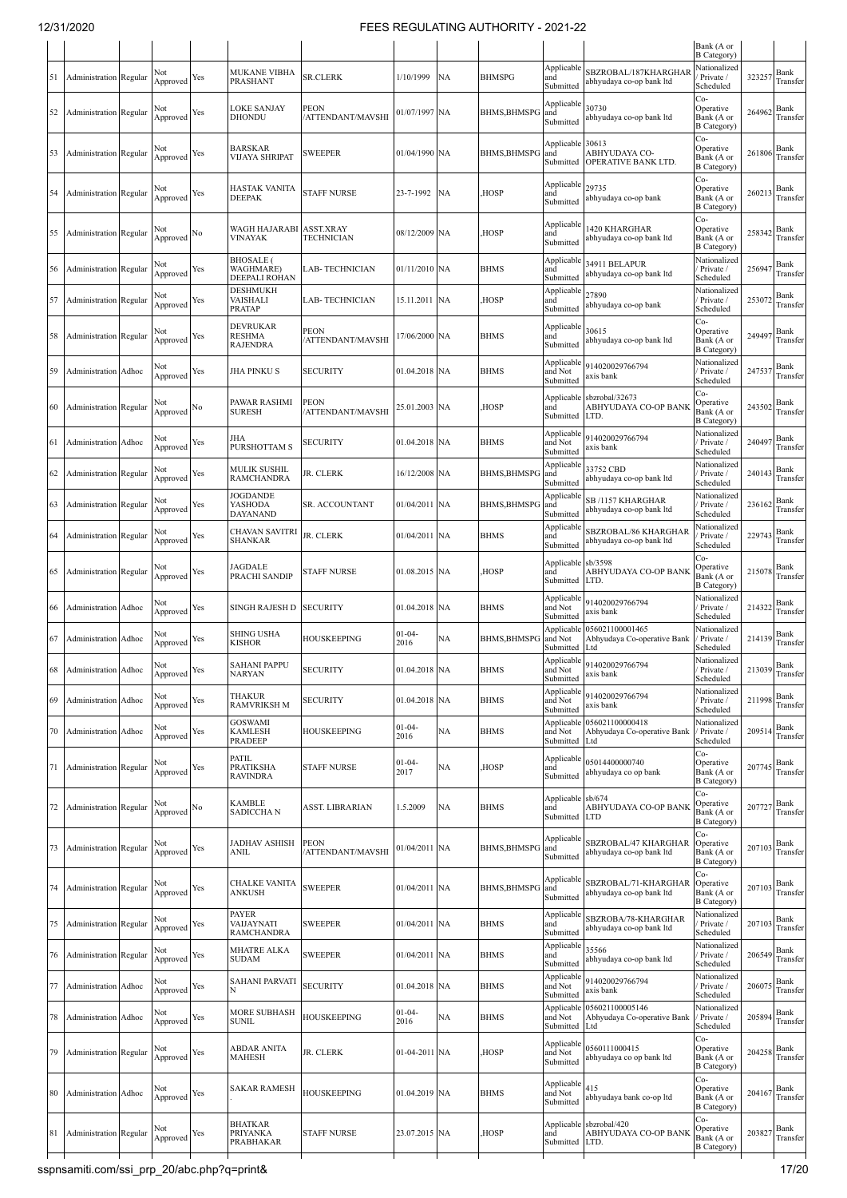| Nationalized<br>Applicable<br>SBZROBAL/187KHARGHAR<br><b>MUKANE VIBHA</b><br>Not<br>Bank<br>1/10/1999<br>NA<br><b>BHMSPG</b><br>323257<br><b>Administration</b> Regular<br>Approved Yes<br>SR.CLERK<br>and<br>Private /<br>51<br>PRASHANT<br>abhyudaya co-op bank ltd<br>Submitted<br>Scheduled<br>Co-<br>Applicable<br>30730<br><b>LOKE SANJAY</b><br><b>PEON</b><br>Operative<br>Bank<br>Not<br>264962<br>01/07/1997 NA<br>Administration Regular<br>BHMS,BHMSPG<br>and<br>52<br>Yes<br>Approved<br>DHONDU<br>/ATTENDANT/MAVSHI<br>Bank (A or<br>abhyudaya co-op bank ltd<br>Submitted<br><b>B</b> Category<br>Co-<br>Applicable 30613<br>Operative<br>BARSKAR<br>Bank<br>Not<br>261806<br>SWEEPER<br>01/04/1990 NA<br>BHMS, BHMSPG<br>and<br>ABHYUDAYA CO-<br><b>Administration Regular</b><br>53<br>Yes<br>VIJAYA SHRIPAT<br>Bank (A or<br>Approved<br>Submitted<br>OPERATIVE BANK LTD.<br><b>B</b> Category)<br>Co-<br>Applicable<br>29735<br>Operative<br>HASTAK VANITA<br>Bank<br>Not<br>260213<br><b>STAFF NURSE</b><br>23-7-1992<br><b>NA</b><br>HOSP,<br>and<br>Administration Regular<br>Yes<br>54<br>Bank (A or<br>Approved<br>DEEPAK<br>abhyudaya co-op bank<br>Submitted<br><b>B</b> Category)<br>Co-<br>Applicable<br>420 KHARGHAR<br>Operative<br>WAGH HAJARABI<br>ASST.XRAY<br>Bank<br>Not<br>08/12/2009 NA<br>HOSP,<br>and<br>258342<br>Administration Regular<br>Approved ${}^{\mathrm{No}}$<br>55<br>VINAYAK<br><b>TECHNICIAN</b><br>Bank (A or<br>abhyudaya co-op bank ltd<br>Submitted<br><b>B</b> Category)<br><b>BHOSALE</b> (<br>Nationalized<br>Applicable<br>34911 BELAPUR<br>Bank<br>Not<br>256947<br>WAGHMARE)<br>01/11/2010 NA<br>and<br>Private /<br>Administration Regular<br>Approved Yes<br>LAB- TECHNICIAN<br>BHMS<br>56<br>abhyudaya co-op bank ltd<br>DEEPALI ROHAN<br>Submitted<br>Scheduled<br>DESHMUKH<br>Applicable<br>Nationalized<br>27890<br>Bank<br>Not<br>VAISHALI<br>15.11.2011 NA<br>HOSP,<br>and<br>Private /<br>253072<br><b>Administration Regular</b><br>LAB- TECHNICIAN<br>57<br>Yes<br>Approved<br>abhyudaya co-op bank<br>PRATAP<br>Submitted<br>Scheduled<br>Co-<br>DEVRUKAR<br>Applicable<br>30615<br>PEON<br>Operative<br>Bank<br>Not<br><b>RESHMA</b><br><b>BHMS</b><br>and<br>24949<br><b>Administration Regular</b><br>Yes<br>17/06/2000 NA<br>58<br>Approved<br>/ATTENDANT/MAVSHI<br>Bank (A or<br>abhyudaya co-op bank ltd<br><b>RAJENDRA</b><br>Submitted<br><b>B</b> Category)<br>Nationalized<br>Applicable<br>914020029766794<br>Not<br>Bank<br>247537<br>and Not<br>Private /<br>59<br>Administration Adhoc<br>Yes<br>JHA PINKU S<br><b>SECURITY</b><br>01.04.2018<br><b>NA</b><br>BHMS<br>Approved<br>axis bank<br>Submitted<br>Scheduled<br>Co-<br>Applicable<br>sbzrobal/32673<br>PAWAR RASHMI<br>Operative<br>PEON<br>Bank<br>Not<br>243502<br>HOSP,<br><b>ABHYUDAYA CO-OP BANK</b><br>Administration Regular<br>25.01.2003 NA<br>and<br>60<br>Approved $^{\rm No}$<br>SURESH<br>ATTENDANT/MAVSHI<br>Bank (A or<br>Submitted<br>LTD.<br><b>B</b> Category)<br>Nationalized<br>Applicable<br>914020029766794<br>JHA<br>Bank<br>Not<br>SECURITY<br>01.04.2018 NA<br><b>BHMS</b><br>Private /<br>24049<br>Administration Adhoc<br>Yes<br>and Not<br>-61<br>PURSHOTTAM S<br>Approved<br>ıxis bank<br>Submitted<br>Scheduled<br>Applicable<br>Nationalized<br>33752 CBD<br>MULIK SUSHIL<br>Bank<br>Not<br>240143<br>JR. CLERK<br><b>BHMS, BHMSPC</b><br>Private /<br>Administration Regular<br>Yes<br>16/12/2008<br><b>NA</b><br>and<br>62<br>Approved<br>RAMCHANDRA<br>abhyudaya co-op bank ltd<br>Submitted<br>Scheduled<br>JOGDANDE<br>Applicable<br>Nationalized<br>SB /1157 KHARGHAR<br>Bank<br>Not<br>YASHODA<br>01/04/2011 NA<br>BHMS, BHMSPG<br>and<br>Private /<br>236162<br><b>Administration Regular</b><br>Yes<br>SR. ACCOUNTANT<br>63<br>Approved<br>abhyudaya co-op bank ltd<br>DAYANAND<br>Scheduled<br>Submitted<br>Applicable<br>Nationalized<br>SBZROBAL/86 KHARGHAR<br>CHAVAN SAVITRI<br>Bank<br>Not<br>JR. CLERK<br>22974<br>01/04/2011 NA<br><b>BHMS</b><br><b>Administration Regular</b><br>Yes<br>and<br>Private /<br>64<br>SHANKAR<br>Approved<br>abhyudaya co-op bank ltd<br>Submitted<br>Scheduled<br>Co-<br>sb/3598<br>Applicable<br>Operative<br>JAGDALE<br>Bank<br>215078<br><b>STAFF NURSE</b><br>HOSP,<br>ABHYUDAYA CO-OP BANK<br><b>Administration Regular</b><br>Approved Yes<br>01.08.2015 NA<br>and<br>65<br>PRACHI SANDIP<br>Bank (A or<br>Submitted<br>LTD.<br><b>B</b> Category)<br>Nationalized<br>Applicable<br>914020029766794<br>Bank<br>Not<br>01.04.2018 NA<br><b>BHMS</b><br>Private /<br>214322<br>Administration Adhoc<br>Yes<br>SINGH RAJESH D<br><b>SECURITY</b><br>and Not<br>66<br>Approved<br>axis bank<br>Submitted<br>Scheduled<br>056021100001465<br>Nationalized<br>Applicable<br>$01 - 04 -$<br>Not<br>SHING USHA<br>Bank<br>214139<br>NA<br><b>BHMS, BHMSP</b><br>Administration Adhoc<br>Yes<br>HOUSKEEPING<br>and Not<br>Abhyudaya Co-operative Bank<br>Private /<br>67<br>KISHOR<br>2016<br>Approved<br>Scheduled<br>Submitted<br>Ltd<br>Nationalized<br>Applicable<br>914020029766794<br><b>SAHANI PAPPU</b><br>$213039$ Bank<br>Not<br><b>SECURITY</b><br>01.04.2018 NA<br>68 Administration Adhoc<br>Yes<br><b>BHMS</b><br>/ Private /<br>and Not<br>VARYAN<br>ıxis bank<br><b>∡pproved</b><br>Scheduled<br>Submitted<br>Applicable<br>Nationalized<br>914020029766794<br>THAKUR<br>Bank<br>Not<br><b>Administration</b> Adhoc<br>Approved Yes<br><b>SECURITY</b><br>01.04.2018 NA<br><b>BHMS</b><br>and Not<br>Private /<br>211998<br>69<br><b>RAMVRIKSH M</b><br>axis bank<br>Scheduled<br>Submitted<br>Applicable 056021100000418<br>Nationalized<br><b>GOSWAMI</b><br>$01-04-$<br>Bank<br>Not<br><b>HOUSKEEPING</b><br>NA<br><b>BHMS</b><br>209514<br>Approved Yes<br>KAMLESH<br>and Not<br>Abhyudaya Co-operative Bank<br>Private /<br>70<br>Administration Adhoc<br>2016<br>Scheduled<br><b>PRADEEP</b><br>Submitted<br>Ltd<br>Co-<br>PATIL<br>Applicable<br>05014400000740<br>Operative<br>Bank (A or<br>$01-04-$<br>Bank<br>Not<br>NA<br>HOSP,<br>and<br>207745<br>Administration Regular<br>Approved Yes<br>PRATIKSHA<br><b>STAFF NURSE</b><br>71<br>2017<br>abhyudaya co op bank<br><b>RAVINDRA</b><br>Submitted<br><b>B</b> Category)<br>Co-<br>Applicable sb/674<br>Operative<br>KAMBLE<br>Bank<br>Not<br>207727<br><b>NA</b><br><b>BHMS</b><br>and<br>ABHYUDAYA CO-OP BANK<br>Administration Regular<br>Approved $^{\rm No}$<br>ASST. LIBRARIAN<br>1.5.2009<br>72<br>SADICCHA N<br>Bank (A or<br>Submitted<br><b>LTD</b><br><b>B</b> Category)<br>Co-<br>Applicable<br>SBZROBAL/47 KHARGHAR<br>JADHAV ASHISH<br><b>PEON</b><br>Operative<br>Not<br>Bank<br>207103<br><b>Administration</b> Regular<br>Yes<br>01/04/2011 NA<br>BHMS, BHMSPG<br>and<br>73<br>Approved<br>ATTENDANT/MAVSHI<br>abhyudaya co-op bank ltd<br>Bank (A or<br>ANIL<br>Submitted<br><b>B</b> Category)<br>Co-<br>Applicable<br>SBZROBAL/71-KHARGHAR<br>Operative<br>CHALKE VANITA<br>Bank<br>Not<br>207103<br><b>SWEEPER</b><br>Administration Regular<br>01/04/2011 NA<br>BHMS, BHMSPG<br>and<br>Approved Yes<br>74<br>Bank (A or<br>ANKUSH<br>abhyudaya co-op bank ltd<br>Submitted<br><b>B</b> Category)<br><b>PAYER</b><br>Nationalized<br>Applicable<br>SBZROBA/78-KHARGHAR<br>Bank<br>Not<br><b>BHMS</b><br>Private /<br>207103<br><b>Administration Regular</b><br>VAIJAYNATI<br>SWEEPER<br>01/04/2011 NA<br>75<br>Approved Yes<br>and<br>abhyudaya co-op bank ltd<br>RAMCHANDRA<br>Submitted<br>Scheduled<br>Applicable<br>Nationalized<br>35566<br>MHATRE ALKA<br>Bank<br>Not<br><b>SWEEPER</b><br>and<br>206549<br><b>Administration Regular</b><br>Approved Yes<br>01/04/2011 NA<br><b>BHMS</b><br>Private /<br>76<br><b>SUDAM</b><br>abhyudaya co-op bank ltd<br>Scheduled<br>Submitted<br>Nationalized<br>Applicable<br><b>SAHANI PARVATI</b><br>914020029766794<br>Bank<br>Not<br><b>SECURITY</b><br>and Not<br>Private /<br>206075<br>Administration Adhoc<br>Approved Yes<br>01.04.2018<br><b>NA</b><br><b>BHMS</b><br>axis bank<br>N<br>Scheduled<br>Submitted<br>Nationalized<br>Applicable 056021100005146<br>MORE SUBHASH<br>$01 - 04 -$<br>Bank<br>Not<br>NA<br><b>BHMS</b><br>Private /<br>205894<br>Administration Adhoc<br>Yes<br>HOUSKEEPING<br>and Not<br>Abhyudaya Co-operative Bank<br>78<br>Approved<br>2016<br>SUNIL<br>Scheduled<br>Submitted<br>Ltd<br>Co-<br>Applicable<br>0560111000415<br>ABDAR ANITA<br>Operative<br>Bank<br>Not<br>204258<br>Administration Regular<br>Yes<br>JR. CLERK<br>01-04-2011 NA<br>HOSP,<br>and Not<br>79<br>Bank (A or<br>Approved<br>MAHESH<br>abhyudaya co op bank ltd<br>Submitted<br><b>B</b> Category)<br>Co-<br>Applicable<br>415<br>Operative<br><b>SAKAR RAMESH</b><br>Bank<br>Not<br><b>HOUSKEEPING</b><br>204167<br>01.04.2019 NA<br><b>BHMS</b><br>and Not<br>80<br>Administration Adhoc<br>Approved Yes<br>abhyudaya bank co-op ltd<br>Bank (A or<br>Submitted<br><b>B</b> Category)<br>Co-<br><b>BHATKAR</b><br>Applicable sbzrobal/420<br>Operative<br>Bank<br>Not<br>HOSP,<br>ABHYUDAYA CO-OP BANK<br>203827<br>PRIYANKA<br><b>STAFF NURSE</b><br>23.07.2015 NA<br>Administration Regular<br>Approved Yes<br>and<br>81<br>Bank (A or<br>PRABHAKAR<br>Submitted<br>LTD.<br><b>B</b> Category) |  |  |  |  |  |  | Bank (A or<br>B Category) |          |
|--------------------------------------------------------------------------------------------------------------------------------------------------------------------------------------------------------------------------------------------------------------------------------------------------------------------------------------------------------------------------------------------------------------------------------------------------------------------------------------------------------------------------------------------------------------------------------------------------------------------------------------------------------------------------------------------------------------------------------------------------------------------------------------------------------------------------------------------------------------------------------------------------------------------------------------------------------------------------------------------------------------------------------------------------------------------------------------------------------------------------------------------------------------------------------------------------------------------------------------------------------------------------------------------------------------------------------------------------------------------------------------------------------------------------------------------------------------------------------------------------------------------------------------------------------------------------------------------------------------------------------------------------------------------------------------------------------------------------------------------------------------------------------------------------------------------------------------------------------------------------------------------------------------------------------------------------------------------------------------------------------------------------------------------------------------------------------------------------------------------------------------------------------------------------------------------------------------------------------------------------------------------------------------------------------------------------------------------------------------------------------------------------------------------------------------------------------------------------------------------------------------------------------------------------------------------------------------------------------------------------------------------------------------------------------------------------------------------------------------------------------------------------------------------------------------------------------------------------------------------------------------------------------------------------------------------------------------------------------------------------------------------------------------------------------------------------------------------------------------------------------------------------------------------------------------------------------------------------------------------------------------------------------------------------------------------------------------------------------------------------------------------------------------------------------------------------------------------------------------------------------------------------------------------------------------------------------------------------------------------------------------------------------------------------------------------------------------------------------------------------------------------------------------------------------------------------------------------------------------------------------------------------------------------------------------------------------------------------------------------------------------------------------------------------------------------------------------------------------------------------------------------------------------------------------------------------------------------------------------------------------------------------------------------------------------------------------------------------------------------------------------------------------------------------------------------------------------------------------------------------------------------------------------------------------------------------------------------------------------------------------------------------------------------------------------------------------------------------------------------------------------------------------------------------------------------------------------------------------------------------------------------------------------------------------------------------------------------------------------------------------------------------------------------------------------------------------------------------------------------------------------------------------------------------------------------------------------------------------------------------------------------------------------------------------------------------------------------------------------------------------------------------------------------------------------------------------------------------------------------------------------------------------------------------------------------------------------------------------------------------------------------------------------------------------------------------------------------------------------------------------------------------------------------------------------------------------------------------------------------------------------------------------------------------------------------------------------------------------------------------------------------------------------------------------------------------------------------------------------------------------------------------------------------------------------------------------------------------------------------------------------------------------------------------------------------------------------------------------------------------------------------------------------------------------------------------------------------------------------------------------------------------------------------------------------------------------------------------------------------------------------------------------------------------------------------------------------------------------------------------------------------------------------------------------------------------------------------------------------------------------------------------------------------------------------------------------------------------------------------------------------------------------------------------------------------------------------------------------------------------------------------------------------------------------------------------------------------------------------------------------------------------------------------------------------------------------------------------------------------------------------------------------------------------------------------------------------------------------------------------------------------------------------------------------------------------------------------------------------------------------------------------------------------------------------------------------------------------------------------------------------------------------------------------------------------------------------------------------------------------------------------------------------------------------------------------------------------------------------------------------------------------------------------------------------------------------------------------------------------------------------------------------------------------------------------------------------------------------------------------------------------------------------------------------------------------------------------------------------------------------------------------------------------------------------------------------------------------------------------------------------------------------------------------------------------------------------------------------------------------------------------------------------------------------------------------------------------------------------------------------------------------------------------------------------------------------------------------------------------------------------------------------------------------------------------------------------------------------------------------------------------------------------------------------------------------------------------------------------------------------------------------------------------------------------------------------------------------------------------------------------------------------------------------|--|--|--|--|--|--|---------------------------|----------|
|                                                                                                                                                                                                                                                                                                                                                                                                                                                                                                                                                                                                                                                                                                                                                                                                                                                                                                                                                                                                                                                                                                                                                                                                                                                                                                                                                                                                                                                                                                                                                                                                                                                                                                                                                                                                                                                                                                                                                                                                                                                                                                                                                                                                                                                                                                                                                                                                                                                                                                                                                                                                                                                                                                                                                                                                                                                                                                                                                                                                                                                                                                                                                                                                                                                                                                                                                                                                                                                                                                                                                                                                                                                                                                                                                                                                                                                                                                                                                                                                                                                                                                                                                                                                                                                                                                                                                                                                                                                                                                                                                                                                                                                                                                                                                                                                                                                                                                                                                                                                                                                                                                                                                                                                                                                                                                                                                                                                                                                                                                                                                                                                                                                                                                                                                                                                                                                                                                                                                                                                                                                                                                                                                                                                                                                                                                                                                                                                                                                                                                                                                                                                                                                                                                                                                                                                                                                                                                                                                                                                                                                                                                                                                                                                                                                                                                                                                                                                                                                                                                                                                                                                                                                                                                                                                                                                                                                                                                                                                                                                                                                                                                                                                                                                                                                                                                                                                                                                                                                                                                                                                                                                                                                                                                                                                                                                                                                                                                                                                                                                                                                                                                                                                                                                                                                                                                  |  |  |  |  |  |  |                           | Transfer |
|                                                                                                                                                                                                                                                                                                                                                                                                                                                                                                                                                                                                                                                                                                                                                                                                                                                                                                                                                                                                                                                                                                                                                                                                                                                                                                                                                                                                                                                                                                                                                                                                                                                                                                                                                                                                                                                                                                                                                                                                                                                                                                                                                                                                                                                                                                                                                                                                                                                                                                                                                                                                                                                                                                                                                                                                                                                                                                                                                                                                                                                                                                                                                                                                                                                                                                                                                                                                                                                                                                                                                                                                                                                                                                                                                                                                                                                                                                                                                                                                                                                                                                                                                                                                                                                                                                                                                                                                                                                                                                                                                                                                                                                                                                                                                                                                                                                                                                                                                                                                                                                                                                                                                                                                                                                                                                                                                                                                                                                                                                                                                                                                                                                                                                                                                                                                                                                                                                                                                                                                                                                                                                                                                                                                                                                                                                                                                                                                                                                                                                                                                                                                                                                                                                                                                                                                                                                                                                                                                                                                                                                                                                                                                                                                                                                                                                                                                                                                                                                                                                                                                                                                                                                                                                                                                                                                                                                                                                                                                                                                                                                                                                                                                                                                                                                                                                                                                                                                                                                                                                                                                                                                                                                                                                                                                                                                                                                                                                                                                                                                                                                                                                                                                                                                                                                                                                  |  |  |  |  |  |  |                           | Transfer |
|                                                                                                                                                                                                                                                                                                                                                                                                                                                                                                                                                                                                                                                                                                                                                                                                                                                                                                                                                                                                                                                                                                                                                                                                                                                                                                                                                                                                                                                                                                                                                                                                                                                                                                                                                                                                                                                                                                                                                                                                                                                                                                                                                                                                                                                                                                                                                                                                                                                                                                                                                                                                                                                                                                                                                                                                                                                                                                                                                                                                                                                                                                                                                                                                                                                                                                                                                                                                                                                                                                                                                                                                                                                                                                                                                                                                                                                                                                                                                                                                                                                                                                                                                                                                                                                                                                                                                                                                                                                                                                                                                                                                                                                                                                                                                                                                                                                                                                                                                                                                                                                                                                                                                                                                                                                                                                                                                                                                                                                                                                                                                                                                                                                                                                                                                                                                                                                                                                                                                                                                                                                                                                                                                                                                                                                                                                                                                                                                                                                                                                                                                                                                                                                                                                                                                                                                                                                                                                                                                                                                                                                                                                                                                                                                                                                                                                                                                                                                                                                                                                                                                                                                                                                                                                                                                                                                                                                                                                                                                                                                                                                                                                                                                                                                                                                                                                                                                                                                                                                                                                                                                                                                                                                                                                                                                                                                                                                                                                                                                                                                                                                                                                                                                                                                                                                                                                  |  |  |  |  |  |  |                           | Transfer |
|                                                                                                                                                                                                                                                                                                                                                                                                                                                                                                                                                                                                                                                                                                                                                                                                                                                                                                                                                                                                                                                                                                                                                                                                                                                                                                                                                                                                                                                                                                                                                                                                                                                                                                                                                                                                                                                                                                                                                                                                                                                                                                                                                                                                                                                                                                                                                                                                                                                                                                                                                                                                                                                                                                                                                                                                                                                                                                                                                                                                                                                                                                                                                                                                                                                                                                                                                                                                                                                                                                                                                                                                                                                                                                                                                                                                                                                                                                                                                                                                                                                                                                                                                                                                                                                                                                                                                                                                                                                                                                                                                                                                                                                                                                                                                                                                                                                                                                                                                                                                                                                                                                                                                                                                                                                                                                                                                                                                                                                                                                                                                                                                                                                                                                                                                                                                                                                                                                                                                                                                                                                                                                                                                                                                                                                                                                                                                                                                                                                                                                                                                                                                                                                                                                                                                                                                                                                                                                                                                                                                                                                                                                                                                                                                                                                                                                                                                                                                                                                                                                                                                                                                                                                                                                                                                                                                                                                                                                                                                                                                                                                                                                                                                                                                                                                                                                                                                                                                                                                                                                                                                                                                                                                                                                                                                                                                                                                                                                                                                                                                                                                                                                                                                                                                                                                                                                  |  |  |  |  |  |  |                           | Transfer |
|                                                                                                                                                                                                                                                                                                                                                                                                                                                                                                                                                                                                                                                                                                                                                                                                                                                                                                                                                                                                                                                                                                                                                                                                                                                                                                                                                                                                                                                                                                                                                                                                                                                                                                                                                                                                                                                                                                                                                                                                                                                                                                                                                                                                                                                                                                                                                                                                                                                                                                                                                                                                                                                                                                                                                                                                                                                                                                                                                                                                                                                                                                                                                                                                                                                                                                                                                                                                                                                                                                                                                                                                                                                                                                                                                                                                                                                                                                                                                                                                                                                                                                                                                                                                                                                                                                                                                                                                                                                                                                                                                                                                                                                                                                                                                                                                                                                                                                                                                                                                                                                                                                                                                                                                                                                                                                                                                                                                                                                                                                                                                                                                                                                                                                                                                                                                                                                                                                                                                                                                                                                                                                                                                                                                                                                                                                                                                                                                                                                                                                                                                                                                                                                                                                                                                                                                                                                                                                                                                                                                                                                                                                                                                                                                                                                                                                                                                                                                                                                                                                                                                                                                                                                                                                                                                                                                                                                                                                                                                                                                                                                                                                                                                                                                                                                                                                                                                                                                                                                                                                                                                                                                                                                                                                                                                                                                                                                                                                                                                                                                                                                                                                                                                                                                                                                                                                  |  |  |  |  |  |  |                           | Transfer |
|                                                                                                                                                                                                                                                                                                                                                                                                                                                                                                                                                                                                                                                                                                                                                                                                                                                                                                                                                                                                                                                                                                                                                                                                                                                                                                                                                                                                                                                                                                                                                                                                                                                                                                                                                                                                                                                                                                                                                                                                                                                                                                                                                                                                                                                                                                                                                                                                                                                                                                                                                                                                                                                                                                                                                                                                                                                                                                                                                                                                                                                                                                                                                                                                                                                                                                                                                                                                                                                                                                                                                                                                                                                                                                                                                                                                                                                                                                                                                                                                                                                                                                                                                                                                                                                                                                                                                                                                                                                                                                                                                                                                                                                                                                                                                                                                                                                                                                                                                                                                                                                                                                                                                                                                                                                                                                                                                                                                                                                                                                                                                                                                                                                                                                                                                                                                                                                                                                                                                                                                                                                                                                                                                                                                                                                                                                                                                                                                                                                                                                                                                                                                                                                                                                                                                                                                                                                                                                                                                                                                                                                                                                                                                                                                                                                                                                                                                                                                                                                                                                                                                                                                                                                                                                                                                                                                                                                                                                                                                                                                                                                                                                                                                                                                                                                                                                                                                                                                                                                                                                                                                                                                                                                                                                                                                                                                                                                                                                                                                                                                                                                                                                                                                                                                                                                                                                  |  |  |  |  |  |  |                           | Transfer |
|                                                                                                                                                                                                                                                                                                                                                                                                                                                                                                                                                                                                                                                                                                                                                                                                                                                                                                                                                                                                                                                                                                                                                                                                                                                                                                                                                                                                                                                                                                                                                                                                                                                                                                                                                                                                                                                                                                                                                                                                                                                                                                                                                                                                                                                                                                                                                                                                                                                                                                                                                                                                                                                                                                                                                                                                                                                                                                                                                                                                                                                                                                                                                                                                                                                                                                                                                                                                                                                                                                                                                                                                                                                                                                                                                                                                                                                                                                                                                                                                                                                                                                                                                                                                                                                                                                                                                                                                                                                                                                                                                                                                                                                                                                                                                                                                                                                                                                                                                                                                                                                                                                                                                                                                                                                                                                                                                                                                                                                                                                                                                                                                                                                                                                                                                                                                                                                                                                                                                                                                                                                                                                                                                                                                                                                                                                                                                                                                                                                                                                                                                                                                                                                                                                                                                                                                                                                                                                                                                                                                                                                                                                                                                                                                                                                                                                                                                                                                                                                                                                                                                                                                                                                                                                                                                                                                                                                                                                                                                                                                                                                                                                                                                                                                                                                                                                                                                                                                                                                                                                                                                                                                                                                                                                                                                                                                                                                                                                                                                                                                                                                                                                                                                                                                                                                                                                  |  |  |  |  |  |  |                           | Transfer |
|                                                                                                                                                                                                                                                                                                                                                                                                                                                                                                                                                                                                                                                                                                                                                                                                                                                                                                                                                                                                                                                                                                                                                                                                                                                                                                                                                                                                                                                                                                                                                                                                                                                                                                                                                                                                                                                                                                                                                                                                                                                                                                                                                                                                                                                                                                                                                                                                                                                                                                                                                                                                                                                                                                                                                                                                                                                                                                                                                                                                                                                                                                                                                                                                                                                                                                                                                                                                                                                                                                                                                                                                                                                                                                                                                                                                                                                                                                                                                                                                                                                                                                                                                                                                                                                                                                                                                                                                                                                                                                                                                                                                                                                                                                                                                                                                                                                                                                                                                                                                                                                                                                                                                                                                                                                                                                                                                                                                                                                                                                                                                                                                                                                                                                                                                                                                                                                                                                                                                                                                                                                                                                                                                                                                                                                                                                                                                                                                                                                                                                                                                                                                                                                                                                                                                                                                                                                                                                                                                                                                                                                                                                                                                                                                                                                                                                                                                                                                                                                                                                                                                                                                                                                                                                                                                                                                                                                                                                                                                                                                                                                                                                                                                                                                                                                                                                                                                                                                                                                                                                                                                                                                                                                                                                                                                                                                                                                                                                                                                                                                                                                                                                                                                                                                                                                                                                  |  |  |  |  |  |  |                           | Transfer |
|                                                                                                                                                                                                                                                                                                                                                                                                                                                                                                                                                                                                                                                                                                                                                                                                                                                                                                                                                                                                                                                                                                                                                                                                                                                                                                                                                                                                                                                                                                                                                                                                                                                                                                                                                                                                                                                                                                                                                                                                                                                                                                                                                                                                                                                                                                                                                                                                                                                                                                                                                                                                                                                                                                                                                                                                                                                                                                                                                                                                                                                                                                                                                                                                                                                                                                                                                                                                                                                                                                                                                                                                                                                                                                                                                                                                                                                                                                                                                                                                                                                                                                                                                                                                                                                                                                                                                                                                                                                                                                                                                                                                                                                                                                                                                                                                                                                                                                                                                                                                                                                                                                                                                                                                                                                                                                                                                                                                                                                                                                                                                                                                                                                                                                                                                                                                                                                                                                                                                                                                                                                                                                                                                                                                                                                                                                                                                                                                                                                                                                                                                                                                                                                                                                                                                                                                                                                                                                                                                                                                                                                                                                                                                                                                                                                                                                                                                                                                                                                                                                                                                                                                                                                                                                                                                                                                                                                                                                                                                                                                                                                                                                                                                                                                                                                                                                                                                                                                                                                                                                                                                                                                                                                                                                                                                                                                                                                                                                                                                                                                                                                                                                                                                                                                                                                                                                  |  |  |  |  |  |  |                           | Transfer |
|                                                                                                                                                                                                                                                                                                                                                                                                                                                                                                                                                                                                                                                                                                                                                                                                                                                                                                                                                                                                                                                                                                                                                                                                                                                                                                                                                                                                                                                                                                                                                                                                                                                                                                                                                                                                                                                                                                                                                                                                                                                                                                                                                                                                                                                                                                                                                                                                                                                                                                                                                                                                                                                                                                                                                                                                                                                                                                                                                                                                                                                                                                                                                                                                                                                                                                                                                                                                                                                                                                                                                                                                                                                                                                                                                                                                                                                                                                                                                                                                                                                                                                                                                                                                                                                                                                                                                                                                                                                                                                                                                                                                                                                                                                                                                                                                                                                                                                                                                                                                                                                                                                                                                                                                                                                                                                                                                                                                                                                                                                                                                                                                                                                                                                                                                                                                                                                                                                                                                                                                                                                                                                                                                                                                                                                                                                                                                                                                                                                                                                                                                                                                                                                                                                                                                                                                                                                                                                                                                                                                                                                                                                                                                                                                                                                                                                                                                                                                                                                                                                                                                                                                                                                                                                                                                                                                                                                                                                                                                                                                                                                                                                                                                                                                                                                                                                                                                                                                                                                                                                                                                                                                                                                                                                                                                                                                                                                                                                                                                                                                                                                                                                                                                                                                                                                                                                  |  |  |  |  |  |  |                           | Transfer |
|                                                                                                                                                                                                                                                                                                                                                                                                                                                                                                                                                                                                                                                                                                                                                                                                                                                                                                                                                                                                                                                                                                                                                                                                                                                                                                                                                                                                                                                                                                                                                                                                                                                                                                                                                                                                                                                                                                                                                                                                                                                                                                                                                                                                                                                                                                                                                                                                                                                                                                                                                                                                                                                                                                                                                                                                                                                                                                                                                                                                                                                                                                                                                                                                                                                                                                                                                                                                                                                                                                                                                                                                                                                                                                                                                                                                                                                                                                                                                                                                                                                                                                                                                                                                                                                                                                                                                                                                                                                                                                                                                                                                                                                                                                                                                                                                                                                                                                                                                                                                                                                                                                                                                                                                                                                                                                                                                                                                                                                                                                                                                                                                                                                                                                                                                                                                                                                                                                                                                                                                                                                                                                                                                                                                                                                                                                                                                                                                                                                                                                                                                                                                                                                                                                                                                                                                                                                                                                                                                                                                                                                                                                                                                                                                                                                                                                                                                                                                                                                                                                                                                                                                                                                                                                                                                                                                                                                                                                                                                                                                                                                                                                                                                                                                                                                                                                                                                                                                                                                                                                                                                                                                                                                                                                                                                                                                                                                                                                                                                                                                                                                                                                                                                                                                                                                                                                  |  |  |  |  |  |  |                           | Transfer |
|                                                                                                                                                                                                                                                                                                                                                                                                                                                                                                                                                                                                                                                                                                                                                                                                                                                                                                                                                                                                                                                                                                                                                                                                                                                                                                                                                                                                                                                                                                                                                                                                                                                                                                                                                                                                                                                                                                                                                                                                                                                                                                                                                                                                                                                                                                                                                                                                                                                                                                                                                                                                                                                                                                                                                                                                                                                                                                                                                                                                                                                                                                                                                                                                                                                                                                                                                                                                                                                                                                                                                                                                                                                                                                                                                                                                                                                                                                                                                                                                                                                                                                                                                                                                                                                                                                                                                                                                                                                                                                                                                                                                                                                                                                                                                                                                                                                                                                                                                                                                                                                                                                                                                                                                                                                                                                                                                                                                                                                                                                                                                                                                                                                                                                                                                                                                                                                                                                                                                                                                                                                                                                                                                                                                                                                                                                                                                                                                                                                                                                                                                                                                                                                                                                                                                                                                                                                                                                                                                                                                                                                                                                                                                                                                                                                                                                                                                                                                                                                                                                                                                                                                                                                                                                                                                                                                                                                                                                                                                                                                                                                                                                                                                                                                                                                                                                                                                                                                                                                                                                                                                                                                                                                                                                                                                                                                                                                                                                                                                                                                                                                                                                                                                                                                                                                                                                  |  |  |  |  |  |  |                           | Transfer |
|                                                                                                                                                                                                                                                                                                                                                                                                                                                                                                                                                                                                                                                                                                                                                                                                                                                                                                                                                                                                                                                                                                                                                                                                                                                                                                                                                                                                                                                                                                                                                                                                                                                                                                                                                                                                                                                                                                                                                                                                                                                                                                                                                                                                                                                                                                                                                                                                                                                                                                                                                                                                                                                                                                                                                                                                                                                                                                                                                                                                                                                                                                                                                                                                                                                                                                                                                                                                                                                                                                                                                                                                                                                                                                                                                                                                                                                                                                                                                                                                                                                                                                                                                                                                                                                                                                                                                                                                                                                                                                                                                                                                                                                                                                                                                                                                                                                                                                                                                                                                                                                                                                                                                                                                                                                                                                                                                                                                                                                                                                                                                                                                                                                                                                                                                                                                                                                                                                                                                                                                                                                                                                                                                                                                                                                                                                                                                                                                                                                                                                                                                                                                                                                                                                                                                                                                                                                                                                                                                                                                                                                                                                                                                                                                                                                                                                                                                                                                                                                                                                                                                                                                                                                                                                                                                                                                                                                                                                                                                                                                                                                                                                                                                                                                                                                                                                                                                                                                                                                                                                                                                                                                                                                                                                                                                                                                                                                                                                                                                                                                                                                                                                                                                                                                                                                                                                  |  |  |  |  |  |  |                           | Transfer |
|                                                                                                                                                                                                                                                                                                                                                                                                                                                                                                                                                                                                                                                                                                                                                                                                                                                                                                                                                                                                                                                                                                                                                                                                                                                                                                                                                                                                                                                                                                                                                                                                                                                                                                                                                                                                                                                                                                                                                                                                                                                                                                                                                                                                                                                                                                                                                                                                                                                                                                                                                                                                                                                                                                                                                                                                                                                                                                                                                                                                                                                                                                                                                                                                                                                                                                                                                                                                                                                                                                                                                                                                                                                                                                                                                                                                                                                                                                                                                                                                                                                                                                                                                                                                                                                                                                                                                                                                                                                                                                                                                                                                                                                                                                                                                                                                                                                                                                                                                                                                                                                                                                                                                                                                                                                                                                                                                                                                                                                                                                                                                                                                                                                                                                                                                                                                                                                                                                                                                                                                                                                                                                                                                                                                                                                                                                                                                                                                                                                                                                                                                                                                                                                                                                                                                                                                                                                                                                                                                                                                                                                                                                                                                                                                                                                                                                                                                                                                                                                                                                                                                                                                                                                                                                                                                                                                                                                                                                                                                                                                                                                                                                                                                                                                                                                                                                                                                                                                                                                                                                                                                                                                                                                                                                                                                                                                                                                                                                                                                                                                                                                                                                                                                                                                                                                                                                  |  |  |  |  |  |  |                           | Transfer |
|                                                                                                                                                                                                                                                                                                                                                                                                                                                                                                                                                                                                                                                                                                                                                                                                                                                                                                                                                                                                                                                                                                                                                                                                                                                                                                                                                                                                                                                                                                                                                                                                                                                                                                                                                                                                                                                                                                                                                                                                                                                                                                                                                                                                                                                                                                                                                                                                                                                                                                                                                                                                                                                                                                                                                                                                                                                                                                                                                                                                                                                                                                                                                                                                                                                                                                                                                                                                                                                                                                                                                                                                                                                                                                                                                                                                                                                                                                                                                                                                                                                                                                                                                                                                                                                                                                                                                                                                                                                                                                                                                                                                                                                                                                                                                                                                                                                                                                                                                                                                                                                                                                                                                                                                                                                                                                                                                                                                                                                                                                                                                                                                                                                                                                                                                                                                                                                                                                                                                                                                                                                                                                                                                                                                                                                                                                                                                                                                                                                                                                                                                                                                                                                                                                                                                                                                                                                                                                                                                                                                                                                                                                                                                                                                                                                                                                                                                                                                                                                                                                                                                                                                                                                                                                                                                                                                                                                                                                                                                                                                                                                                                                                                                                                                                                                                                                                                                                                                                                                                                                                                                                                                                                                                                                                                                                                                                                                                                                                                                                                                                                                                                                                                                                                                                                                                                                  |  |  |  |  |  |  |                           | Transfer |
|                                                                                                                                                                                                                                                                                                                                                                                                                                                                                                                                                                                                                                                                                                                                                                                                                                                                                                                                                                                                                                                                                                                                                                                                                                                                                                                                                                                                                                                                                                                                                                                                                                                                                                                                                                                                                                                                                                                                                                                                                                                                                                                                                                                                                                                                                                                                                                                                                                                                                                                                                                                                                                                                                                                                                                                                                                                                                                                                                                                                                                                                                                                                                                                                                                                                                                                                                                                                                                                                                                                                                                                                                                                                                                                                                                                                                                                                                                                                                                                                                                                                                                                                                                                                                                                                                                                                                                                                                                                                                                                                                                                                                                                                                                                                                                                                                                                                                                                                                                                                                                                                                                                                                                                                                                                                                                                                                                                                                                                                                                                                                                                                                                                                                                                                                                                                                                                                                                                                                                                                                                                                                                                                                                                                                                                                                                                                                                                                                                                                                                                                                                                                                                                                                                                                                                                                                                                                                                                                                                                                                                                                                                                                                                                                                                                                                                                                                                                                                                                                                                                                                                                                                                                                                                                                                                                                                                                                                                                                                                                                                                                                                                                                                                                                                                                                                                                                                                                                                                                                                                                                                                                                                                                                                                                                                                                                                                                                                                                                                                                                                                                                                                                                                                                                                                                                                                  |  |  |  |  |  |  |                           | Transfer |
|                                                                                                                                                                                                                                                                                                                                                                                                                                                                                                                                                                                                                                                                                                                                                                                                                                                                                                                                                                                                                                                                                                                                                                                                                                                                                                                                                                                                                                                                                                                                                                                                                                                                                                                                                                                                                                                                                                                                                                                                                                                                                                                                                                                                                                                                                                                                                                                                                                                                                                                                                                                                                                                                                                                                                                                                                                                                                                                                                                                                                                                                                                                                                                                                                                                                                                                                                                                                                                                                                                                                                                                                                                                                                                                                                                                                                                                                                                                                                                                                                                                                                                                                                                                                                                                                                                                                                                                                                                                                                                                                                                                                                                                                                                                                                                                                                                                                                                                                                                                                                                                                                                                                                                                                                                                                                                                                                                                                                                                                                                                                                                                                                                                                                                                                                                                                                                                                                                                                                                                                                                                                                                                                                                                                                                                                                                                                                                                                                                                                                                                                                                                                                                                                                                                                                                                                                                                                                                                                                                                                                                                                                                                                                                                                                                                                                                                                                                                                                                                                                                                                                                                                                                                                                                                                                                                                                                                                                                                                                                                                                                                                                                                                                                                                                                                                                                                                                                                                                                                                                                                                                                                                                                                                                                                                                                                                                                                                                                                                                                                                                                                                                                                                                                                                                                                                                                  |  |  |  |  |  |  |                           | Transfer |
|                                                                                                                                                                                                                                                                                                                                                                                                                                                                                                                                                                                                                                                                                                                                                                                                                                                                                                                                                                                                                                                                                                                                                                                                                                                                                                                                                                                                                                                                                                                                                                                                                                                                                                                                                                                                                                                                                                                                                                                                                                                                                                                                                                                                                                                                                                                                                                                                                                                                                                                                                                                                                                                                                                                                                                                                                                                                                                                                                                                                                                                                                                                                                                                                                                                                                                                                                                                                                                                                                                                                                                                                                                                                                                                                                                                                                                                                                                                                                                                                                                                                                                                                                                                                                                                                                                                                                                                                                                                                                                                                                                                                                                                                                                                                                                                                                                                                                                                                                                                                                                                                                                                                                                                                                                                                                                                                                                                                                                                                                                                                                                                                                                                                                                                                                                                                                                                                                                                                                                                                                                                                                                                                                                                                                                                                                                                                                                                                                                                                                                                                                                                                                                                                                                                                                                                                                                                                                                                                                                                                                                                                                                                                                                                                                                                                                                                                                                                                                                                                                                                                                                                                                                                                                                                                                                                                                                                                                                                                                                                                                                                                                                                                                                                                                                                                                                                                                                                                                                                                                                                                                                                                                                                                                                                                                                                                                                                                                                                                                                                                                                                                                                                                                                                                                                                                                                  |  |  |  |  |  |  |                           | Transfer |
|                                                                                                                                                                                                                                                                                                                                                                                                                                                                                                                                                                                                                                                                                                                                                                                                                                                                                                                                                                                                                                                                                                                                                                                                                                                                                                                                                                                                                                                                                                                                                                                                                                                                                                                                                                                                                                                                                                                                                                                                                                                                                                                                                                                                                                                                                                                                                                                                                                                                                                                                                                                                                                                                                                                                                                                                                                                                                                                                                                                                                                                                                                                                                                                                                                                                                                                                                                                                                                                                                                                                                                                                                                                                                                                                                                                                                                                                                                                                                                                                                                                                                                                                                                                                                                                                                                                                                                                                                                                                                                                                                                                                                                                                                                                                                                                                                                                                                                                                                                                                                                                                                                                                                                                                                                                                                                                                                                                                                                                                                                                                                                                                                                                                                                                                                                                                                                                                                                                                                                                                                                                                                                                                                                                                                                                                                                                                                                                                                                                                                                                                                                                                                                                                                                                                                                                                                                                                                                                                                                                                                                                                                                                                                                                                                                                                                                                                                                                                                                                                                                                                                                                                                                                                                                                                                                                                                                                                                                                                                                                                                                                                                                                                                                                                                                                                                                                                                                                                                                                                                                                                                                                                                                                                                                                                                                                                                                                                                                                                                                                                                                                                                                                                                                                                                                                                                                  |  |  |  |  |  |  |                           | Transfer |
|                                                                                                                                                                                                                                                                                                                                                                                                                                                                                                                                                                                                                                                                                                                                                                                                                                                                                                                                                                                                                                                                                                                                                                                                                                                                                                                                                                                                                                                                                                                                                                                                                                                                                                                                                                                                                                                                                                                                                                                                                                                                                                                                                                                                                                                                                                                                                                                                                                                                                                                                                                                                                                                                                                                                                                                                                                                                                                                                                                                                                                                                                                                                                                                                                                                                                                                                                                                                                                                                                                                                                                                                                                                                                                                                                                                                                                                                                                                                                                                                                                                                                                                                                                                                                                                                                                                                                                                                                                                                                                                                                                                                                                                                                                                                                                                                                                                                                                                                                                                                                                                                                                                                                                                                                                                                                                                                                                                                                                                                                                                                                                                                                                                                                                                                                                                                                                                                                                                                                                                                                                                                                                                                                                                                                                                                                                                                                                                                                                                                                                                                                                                                                                                                                                                                                                                                                                                                                                                                                                                                                                                                                                                                                                                                                                                                                                                                                                                                                                                                                                                                                                                                                                                                                                                                                                                                                                                                                                                                                                                                                                                                                                                                                                                                                                                                                                                                                                                                                                                                                                                                                                                                                                                                                                                                                                                                                                                                                                                                                                                                                                                                                                                                                                                                                                                                                                  |  |  |  |  |  |  |                           | Transfer |
|                                                                                                                                                                                                                                                                                                                                                                                                                                                                                                                                                                                                                                                                                                                                                                                                                                                                                                                                                                                                                                                                                                                                                                                                                                                                                                                                                                                                                                                                                                                                                                                                                                                                                                                                                                                                                                                                                                                                                                                                                                                                                                                                                                                                                                                                                                                                                                                                                                                                                                                                                                                                                                                                                                                                                                                                                                                                                                                                                                                                                                                                                                                                                                                                                                                                                                                                                                                                                                                                                                                                                                                                                                                                                                                                                                                                                                                                                                                                                                                                                                                                                                                                                                                                                                                                                                                                                                                                                                                                                                                                                                                                                                                                                                                                                                                                                                                                                                                                                                                                                                                                                                                                                                                                                                                                                                                                                                                                                                                                                                                                                                                                                                                                                                                                                                                                                                                                                                                                                                                                                                                                                                                                                                                                                                                                                                                                                                                                                                                                                                                                                                                                                                                                                                                                                                                                                                                                                                                                                                                                                                                                                                                                                                                                                                                                                                                                                                                                                                                                                                                                                                                                                                                                                                                                                                                                                                                                                                                                                                                                                                                                                                                                                                                                                                                                                                                                                                                                                                                                                                                                                                                                                                                                                                                                                                                                                                                                                                                                                                                                                                                                                                                                                                                                                                                                                                  |  |  |  |  |  |  |                           | Transfer |
|                                                                                                                                                                                                                                                                                                                                                                                                                                                                                                                                                                                                                                                                                                                                                                                                                                                                                                                                                                                                                                                                                                                                                                                                                                                                                                                                                                                                                                                                                                                                                                                                                                                                                                                                                                                                                                                                                                                                                                                                                                                                                                                                                                                                                                                                                                                                                                                                                                                                                                                                                                                                                                                                                                                                                                                                                                                                                                                                                                                                                                                                                                                                                                                                                                                                                                                                                                                                                                                                                                                                                                                                                                                                                                                                                                                                                                                                                                                                                                                                                                                                                                                                                                                                                                                                                                                                                                                                                                                                                                                                                                                                                                                                                                                                                                                                                                                                                                                                                                                                                                                                                                                                                                                                                                                                                                                                                                                                                                                                                                                                                                                                                                                                                                                                                                                                                                                                                                                                                                                                                                                                                                                                                                                                                                                                                                                                                                                                                                                                                                                                                                                                                                                                                                                                                                                                                                                                                                                                                                                                                                                                                                                                                                                                                                                                                                                                                                                                                                                                                                                                                                                                                                                                                                                                                                                                                                                                                                                                                                                                                                                                                                                                                                                                                                                                                                                                                                                                                                                                                                                                                                                                                                                                                                                                                                                                                                                                                                                                                                                                                                                                                                                                                                                                                                                                                                  |  |  |  |  |  |  |                           | Transfer |
|                                                                                                                                                                                                                                                                                                                                                                                                                                                                                                                                                                                                                                                                                                                                                                                                                                                                                                                                                                                                                                                                                                                                                                                                                                                                                                                                                                                                                                                                                                                                                                                                                                                                                                                                                                                                                                                                                                                                                                                                                                                                                                                                                                                                                                                                                                                                                                                                                                                                                                                                                                                                                                                                                                                                                                                                                                                                                                                                                                                                                                                                                                                                                                                                                                                                                                                                                                                                                                                                                                                                                                                                                                                                                                                                                                                                                                                                                                                                                                                                                                                                                                                                                                                                                                                                                                                                                                                                                                                                                                                                                                                                                                                                                                                                                                                                                                                                                                                                                                                                                                                                                                                                                                                                                                                                                                                                                                                                                                                                                                                                                                                                                                                                                                                                                                                                                                                                                                                                                                                                                                                                                                                                                                                                                                                                                                                                                                                                                                                                                                                                                                                                                                                                                                                                                                                                                                                                                                                                                                                                                                                                                                                                                                                                                                                                                                                                                                                                                                                                                                                                                                                                                                                                                                                                                                                                                                                                                                                                                                                                                                                                                                                                                                                                                                                                                                                                                                                                                                                                                                                                                                                                                                                                                                                                                                                                                                                                                                                                                                                                                                                                                                                                                                                                                                                                                                  |  |  |  |  |  |  |                           | Transfer |
|                                                                                                                                                                                                                                                                                                                                                                                                                                                                                                                                                                                                                                                                                                                                                                                                                                                                                                                                                                                                                                                                                                                                                                                                                                                                                                                                                                                                                                                                                                                                                                                                                                                                                                                                                                                                                                                                                                                                                                                                                                                                                                                                                                                                                                                                                                                                                                                                                                                                                                                                                                                                                                                                                                                                                                                                                                                                                                                                                                                                                                                                                                                                                                                                                                                                                                                                                                                                                                                                                                                                                                                                                                                                                                                                                                                                                                                                                                                                                                                                                                                                                                                                                                                                                                                                                                                                                                                                                                                                                                                                                                                                                                                                                                                                                                                                                                                                                                                                                                                                                                                                                                                                                                                                                                                                                                                                                                                                                                                                                                                                                                                                                                                                                                                                                                                                                                                                                                                                                                                                                                                                                                                                                                                                                                                                                                                                                                                                                                                                                                                                                                                                                                                                                                                                                                                                                                                                                                                                                                                                                                                                                                                                                                                                                                                                                                                                                                                                                                                                                                                                                                                                                                                                                                                                                                                                                                                                                                                                                                                                                                                                                                                                                                                                                                                                                                                                                                                                                                                                                                                                                                                                                                                                                                                                                                                                                                                                                                                                                                                                                                                                                                                                                                                                                                                                                                  |  |  |  |  |  |  |                           | Transfer |
|                                                                                                                                                                                                                                                                                                                                                                                                                                                                                                                                                                                                                                                                                                                                                                                                                                                                                                                                                                                                                                                                                                                                                                                                                                                                                                                                                                                                                                                                                                                                                                                                                                                                                                                                                                                                                                                                                                                                                                                                                                                                                                                                                                                                                                                                                                                                                                                                                                                                                                                                                                                                                                                                                                                                                                                                                                                                                                                                                                                                                                                                                                                                                                                                                                                                                                                                                                                                                                                                                                                                                                                                                                                                                                                                                                                                                                                                                                                                                                                                                                                                                                                                                                                                                                                                                                                                                                                                                                                                                                                                                                                                                                                                                                                                                                                                                                                                                                                                                                                                                                                                                                                                                                                                                                                                                                                                                                                                                                                                                                                                                                                                                                                                                                                                                                                                                                                                                                                                                                                                                                                                                                                                                                                                                                                                                                                                                                                                                                                                                                                                                                                                                                                                                                                                                                                                                                                                                                                                                                                                                                                                                                                                                                                                                                                                                                                                                                                                                                                                                                                                                                                                                                                                                                                                                                                                                                                                                                                                                                                                                                                                                                                                                                                                                                                                                                                                                                                                                                                                                                                                                                                                                                                                                                                                                                                                                                                                                                                                                                                                                                                                                                                                                                                                                                                                                                  |  |  |  |  |  |  |                           | Transfer |
|                                                                                                                                                                                                                                                                                                                                                                                                                                                                                                                                                                                                                                                                                                                                                                                                                                                                                                                                                                                                                                                                                                                                                                                                                                                                                                                                                                                                                                                                                                                                                                                                                                                                                                                                                                                                                                                                                                                                                                                                                                                                                                                                                                                                                                                                                                                                                                                                                                                                                                                                                                                                                                                                                                                                                                                                                                                                                                                                                                                                                                                                                                                                                                                                                                                                                                                                                                                                                                                                                                                                                                                                                                                                                                                                                                                                                                                                                                                                                                                                                                                                                                                                                                                                                                                                                                                                                                                                                                                                                                                                                                                                                                                                                                                                                                                                                                                                                                                                                                                                                                                                                                                                                                                                                                                                                                                                                                                                                                                                                                                                                                                                                                                                                                                                                                                                                                                                                                                                                                                                                                                                                                                                                                                                                                                                                                                                                                                                                                                                                                                                                                                                                                                                                                                                                                                                                                                                                                                                                                                                                                                                                                                                                                                                                                                                                                                                                                                                                                                                                                                                                                                                                                                                                                                                                                                                                                                                                                                                                                                                                                                                                                                                                                                                                                                                                                                                                                                                                                                                                                                                                                                                                                                                                                                                                                                                                                                                                                                                                                                                                                                                                                                                                                                                                                                                                                  |  |  |  |  |  |  |                           | Transfer |
|                                                                                                                                                                                                                                                                                                                                                                                                                                                                                                                                                                                                                                                                                                                                                                                                                                                                                                                                                                                                                                                                                                                                                                                                                                                                                                                                                                                                                                                                                                                                                                                                                                                                                                                                                                                                                                                                                                                                                                                                                                                                                                                                                                                                                                                                                                                                                                                                                                                                                                                                                                                                                                                                                                                                                                                                                                                                                                                                                                                                                                                                                                                                                                                                                                                                                                                                                                                                                                                                                                                                                                                                                                                                                                                                                                                                                                                                                                                                                                                                                                                                                                                                                                                                                                                                                                                                                                                                                                                                                                                                                                                                                                                                                                                                                                                                                                                                                                                                                                                                                                                                                                                                                                                                                                                                                                                                                                                                                                                                                                                                                                                                                                                                                                                                                                                                                                                                                                                                                                                                                                                                                                                                                                                                                                                                                                                                                                                                                                                                                                                                                                                                                                                                                                                                                                                                                                                                                                                                                                                                                                                                                                                                                                                                                                                                                                                                                                                                                                                                                                                                                                                                                                                                                                                                                                                                                                                                                                                                                                                                                                                                                                                                                                                                                                                                                                                                                                                                                                                                                                                                                                                                                                                                                                                                                                                                                                                                                                                                                                                                                                                                                                                                                                                                                                                                                                  |  |  |  |  |  |  |                           | Transfer |
|                                                                                                                                                                                                                                                                                                                                                                                                                                                                                                                                                                                                                                                                                                                                                                                                                                                                                                                                                                                                                                                                                                                                                                                                                                                                                                                                                                                                                                                                                                                                                                                                                                                                                                                                                                                                                                                                                                                                                                                                                                                                                                                                                                                                                                                                                                                                                                                                                                                                                                                                                                                                                                                                                                                                                                                                                                                                                                                                                                                                                                                                                                                                                                                                                                                                                                                                                                                                                                                                                                                                                                                                                                                                                                                                                                                                                                                                                                                                                                                                                                                                                                                                                                                                                                                                                                                                                                                                                                                                                                                                                                                                                                                                                                                                                                                                                                                                                                                                                                                                                                                                                                                                                                                                                                                                                                                                                                                                                                                                                                                                                                                                                                                                                                                                                                                                                                                                                                                                                                                                                                                                                                                                                                                                                                                                                                                                                                                                                                                                                                                                                                                                                                                                                                                                                                                                                                                                                                                                                                                                                                                                                                                                                                                                                                                                                                                                                                                                                                                                                                                                                                                                                                                                                                                                                                                                                                                                                                                                                                                                                                                                                                                                                                                                                                                                                                                                                                                                                                                                                                                                                                                                                                                                                                                                                                                                                                                                                                                                                                                                                                                                                                                                                                                                                                                                                                  |  |  |  |  |  |  |                           | Transfer |
|                                                                                                                                                                                                                                                                                                                                                                                                                                                                                                                                                                                                                                                                                                                                                                                                                                                                                                                                                                                                                                                                                                                                                                                                                                                                                                                                                                                                                                                                                                                                                                                                                                                                                                                                                                                                                                                                                                                                                                                                                                                                                                                                                                                                                                                                                                                                                                                                                                                                                                                                                                                                                                                                                                                                                                                                                                                                                                                                                                                                                                                                                                                                                                                                                                                                                                                                                                                                                                                                                                                                                                                                                                                                                                                                                                                                                                                                                                                                                                                                                                                                                                                                                                                                                                                                                                                                                                                                                                                                                                                                                                                                                                                                                                                                                                                                                                                                                                                                                                                                                                                                                                                                                                                                                                                                                                                                                                                                                                                                                                                                                                                                                                                                                                                                                                                                                                                                                                                                                                                                                                                                                                                                                                                                                                                                                                                                                                                                                                                                                                                                                                                                                                                                                                                                                                                                                                                                                                                                                                                                                                                                                                                                                                                                                                                                                                                                                                                                                                                                                                                                                                                                                                                                                                                                                                                                                                                                                                                                                                                                                                                                                                                                                                                                                                                                                                                                                                                                                                                                                                                                                                                                                                                                                                                                                                                                                                                                                                                                                                                                                                                                                                                                                                                                                                                                                                  |  |  |  |  |  |  |                           | Transfer |
|                                                                                                                                                                                                                                                                                                                                                                                                                                                                                                                                                                                                                                                                                                                                                                                                                                                                                                                                                                                                                                                                                                                                                                                                                                                                                                                                                                                                                                                                                                                                                                                                                                                                                                                                                                                                                                                                                                                                                                                                                                                                                                                                                                                                                                                                                                                                                                                                                                                                                                                                                                                                                                                                                                                                                                                                                                                                                                                                                                                                                                                                                                                                                                                                                                                                                                                                                                                                                                                                                                                                                                                                                                                                                                                                                                                                                                                                                                                                                                                                                                                                                                                                                                                                                                                                                                                                                                                                                                                                                                                                                                                                                                                                                                                                                                                                                                                                                                                                                                                                                                                                                                                                                                                                                                                                                                                                                                                                                                                                                                                                                                                                                                                                                                                                                                                                                                                                                                                                                                                                                                                                                                                                                                                                                                                                                                                                                                                                                                                                                                                                                                                                                                                                                                                                                                                                                                                                                                                                                                                                                                                                                                                                                                                                                                                                                                                                                                                                                                                                                                                                                                                                                                                                                                                                                                                                                                                                                                                                                                                                                                                                                                                                                                                                                                                                                                                                                                                                                                                                                                                                                                                                                                                                                                                                                                                                                                                                                                                                                                                                                                                                                                                                                                                                                                                                                                  |  |  |  |  |  |  |                           | Transfer |
|                                                                                                                                                                                                                                                                                                                                                                                                                                                                                                                                                                                                                                                                                                                                                                                                                                                                                                                                                                                                                                                                                                                                                                                                                                                                                                                                                                                                                                                                                                                                                                                                                                                                                                                                                                                                                                                                                                                                                                                                                                                                                                                                                                                                                                                                                                                                                                                                                                                                                                                                                                                                                                                                                                                                                                                                                                                                                                                                                                                                                                                                                                                                                                                                                                                                                                                                                                                                                                                                                                                                                                                                                                                                                                                                                                                                                                                                                                                                                                                                                                                                                                                                                                                                                                                                                                                                                                                                                                                                                                                                                                                                                                                                                                                                                                                                                                                                                                                                                                                                                                                                                                                                                                                                                                                                                                                                                                                                                                                                                                                                                                                                                                                                                                                                                                                                                                                                                                                                                                                                                                                                                                                                                                                                                                                                                                                                                                                                                                                                                                                                                                                                                                                                                                                                                                                                                                                                                                                                                                                                                                                                                                                                                                                                                                                                                                                                                                                                                                                                                                                                                                                                                                                                                                                                                                                                                                                                                                                                                                                                                                                                                                                                                                                                                                                                                                                                                                                                                                                                                                                                                                                                                                                                                                                                                                                                                                                                                                                                                                                                                                                                                                                                                                                                                                                                                                  |  |  |  |  |  |  |                           | Transfer |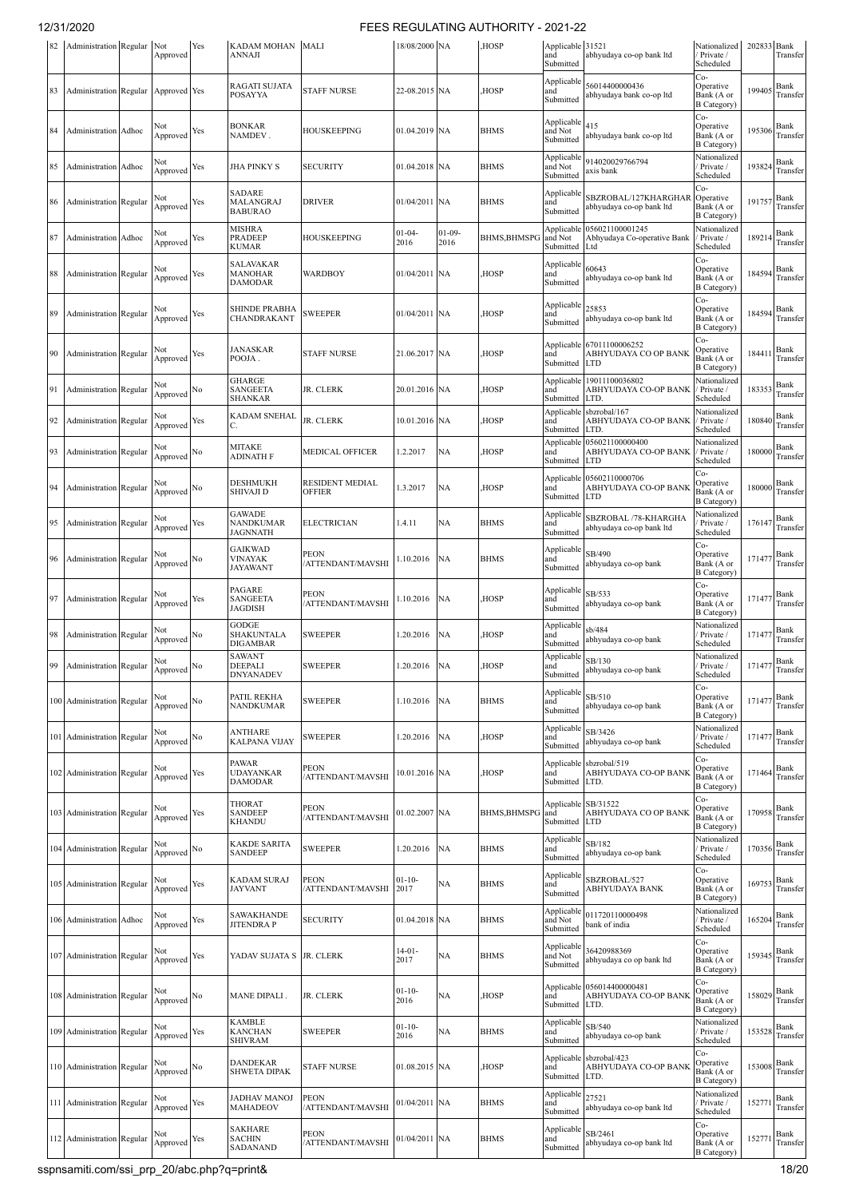| 82 | Administration Regular        |       | Not<br>Approved    | Yes | KADAM MOHAN MALI<br><b>ANNAJI</b>                   |                                  | 18/08/2000 NA       |                  | HOSP,               | Applicable 31521<br>and<br>Submitted    | abhyudaya co-op bank ltd                              | Nationalized<br>Private /<br>Scheduled                | 202833 Bank | Transfer                                     |
|----|-------------------------------|-------|--------------------|-----|-----------------------------------------------------|----------------------------------|---------------------|------------------|---------------------|-----------------------------------------|-------------------------------------------------------|-------------------------------------------------------|-------------|----------------------------------------------|
| 83 | Administration Regular        |       | Approved Yes       |     | RAGATI SUJATA<br><b>POSAYYA</b>                     | <b>STAFF NURSE</b>               | 22-08.2015 NA       |                  | HOSP,               | Applicable<br>and<br>Submitted          | 56014400000436<br>abhyudaya bank co-op ltd            | Co-<br>Operative<br>Bank (A or<br><b>B</b> Category)  | 199405      | Bank<br>Transfer                             |
| 84 | Administration                | Adhoc | Not<br>Approved    | Yes | <b>BONKAR</b><br>NAMDEV.                            | HOUSKEEPING                      | 01.04.2019 NA       |                  | <b>BHMS</b>         | Applicable 415<br>and Not<br>Submitted  | abhyudaya bank co-op ltd                              | $Co-$<br>Operative<br>Bank (A or<br><b>B</b> Category | 195306      | Bank<br>Transfer                             |
| 85 | Administration Adhoc          |       | Not<br>Approved    | Yes | JHA PINKY S                                         | SECURITY                         | 01.04.2018 NA       |                  | <b>BHMS</b>         | Applicable<br>and Not<br>Submitted      | 914020029766794<br>axis bank                          | Nationalized<br>Private /<br>Scheduled                | 193824      | Bank<br>Transfer                             |
| 86 | <b>Administration</b> Regular |       | Not<br>Approved    | Yes | SADARE<br>MALANGRAJ<br><b>BABURAO</b>               | <b>DRIVER</b>                    | 01/04/2011 NA       |                  | <b>BHMS</b>         | Applicable<br>and<br>Submitted          | SBZROBAL/127KHARGHAR<br>abhyudaya co-op bank ltd      | Co-<br>Operative<br>Bank (A or<br><b>B</b> Category   | 191757      | Bank<br>Transfer                             |
| 87 | Administration Adhoc          |       | Not<br>Approved    | Yes | MISHRA<br>PRADEEP<br>KUMAR                          | HOUSKEEPING                      | $01 - 04 -$<br>2016 | $01-09-$<br>2016 | <b>BHMS, BHMSPO</b> | Applicable<br>and Not<br>Submitted      | 056021100001245<br>Abhyudaya Co-operative Bank<br>Ltd | Nationalized<br>Private /<br>Scheduled                | 189214      | Bank<br>Transfer                             |
| 88 | Administration Regular        |       | Not<br>Approved    | Yes | SALAVAKAR<br>MANOHAR<br>DAMODAR                     | WARDBOY                          | 01/04/2011 NA       |                  | HOSP,               | Applicable<br>and<br>Submitted          | 60643<br>abhyudaya co-op bank ltd                     | Co-<br>Operative<br>Bank (A or<br><b>B</b> Category)  | 184594      | Bank<br>Transfer                             |
| 89 | Administration Regular        |       | Not<br>Approved    | Yes | SHINDE PRABHA<br>CHANDRAKANT                        | SWEEPER                          | 01/04/2011 NA       |                  | HOSP,               | Applicable<br>and<br>Submitted          | 25853<br>abhyudaya co-op bank ltd                     | Co-<br>Operative<br>Bank (A or<br><b>B</b> Category)  | 184594      | Bank<br>Transfer                             |
| 90 | Administration Regular        |       | Not<br>Approved    | Yes | <b>JANASKAR</b><br>POOJA.                           | STAFF NURSE                      | 21.06.2017 NA       |                  | <b>HOSP</b>         | Applicable<br>and<br>Submitted          | 67011100006252<br>ABHYUDAYA CO OP BANK<br><b>LTD</b>  | Co-<br>Operative<br>Bank (A or<br><b>B</b> Category)  | 184411      | Bank<br>Transfer                             |
| 91 | Administration Regular        |       | Not<br>Approved    | No  | GHARGE<br>SANGEETA<br><b>SHANKAR</b>                | JR. CLERK                        | 20.01.2016 NA       |                  | HOSP,               | Applicable<br>and<br>Submitted          | 19011100036802<br>ABHYUDAYA CO-OP BANK<br>LTD.        | Nationalized<br>Private /<br>Scheduled                | 183353      | Bank<br>Transfer                             |
| 92 | Administration Regular        |       | Not<br>Approved    | Yes | <b>KADAM SNEHAL</b>                                 | JR. CLERK                        | 10.01.2016 NA       |                  | HOSP,               | Applicable<br>and<br>Submitted          | sbzrobal/167<br>ABHYUDAYA CO-OP BANK<br>LTD.          | Nationalized<br>Private /<br>Scheduled                | 180840      | Bank<br>Transfer                             |
| 93 | Administration Regular        |       | Not<br>Approved    | No  | MITAKE<br>ADINATH F                                 | MEDICAL OFFICER                  | .2.2017             | NA               | HOSP,               | Applicable<br>and<br>Submitted          | 056021100000400<br>ABHYUDAYA CO-OP BANK<br><b>LTD</b> | Nationalized<br>Private /<br>Scheduled                | 180000      | Bank<br>Transfer                             |
| 94 | Administration Regular        |       | Not<br>Approved    | No  | DESHMUKH<br><b>SHIVAJI D</b>                        | RESIDENT MEDIAL<br>OFFIER        | .3.2017             | NA               | HOSP,               | Applicable<br>and<br>Submitted          | 05602110000706<br>ABHYUDAYA CO-OP BANK<br><b>LTD</b>  | Co-<br>Operative<br>Bank (A or<br><b>B</b> Category   | 180000      | Bank<br>Transfer                             |
| 95 | <b>Administration Regular</b> |       | Not<br>Approved    | Yes | <b>GAWADE</b><br><b>NANDKUMAR</b><br>IAGNNATH       | ELECTRICIAN                      | 1.4.11              | NA               | <b>BHMS</b>         | Applicable<br>and<br>Submitted          | SBZROBAL /78-KHARGHA<br>abhyudaya co-op bank ltd      | Nationalized<br>Private /<br>Scheduled                | 176147      | Bank<br>Transfer                             |
| 96 | Administration Regular        |       | Not<br>Approved    | No  | <b>GAIKWAD</b><br><b>VINAYAK</b><br><b>JAYAWANT</b> | <b>PEON</b><br>ATTENDANT/MAVSHI  | .10.2016            | NA               | <b>BHMS</b>         | Applicable<br>and<br>Submitted          | SB/490<br>abhyudaya co-op bank                        | Co-<br>Operative<br>Bank (A or<br><b>B</b> Category)  | 171477      | Bank<br>Transfer                             |
| 97 | Administration Regular        |       | Not<br>Approved    | Yes | PAGARE<br><b>SANGEETA</b><br>JAGDISH                | PEON<br>ATTENDANT/MAVSHI         | 1.10.2016           | NA               | HOSP,               | Applicable<br>and<br>Submitted          | SB/533<br>abhyudaya co-op bank                        | Co-<br>Operative<br>Bank (A or<br><b>B</b> Category   | 171477      | Bank<br>Transfer                             |
| 98 | Administration Regular        |       | Not<br>Approved    | No  | GODGE<br>SHAKUNTALA<br>DIGAMBAR                     | SWEEPER                          | 1.20.2016           | NA               | HOSP,               | Applicable<br>and<br>Submitted          | sb/484<br>abhyudaya co-op bank                        | Nationalized<br>Private /<br>Scheduled                | 171477      | Bank<br>Transfer                             |
| 99 | Administration Regular        |       | Not<br>Approved No |     | SAWANT<br><b>DEEPALI</b><br>DNYANADEV               | <b>SWEEPER</b>                   | 1.20.2016           | <b>NA</b>        | HOSP,               | Applicable<br>and<br>Submitted          | SB/130<br>abhyudaya co-op bank                        | Nationalized<br>Private /<br>Scheduled                |             | 171477 $\frac{\text{Bank}}{\text{Transfer}}$ |
|    | 100 Administration Regular    |       | Not<br>Approved    | No  | PATIL REKHA<br><b>NANDKUMAR</b>                     | <b>SWEEPER</b>                   | 1.10.2016           | NA               | <b>BHMS</b>         | Applicable<br>and<br>Submitted          | SB/510<br>abhyudaya co-op bank                        | Co-<br>Operative<br>Bank (A or<br><b>B</b> Category   | 171477      | Bank<br>Transfer                             |
|    | 101 Administration Regular    |       | Not<br>Approved    | No  | <b>ANTHARE</b><br>KALPANA VIJAY                     | SWEEPER                          | 1.20.2016           | <b>NA</b>        | HOSP,               | Applicable<br>and<br>Submitted          | SB/3426<br>abhyudaya co-op bank                       | Nationalized<br>Private /<br>Scheduled                | 171477      | Bank<br>Transfer                             |
|    | 102 Administration Regular    |       | Not<br>Approved    | Yes | PAWAR<br><b>UDAYANKAR</b><br><b>DAMODAR</b>         | <b>PEON</b><br>/ATTENDANT/MAVSHI | 10.01.2016 NA       |                  | HOSP,               | Applicable<br>and<br>Submitted          | sbzrobal/519<br>ABHYUDAYA CO-OP BANK<br>LTD.          | Co-<br>Operative<br>Bank (A or<br><b>B</b> Category)  | 171464      | Bank<br>Transfer                             |
|    | 103 Administration Regular    |       | Not<br>Approved    | Yes | <b>THORAT</b><br><b>SANDEEP</b><br><b>KHANDU</b>    | PEON<br>/ATTENDANT/MAVSHI        | 01.02.2007 NA       |                  | <b>BHMS, BHMSPG</b> | Applicable SB/31522<br>and<br>Submitted | ABHYUDAYA CO OP BANK<br><b>LTD</b>                    | Co-<br>Operative<br>Bank (A or<br><b>B</b> Category   | 170958      | Bank<br>Transfer                             |
|    | 104 Administration Regular    |       | Not<br>Approved    | No  | <b>KAKDE SARITA</b><br><b>SANDEEP</b>               | <b>SWEEPER</b>                   | 1.20.2016           | NA               | <b>BHMS</b>         | Applicable<br>and<br>Submitted          | SB/182<br>abhyudaya co-op bank                        | Nationalized<br>Private /<br>Scheduled                | 170356      | Bank<br>Transfer                             |
|    | 105 Administration Regular    |       | Not<br>Approved    | Yes | KADAM SURAJ<br><b>JAYVANT</b>                       | <b>PEON</b><br>/ATTENDANT/MAVSHI | $01 - 10 -$<br>2017 | NA               | <b>BHMS</b>         | Applicable<br>and<br>Submitted          | SBZROBAL/527<br>ABHYUDAYA BANK                        | Co-<br>Operative<br>Bank (A or<br><b>B</b> Category   | 169753      | Bank<br>Transfer                             |
|    | 106 Administration Adhoc      |       | Not<br>Approved    | Yes | SAWAKHANDE<br><b>JITENDRAP</b>                      | <b>SECURITY</b>                  | 01.04.2018 NA       |                  | <b>BHMS</b>         | Applicable<br>and Not<br>Submitted      | 011720110000498<br>bank of india                      | Nationalized<br>Private /<br>Scheduled                | 165204      | Bank<br>Transfer                             |
|    | 107 Administration Regular    |       | Not<br>Approved    | Yes | YADAV SUJATA S JR. CLERK                            |                                  | $14 - 01 -$<br>2017 | NA               | <b>BHMS</b>         | Applicable<br>and Not<br>Submitted      | 36420988369<br>abhyudaya co op bank ltd               | Co-<br>Operative<br>Bank (A or<br><b>B</b> Category)  | 159345      | Bank<br>Transfer                             |
|    | 108 Administration Regular    |       | Not<br>Approved    | No  | MANE DIPALI.                                        | JR. CLERK                        | $01 - 10 -$<br>2016 | NA               | <b>HOSP</b>         | Applicable<br>and<br>Submitted          | 056014400000481<br>ABHYUDAYA CO-OP BANK<br>LTD.       | Co-<br>Operative<br>Bank (A or<br><b>B</b> Category   | 158029      | Bank<br>Transfer                             |
|    | 109 Administration Regular    |       | Not<br>Approved    | Yes | <b>KAMBLE</b><br><b>KANCHAN</b><br>SHIVRAM          | <b>SWEEPER</b>                   | $01 - 10 -$<br>2016 | NA               | <b>BHMS</b>         | Applicable<br>and<br>Submitted          | SB/540<br>abhyudaya co-op bank                        | Nationalized<br>Private /<br>Scheduled                | 153528      | Bank<br>Transfer                             |
|    | 110 Administration Regular    |       | Not<br>Approved    | No  | DANDEKAR<br><b>SHWETA DIPAK</b>                     | <b>STAFF NURSE</b>               | 01.08.2015 NA       |                  | HOSP,               | Applicable<br>and<br>Submitted          | sbzrobal/423<br>ABHYUDAYA CO-OP BANK<br>LTD.          | Co-<br>Operative<br>Bank (A or<br><b>B</b> Category)  | 153008      | Bank<br>Transfer                             |
|    | 111 Administration Regular    |       | Not<br>Approved    | Yes | <b>JADHAV MANOJ</b><br>MAHADEOV                     | PEON<br>'ATTENDANT/MAVSHI        | 01/04/2011 NA       |                  | <b>BHMS</b>         | Applicable<br>and<br>Submitted          | 27521<br>abhyudaya co-op bank ltd                     | Nationalized<br>Private /<br>Scheduled                | 152771      | Bank<br>Transfer                             |
|    | 112 Administration Regular    |       | Approved           | Yes | SAKHARE<br><b>SACHIN</b><br>SADANAND                | <b>PEON</b><br>/ATTENDANT/MAVSHI | 01/04/2011 NA       |                  | <b>BHMS</b>         | Applicable<br>and<br>Submitted          | SB/2461<br>abhyudaya co-op bank ltd                   | Co-<br>Operative<br>Bank (A or<br><b>B</b> Category)  | 152771      | Bank<br>Transfer                             |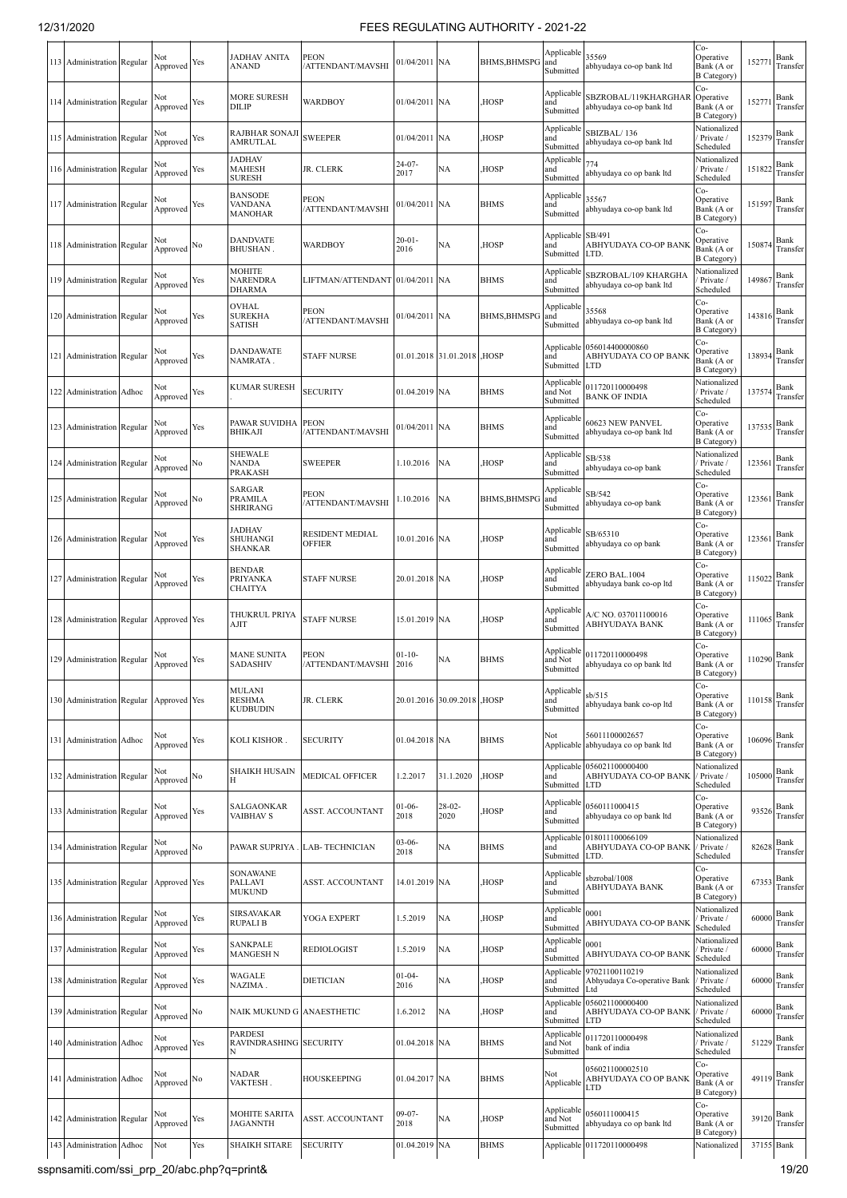| 113 Administration Regular |       | Not<br>Approved | Yes | JADHAV ANITA<br>ANAND                           | PEON<br>/ATTENDANT/MAVSHI               | 01/04/2011 NA       |                            | BHMS, BHMSPG        | Applicable<br>and<br>Submitted     | 35569<br>abhyudaya co-op bank ltd                                | Co-<br>Operative<br>Bank (A or<br><b>B</b> Category) | 15277      | Bank<br>Transfer |
|----------------------------|-------|-----------------|-----|-------------------------------------------------|-----------------------------------------|---------------------|----------------------------|---------------------|------------------------------------|------------------------------------------------------------------|------------------------------------------------------|------------|------------------|
| 114 Administration Regular |       | Not<br>Approved | Yes | <b>MORE SURESH</b><br>DILIP                     | <b>WARDBOY</b>                          | 01/04/2011 NA       |                            | HOSP,               | Applicable<br>and<br>Submitted     | SBZROBAL/119KHARGHAR<br>abhyudaya co-op bank ltd                 | Co-<br>Operative<br>Bank (A or<br><b>B</b> Category) | 152771     | Bank<br>Transfer |
| 115 Administration Regular |       | Not<br>Approved | Yes | RAJBHAR SONAJI<br>AMRUTLAL                      | <b>SWEEPER</b>                          | 01/04/2011 NA       |                            | HOSP,               | Applicable<br>and<br>Submitted     | SBIZBAL/136<br>abhyudaya co-op bank ltd                          | Nationalized<br>Private /<br>Scheduled               | 152379     | Bank<br>Transfer |
| 116 Administration Regular |       | Not<br>Approved | Yes | <b>JADHAV</b><br><b>MAHESH</b><br><b>SURESH</b> | JR. CLERK                               | $24 - 07 -$<br>2017 | NA                         | HOSP,               | Applicable<br>and<br>Submitted     | 774<br>abhyudaya co op bank ltd                                  | Nationalized<br>Private /<br>Scheduled               | 151822     | Bank<br>Transfer |
| 117 Administration Regular |       | Not<br>Approved | Yes | <b>BANSODE</b><br>VANDANA<br><b>MANOHAR</b>     | <b>PEON</b><br>/ATTENDANT/MAVSHI        | 01/04/2011 NA       |                            | <b>BHMS</b>         | Applicable<br>and<br>Submitted     | 35567<br>abhyudaya co-op bank ltd                                | Co-<br>Operative<br>Bank (A or<br>B Category)        | 151597     | Bank<br>Transfer |
| 118 Administration Regular |       | Not<br>Approved | No  | <b>DANDVATE</b><br><b>BHUSHAN</b>               | <b>WARDBOY</b>                          | $20 - 01 -$<br>2016 | NA                         | HOSP,               | Applicable<br>and<br>Submitted     | SB/491<br>ABHYUDAYA CO-OP BANK<br>LTD.                           | Co-<br>Operative<br>Bank (A or<br><b>B</b> Category) | 150874     | Bank<br>Transfer |
| 119 Administration Regular |       | Not<br>Approved | Yes | MOHITE<br>NARENDRA<br>DHARMA                    | LIFTMAN/ATTENDANT                       | 01/04/2011 NA       |                            | <b>BHMS</b>         | Applicable<br>and<br>Submitted     | SBZROBAL/109 KHARGHA<br>abhyudaya co-op bank ltd                 | Nationalized<br>Private /<br>Scheduled               | 149867     | Bank<br>Transfer |
| 120 Administration Regular |       | Not<br>Approved | Yes | OVHAL<br><b>SUREKHA</b><br>SATISH               | <b>PEON</b><br>/ATTENDANT/MAVSHI        | 01/04/2011 NA       |                            | <b>BHMS, BHMSPG</b> | Applicable<br>and<br>Submitted     | 35568<br>abhyudaya co-op bank ltd                                | Co-<br>Operative<br>Bank (A or<br><b>B</b> Category) | 143816     | Bank<br>Transfer |
| 121 Administration Regular |       | Not<br>Approved | Yes | <b>DANDAWATE</b><br>NAMRATA .                   | <b>STAFF NURSE</b>                      |                     | 01.01.2018 31.01.2018 HOSP |                     | and<br>Submitted                   | Applicable 056014400000860<br>ABHYUDAYA CO OP BANK<br><b>LTD</b> | Co-<br>Operative<br>Bank (A or<br><b>B</b> Category) | 138934     | Bank<br>Transfer |
| 122 Administration         | Adhoc | Not<br>Approved | Yes | <b>KUMAR SURESH</b>                             | <b>SECURITY</b>                         | 01.04.2019 NA       |                            | <b>BHMS</b>         | Applicabl<br>and Not<br>Submitted  | 011720110000498<br><b>BANK OF INDIA</b>                          | Nationalized<br>Private /<br>Scheduled               | 137574     | Bank<br>Transfer |
| 123 Administration Regular |       | Not<br>Approved | Yes | PAWAR SUVIDHA PEON<br><b>BHIKAJI</b>            | /ATTENDANT/MAVSHI                       | 01/04/2011 NA       |                            | <b>BHMS</b>         | Applicabl<br>and<br>Submitted      | 60623 NEW PANVEL<br>abhyudaya co-op bank ltd                     | Co-<br>Operative<br>Bank (A or<br><b>B</b> Category  | 137535     | Bank<br>Transfer |
| 124 Administration Regular |       | Not<br>Approved | No  | <b>SHEWALE</b><br>NANDA<br>PRAKASH              | <b>SWEEPER</b>                          | 1.10.2016           | <b>NA</b>                  | HOSP,               | Applicable<br>and<br>Submitted     | SB/538<br>abhyudaya co-op bank                                   | Nationalized<br>Private /<br>Scheduled               | 123561     | Bank<br>Transfer |
| 125 Administration Regular |       | Not<br>Approved | No  | SARGAR<br>PRAMILA<br>SHRIRANG                   | <b>PEON</b><br>/ATTENDANT/MAVSHI        | 1.10.2016           | <b>NA</b>                  | BHMS, BHMSPG        | Applicable<br>and<br>Submitted     | SB/542<br>abhyudaya co-op bank                                   | Co-<br>Operative<br>Bank (A or<br>B Category)        | 123561     | Bank<br>Transfer |
| 126 Administration Regular |       | Not<br>Approved | Yes | <b>JADHAV</b><br>SHUHANGI<br><b>SHANKAR</b>     | <b>RESIDENT MEDIAL</b><br><b>OFFIER</b> | 10.01.2016 NA       |                            | HOSP,               | Applicable<br>and<br>Submitted     | SB/65310<br>abhyudaya co op bank                                 | Co-<br>Operative<br>Bank (A or<br>B Category)        | 123561     | Bank<br>Transfer |
| 127 Administration Regular |       | Not<br>Approved | Yes | <b>BENDAR</b><br>PRIYANKA<br>CHAITYA            | <b>STAFF NURSE</b>                      | 20.01.2018 NA       |                            | HOSP,               | Applicabl<br>and<br>Submitted      | ZERO BAL.1004<br>abhyudaya bank co-op ltd                        | Co-<br>Operative<br>Bank (A or<br><b>B</b> Category) | 115022     | Bank<br>Transfer |
| 128 Administration Regular |       | Approved Yes    |     | THUKRUL PRIYA<br>AJIT                           | <b>STAFF NURSE</b>                      | 15.01.2019 NA       |                            | HOSP,               | Applicable<br>and<br>Submitted     | A/C NO. 037011100016<br>ABHYUDAYA BANK                           | Co-<br>Operative<br>Bank (A or<br><b>B</b> Category) | 111065     | Bank<br>Transfer |
| 129 Administration Regular |       | Not<br>Approved | Yes | <b>MANE SUNITA</b><br><b>SADASHIV</b>           | PEON<br>/ATTENDANT/MAVSHI               | $01 - 10 -$<br>2016 | NA                         | <b>BHMS</b>         | Applicable<br>and Not<br>Submitted | 011720110000498<br>abhyudaya co op bank ltd                      | Co-<br>Operative<br>Bank (A or<br><b>B</b> Category) | 110290     | Bank<br>Transfer |
| 130 Administration Regular |       | Approved Yes    |     | MULANI<br><b>RESHMA</b><br><b>KUDBUDIN</b>      | JR. CLERK                               |                     | 20.01.2016 30.09.2018      | <b>HOSP</b>         | Applicable<br>and<br>Submitted     | sb/515<br>abhyudaya bank co-op ltd                               | Co-<br>Operative<br>Bank (A or<br>B Category)        | 110158     | Bank<br>Transfer |
| 131 Administration Adhoc   |       | Not<br>Approved | Yes | KOLI KISHOR.                                    | <b>SECURITY</b>                         | 01.04.2018 NA       |                            | <b>BHMS</b>         | Not                                | 56011100002657<br>Applicable abhyudaya co op bank ltd            | Co-<br>Operative<br>Bank (A or<br><b>B</b> Category  | 106096     | Bank<br>Transfer |
| 132 Administration Regular |       | Not<br>Approved | No  | <b>SHAIKH HUSAIN</b><br>Н                       | <b>MEDICAL OFFICER</b>                  | 1.2.2017            | 31.1.2020                  | HOSP,               | Applicable<br>and<br>Submitted     | 056021100000400<br>ABHYUDAYA CO-OP BANK<br><b>LTD</b>            | Nationalized<br>/ Private /<br>Scheduled             | 105000     | Bank<br>Transfer |
| 133 Administration Regular |       | Not<br>Approved | Yes | SALGAONKAR<br><b>VAIBHAV S</b>                  | <b>ASST. ACCOUNTANT</b>                 | $01-06-$<br>2018    | $28-02-$<br>2020           | HOSP,               | Applicabl<br>and<br>Submitted      | 0560111000415<br>abhyudaya co op bank ltd                        | Co-<br>Operative<br>Bank (A or<br><b>B</b> Category) | 93526      | Bank<br>Transfer |
| 134 Administration Regular |       | Not<br>Approved | No  | PAWAR SUPRIYA                                   | <b>LAB-TECHNICIAN</b>                   | $03-06-$<br>2018    | NA                         | <b>BHMS</b>         | and<br>Submitted                   | Applicable 018011100066109<br>ABHYUDAYA CO-OP BANK<br>LTD.       | Nationalized<br>Private /<br>Scheduled               | 82628      | Bank<br>Transfer |
| 135 Administration Regular |       | Approved Yes    |     | <b>SONAWANE</b><br>PALLAVI<br><b>MUKUND</b>     | ASST. ACCOUNTANT                        | 14.01.2019 NA       |                            | HOSP,               | Applicable<br>and<br>Submitted     | sbzrobal/1008<br>ABHYUDAYA BANK                                  | Co-<br>Operative<br>Bank (A or<br><b>B</b> Category) | 67353      | Bank<br>Transfer |
| 136 Administration Regular |       | Not<br>Approved | Yes | SIRSAVAKAR<br><b>RUPALI B</b>                   | YOGA EXPERT                             | 1.5.2019            | <b>NA</b>                  | HOSP,               | Applicable<br>and<br>Submitted     | 0001<br>ABHYUDAYA CO-OP BANK                                     | Nationalized<br>Private /<br>Scheduled               | 60000      | Bank<br>Transfer |
| 137 Administration Regular |       | Not<br>Approved | Yes | SANKPALE<br><b>MANGESH N</b>                    | <b>REDIOLOGIST</b>                      | 1.5.2019            | NA                         | HOSP,               | Applicable<br>and<br>Submitted     | 0001<br>ABHYUDAYA CO-OP BANK                                     | Nationalized<br>Private /<br>Scheduled               | 60000      | Bank<br>Transfer |
| 138 Administration Regular |       | Not<br>Approved | Yes | WAGALE<br>NAZIMA.                               | <b>DIETICIAN</b>                        | $01 - 04 -$<br>2016 | NA                         | HOSP,               | Applicable<br>and<br>Submitted     | 97021100110219<br>Abhyudaya Co-operative Bank<br>Ltd             | Nationalized<br>Private /<br>Scheduled               | 60000      | Bank<br>Transfer |
| 139 Administration Regular |       | Not<br>Approved | No  | NAIK MUKUND G ANAESTHETIC                       |                                         | 1.6.2012            | NA                         | HOSP,               | Applicable<br>and<br>Submitted     | 056021100000400<br>ABHYUDAYA CO-OP BANK<br>LTD                   | Nationalized<br>Private /<br>Scheduled               | 60000      | Bank<br>Transfer |
| 140 Administration Adhoc   |       | Not<br>Approved | Yes | <b>PARDESI</b><br>RAVINDRASHING SECURITY        |                                         | 01.04.2018 NA       |                            | <b>BHMS</b>         | Applicable<br>and Not<br>Submitted | 011720110000498<br>bank of india                                 | Nationalized<br>Private /<br>Scheduled               | 51229      | Bank<br>Transfer |
| 141 Administration Adhoc   |       | Not<br>Approved | No  | <b>NADAR</b><br>VAKTESH.                        | <b>HOUSKEEPING</b>                      | 01.04.2017 NA       |                            | <b>BHMS</b>         | Not<br>Applicable                  | 056021100002510<br>ABHYUDAYA CO OP BANK<br>LTD                   | Co-<br>Operative<br>Bank (A or<br><b>B</b> Category) | 49119      | Bank<br>Transfer |
| 142 Administration Regular |       | Not<br>Approved | Yes | <b>MOHITE SARITA</b><br>JAGANNTH                | <b>ASST. ACCOUNTANT</b>                 | 09-07-<br>2018      | NA                         | HOSP,               | Applicable<br>and Not<br>Submitted | 0560111000415<br>abhyudaya co op bank ltd                        | Co-<br>Operative<br>Bank (A or<br><b>B</b> Category  | 39120      | Bank<br>Transfer |
| 143 Administration         | Adhoc | Not             | Yes | <b>SHAIKH SITARE</b>                            | <b>SECURITY</b>                         | 01.04.2019 NA       |                            | <b>BHMS</b>         |                                    | Applicable 011720110000498                                       | Nationalized                                         | 37155 Bank |                  |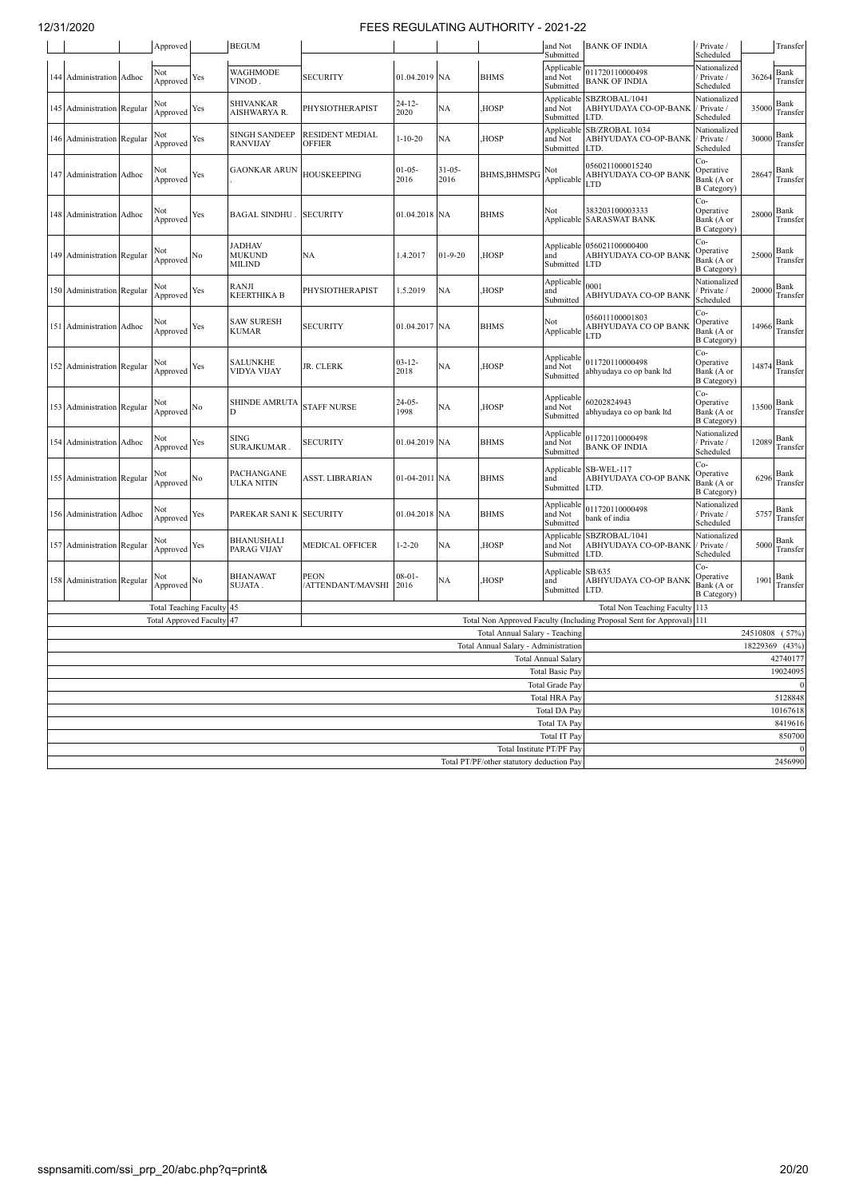| <b>BEGUM</b><br>Approved   |       |                               |     |                                                 | and Not<br>Submitted             | <b>BANK OF INDIA</b> | Private /<br>Scheduled |                                                                        | Transfer                                         |                                                                                                                                  |                                                        |          |                  |  |  |
|----------------------------|-------|-------------------------------|-----|-------------------------------------------------|----------------------------------|----------------------|------------------------|------------------------------------------------------------------------|--------------------------------------------------|----------------------------------------------------------------------------------------------------------------------------------|--------------------------------------------------------|----------|------------------|--|--|
| 144 Administration         | Adhoc | Not<br>Approved               | Yes | <b>WAGHMODE</b><br>VINOD.                       | <b>SECURITY</b>                  | 01.04.2019 NA        |                        | <b>BHMS</b>                                                            | Applicable<br>and Not<br>Submitted               | 011720110000498<br><b>BANK OF INDIA</b>                                                                                          | Nationalized<br>Private /<br>Scheduled                 | 36264    | Bank<br>Transfer |  |  |
| 145 Administration Regular |       | Not<br>Approved               | Yes | <b>SHIVANKAR</b><br>AISHWARYA R.                | PHYSIOTHERAPIST                  | $24 - 12 -$<br>2020  | NA                     | HOSP.                                                                  | Applicable<br>and Not<br>Submitted               | SBZROBAL/1041<br>ABHYUDAYA CO-OP-BANK<br>LTD.                                                                                    | Nationalized<br>Private /<br>Scheduled                 | 35000    | Bank<br>Transfer |  |  |
| 146 Administration Regular |       | √ot<br>Approved               | Yes | <b>SINGH SANDEEP</b><br><b>RANVIJAY</b>         | <b>RESIDENT MEDIAL</b><br>OFFIER | $1 - 10 - 20$        | NA                     | <b>HOSP</b>                                                            | Applicable<br>and Not<br>Submitted               | SB/ZROBAL 1034<br>ABHYUDAYA CO-OP-BANK<br>LTD.                                                                                   | Nationalized<br>Private /<br>Scheduled                 | 30000    | Bank<br>Transfer |  |  |
| 147 Administration         | Adhoc | √ot<br>Approved               | Yes | <b>GAONKAR ARUN</b>                             | <b>HOUSKEEPING</b>               | $01 - 05 -$<br>2016  | $31 - 05 -$<br>2016    | <b>BHMS, BHMSPG</b>                                                    | Not<br>Applicable                                | 0560211000015240<br>ABHYUDAYA CO-OP BANK<br>LTD                                                                                  | Co-<br>Operative<br>Bank (A or<br><b>B</b> Category)   | 28647    | Bank<br>Transfer |  |  |
| 148 Administration         | Adhoc | Not<br>Approved               | Yes | <b>BAGAL SINDHU</b>                             | <b>SECURITY</b>                  | 01.04.2018 NA        |                        | <b>BHMS</b>                                                            | Not                                              | 383203100003333<br>Applicable SARASWAT BANK                                                                                      | Co-<br>Operative<br>Bank (A or<br><b>B</b> Category)   | 28000    | Bank<br>Transfer |  |  |
| 149 Administration Regular |       | Not<br>Approved               | No  | <b>JADHAV</b><br><b>MUKUND</b><br><b>MILIND</b> | <b>NA</b>                        | 1.4.2017             | $01 - 9 - 20$          | HOSP.                                                                  | and<br>Submitted                                 | Applicable 056021100000400<br>ABHYUDAYA CO-OP BANK<br><b>LTD</b>                                                                 | Co-<br>Operative<br>Bank (A or<br><b>B</b> Category)   | 25000    | Bank<br>Transfer |  |  |
| 150 Administration Regular |       | √ot<br>Approved               | Yes | RANJI<br><b>KEERTHIKA B</b>                     | PHYSIOTHERAPIST                  | 1.5.2019             | NA                     | HOSP,                                                                  | Applicable<br>and<br>Submitted                   | 0001<br>ABHYUDAYA CO-OP BANK                                                                                                     | Nationalized<br>Private /<br>Scheduled                 | 20000    | Bank<br>Transfer |  |  |
| 151 Administration         | Adhoc | √ot<br>Approved               | Yes | <b>SAW SURESH</b><br><b>KUMAR</b>               | <b>SECURITY</b>                  | 01.04.2017 NA        |                        | <b>BHMS</b>                                                            | Not<br>Applicable                                | 056011100001803<br>ABHYUDAYA CO OP BANK<br>LTD                                                                                   | $Co-$<br>Operative<br>Bank (A or<br><b>B</b> Category) | 14966    | Bank<br>Transfer |  |  |
| 152 Administration Regular |       | √ot<br>Approved               | Yes | SALUNKHE<br>VIDYA VIJAY                         | JR. CLERK                        | $03 - 12 -$<br>2018  | NA                     | HOSP <sub></sub>                                                       | Applicable<br>and Not<br>Submitted               | Co-<br>011720110000498<br>Operative<br>Bank<br>14874<br>Bank (A or<br>abhyudaya co op bank ltd<br>Transfer<br><b>B</b> Category) |                                                        |          |                  |  |  |
| 153 Administration Regular |       | Not<br>Approved No            |     | <b>SHINDE AMRUTA</b><br>D                       | <b>STAFF NURSE</b>               | $24 - 05 -$<br>1998  | NA                     | HOSP,                                                                  | Applicable<br>and Not<br>Submitted               | Co-<br>60202824943<br>Operative<br>Bank<br>13500<br>Bank (A or<br>abhyudaya co op bank ltd<br>Transfer<br><b>B</b> Category)     |                                                        |          |                  |  |  |
| 154 Administration         | Adhoc | Not<br>Approved               | Yes | <b>SING</b><br>SURAJKUMAR.                      | <b>SECURITY</b>                  | 01.04.2019 NA        |                        | <b>BHMS</b>                                                            | Applicable<br>and Not<br>Submitted               | 011720110000498<br><b>BANK OF INDIA</b>                                                                                          | Nationalized<br>Private /<br>Scheduled                 | 12089    | Bank<br>Transfer |  |  |
| 155 Administration Regular |       | √ot<br>Approved No            |     | PACHANGANE<br>ULKA NITIN                        | ASST. LIBRARIAN                  | 01-04-2011 NA        |                        | <b>BHMS</b>                                                            | and<br>Submitted                                 | Applicable SB-WEL-117<br>ABHYUDAYA CO-OP BANK<br>LTD.                                                                            | Co-<br>Operative<br>Bank (A or<br><b>B</b> Category)   | 6296     | Bank<br>Transfer |  |  |
| 156 Administration         | Adhoc | Not<br>Approved               | Yes | PAREKAR SANI K                                  | <b>SECURITY</b>                  | 01.04.2018 NA        |                        | <b>BHMS</b>                                                            | Applicable<br>and Not<br>Submitted               | 011720110000498<br>bank of india                                                                                                 | Nationalized<br>Private /<br>Scheduled                 | 5757     | Bank<br>Transfer |  |  |
| 157 Administration Regular |       | Not<br>Approved               | Yes | <b>BHANUSHALI</b><br>PARAG VIJAY                | MEDICAL OFFICER                  | $1 - 2 - 20$         | <b>NA</b>              | HOSP.                                                                  | Applicable<br>and Not<br>Submitted               | SBZROBAL/1041<br>ABHYUDAYA CO-OP-BANK<br>LTD.                                                                                    | Nationalized<br>Private /<br>Scheduled                 | 5000     | Bank<br>Transfer |  |  |
| 158 Administration Regular |       | √ot<br>Approved               | No  | <b>BHANAWAT</b><br>SUJATA .                     | <b>PEON</b><br>/ATTENDANT/MAVSHI | $08 - 01 -$<br>2016  | NA                     | HOSP <sub>.</sub>                                                      | Applicable<br>and<br>Submitted                   | SB/635<br>ABHYUDAYA CO-OP BANK<br>LTD.                                                                                           | Co-<br>Operative<br>Bank (A or<br><b>B</b> Category)   | 1901     | Bank<br>Transfer |  |  |
|                            |       | <b>Total Teaching Faculty</b> |     | 45<br>47                                        |                                  |                      |                        |                                                                        |                                                  | <b>Total Non Teaching Faculty</b>                                                                                                | 113<br>111                                             |          |                  |  |  |
|                            |       | <b>Total Approved Faculty</b> |     |                                                 |                                  |                      |                        | Total Annual Salary - Teaching                                         |                                                  | Total Non Approved Faculty (Including Proposal Sent for Approval)                                                                |                                                        | 24510808 | (57%)            |  |  |
|                            |       |                               |     |                                                 |                                  |                      |                        | Total Annual Salary - Administration                                   |                                                  |                                                                                                                                  |                                                        | 18229369 | (43%             |  |  |
|                            |       |                               |     |                                                 |                                  |                      |                        |                                                                        | <b>Total Annual Salary</b>                       |                                                                                                                                  |                                                        |          | 42740177         |  |  |
|                            |       |                               |     |                                                 |                                  |                      |                        |                                                                        | <b>Total Basic Pay</b><br><b>Total Grade Pay</b> |                                                                                                                                  |                                                        |          | 19024095         |  |  |
|                            |       |                               |     |                                                 |                                  |                      |                        |                                                                        | <b>Total HRA Pay</b>                             |                                                                                                                                  |                                                        |          | 5128848          |  |  |
|                            |       |                               |     |                                                 |                                  |                      |                        |                                                                        | <b>Total DA Pay</b>                              |                                                                                                                                  |                                                        |          | 10167618         |  |  |
|                            |       |                               |     |                                                 |                                  |                      |                        |                                                                        | Total TA Pay                                     |                                                                                                                                  |                                                        |          | 8419616          |  |  |
|                            |       |                               |     |                                                 |                                  |                      |                        |                                                                        | <b>Total IT Pay</b>                              |                                                                                                                                  |                                                        |          | 850700           |  |  |
|                            |       |                               |     |                                                 |                                  |                      |                        | Total Institute PT/PF Pay<br>Total PT/PF/other statutory deduction Pay |                                                  |                                                                                                                                  |                                                        |          | 2456990          |  |  |
|                            |       |                               |     |                                                 |                                  |                      |                        |                                                                        |                                                  |                                                                                                                                  |                                                        |          |                  |  |  |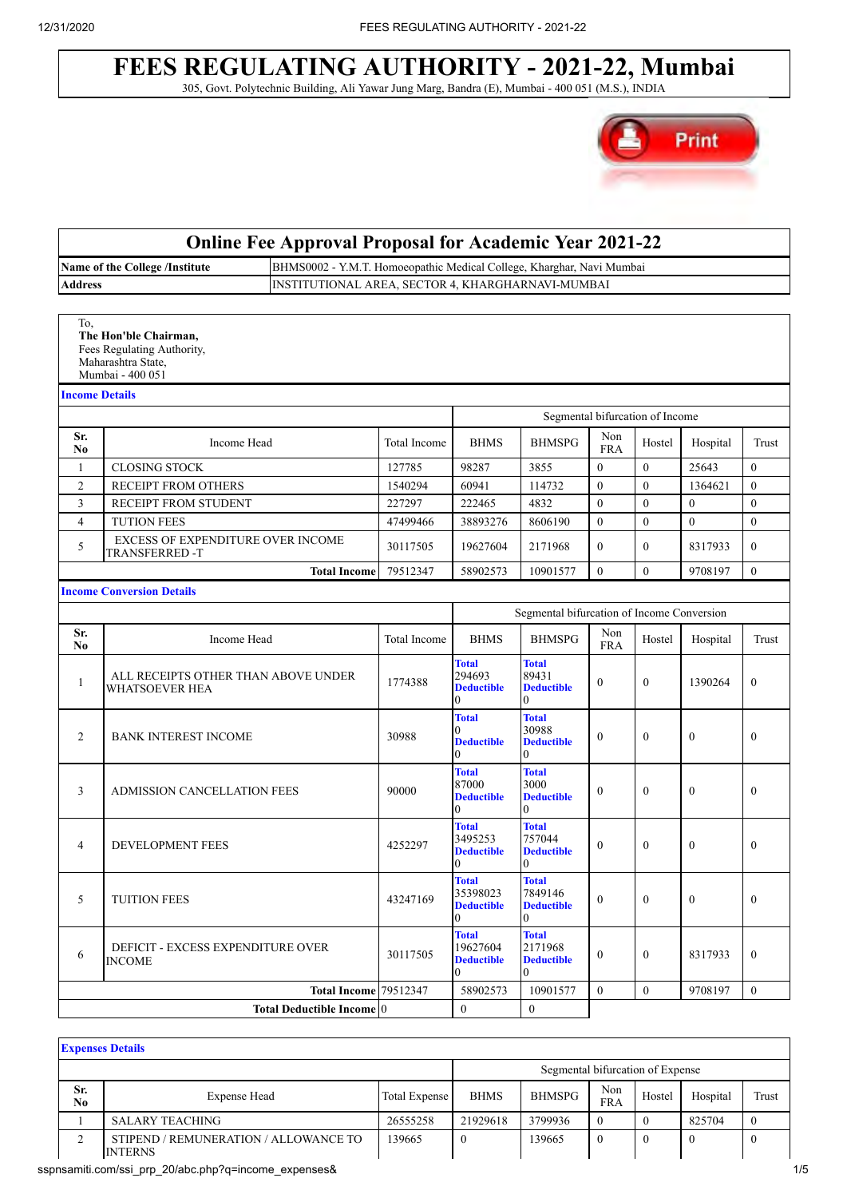### **FEES REGULATING AUTHORITY - 2021-22, Mumbai** 305, Govt. Polytechnic Building, Ali Yawar Jung Marg, Bandra (E), Mumbai - 400 051 (M.S.), INDIA



|                       |                                                                                               | <b>Online Fee Approval Proposal for Academic Year 2021-22</b>         |                     |                                                                                                                                    |                                                               |                   |                                 |              |                  |
|-----------------------|-----------------------------------------------------------------------------------------------|-----------------------------------------------------------------------|---------------------|------------------------------------------------------------------------------------------------------------------------------------|---------------------------------------------------------------|-------------------|---------------------------------|--------------|------------------|
|                       | Name of the College /Institute                                                                | BHMS0002 - Y.M.T. Homoeopathic Medical College, Kharghar, Navi Mumbai |                     |                                                                                                                                    |                                                               |                   |                                 |              |                  |
| Address               |                                                                                               | INSTITUTIONAL AREA, SECTOR 4, KHARGHARNAVI-MUMBAI                     |                     |                                                                                                                                    |                                                               |                   |                                 |              |                  |
| To,                   | The Hon'ble Chairman,<br>Fees Regulating Authority,<br>Maharashtra State,<br>Mumbai - 400 051 |                                                                       |                     |                                                                                                                                    |                                                               |                   |                                 |              |                  |
|                       | <b>Income Details</b>                                                                         |                                                                       |                     |                                                                                                                                    |                                                               |                   |                                 |              |                  |
|                       |                                                                                               |                                                                       |                     |                                                                                                                                    |                                                               |                   | Segmental bifurcation of Income |              |                  |
| Sr.<br>No             | Income Head                                                                                   |                                                                       | <b>Total Income</b> | <b>BHMS</b>                                                                                                                        | <b>BHMSPG</b>                                                 | Non<br><b>FRA</b> | Hostel                          | Hospital     | Trust            |
| 1                     | <b>CLOSING STOCK</b>                                                                          |                                                                       | 127785              | 98287                                                                                                                              | 3855                                                          | $\mathbf{0}$      | $\mathbf{0}$                    | 25643        | $\mathbf{0}$     |
| $\overline{c}$        | RECEIPT FROM OTHERS                                                                           |                                                                       | 1540294             | 60941                                                                                                                              | 114732                                                        | $\theta$          | $\mathbf{0}$                    | 1364621      | $\theta$         |
| 3                     | RECEIPT FROM STUDENT                                                                          |                                                                       | 227297              | 222465                                                                                                                             | 4832                                                          | $\mathbf{0}$      | $\mathbf{0}$                    | $\theta$     | $\theta$         |
| $\overline{4}$        | <b>TUTION FEES</b>                                                                            |                                                                       | 47499466            | 38893276                                                                                                                           | 8606190                                                       | $\mathbf{0}$      | $\mathbf{0}$                    | $\Omega$     | $\mathbf{0}$     |
| 5                     | EXCESS OF EXPENDITURE OVER INCOME<br><b>TRANSFERRED -T</b>                                    |                                                                       | 30117505            | 19627604                                                                                                                           | 2171968                                                       | $\mathbf{0}$      | $\overline{0}$                  | 8317933      | $\mathbf{0}$     |
|                       |                                                                                               | <b>Total Income</b>                                                   | 79512347            | 58902573                                                                                                                           | 10901577                                                      | $\theta$          | $\overline{0}$                  | 9708197      | $\theta$         |
|                       | <b>Income Conversion Details</b>                                                              |                                                                       |                     |                                                                                                                                    |                                                               |                   |                                 |              |                  |
|                       |                                                                                               |                                                                       |                     |                                                                                                                                    | Segmental bifurcation of Income Conversion                    |                   |                                 |              |                  |
| Sr.<br>N <sub>0</sub> | Income Head                                                                                   |                                                                       | <b>Total Income</b> | <b>BHMS</b>                                                                                                                        | <b>BHMSPG</b>                                                 | Non<br><b>FRA</b> | Hostel                          | Hospital     | Trust            |
| $\mathbf{1}$          | ALL RECEIPTS OTHER THAN ABOVE UNDER<br>WHATSOEVER HEA                                         |                                                                       | 1774388             | <b>Total</b><br>294693<br><b>Deductible</b><br>$\mathbf{0}$                                                                        | <b>Total</b><br>89431<br><b>Deductible</b><br>$\theta$        | $\mathbf{0}$      | $\boldsymbol{0}$                | 1390264      | $\mathbf{0}$     |
| 2                     | <b>BANK INTEREST INCOME</b>                                                                   |                                                                       | 30988               | <b>Total</b><br>0<br><b>Deductible</b><br>0                                                                                        | <b>Total</b><br>30988<br><b>Deductible</b><br>0               | $\mathbf{0}$      | $\mathbf{0}$                    | $\mathbf{0}$ | $\mathbf{0}$     |
| 3                     | <b>ADMISSION CANCELLATION FEES</b>                                                            |                                                                       | 90000               | <b>Total</b><br>87000<br><b>Deductible</b><br>$\boldsymbol{0}$                                                                     | <b>Total</b><br>3000<br><b>Deductible</b><br>$\boldsymbol{0}$ | $\mathbf{0}$      | $\overline{0}$                  | $\mathbf{0}$ | $\mathbf{0}$     |
| 4                     | <b>DEVELOPMENT FEES</b>                                                                       |                                                                       | 4252297             | <b>Total</b><br>3495253<br><b>Deductible</b><br>0                                                                                  | <b>Total</b><br>757044<br><b>Deductible</b><br>0              | $\mathbf{0}$      | $\boldsymbol{0}$                | $\mathbf{0}$ | $\boldsymbol{0}$ |
| 5                     | <b>TUITION FEES</b>                                                                           |                                                                       | 43247169            | <b>Total</b><br><b>Total</b><br>35398023<br>7849146<br>$\mathbf{0}$<br><b>Deductible</b><br><b>Deductible</b><br>$\mathbf{0}$<br>0 |                                                               |                   | $\boldsymbol{0}$                | $\mathbf{0}$ | $\mathbf{0}$     |
| 6                     | <b>DEFICIT - EXCESS EXPENDITURE OVER</b><br><b>INCOME</b>                                     |                                                                       | 30117505            | <b>Total</b><br>19627604<br><b>Deductible</b><br>$\theta$                                                                          | <b>Total</b><br>2171968<br><b>Deductible</b><br>$\Omega$      | $\Omega$          | $\mathbf{0}$                    | 8317933      | $\mathbf{0}$     |
|                       |                                                                                               | <b>Total Income 79512347</b>                                          |                     | 58902573                                                                                                                           | 10901577                                                      | $\theta$          | $\boldsymbol{0}$                | 9708197      | $\mathbf{0}$     |
|                       |                                                                                               | Total Deductible Income <sup>0</sup>                                  |                     | $\bf{0}$                                                                                                                           | $\boldsymbol{0}$                                              |                   |                                 |              |                  |

|                       | <b>Expenses Details</b>                                 |                      |             |                                  |                   |              |          |       |
|-----------------------|---------------------------------------------------------|----------------------|-------------|----------------------------------|-------------------|--------------|----------|-------|
|                       |                                                         |                      |             | Segmental bifurcation of Expense |                   |              |          |       |
| Sr.<br>N <sub>0</sub> | <b>Expense Head</b>                                     | <b>Total Expense</b> | <b>BHMS</b> | <b>BHMSPG</b>                    | Non<br><b>FRA</b> | Hostel       | Hospital | Trust |
|                       | <b>SALARY TEACHING</b>                                  | 26555258             | 21929618    | 3799936                          |                   | $\mathbf{0}$ | 825704   |       |
|                       | STIPEND / REMUNERATION / ALLOWANCE TO<br><b>INTERNS</b> | 139665               | $\bf{0}$    | 139665                           | - 6               | $\bf{0}$     |          |       |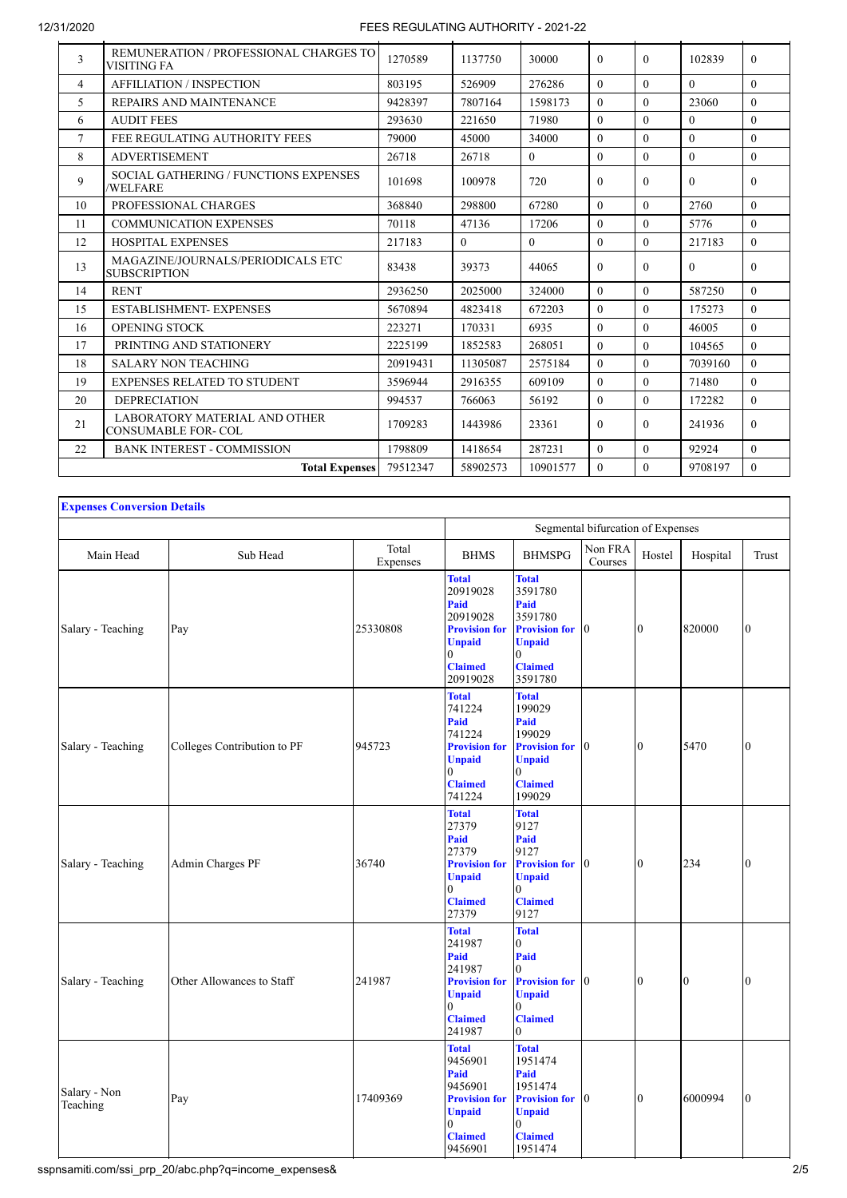| 3                        | REMUNERATION / PROFESSIONAL CHARGES TO<br>VISITING FA      | 1270589  | 1137750  | 30000    | $\Omega$ | $\Omega$ | 102839   | $\Omega$ |
|--------------------------|------------------------------------------------------------|----------|----------|----------|----------|----------|----------|----------|
| $\overline{\mathcal{A}}$ | <b>AFFILIATION / INSPECTION</b>                            | 803195   | 526909   | 276286   | $\Omega$ | $\theta$ | $\Omega$ | $\Omega$ |
| 5                        | REPAIRS AND MAINTENANCE                                    | 9428397  | 7807164  | 1598173  | $\Omega$ | $\Omega$ | 23060    | $\Omega$ |
| 6                        | <b>AUDIT FEES</b>                                          | 293630   | 221650   | 71980    | $\Omega$ | $\theta$ | $\Omega$ | $\Omega$ |
| $\tau$                   | FEE REGULATING AUTHORITY FEES                              | 79000    | 45000    | 34000    | $\Omega$ | $\Omega$ | $\Omega$ | $\Omega$ |
| 8                        | <b>ADVERTISEMENT</b>                                       | 26718    | 26718    | $\theta$ | $\theta$ | $\theta$ | $\theta$ | $\Omega$ |
| 9                        | SOCIAL GATHERING / FUNCTIONS EXPENSES<br><b>/WELFARE</b>   | 101698   | 100978   | 720      | $\Omega$ | $\theta$ | $\Omega$ | $\Omega$ |
| 10                       | PROFESSIONAL CHARGES                                       | 368840   | 298800   | 67280    | $\Omega$ | $\Omega$ | 2760     | $\Omega$ |
| 11                       | <b>COMMUNICATION EXPENSES</b>                              | 70118    | 47136    | 17206    | $\Omega$ | $\theta$ | 5776     | $\Omega$ |
| 12                       | <b>HOSPITAL EXPENSES</b>                                   | 217183   | $\theta$ | $\Omega$ | $\Omega$ | $\theta$ | 217183   | $\Omega$ |
| 13                       | MAGAZINE/JOURNALS/PERIODICALS ETC<br><b>SUBSCRIPTION</b>   | 83438    | 39373    | 44065    | $\Omega$ | $\Omega$ | $\Omega$ | $\Omega$ |
| 14                       | <b>RENT</b>                                                | 2936250  | 2025000  | 324000   | $\Omega$ | $\Omega$ | 587250   | $\Omega$ |
| 15                       | <b>ESTABLISHMENT- EXPENSES</b>                             | 5670894  | 4823418  | 672203   | $\Omega$ | $\theta$ | 175273   | $\Omega$ |
| 16                       | <b>OPENING STOCK</b>                                       | 223271   | 170331   | 6935     | $\Omega$ | $\theta$ | 46005    | $\Omega$ |
| 17                       | PRINTING AND STATIONERY                                    | 2225199  | 1852583  | 268051   | $\Omega$ | $\theta$ | 104565   | $\Omega$ |
| 18                       | <b>SALARY NON TEACHING</b>                                 | 20919431 | 11305087 | 2575184  | $\Omega$ | $\theta$ | 7039160  | $\Omega$ |
| 19                       | <b>EXPENSES RELATED TO STUDENT</b>                         | 3596944  | 2916355  | 609109   | $\Omega$ | $\theta$ | 71480    | $\Omega$ |
| 20                       | <b>DEPRECIATION</b>                                        | 994537   | 766063   | 56192    | $\Omega$ | $\theta$ | 172282   | $\Omega$ |
| 21                       | <b>LABORATORY MATERIAL AND OTHER</b><br>CONSUMABLE FOR-COL | 1709283  | 1443986  | 23361    | $\Omega$ | $\theta$ | 241936   | $\Omega$ |
| 22                       | <b>BANK INTEREST - COMMISSION</b>                          | 1798809  | 1418654  | 287231   | $\Omega$ | $\theta$ | 92924    | $\Omega$ |
|                          | <b>Total Expenses</b>                                      | 79512347 | 58902573 | 10901577 | $\Omega$ | $\Omega$ | 9708197  | $\Omega$ |
|                          |                                                            |          |          |          |          |          |          |          |

| <b>Expenses Conversion Details</b> |                             |                   |                                                                                                                                  |                                                                                                                              |                                   |              |                |                |
|------------------------------------|-----------------------------|-------------------|----------------------------------------------------------------------------------------------------------------------------------|------------------------------------------------------------------------------------------------------------------------------|-----------------------------------|--------------|----------------|----------------|
|                                    |                             |                   |                                                                                                                                  |                                                                                                                              | Segmental bifurcation of Expenses |              |                |                |
| Main Head                          | Sub Head                    | Total<br>Expenses | <b>BHMS</b>                                                                                                                      | <b>BHMSPG</b>                                                                                                                | Non FRA<br>Courses                | Hostel       | Hospital       | Trust          |
| Salary - Teaching                  | Pay                         | 25330808          | <b>Total</b><br>20919028<br>Paid<br>20919028<br><b>Provision for</b><br><b>Unpaid</b><br>$\theta$<br><b>Claimed</b><br>20919028  | <b>Total</b><br>3591780<br>Paid<br>3591780<br><b>Provision for</b><br><b>Unpaid</b><br>$\Omega$<br><b>Claimed</b><br>3591780 | $\mathbf{I}^{\prime}$             | $\mathbf{0}$ | 820000         | $\overline{0}$ |
| Salary - Teaching                  | Colleges Contribution to PF | 945723            | <b>Total</b><br>741224<br>Paid<br>741224<br><b>Provision for</b><br><b>Unpaid</b><br>$\Omega$<br><b>Claimed</b><br>741224        | <b>Total</b><br>199029<br>Paid<br>199029<br><b>Provision for</b><br><b>Unpaid</b><br>$\theta$<br><b>Claimed</b><br>199029    | $\mathbf{0}$                      | $\mathbf{0}$ | 5470           | $\bf{0}$       |
| Salary - Teaching                  | Admin Charges PF            | 36740             | <b>Total</b><br>27379<br>Paid<br>27379<br><b>Provision for</b><br><b>Unpaid</b><br>$\theta$<br><b>Claimed</b><br>27379           | <b>Total</b><br>9127<br>Paid<br>9127<br><b>Provision for</b><br><b>Unpaid</b><br>$\Omega$<br><b>Claimed</b><br>9127          | $\mathbf{I}$                      | $\Omega$     | 234            | 0              |
| Salary - Teaching                  | Other Allowances to Staff   | 241987            | <b>Total</b><br>241987<br><b>Paid</b><br>241987<br><b>Provision for</b><br><b>Unpaid</b><br>$\theta$<br><b>Claimed</b><br>241987 | <b>Total</b><br>$\Omega$<br>Paid<br><b>Provision for</b><br><b>Unpaid</b><br>0<br><b>Claimed</b><br>$\Omega$                 | $\mathbf{I}$                      | $\mathbf{0}$ | $\overline{0}$ | 10             |
| Salary - Non<br>Teaching           | Pay                         | 17409369          | <b>Total</b><br>9456901<br>Paid<br>9456901<br><b>Provision for</b><br><b>Unpaid</b><br>$\theta$<br><b>Claimed</b><br>9456901     | <b>Total</b><br>1951474<br>Paid<br>1951474<br><b>Provision for</b><br><b>Unpaid</b><br>$\theta$<br><b>Claimed</b><br>1951474 | 0                                 | $\mathbf{0}$ | 6000994        | 0              |

sspnsamiti.com/ssi\_prp\_20/abc.php?q=income\_expenses& 2/5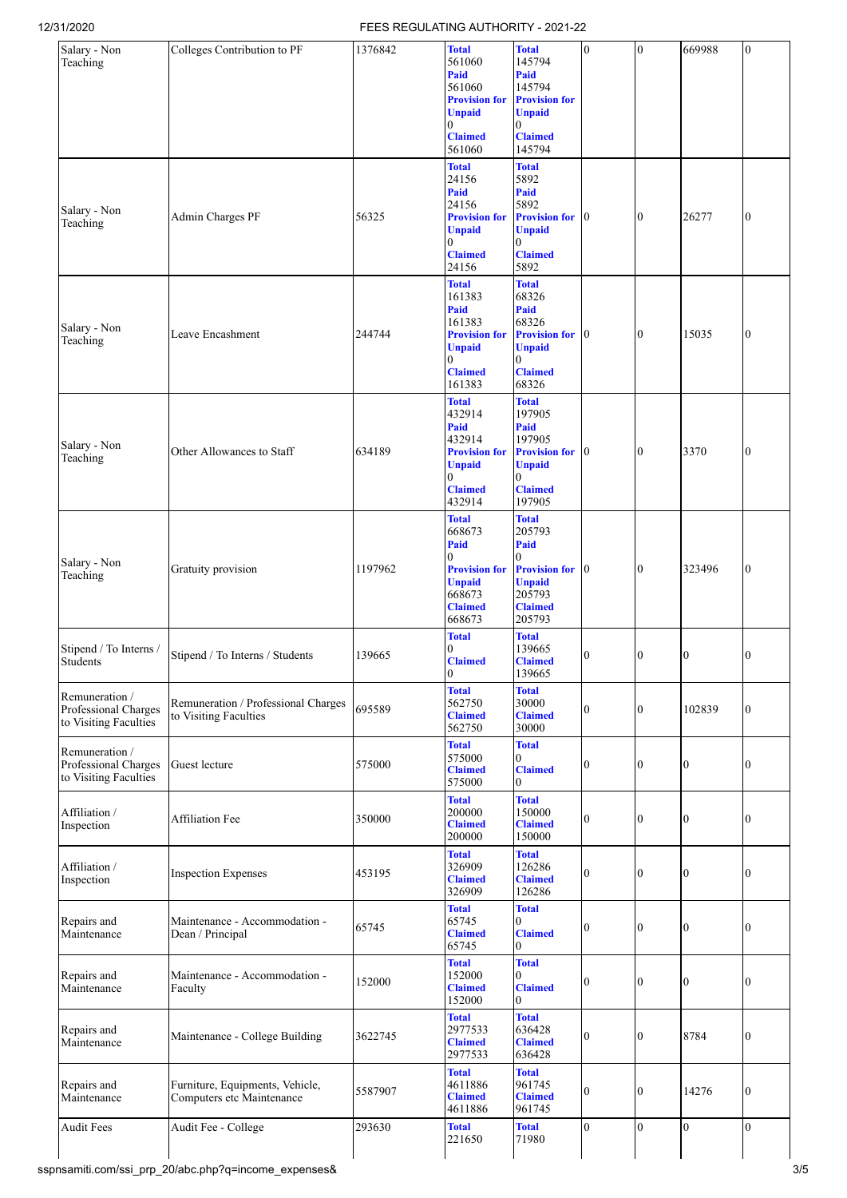| Salary - Non<br>Teaching                                        | Colleges Contribution to PF                                  | 1376842 | <b>Total</b><br>561060<br>Paid<br>561060<br><b>Provision for</b>                                                             | <b>Total</b><br>145794<br>Paid<br>145794<br><b>Provision for</b>                                                                            | $\bf{0}$         | $\bf{0}$       | 669988         | $\mathbf{0}$   |
|-----------------------------------------------------------------|--------------------------------------------------------------|---------|------------------------------------------------------------------------------------------------------------------------------|---------------------------------------------------------------------------------------------------------------------------------------------|------------------|----------------|----------------|----------------|
|                                                                 |                                                              |         | <b>Unpaid</b><br>$\Omega$<br><b>Claimed</b><br>561060                                                                        | <b>Unpaid</b><br>$\theta$<br><b>Claimed</b><br>145794                                                                                       |                  |                |                |                |
| Salary - Non<br>Teaching                                        | Admin Charges PF                                             | 56325   | <b>Total</b><br>24156<br>Paid<br>24156<br><b>Provision for</b><br><b>Unpaid</b><br>0                                         | <b>Total</b><br>5892<br>Paid<br>5892<br><b>Provision for</b> 0<br><b>Unpaid</b><br>$\overline{0}$                                           |                  | $\overline{0}$ | 26277          | $\bf{0}$       |
|                                                                 |                                                              |         | <b>Claimed</b><br>24156                                                                                                      | <b>Claimed</b><br>5892                                                                                                                      |                  |                |                |                |
| Salary - Non<br>Teaching                                        | Leave Encashment                                             | 244744  | <b>Total</b><br>161383<br>Paid<br>161383<br><b>Provision for</b><br><b>Unpaid</b><br>0<br><b>Claimed</b>                     | <b>Total</b><br>68326<br>Paid<br>68326<br><b>Provision for</b> 0<br><b>Unpaid</b><br>$\overline{0}$<br><b>Claimed</b>                       |                  | Ю              | 15035          | $\bf{0}$       |
| Salary - Non<br>Teaching                                        | Other Allowances to Staff                                    | 634189  | 161383<br><b>Total</b><br>432914<br>Paid<br>432914<br><b>Provision for</b><br><b>Unpaid</b><br>0<br><b>Claimed</b>           | 68326<br><b>Total</b><br>197905<br>Paid<br>197905<br><b>Provision for</b> 0<br><b>Unpaid</b><br>0<br><b>Claimed</b>                         |                  | Ю              | 3370           | $\bf{0}$       |
| Salary - Non<br>Teaching                                        | Gratuity provision                                           | 1197962 | 432914<br><b>Total</b><br>668673<br>Paid<br>0<br><b>Provision for</b><br><b>Unpaid</b><br>668673<br><b>Claimed</b><br>668673 | 197905<br><b>Total</b><br>205793<br>Paid<br>$\overline{0}$<br><b>Provision for</b> 0<br><b>Unpaid</b><br>205793<br><b>Claimed</b><br>205793 |                  | $\overline{0}$ | 323496         | 0              |
| Stipend / To Interns /<br>Students                              | Stipend / To Interns / Students                              | 139665  | <b>Total</b><br>0<br><b>Claimed</b><br>U                                                                                     | <b>Total</b><br>139665<br><b>Claimed</b><br>139665                                                                                          | 0                | Ю              | 0              | 0              |
| Remuneration /<br>Professional Charges<br>to Visiting Faculties | Remuneration / Professional Charges<br>to Visiting Faculties | 695589  | <b>Total</b><br>562750<br><b>Claimed</b><br>562750                                                                           | <b>Total</b><br>30000<br><b>Claimed</b><br>30000                                                                                            | 0                | 0              | 102839         | $\bf{0}$       |
| Remuneration /<br>Professional Charges<br>to Visiting Faculties | Guest lecture                                                | 575000  | <b>Total</b><br>575000<br><b>Claimed</b><br>575000                                                                           | <b>Total</b><br>0<br><b>Claimed</b><br>0                                                                                                    | $\theta$         | $\Omega$       | $\theta$       | $\theta$       |
| Affiliation /<br>Inspection                                     | <b>Affiliation Fee</b>                                       | 350000  | <b>Total</b><br>200000<br><b>Claimed</b><br>200000                                                                           | <b>Total</b><br>150000<br><b>Claimed</b><br>150000                                                                                          | $\theta$         | 0              | 0              | 0              |
| Affiliation /<br>Inspection                                     | <b>Inspection Expenses</b>                                   | 453195  | <b>Total</b><br>326909<br><b>Claimed</b><br>326909                                                                           | <b>Total</b><br>126286<br><b>Claimed</b><br>126286                                                                                          | $\mathbf{0}$     | $\theta$       | $\overline{0}$ | 0              |
| Repairs and<br>Maintenance                                      | Maintenance - Accommodation -<br>Dean / Principal            | 65745   | <b>Total</b><br>65745<br><b>Claimed</b><br>65745                                                                             | <b>Total</b><br>$\mathbf{0}$<br><b>Claimed</b><br>$\mathbf{0}$                                                                              | $\theta$         | 0              | 0              | $\overline{0}$ |
| Repairs and<br>Maintenance                                      | Maintenance - Accommodation -<br>Faculty                     | 152000  | <b>Total</b><br>152000<br><b>Claimed</b><br>152000                                                                           | <b>Total</b><br>$\theta$<br><b>Claimed</b><br>$\overline{0}$                                                                                | $\theta$         | $\Omega$       | 0              | $\theta$       |
| Repairs and<br>Maintenance                                      | Maintenance - College Building                               | 3622745 | <b>Total</b><br>2977533<br><b>Claimed</b><br>2977533                                                                         | <b>Total</b><br>636428<br><b>Claimed</b><br>636428                                                                                          | $\boldsymbol{0}$ | 0              | 8784           | $\bf{0}$       |
| Repairs and<br>Maintenance                                      | Furniture, Equipments, Vehicle,<br>Computers etc Maintenance | 5587907 | <b>Total</b><br>4611886<br><b>Claimed</b><br>4611886                                                                         | <b>Total</b><br>961745<br><b>Claimed</b><br>961745                                                                                          | $\theta$         | $\Omega$       | 14276          | $\bf{0}$       |
| <b>Audit Fees</b>                                               | Audit Fee - College                                          | 293630  | <b>Total</b><br>221650                                                                                                       | <b>Total</b><br>71980                                                                                                                       | $\overline{0}$   | $\theta$       | $\overline{0}$ | $\Omega$       |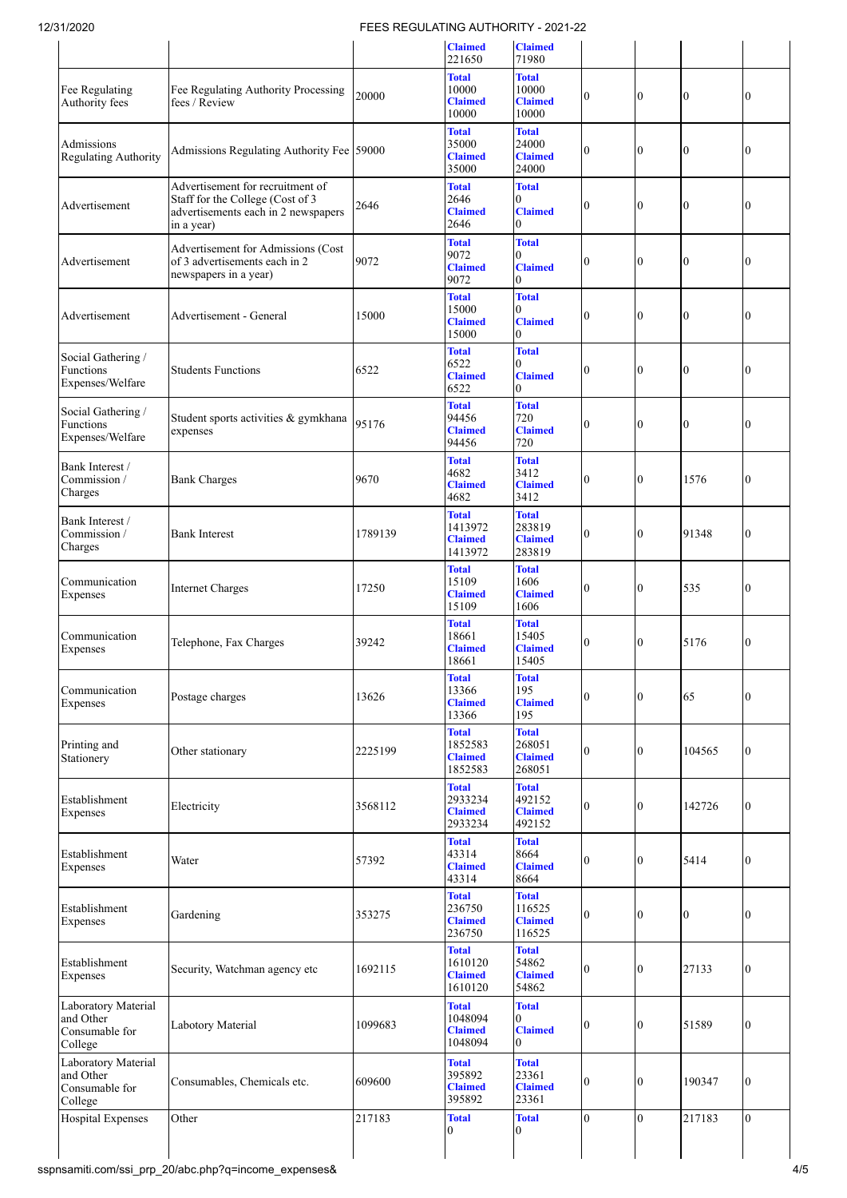| ט ∡ט∠וי ט                                                     |                                                                                                                           |         | <u>LUULAI II 10 AUTTIURITTI</u>                      |                                                        |                  |                  |                |                |
|---------------------------------------------------------------|---------------------------------------------------------------------------------------------------------------------------|---------|------------------------------------------------------|--------------------------------------------------------|------------------|------------------|----------------|----------------|
|                                                               |                                                                                                                           |         | <b>Claimed</b><br>221650                             | <b>Claimed</b><br>71980                                |                  |                  |                |                |
| Fee Regulating<br>Authority fees                              | Fee Regulating Authority Processing<br>fees / Review                                                                      | 20000   | <b>Total</b><br>10000<br><b>Claimed</b><br>10000     | <b>Total</b><br>10000<br><b>Claimed</b><br>10000       | $\bf{0}$         | $\bf{0}$         | 0              | 0              |
| Admissions<br>Regulating Authority                            | Admissions Regulating Authority Fee 59000                                                                                 |         | <b>Total</b><br>35000<br><b>Claimed</b><br>35000     | <b>Total</b><br>24000<br><b>Claimed</b><br>24000       | $\overline{0}$   | 0                | $\Omega$       | 0              |
| Advertisement                                                 | Advertisement for recruitment of<br>Staff for the College (Cost of 3<br>advertisements each in 2 newspapers<br>in a year) | 2646    | <b>Total</b><br>2646<br><b>Claimed</b><br>2646       | <b>Total</b><br>0<br><b>Claimed</b><br>0               | 0                | $\bf{0}$         | Ю              | 0              |
| Advertisement                                                 | Advertisement for Admissions (Cost<br>of 3 advertisements each in 2<br>newspapers in a year)                              | 9072    | <b>Total</b><br>9072<br><b>Claimed</b><br>9072       | <b>Total</b><br>0<br><b>Claimed</b><br>$\Omega$        | 0                | 0                | Ю              | 0              |
| Advertisement                                                 | Advertisement - General                                                                                                   | 15000   | <b>Total</b><br>15000<br><b>Claimed</b><br>15000     | <b>Total</b><br>0<br><b>Claimed</b><br>0               | $\bf{0}$         | $\overline{0}$   | $\Omega$       | 0              |
| Social Gathering /<br>Functions<br>Expenses/Welfare           | <b>Students Functions</b>                                                                                                 | 6522    | <b>Total</b><br>6522<br><b>Claimed</b><br>6522       | <b>Total</b><br>$\Omega$<br><b>Claimed</b><br>$\Omega$ | $\boldsymbol{0}$ | $\mathbf{0}$     | $\overline{0}$ | 0              |
| Social Gathering /<br>Functions<br>Expenses/Welfare           | Student sports activities & gymkhana<br>expenses                                                                          | 95176   | <b>Total</b><br>94456<br><b>Claimed</b><br>94456     | <b>Total</b><br>720<br><b>Claimed</b><br>720           | $\theta$         | $\boldsymbol{0}$ | $\theta$       | 0              |
| Bank Interest /<br>Commission /<br>Charges                    | <b>Bank Charges</b>                                                                                                       | 9670    | <b>Total</b><br>4682<br><b>Claimed</b><br>4682       | <b>Total</b><br>3412<br><b>Claimed</b><br>3412         | 0                | $\bf{0}$         | 1576           | $\Omega$       |
| Bank Interest /<br>Commission /<br>Charges                    | <b>Bank Interest</b>                                                                                                      | 1789139 | <b>Total</b><br>1413972<br><b>Claimed</b><br>1413972 | <b>Total</b><br>283819<br><b>Claimed</b><br>283819     | $\Omega$         | $\overline{0}$   | 91348          | 0              |
| Communication<br>Expenses                                     | <b>Internet Charges</b>                                                                                                   | 17250   | <b>Total</b><br>15109<br><b>Claimed</b><br>15109     | <b>Total</b><br>1606<br><b>Claimed</b><br>1606         | $\bf{0}$         | $\mathbf{0}$     | 535            | 0              |
| Communication<br>Expenses                                     | Telephone, Fax Charges                                                                                                    | 39242   | <b>Total</b><br>18661<br><b>Claimed</b><br>18661     | <b>Total</b><br>15405<br><b>Claimed</b><br>15405       | $\overline{0}$   | $\mathbf{0}$     | 5176           | $\theta$       |
| Communication<br>Expenses                                     | Postage charges                                                                                                           | 13626   | <b>Total</b><br>13366<br><b>Claimed</b><br>13366     | <b>Total</b><br>195<br><b>Claimed</b><br>195           | 0                | 0                | 65             | 0              |
| Printing and<br>Stationery                                    | Other stationary                                                                                                          | 2225199 | <b>Total</b><br>1852583<br><b>Claimed</b><br>1852583 | <b>Total</b><br>268051<br><b>Claimed</b><br>268051     | $\Omega$         | $\overline{0}$   | 104565         | $\Omega$       |
| Establishment<br>Expenses                                     | Electricity                                                                                                               | 3568112 | <b>Total</b><br>2933234<br><b>Claimed</b><br>2933234 | <b>Total</b><br>492152<br><b>Claimed</b><br>492152     | $\overline{0}$   | $\mathbf{0}$     | 142726         | 0              |
| Establishment<br>Expenses                                     | Water                                                                                                                     | 57392   | <b>Total</b><br>43314<br><b>Claimed</b><br>43314     | <b>Total</b><br>8664<br><b>Claimed</b><br>8664         | $\overline{0}$   | $\mathbf{0}$     | 5414           | $\Omega$       |
| Establishment<br>Expenses                                     | Gardening                                                                                                                 | 353275  | <b>Total</b><br>236750<br><b>Claimed</b><br>236750   | <b>Total</b><br>116525<br><b>Claimed</b><br>116525     | $\overline{0}$   | $\bf{0}$         | $\overline{0}$ | $\theta$       |
| Establishment<br>Expenses                                     | Security, Watchman agency etc                                                                                             | 1692115 | <b>Total</b><br>1610120<br><b>Claimed</b><br>1610120 | <b>Total</b><br>54862<br><b>Claimed</b><br>54862       | $\bf{0}$         | $\mathbf{0}$     | 27133          | 0              |
| Laboratory Material<br>and Other<br>Consumable for<br>College | Labotory Material                                                                                                         | 1099683 | <b>Total</b><br>1048094<br><b>Claimed</b><br>1048094 | <b>Total</b><br>0<br><b>Claimed</b><br>0               | $\bf{0}$         | $\bf{0}$         | 51589          | 0              |
| Laboratory Material<br>and Other<br>Consumable for<br>College | Consumables, Chemicals etc.                                                                                               | 609600  | <b>Total</b><br>395892<br><b>Claimed</b><br>395892   | <b>Total</b><br>23361<br><b>Claimed</b><br>23361       | $\overline{0}$   | $\mathbf{0}$     | 190347         | 0              |
| <b>Hospital Expenses</b>                                      | Other                                                                                                                     | 217183  | <b>Total</b><br>$\theta$                             | <b>Total</b><br>0                                      | $\Omega$         | $\overline{0}$   | 217183         | $\overline{0}$ |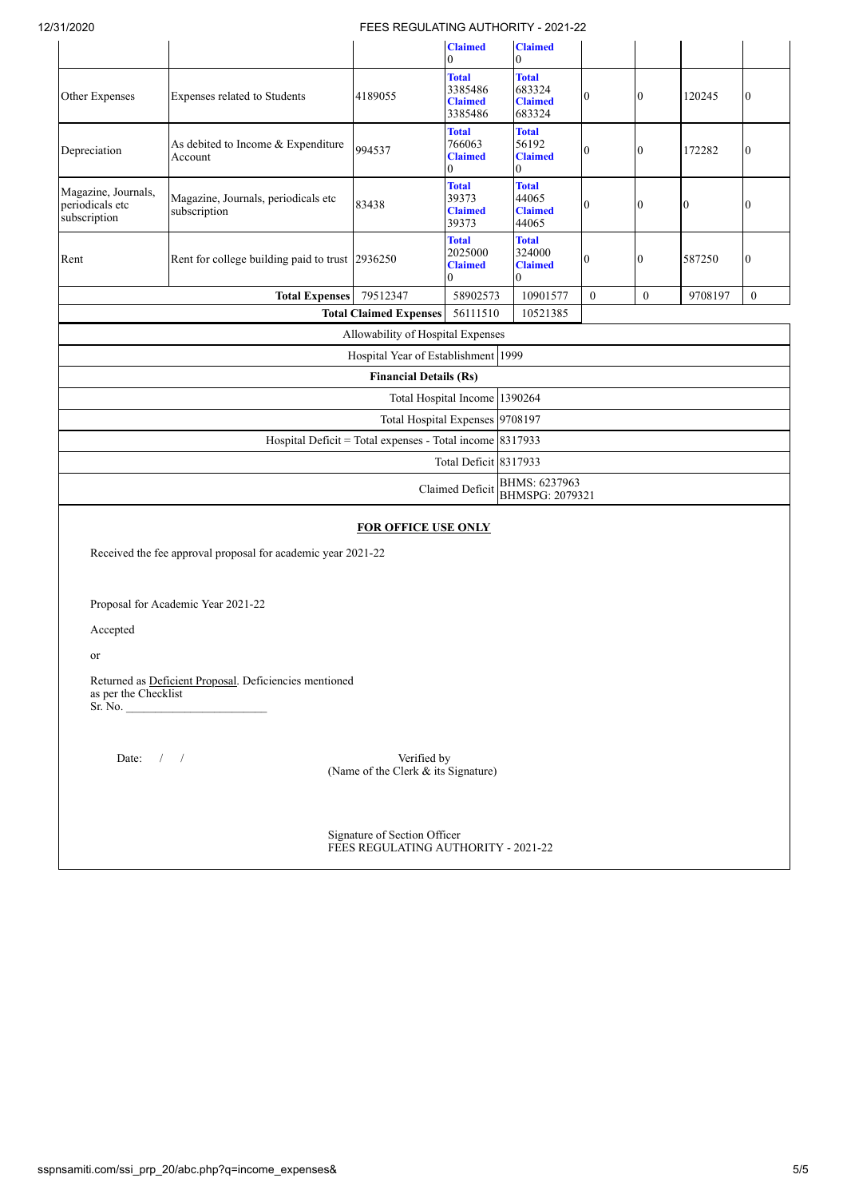| 12/31/2020                                             |                                                              | FEES REGULATING AUTHORITY - 2021-22                      |                                                             |                                                    |                  |                  |          |                |  |  |  |
|--------------------------------------------------------|--------------------------------------------------------------|----------------------------------------------------------|-------------------------------------------------------------|----------------------------------------------------|------------------|------------------|----------|----------------|--|--|--|
|                                                        |                                                              |                                                          | <b>Claimed</b><br>$\overline{0}$                            | <b>Claimed</b><br>$\theta$                         |                  |                  |          |                |  |  |  |
| Other Expenses                                         | Expenses related to Students                                 | 4189055                                                  | <b>Total</b><br>3385486<br><b>Claimed</b><br>3385486        | <b>Total</b><br>683324<br><b>Claimed</b><br>683324 | $\boldsymbol{0}$ | $\boldsymbol{0}$ | 120245   | $\overline{0}$ |  |  |  |
| Depreciation                                           | As debited to Income & Expenditure<br>Account                | 994537                                                   | <b>Total</b><br>766063<br><b>Claimed</b><br>0               | <b>Total</b><br>56192<br><b>Claimed</b><br>0       | $\theta$         | $\overline{0}$   | 172282   | $\Omega$       |  |  |  |
| Magazine, Journals,<br>periodicals etc<br>subscription | Magazine, Journals, periodicals etc<br>subscription          | 83438                                                    | <b>Total</b><br>39373<br><b>Claimed</b><br>39373            | <b>Total</b><br>44065<br><b>Claimed</b><br>44065   | $\overline{0}$   | $\bf{0}$         | $\bf{0}$ | $\Omega$       |  |  |  |
| Rent                                                   | Rent for college building paid to trust 2936250              |                                                          | <b>Total</b><br>2025000<br><b>Claimed</b><br>$\overline{0}$ | <b>Total</b><br>324000<br><b>Claimed</b><br>0      | $\Omega$         | $\bf{0}$         | 587250   | $\overline{0}$ |  |  |  |
|                                                        | <b>Total Expenses</b>                                        | 79512347                                                 | 58902573                                                    | 10901577                                           | $\overline{0}$   | $\theta$         | 9708197  | $\mathbf{0}$   |  |  |  |
|                                                        |                                                              | <b>Total Claimed Expenses</b>                            | 56111510                                                    | 10521385                                           |                  |                  |          |                |  |  |  |
|                                                        |                                                              | Allowability of Hospital Expenses                        |                                                             |                                                    |                  |                  |          |                |  |  |  |
|                                                        |                                                              | Hospital Year of Establishment 1999                      |                                                             |                                                    |                  |                  |          |                |  |  |  |
|                                                        |                                                              | <b>Financial Details (Rs)</b>                            |                                                             |                                                    |                  |                  |          |                |  |  |  |
|                                                        |                                                              |                                                          |                                                             | Total Hospital Income 1390264                      |                  |                  |          |                |  |  |  |
|                                                        |                                                              |                                                          | Total Hospital Expenses 9708197                             |                                                    |                  |                  |          |                |  |  |  |
|                                                        |                                                              | Hospital Deficit = Total expenses - Total income 8317933 |                                                             |                                                    |                  |                  |          |                |  |  |  |
|                                                        |                                                              |                                                          | Total Deficit 8317933                                       |                                                    |                  |                  |          |                |  |  |  |
|                                                        |                                                              |                                                          | Claimed Deficit                                             | BHMS: 6237963<br><b>BHMSPG: 2079321</b>            |                  |                  |          |                |  |  |  |
|                                                        |                                                              | <b>FOR OFFICE USE ONLY</b>                               |                                                             |                                                    |                  |                  |          |                |  |  |  |
|                                                        | Received the fee approval proposal for academic year 2021-22 |                                                          |                                                             |                                                    |                  |                  |          |                |  |  |  |
|                                                        | Proposal for Academic Year 2021-22                           |                                                          |                                                             |                                                    |                  |                  |          |                |  |  |  |
| Accepted                                               |                                                              |                                                          |                                                             |                                                    |                  |                  |          |                |  |  |  |
| <sub>or</sub>                                          |                                                              |                                                          |                                                             |                                                    |                  |                  |          |                |  |  |  |
| as per the Checklist<br>Sr. No.                        | Returned as Deficient Proposal. Deficiencies mentioned       |                                                          |                                                             |                                                    |                  |                  |          |                |  |  |  |

Date: / / / Verified by (Name of the Clerk  $\&$  its Signature)

 Signature of Section Officer FEES REGULATING AUTHORITY - 2021-22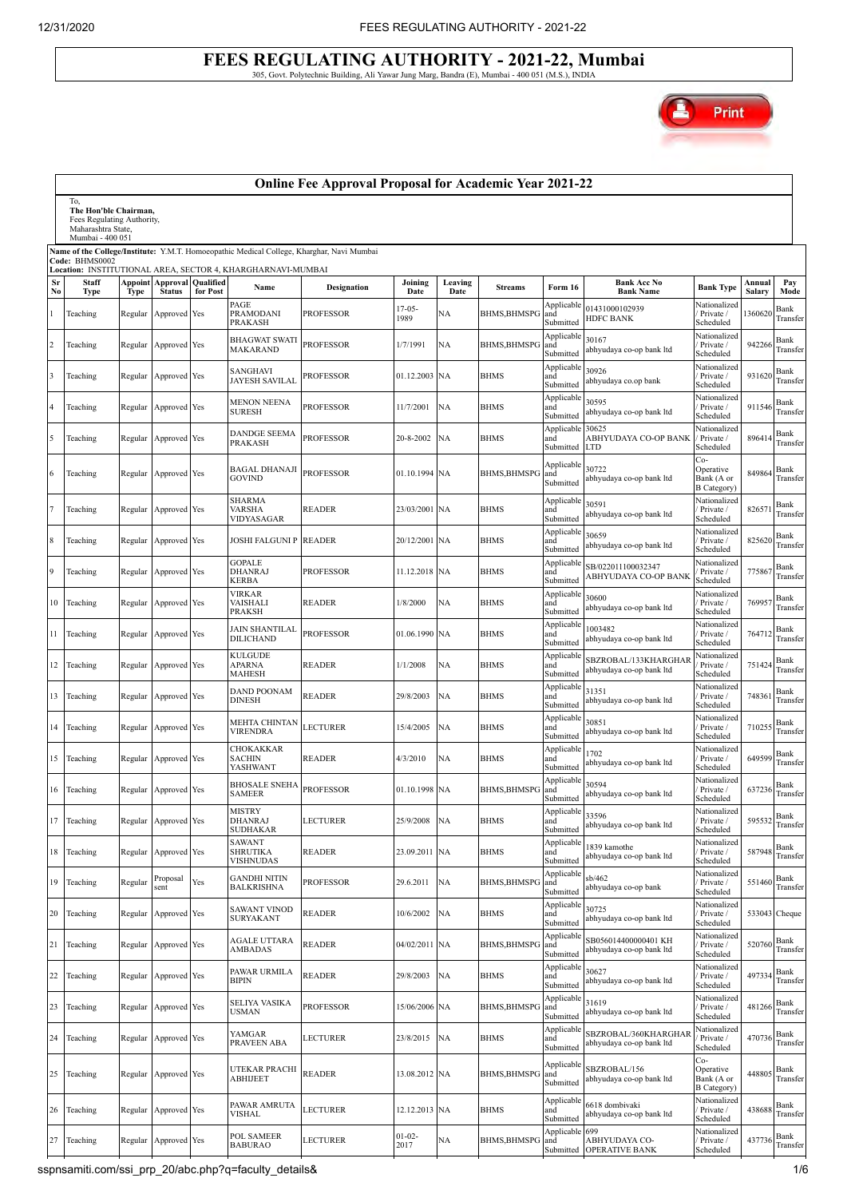# **FEES REGULATING AUTHORITY - 2021-22, Mumbai** 305, Govt. Polytechnic Building, Ali Yawar Jung Marg, Bandra (E), Mumbai - 400 051 (M.S.), INDIA



|                | <b>Online Fee Approval Proposal for Academic Year 2021-22</b>                                                                                                                                     |             |                                                    |          |                                                                     |                  |                     |                 |                     |                                      |                                                  |                                                        |                  |                  |
|----------------|---------------------------------------------------------------------------------------------------------------------------------------------------------------------------------------------------|-------------|----------------------------------------------------|----------|---------------------------------------------------------------------|------------------|---------------------|-----------------|---------------------|--------------------------------------|--------------------------------------------------|--------------------------------------------------------|------------------|------------------|
|                | To,<br>The Hon'ble Chairman,<br>Fees Regulating Authority,<br>Maharashtra State,<br>Mumbai - 400 051<br>Name of the College/Institute: Y.M.T. Homoeopathic Medical College, Kharghar, Navi Mumbai |             |                                                    |          |                                                                     |                  |                     |                 |                     |                                      |                                                  |                                                        |                  |                  |
|                | Code: BHMS0002                                                                                                                                                                                    |             |                                                    |          |                                                                     |                  |                     |                 |                     |                                      |                                                  |                                                        |                  |                  |
| Sr<br>No       | <b>Staff</b><br><b>Type</b>                                                                                                                                                                       | <b>Type</b> | <b>Appoint Approval Qualified</b><br><b>Status</b> | for Post | Location: INSTITUTIONAL AREA, SECTOR 4, KHARGHARNAVI-MUMBAI<br>Name | Designation      | Joining<br>Date     | Leaving<br>Date | <b>Streams</b>      | Form 16                              | <b>Bank Acc No</b><br><b>Bank Name</b>           | <b>Bank Type</b>                                       | Annual<br>Salary | Pay<br>Mode      |
|                | Teaching                                                                                                                                                                                          | Regular     | Approved Yes                                       |          | PAGE<br>PRAMODANI<br><b>PRAKASH</b>                                 | PROFESSOR        | $17 - 05 -$<br>1989 | NΑ              | <b>BHMS,BHMSP</b>   | Applicable<br>and<br>Submitted       | 01431000102939<br><b>HDFC BANK</b>               | Nationalized<br>Private /<br>Scheduled                 | 1360620          | Bank<br>Transfer |
| $\overline{c}$ | Teaching                                                                                                                                                                                          | Regular     | Approved Yes                                       |          | <b>BHAGWAT SWATI</b><br>MAKARAND                                    | <b>PROFESSOR</b> | 1/7/1991            | NA              | <b>BHMS, BHMSPG</b> | Applicable<br>and<br>Submitted       | 30167<br>abhyudaya co-op bank ltd                | Nationalized<br>Private /<br>Scheduled                 | 942266           | Bank<br>Transfer |
| 3              | Teaching                                                                                                                                                                                          | Regular     | Approved Yes                                       |          | SANGHAVI<br><b>JAYESH SAVILAL</b>                                   | PROFESSOR        | 01.12.2003 NA       |                 | <b>BHMS</b>         | Applicable<br>and<br>Submitted       | 30926<br>abhyudaya co.op bank                    | Nationalized<br>Private /<br>Scheduled                 | 931620           | Bank<br>Transfer |
|                | Teaching                                                                                                                                                                                          | Regular     | Approved Yes                                       |          | <b>MENON NEENA</b><br><b>SURESH</b>                                 | <b>PROFESSOR</b> | 11/7/2001           | <b>NA</b>       | <b>BHMS</b>         | Applicable<br>and<br>Submitted       | 30595<br>abhyudaya co-op bank ltd                | Nationalized<br>Private /<br>Scheduled                 | 911546           | Bank<br>Transfer |
|                | Teaching                                                                                                                                                                                          | Regular     | Approved Yes                                       |          | <b>DANDGE SEEMA</b><br><b>PRAKASH</b>                               | <b>PROFESSOR</b> | 20-8-2002           | NA              | <b>BHMS</b>         | Applicable<br>and<br>Submitted LTD   | 30625<br>ABHYUDAYA CO-OP BANK                    | Nationalized<br>/ Private /<br>Scheduled               | 896414           | Bank<br>Transfer |
| 6              | Teaching                                                                                                                                                                                          | Regular     | Approved Yes                                       |          | <b>BAGAL DHANAJI</b><br><b>GOVIND</b>                               | <b>PROFESSOR</b> | 01.10.1994 NA       |                 | <b>BHMS, BHMSP</b>  | Applicable<br>and<br>Submitted       | 30722<br>abhyudaya co-op bank ltd                | Co-<br>Operative<br>Bank (A or<br><b>B</b> Category    | 849864           | Bank<br>Transfer |
|                | Teaching                                                                                                                                                                                          | Regular     | Approved Yes                                       |          | <b>SHARMA</b><br><b>VARSHA</b><br>VIDYASAGAR                        | <b>READER</b>    | 23/03/2001 NA       |                 | <b>BHMS</b>         | Applicable<br>and<br>Submitted       | 30591<br>abhyudaya co-op bank ltd                | Nationalized<br>Private /<br>Scheduled                 | 826571           | Bank<br>Transfer |
|                | Teaching                                                                                                                                                                                          | Regular     | Approved Yes                                       |          | JOSHI FALGUNI P                                                     | <b>READER</b>    | 20/12/2001 NA       |                 | BHMS                | Applicable<br>and<br>Submitted       | 30659<br>abhyudaya co-op bank ltd                | Nationalized<br>Private /<br>Scheduled                 | 825620           | Bank<br>Transfer |
| 9              | Teaching                                                                                                                                                                                          | Regular     | Approved Yes                                       |          | GOPALE<br>DHANRAJ<br>KERBA                                          | <b>PROFESSOR</b> | 11.12.2018 NA       |                 | <b>BHMS</b>         | Applicable<br>and<br>Submitted       | SB/022011100032347<br>ABHYUDAYA CO-OP BANI       | Nationalized<br>Private /<br>Scheduled                 | 775867           | Bank<br>Transfer |
| 10             | Teaching                                                                                                                                                                                          | Regular     | Approved Yes                                       |          | <b>VIRKAR</b><br>VAISHALI<br><b>PRAKSH</b>                          | <b>READER</b>    | 1/8/2000            | NA              | <b>BHMS</b>         | Applicable<br>and<br>Submitted       | 30600<br>abhyudaya co-op bank ltd                | Nationalized<br>Private /<br>Scheduled                 | 769957           | Bank<br>Transfer |
| 11             | Teaching                                                                                                                                                                                          | Regular     | Approved Yes                                       |          | JAIN SHANTILAL<br>DILICHAND                                         | <b>PROFESSOR</b> | 01.06.1990 NA       |                 | <b>BHMS</b>         | Applicable<br>and<br>Submitted       | 1003482<br>abhyudaya co-op bank ltd              | Nationalized<br>Private /<br>Scheduled                 | 764712           | Bank<br>Transfer |
|                | 12 Teaching                                                                                                                                                                                       | Regular     | Approved Yes                                       |          | <b>KULGUDE</b><br>APARNA<br><b>MAHESH</b>                           | <b>READER</b>    | 1/1/2008            | NA              | <b>BHMS</b>         | Applicable<br>and<br>Submitted       | SBZROBAL/133KHARGHAI<br>abhyudaya co-op bank ltd | Nationalized<br>Private /<br>Scheduled                 | 751424           | Bank<br>Transfer |
| 13             | Teaching                                                                                                                                                                                          | Regular     | Approved Yes                                       |          | DAND POONAM<br><b>DINESH</b>                                        | <b>READER</b>    | 29/8/2003           | NA              | <b>BHMS</b>         | Applicable<br>and<br>Submitted       | 31351<br>abhyudaya co-op bank ltd                | Nationalized<br>Private /<br>Scheduled                 | 748361           | Bank<br>Transfer |
| 14             | Teaching                                                                                                                                                                                          | Regular     | Approved Yes                                       |          | MEHTA CHINTAN<br><b>VIRENDRA</b>                                    | <b>LECTURER</b>  | 15/4/2005           | NA              | <b>BHMS</b>         | Applicable<br>and<br>Submitted       | 30851<br>abhyudaya co-op bank ltd                | Nationalized<br>Private /<br>Scheduled                 | 710255           | Bank<br>Transfer |
| 15             | Teaching                                                                                                                                                                                          | Regular     | Approved Yes                                       |          | CHOKAKKAR<br>SACHIN<br>YASHWANT                                     | <b>READER</b>    | 4/3/2010            | NA              | <b>BHMS</b>         | Applicable<br>and<br>Submitted       | 1702<br>abhyudaya co-op bank ltd                 | Nationalized<br>Private /<br>Scheduled                 | 649599           | Bank<br>Transfer |
|                | 16 Teaching                                                                                                                                                                                       | Regular     | Approved Yes                                       |          | <b>BHOSALE SNEHA</b><br>SAMEER                                      | <b>PROFESSOR</b> | 01.10.1998 NA       |                 | <b>BHMS, BHMSP</b>  | Applicable<br>and<br>Submitted       | 30594<br>abhyudaya co-op bank ltd                | Nationalized<br>Private /<br>Scheduled                 | 637236           | Bank<br>Transfer |
| 17             | Teaching                                                                                                                                                                                          |             | Regular Approved Yes                               |          | <b>MISTRY</b><br><b>DHANRAJ</b><br><b>SUDHAKAR</b>                  | <b>LECTURER</b>  | 25/9/2008 NA        |                 | <b>BHMS</b>         | Applicable 33596<br>and<br>Submitted | abhyudaya co-op bank ltd                         | Nationalized<br>Private /<br>Scheduled                 | 595532           | Bank<br>Transfer |
| 18             | Teaching                                                                                                                                                                                          | Regular     | Approved Yes                                       |          | <b>SAWANT</b><br><b>SHRUTIKA</b><br>VISHNUDAS                       | <b>READER</b>    | 23.09.2011 NA       |                 | <b>BHMS</b>         | Applicable<br>and<br>Submitted       | 1839 kamothe<br>abhyudaya co-op bank ltd         | Nationalized<br>Private /<br>Scheduled                 | 587948           | Bank<br>Transfer |
| 19             | Teaching                                                                                                                                                                                          | Regular     | Proposal<br>sent                                   | Yes      | <b>GANDHI NITIN</b><br><b>BALKRISHNA</b>                            | <b>PROFESSOR</b> | 29.6.2011           | NA              | <b>BHMS, BHMSPG</b> | Applicable<br>and<br>Submitted       | sb/462<br>abhyudaya co-op bank                   | Nationalize<br>Private /<br>Scheduled                  | 551460           | Bank<br>Transfer |
| 20             | Teaching                                                                                                                                                                                          | Regular     | Approved Yes                                       |          | <b>SAWANT VINOD</b><br><b>SURYAKANT</b>                             | <b>READER</b>    | 10/6/2002           | NA              | BHMS                | Applicable<br>and<br>Submitted       | 30725<br>abhyudaya co-op bank ltd                | Nationalized<br>Private /<br>Scheduled                 |                  | 533043 Cheque    |
| 21             | Teaching                                                                                                                                                                                          | Regular     | Approved Yes                                       |          | AGALE UTTARA<br><b>AMBADAS</b>                                      | <b>READER</b>    | 04/02/2011 NA       |                 | <b>BHMS, BHMSPC</b> | Applicable<br>and<br>Submitted       | SB056014400000401 KH<br>abhyudaya co-op bank ltd | Nationalized<br>Private /<br>Scheduled                 | 520760           | Bank<br>Transfer |
| 22             | Teaching                                                                                                                                                                                          | Regular     | Approved Yes                                       |          | PAWAR URMILA<br>BIPIN                                               | <b>READER</b>    | 29/8/2003           | NA              | BHMS                | Applicable<br>and<br>Submitted       | 30627<br>abhyudaya co-op bank ltd                | Nationalized<br>/ Private /<br>Scheduled               | 497334           | Bank<br>Transfer |
| 23             | Teaching                                                                                                                                                                                          | Regular     | Approved Yes                                       |          | SELIYA VASIKA<br>USMAN                                              | <b>PROFESSOR</b> | 15/06/2006 NA       |                 | BHMS,BHMSPO         | Applicable<br>and<br>Submitted       | 31619<br>abhyudaya co-op bank ltd                | Nationalized<br>Private /<br>Scheduled                 | 481266           | Bank<br>Transfer |
| 24             | Teaching                                                                                                                                                                                          |             | Regular Approved Yes                               |          | YAMGAR<br>PRAVEEN ABA                                               | LECTURER         | 23/8/2015           | <b>NA</b>       | <b>BHMS</b>         | Applicable<br>and<br>Submitted       | SBZROBAL/360KHARGHAF<br>abhyudaya co-op bank ltd | Nationalized<br>Private /<br>Scheduled                 | 470736           | Bank<br>Transfer |
| 25             | Teaching                                                                                                                                                                                          | Regular     | Approved Yes                                       |          | UTEKAR PRACHI<br><b>ABHIJEET</b>                                    | <b>READER</b>    | 13.08.2012 NA       |                 | <b>BHMS, BHMSPO</b> | Applicable<br>and<br>Submitted       | SBZROBAL/156<br>abhyudaya co-op bank ltd         | $Co-$<br>Operative<br>Bank (A or<br><b>B</b> Category) | 448805           | Bank<br>Transfer |
| 26             | Teaching                                                                                                                                                                                          | Regular     | Approved Yes                                       |          | PAWAR AMRUTA<br>VISHAL                                              | <b>LECTURER</b>  | 12.12.2013 NA       |                 | <b>BHMS</b>         | Applicable<br>and<br>Submitted       | 6618 dombivaki<br>abhyudaya co-op bank ltd       | Nationalized<br>Private /<br>Scheduled                 | 438688           | Bank<br>Transfer |
| 27             | Teaching                                                                                                                                                                                          |             | Regular Approved Yes                               |          | POL SAMEER<br><b>BABURAO</b>                                        | LECTURER         | $01 - 02 -$<br>2017 | NA              | <b>BHMS, BHMSP</b>  | Applicable 699<br>and<br>Submitted   | ABHYUDAYA CO-<br><b>OPERATIVE BANK</b>           | Nationalized<br>/ Private /<br>Scheduled               | 437736           | Bank<br>Transfer |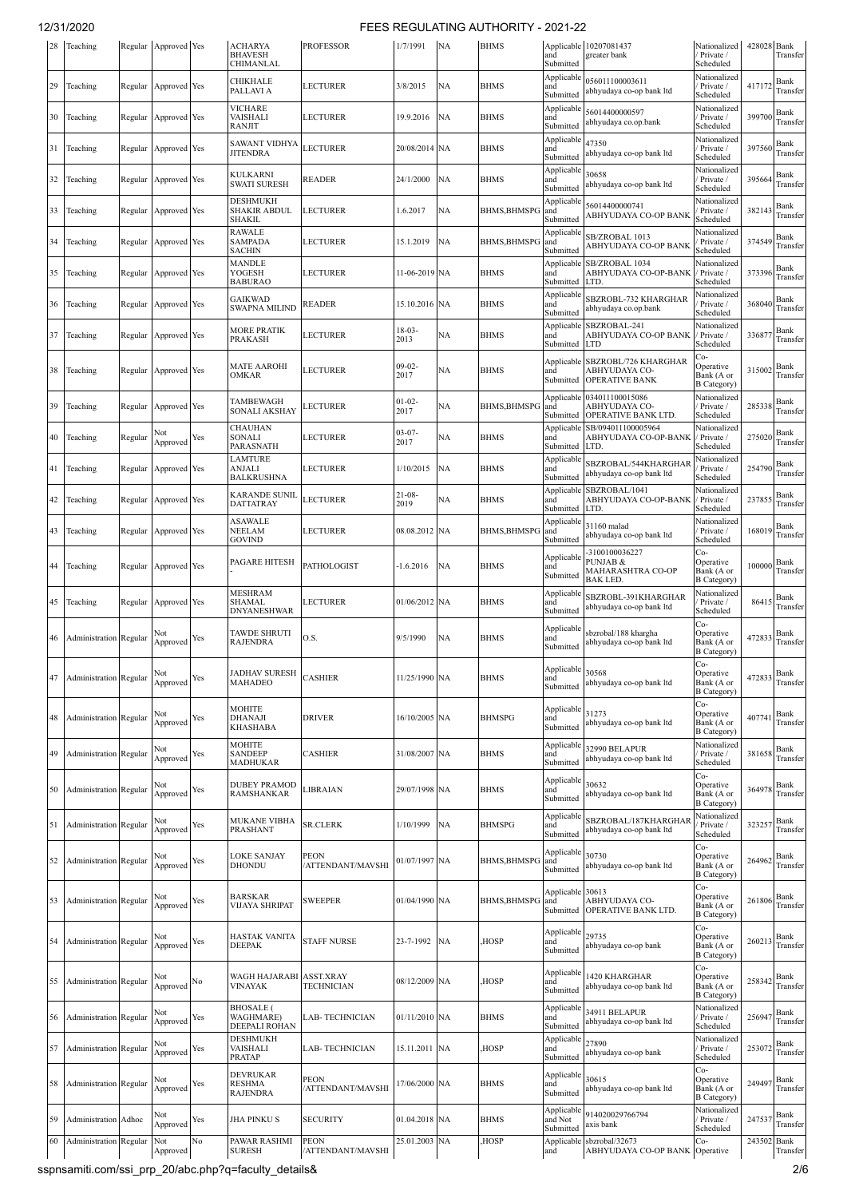| 28 | Teaching                      |         | Regular Approved Yes        |     | <b>ACHARYA</b><br><b>BHAVESH</b><br>CHIMANLAL         | <b>PROFESSOR</b>                      | 1/7/1991            | <b>NA</b> | <b>BHMS</b>         | and<br>Submitted                     | Applicable 10207081437<br>greater bank                            | Nationalized<br>Private /<br>Scheduled               | 428028 Bank | Transfer                                     |
|----|-------------------------------|---------|-----------------------------|-----|-------------------------------------------------------|---------------------------------------|---------------------|-----------|---------------------|--------------------------------------|-------------------------------------------------------------------|------------------------------------------------------|-------------|----------------------------------------------|
| 29 | Teaching                      | Regular | Approved Yes                |     | CHIKHALE<br>PALLAVI A                                 | LECTURER                              | 3/8/2015            | <b>NA</b> | <b>BHMS</b>         | Applicable<br>and<br>Submitted       | 056011100003611<br>abhyudaya co-op bank ltd                       | Nationalized<br>Private /<br>Scheduled               | 417172      | Bank<br>Transfer                             |
| 30 | Teaching                      |         | Regular Approved Yes        |     | <b>VICHARE</b><br>VAISHALI<br><b>RANJIT</b>           | LECTURER                              | 19.9.2016           | <b>NA</b> | <b>BHMS</b>         | Applicable<br>and<br>Submitted       | 56014400000597<br>abhyudaya co.op.bank                            | Nationalized<br>Private /<br>Scheduled               | 399700      | Bank<br>Transfer                             |
| 31 | Teaching                      | Regular | Approved Yes                |     | <b>SAWANT VIDHYA</b><br><b>JITENDRA</b>               | <b>LECTURER</b>                       | 20/08/2014 NA       |           | <b>BHMS</b>         | Applicable<br>and<br>Submitted       | 47350<br>abhyudaya co-op bank ltd                                 | Nationalized<br>Private /<br>Scheduled               | 397560      | Bank<br>Transfer                             |
| 32 | Teaching                      | Regular | Approved Yes                |     | KULKARNI<br><b>SWATI SURESH</b>                       | <b>READER</b>                         | 24/1/2000           | <b>NA</b> | <b>BHMS</b>         | Applicable<br>and<br>Submitted       | 30658<br>abhyudaya co-op bank ltd                                 | Nationalized<br>Private /<br>Scheduled               | 395664      | Bank<br>Transfer                             |
| 33 | Teaching                      | Regular | Approved Yes                |     | <b>DESHMUKH</b><br><b>SHAKIR ABDUL</b><br>SHAKIL      | <b>LECTURER</b>                       | 1.6.2017            | NA        | <b>BHMS, BHMSP</b>  | Applicable<br>and<br>Submitted       | 56014400000741<br>ABHYUDAYA CO-OP BANK                            | Nationalized<br>Private /<br>Scheduled               | 382143      | Bank<br>Transfer                             |
| 34 | Teaching                      | Regular | Approved Yes                |     | <b>RAWALE</b><br><b>SAMPADA</b><br><b>SACHIN</b>      | LECTURER                              | 15.1.2019           | <b>NA</b> | <b>BHMS, BHMSPO</b> | Applicable<br>and<br>Submitted       | SB/ZROBAL 1013<br>ABHYUDAYA CO-OP BANK                            | Nationalized<br>Private /<br>Scheduled               | 374549      | Bank<br>Transfer                             |
| 35 | Teaching                      | Regular | Approved Yes                |     | MANDLE<br>YOGESH<br><b>BABURAO</b>                    | LECTURER                              | 11-06-2019 NA       |           | <b>BHMS</b>         | Applicable<br>and<br>Submitted       | SB/ZROBAL 1034<br>ABHYUDAYA CO-OP-BANK<br>LTD.                    | Nationalized<br>Private /<br>Scheduled               | 373396      | Bank<br>Transfer                             |
| 36 | Teaching                      | Regular | Approved Yes                |     | <b>GAIKWAD</b><br><b>SWAPNA MILIND</b>                | READER                                | 15.10.2016 NA       |           | <b>BHMS</b>         | Applicable<br>and<br>Submitted       | SBZROBL-732 KHARGHAR<br>abhyudaya co.op.bank                      | Nationalized<br>Private /<br>Scheduled               | 368040      | Bank<br>Transfer                             |
| 37 | Teaching                      | Regular | Approved Yes                |     | <b>MORE PRATIK</b><br><b>PRAKASH</b>                  | LECTURER                              | $18-03-$<br>2013    | NA        | <b>BHMS</b>         | Applicable<br>and<br>Submitted       | SBZROBAL-241<br>ABHYUDAYA CO-OP BANK<br><b>LTD</b>                | Nationalized<br>Private /<br>Scheduled               | 336877      | Bank<br>Transfer                             |
| 38 | Teaching                      | Regular | Approved Yes                |     | <b>MATE AAROHI</b><br>OMKAR                           | LECTURER                              | $09-02-$<br>2017    | NA        | <b>BHMS</b>         | Applicable<br>and<br>Submitted       | SBZROBL/726 KHARGHAR<br>ABHYUDAYA CO-<br><b>OPERATIVE BANK</b>    | Co-<br>Operative<br>Bank (A or<br><b>B</b> Category) | 315002      | Bank<br>Transfer                             |
| 39 | Teaching                      | Regular | Approved Yes                |     | TAMBEWAGH<br>SONALI AKSHAY                            | LECTURER                              | $01 - 02 -$<br>2017 | NA        | <b>BHMS, BHMSPC</b> | Applicabl<br>and<br>Submitted        | 034011100015086<br>ABHYUDAYA CO-<br><b>OPERATIVE BANK LTD.</b>    | Nationalized<br>Private /<br>Scheduled               | 285338      | Bank<br>Transfer                             |
| 40 | Teaching                      | Regular | Not<br>Approved             | Yes | <b>CHAUHAN</b><br>SONALI<br>PARASNATH                 | LECTURER                              | $03 - 07 -$<br>2017 | NA        | <b>BHMS</b>         | Applicable<br>and<br>Submitted       | SB/094011100005964<br>ABHYUDAYA CO-OP-BANK<br>LTD.                | Nationalized<br>Private /<br>Scheduled               | 275020      | Bank<br>Transfer                             |
| 41 | Teaching                      | Regular | Approved Yes                |     | <b>LAMTURE</b><br>ANJALI<br><b>BALKRUSHNA</b>         | LECTURER                              | 1/10/2015           | <b>NA</b> | <b>BHMS</b>         | Applicable<br>and<br>Submitted       | SBZROBAL/544KHARGHAR<br>abhyudaya co-op bank ltd                  | Nationalized<br>Private /<br>Scheduled               | 254790      | Bank<br>Transfer                             |
| 42 | Teaching                      | Regular | Approved Yes                |     | <b>KARANDE SUNIL</b><br><b>DATTATRAY</b>              | <b>LECTURER</b>                       | $21-08-$<br>2019    | NA        | <b>BHMS</b>         | Applicabl<br>and<br>Submitted        | SBZROBAL/1041<br>ABHYUDAYA CO-OP-BANK<br>LTD.                     | Nationalized<br>Private /<br>Scheduled               | 237855      | Bank<br>Transfer                             |
| 43 | Teaching                      | Regular | Approved Yes                |     | <b>ASAWALE</b><br><b>NEELAM</b><br><b>GOVIND</b>      | LECTURER                              | 08.08.2012 NA       |           | <b>BHMS, BHMSPC</b> | Applicabl<br>and<br>Submitted        | 31160 malad<br>abhyudaya co-op bank ltd                           | Nationalized<br>Private /<br>Scheduled               | 168019      | Bank<br>Transfer                             |
| 44 | Teaching                      | Regular | Approved Yes                |     | PAGARE HITESH                                         | PATHOLOGIST                           | $-1.6.2016$         | NA        | <b>BHMS</b>         | Applicabl<br>and<br>Submitted        | -3100100036227<br>PUNJAB &<br>MAHARASHTRA CO-OP<br><b>BAK LED</b> | Co-<br>Operative<br>Bank (A or<br><b>B</b> Category) | 100000      | Bank<br>Transfer                             |
| 45 | Teaching                      | Regular | Approved Yes                |     | <b>MESHRAM</b><br><b>SHAMAL</b><br><b>DNYANESHWAR</b> | <b>LECTURER</b>                       | 01/06/2012 NA       |           | <b>BHMS</b>         | Applicabl<br>and<br>Submitted        | SBZROBL-391KHARGHAR<br>abhyudaya co-op bank ltd                   | Nationalized<br>Private /<br>Scheduled               | 86415       | Bank<br>Transfer                             |
| 46 | Administration Regular        |         | Not<br>Approved             | Yes | <b>TAWDE SHRUTI</b><br><b>RAJENDRA</b>                | O.S.                                  | 9/5/1990            | <b>NA</b> | <b>BHMS</b>         | Applicable<br>and<br>Submitted       | sbzrobal/188 khargha<br>abhyudaya co-op bank ltd                  | Co-<br>Operative<br>Bank (A or<br><b>B</b> Category) | 472833      | Bank<br>Transfer                             |
| 47 | Administration Regular        |         | Approved Yes                |     | <b>JADHAV SURESH</b><br>MAHADEO                       | <b>CASHIER</b>                        | 11/25/1990 NA       |           | <b>BHMS</b>         | Applicable 30568<br>and<br>Submitted | abhyudaya co-op bank ltd                                          | Co-<br>Operative<br>Bank (A or<br><b>B</b> Category) |             | 472833 $\frac{\text{Bank}}{\text{Transfer}}$ |
| 48 | <b>Administration Regular</b> |         | Not<br>Approved             | Yes | MOHITE<br><b>DHANAJI</b><br><b>KHASHABA</b>           | DRIVER                                | 16/10/2005 NA       |           | <b>BHMSPG</b>       | Applicable<br>and<br>Submitted       | 31273<br>abhyudaya co-op bank ltd                                 | Co-<br>Operative<br>Bank (A or<br><b>B</b> Category) | 407741      | Bank<br>Transfer                             |
| 49 | <b>Administration</b> Regular |         | Not<br>Approved             | Yes | MOHITE<br><b>SANDEEP</b><br><b>MADHUKAR</b>           | <b>CASHIER</b>                        | 31/08/2007 NA       |           | <b>BHMS</b>         | Applicable<br>and<br>Submitted       | 32990 BELAPUR<br>abhyudaya co-op bank ltd                         | Nationalized<br>/ Private /<br>Scheduled             | 381658      | Bank<br>Transfer                             |
| 50 | Administration Regular        |         | Not<br>Approved             | Yes | <b>DUBEY PRAMOD</b><br><b>RAMSHANKAR</b>              | LIBRAIAN                              | 29/07/1998 NA       |           | <b>BHMS</b>         | Applicable<br>and<br>Submitted       | 30632<br>abhyudaya co-op bank ltd                                 | Co-<br>Operative<br>Bank (A or<br><b>B</b> Category) | 364978      | Bank<br>Transfer                             |
| 51 | Administration Regular        |         | Not<br>Approved             | Yes | MUKANE VIBHA<br>PRASHANT                              | <b>SR.CLERK</b>                       | 1/10/1999           | <b>NA</b> | <b>BHMSPG</b>       | Applicabl<br>and<br>Submitted        | SBZROBAL/187KHARGHAR<br>abhyudaya co-op bank ltd                  | Nationalized<br>Private /<br>Scheduled               | 323257      | Bank<br>Transfer                             |
| 52 | <b>Administration</b> Regular |         | Not<br>Approved             | Yes | <b>LOKE SANJAY</b><br><b>DHONDU</b>                   | PEON<br>/ATTENDANT/MAVSHI             | 01/07/1997 NA       |           | <b>BHMS, BHMSP</b>  | Applicable<br>and<br>Submitted       | 30730<br>abhyudaya co-op bank ltd                                 | Co-<br>Operative<br>Bank (A or<br><b>B</b> Category) | 264962      | Bank<br>Transfer                             |
| 53 | Administration Regular        |         | Not<br>Approved             | Yes | <b>BARSKAR</b><br><b>VIJAYA SHRIPAT</b>               | <b>SWEEPER</b>                        | 01/04/1990 NA       |           | <b>BHMS, BHMSPG</b> | Applicable 30613<br>and<br>Submitted | ABHYUDAYA CO-<br>OPERATIVE BANK LTD.                              | Co-<br>Operative<br>Bank (A or<br><b>B</b> Category) | 261806      | Bank<br>Transfer                             |
| 54 | Administration Regular        |         | Not<br>Approved             | Yes | <b>HASTAK VANITA</b><br><b>DEEPAK</b>                 | <b>STAFF NURSE</b>                    | 23-7-1992 NA        |           | HOSP <sub></sub>    | Applicable<br>and<br>Submitted       | 29735<br>abhyudaya co-op bank                                     | Co-<br>Operative<br>Bank (A or<br><b>B</b> Category) | 260213      | Bank<br>Transfer                             |
| 55 | <b>Administration Regular</b> |         | Not<br>Approved $^{\rm No}$ |     | WAGH HAJARABI<br>VINAYAK                              | <b>ASST.XRAY</b><br><b>TECHNICIAN</b> | 08/12/2009 NA       |           | HOSP,               | Applicable<br>and<br>Submitted       | 1420 KHARGHAR<br>abhyudaya co-op bank ltd                         | Co-<br>Operative<br>Bank (A or<br><b>B</b> Category) | 258342      | Bank<br>Transfer                             |
| 56 | <b>Administration Regular</b> |         | Not<br>Approved             | Yes | <b>BHOSALE</b> (<br>WAGHMARE)<br>DEEPALI ROHAN        | LAB- TECHNICIAN                       | 01/11/2010 NA       |           | <b>BHMS</b>         | Applicable<br>and<br>Submitted       | 34911 BELAPUR<br>abhyudaya co-op bank ltd                         | Nationalized<br>/ Private /<br>Scheduled             | 256947      | Bank<br>Transfer                             |
| 57 | <b>Administration</b> Regular |         | Not<br>Approved             | Yes | <b>DESHMUKH</b><br>VAISHALI<br><b>PRATAP</b>          | LAB- TECHNICIAN                       | 15.11.2011 NA       |           | HOSP,               | Applicable<br>and<br>Submitted       | 27890<br>abhyudaya co-op bank                                     | Nationalized<br>Private /<br>Scheduled               | 253072      | Bank<br>Transfer                             |
| 58 | <b>Administration Regular</b> |         | Not<br>Approved             | Yes | <b>DEVRUKAR</b><br><b>RESHMA</b><br><b>RAJENDRA</b>   | PEON<br>/ATTENDANT/MAVSHI             | 17/06/2000 NA       |           | <b>BHMS</b>         | Applicable<br>and<br>Submitted       | 30615<br>abhyudaya co-op bank ltd                                 | Co-<br>Operative<br>Bank (A or<br><b>B</b> Category) | 249497      | Bank<br>Transfer                             |
| 59 | <b>Administration</b> Adhoc   |         | Not<br>Approved             | Yes | <b>JHA PINKU S</b>                                    | <b>SECURITY</b>                       | 01.04.2018 NA       |           | <b>BHMS</b>         | Applicabl<br>and Not<br>Submitted    | 914020029766794<br>axis bank                                      | Nationalized<br>/ Private /<br>Scheduled             | 247537      | Bank<br>Transfer                             |
| 60 | <b>Administration</b> Regular |         | Not<br>Approved             | No  | PAWAR RASHMI<br>SURESH                                | <b>PEON</b><br>ATTENDANT/MAVSHI       | 25.01.2003 NA       |           | HOSP,               | and                                  | Applicable sbzrobal/32673<br>ABHYUDAYA CO-OP BANK                 | Co-<br>Operative                                     | 243502      | Bank<br>Transfer                             |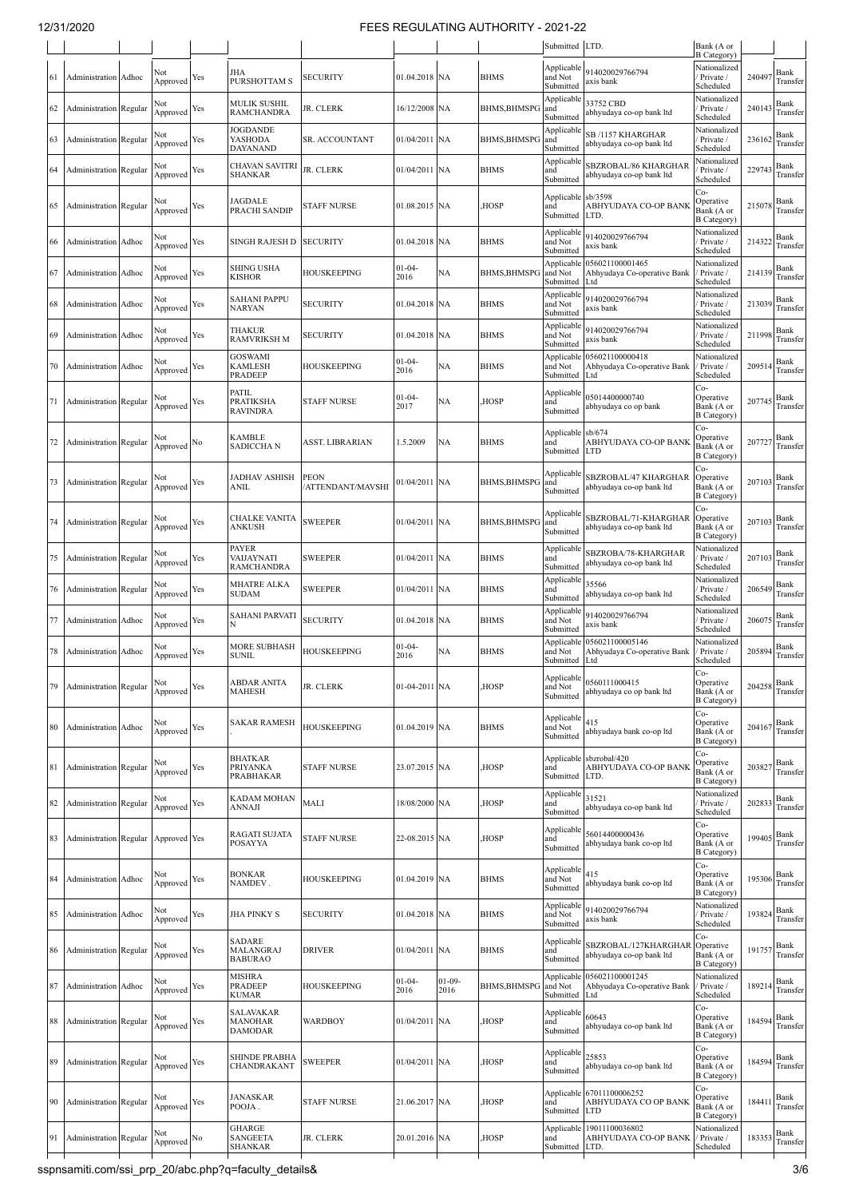|     |                               |       |                 |     |                                                      |                          |                     |                  |                     | Submitted LTD.                         |                                                                  | Bank (A or<br><b>B</b> Category)                       |        |                  |
|-----|-------------------------------|-------|-----------------|-----|------------------------------------------------------|--------------------------|---------------------|------------------|---------------------|----------------------------------------|------------------------------------------------------------------|--------------------------------------------------------|--------|------------------|
| -61 | Administration Adhoc          |       | Not<br>Approved | Yes | JHA<br><b>PURSHOTTAM S</b>                           | SECURITY                 | 01.04.2018 NA       |                  | <b>BHMS</b>         | Applicable<br>and Not<br>Submitted     | 914020029766794<br>axis bank                                     | Nationalized<br>Private /<br>Scheduled                 | 24049  | Bank<br>Transfer |
| 62  | <b>Administration</b> Regular |       | Not<br>Approved | Yes | <b>MULIK SUSHIL</b><br><b>RAMCHANDRA</b>             | <b>JR. CLERK</b>         | 16/12/2008 NA       |                  | <b>BHMS, BHMSPO</b> | Applicable<br>and<br>Submitted         | 33752 CBD<br>abhyudaya co-op bank ltd                            | Nationalized<br>Private /<br>Scheduled                 | 240143 | Bank<br>Transfer |
| 63  | Administration Regular        |       | Not<br>Approved | Yes | JOGDANDE<br>YASHODA<br><b>DAYANAND</b>               | SR. ACCOUNTANT           | 01/04/2011          | <b>NA</b>        | <b>BHMS, BHMSPG</b> | Applicable<br>and<br>Submitted         | <b>SB /1157 KHARGHAR</b><br>abhyudaya co-op bank ltd             | Nationalized<br>Private /<br>Scheduled                 | 236162 | Bank<br>Transfer |
| 64  | <b>Administration</b> Regular |       | Not<br>Approved | Yes | CHAVAN SAVITRI<br>SHANKAR                            | JR. CLERK                | 01/04/2011 NA       |                  | BHMS                | Applicable<br>and<br>Submitted         | SBZROBAL/86 KHARGHAR<br>abhyudaya co-op bank ltd                 | Vationalized<br>Private /<br>Scheduled                 | 22974  | Bank<br>Transfer |
| 65  | <b>Administration</b> Regular |       | Not<br>Approved | Yes | JAGDALE<br>PRACHI SANDIP                             | <b>STAFF NURSE</b>       | 01.08.2015 NA       |                  | HOSP,               | Applicable sb/3598<br>and<br>Submitted | ABHYUDAYA CO-OP BANK<br>LTD.                                     | Co-<br>Operative<br>Bank (A or<br><b>B</b> Category)   | 215078 | Bank<br>Transfer |
| 66  | Administration                | Adhoc | Not<br>Approved | Yes | SINGH RAJESH D                                       | SECURITY                 | 01.04.2018 NA       |                  | <b>BHMS</b>         | Applicable<br>and Not<br>Submitted     | 914020029766794<br>axis bank                                     | Nationalized<br>Private /<br>Scheduled                 | 214322 | Bank<br>Transfer |
| 67  | Administration Adhoc          |       | Not<br>Approved | Yes | SHING USHA<br>KISHOR                                 | HOUSKEEPING              | $01 - 04 -$<br>2016 | NA               | <b>BHMS, BHMSPO</b> | Applicable<br>and Not<br>Submitted     | 056021100001465<br>Abhyudaya Co-operative Bank<br>Ltd            | Nationalized<br>Private /<br>Scheduled                 | 214139 | Bank<br>Transfer |
| 68  | Administration Adhoc          |       | Not<br>Approved | Yes | <b>SAHANI PAPPU</b><br><b>NARYAN</b>                 | SECURITY                 | 01.04.2018 NA       |                  | <b>BHMS</b>         | Applicable<br>and Not<br>Submitted     | 914020029766794<br>axis bank                                     | Nationalized<br>Private /<br>Scheduled                 | 213039 | Bank<br>Transfer |
| 69  | Administration                | Adhoc | Not<br>Approved | Yes | THAKUR<br><b>RAMVRIKSH M</b>                         | SECURITY                 | 01.04.2018          | <b>NA</b>        | <b>BHMS</b>         | Applicable<br>and Not<br>Submitted     | 914020029766794<br>axis bank                                     | Nationalized<br>Private /<br>Scheduled                 | 211998 | Bank<br>Transfer |
| 70  | Administration                | Adhoc | Not<br>Approved | Yes | <b>GOSWAMI</b><br><b>KAMLESH</b><br><b>PRADEEP</b>   | HOUSKEEPING              | $01 - 04 -$<br>2016 | NA               | <b>BHMS</b>         | and Not<br>Submitted                   | Applicable 056021100000418<br>Abhyudaya Co-operative Bank<br>Ltd | Nationalized<br>Private /<br>Scheduled                 | 209514 | Bank<br>Transfer |
| 71  | Administration Regular        |       | Not<br>Approved | Yes | PATIL<br><b>PRATIKSHA</b><br><b>RAVINDRA</b>         | STAFF NURSE              | $01-04-$<br>2017    | NA               | HOSP,               | Applicable<br>and<br>Submitted         | 05014400000740<br>abhyudaya co op bank                           | Co-<br>Operative<br>Bank (A or<br><b>B</b> Category)   | 207745 | Bank<br>Transfer |
| 72  | Administration Regular        |       | Not<br>Approved | No  | <b>KAMBLE</b><br><b>SADICCHAN</b>                    | ASST. LIBRARIAN          | 1.5.2009            | NA               | <b>BHMS</b>         | Applicable<br>and<br>Submitted LTD     | sb/674<br>ABHYUDAYA CO-OP BANK                                   | Co-<br>Operative<br>Bank (A or<br><b>B</b> Category)   | 20772  | Bank<br>Transfer |
| 73  | <b>Administration</b> Regular |       | Not<br>Approved | Yes | JADHAV ASHISH<br>ANIL                                | PEON<br>ATTENDANT/MAVSHI | 01/04/2011 NA       |                  | <b>BHMS, BHMSP</b>  | Applicable<br>and<br>Submitted         | SBZROBAL/47 KHARGHAR<br>abhyudaya co-op bank ltd                 | Co-<br>Operative<br>Bank (A or<br><b>B</b> Category)   | 207103 | Bank<br>Transfer |
| 74  | <b>Administration</b> Regular |       | √ot<br>Approved | Yes | <b>CHALKE VANITA</b><br>ANKUSH                       | <b>SWEEPER</b>           | 01/04/2011          | <b>NA</b>        | <b>BHMS, BHMSPG</b> | Applicable<br>and<br>Submitted         | SBZROBAL/71-KHARGHAR<br>abhyudaya co-op bank ltd                 | $Co-$<br>Operative<br>Bank (A or<br><b>B</b> Category) | 207103 | Bank<br>Transfer |
| 75  | <b>Administration Regular</b> |       | Not<br>Approved | Yes | <b>PAYER</b><br>VAIJAYNATI<br><b>RAMCHANDRA</b>      | SWEEPER                  | 01/04/2011          | <b>NA</b>        | <b>BHMS</b>         | Applicable<br>and<br>Submitted         | SBZROBA/78-KHARGHAR<br>abhyudaya co-op bank ltd                  | Nationalized<br>Private /<br>Scheduled                 | 207103 | Bank<br>Transfer |
| 76  | <b>Administration</b> Regular |       | Not<br>Approved | Yes | <b>MHATRE ALKA</b><br><b>SUDAM</b>                   | SWEEPER                  | 01/04/2011 NA       |                  | <b>BHMS</b>         | Applicable<br>and<br>Submitted         | 35566<br>abhyudaya co-op bank ltd                                | Nationalized<br>Private /<br>Scheduled                 | 206549 | Bank<br>Transfer |
| 77  | Administration Adhoc          |       | Not<br>Approved | Yes | <b>SAHANI PARVATI</b>                                | <b>SECURITY</b>          | 01.04.2018 NA       |                  | <b>BHMS</b>         | Applicable<br>and Not<br>Submitted     | 914020029766794<br>axis bank                                     | Nationalized<br>Private /<br>Scheduled                 | 206075 | Bank<br>Transfer |
| 78  | Administration Adhoc          |       | Not<br>Approved | Yes | <b>MORE SUBHASH</b><br><b>SUNIL</b>                  | HOUSKEEPING              | $01 - 04 -$<br>2016 | NA               | <b>BHMS</b>         | Applicable<br>and Not<br>Submitted     | 056021100005146<br>Abhyudaya Co-operative Bank<br>Ltd            | Nationalized<br>Private /<br>Scheduled                 | 205894 | Bank<br>Transfer |
| 79  | Administration Regular        |       | Not<br>Approved | Yes | <b>ABDAR ANITA</b><br><b>MAHESH</b>                  | JR. CLERK                | 01-04-2011 NA       |                  | HOSP,               | and Not<br>Submitted                   | Applicable 0560111000415<br>abhyudaya co op bank ltd             | Co-<br>Operative<br>Bank (A or<br><b>B</b> Category)   | 204258 | Bank<br>Transfer |
| 80  | Administration Adhoc          |       | √ot<br>Approved | Yes | <b>SAKAR RAMESH</b>                                  | HOUSKEEPING              | 01.04.2019 NA       |                  | <b>BHMS</b>         | Applicable<br>and Not<br>Submitted     | 415<br>abhyudaya bank co-op ltd                                  | Co-<br>Operative<br>Bank (A or<br><b>B</b> Category)   | 204167 | Bank<br>Transfer |
| 81  | <b>Administration</b> Regular |       | Not<br>Approved | Yes | <b>BHATKAR</b><br>PRIYANKA<br><b>PRABHAKAR</b>       | <b>STAFF NURSE</b>       | 23.07.2015 NA       |                  | HOSP,               | and<br>Submitted LTD.                  | Applicable sbzrobal/420<br>ABHYUDAYA CO-OP BANK                  | Co-<br>Operative<br>Bank (A or<br><b>B</b> Category)   | 203827 | Bank<br>Transfer |
| 82  | <b>Administration</b> Regular |       | Not<br>Approved | Yes | <b>KADAM MOHAN</b><br>ANNAJI                         | MALI                     | 18/08/2000 NA       |                  | HOSP,               | Applicable<br>and<br>Submitted         | 31521<br>abhyudaya co-op bank ltd                                | Nationalized<br>Private /<br>Scheduled                 | 202833 | Bank<br>Transfer |
| 83  | <b>Administration Regular</b> |       | Approved Yes    |     | <b>RAGATI SUJATA</b><br><b>POSAYYA</b>               | <b>STAFF NURSE</b>       | 22-08.2015 NA       |                  | HOSP,               | Applicable<br>and<br>Submitted         | 56014400000436<br>abhyudaya bank co-op ltd                       | Co-<br>Operative<br>Bank (A or<br><b>B</b> Category)   | 199405 | Bank<br>Transfer |
| 84  | Administration Adhoc          |       | Not<br>Approved | Yes | BONKAR<br>NAMDEV.                                    | HOUSKEEPING              | 01.04.2019 NA       |                  | <b>BHMS</b>         | Applicable<br>and Not<br>Submitted     | 415<br>abhyudaya bank co-op ltd                                  | $Co-$<br>Operative<br>Bank (A or<br><b>B</b> Category) | 195306 | Bank<br>Transfer |
| 85  | Administration Adhoc          |       | Not<br>Approved | Yes | JHA PINKY S                                          | SECURITY                 | 01.04.2018 NA       |                  | <b>BHMS</b>         | Applicable<br>and Not<br>Submitted     | 914020029766794<br>axis bank                                     | Nationalized<br>Private /<br>Scheduled                 | 193824 | Bank<br>Transfer |
| 86  | Administration Regular        |       | Not<br>Approved | Yes | <b>SADARE</b><br>MALANGRAJ<br><b>BABURAO</b>         | DRIVER                   | 01/04/2011 NA       |                  | <b>BHMS</b>         | Applicable<br>and<br>Submitted         | SBZROBAL/127KHARGHAR<br>abhyudaya co-op bank ltd                 | Co-<br>Operative<br>Bank (A or<br><b>B</b> Category)   | 191757 | Bank<br>Transfer |
| 87  | Administration Adhoc          |       | Not<br>Approved | Yes | <b>MISHRA</b><br><b>PRADEEP</b><br><b>KUMAR</b>      | <b>HOUSKEEPING</b>       | $01 - 04 -$<br>2016 | $01-09-$<br>2016 | <b>BHMS, BHMSP</b>  | and Not<br>Submitted                   | Applicable 056021100001245<br>Abhyudaya Co-operative Bank<br>Ltd | Nationalized<br>/ Private /<br>Scheduled               | 189214 | Bank<br>Transfer |
| 88  | Administration Regular        |       | Not<br>Approved | Yes | <b>SALAVAKAR</b><br><b>MANOHAR</b><br><b>DAMODAR</b> | WARDBOY                  | 01/04/2011 NA       |                  | HOSP,               | Applicable<br>and<br>Submitted         | 60643<br>abhyudaya co-op bank ltd                                | Co-<br>Operative<br>Bank (A or<br><b>B</b> Category)   | 184594 | Bank<br>Transfer |
| 89  | <b>Administration</b> Regular |       | Not<br>Approved | Yes | <b>SHINDE PRABHA</b><br>CHANDRAKANT                  | <b>SWEEPER</b>           | 01/04/2011 NA       |                  | HOSP,               | Applicable<br>and<br>Submitted         | 25853<br>abhyudaya co-op bank ltd                                | Co-<br>Operative<br>Bank (A or<br><b>B</b> Category)   | 184594 | Bank<br>Transfer |
| 90  | Administration Regular        |       | Not<br>Approved | Yes | <b>JANASKAR</b><br>POOJA.                            | <b>STAFF NURSE</b>       | 21.06.2017 NA       |                  | HOSP,               | and<br>Submitted                       | Applicable 67011100006252<br>ABHYUDAYA CO OP BANK<br><b>LTD</b>  | Co-<br>Operative<br>Bank (A or<br><b>B</b> Category)   | 184411 | Bank<br>Transfer |
| 91  | Administration Regular        |       | Not<br>Approved | No  | <b>GHARGE</b><br><b>SANGEETA</b><br>SHANKAR          | JR. CLERK                | 20.01.2016 NA       |                  | HOSP,               | Applicable<br>and<br>Submitted         | 19011100036802<br>ABHYUDAYA CO-OP BANK<br>LTD.                   | Nationalized<br>Private /<br>Scheduled                 | 183353 | Bank<br>Transfer |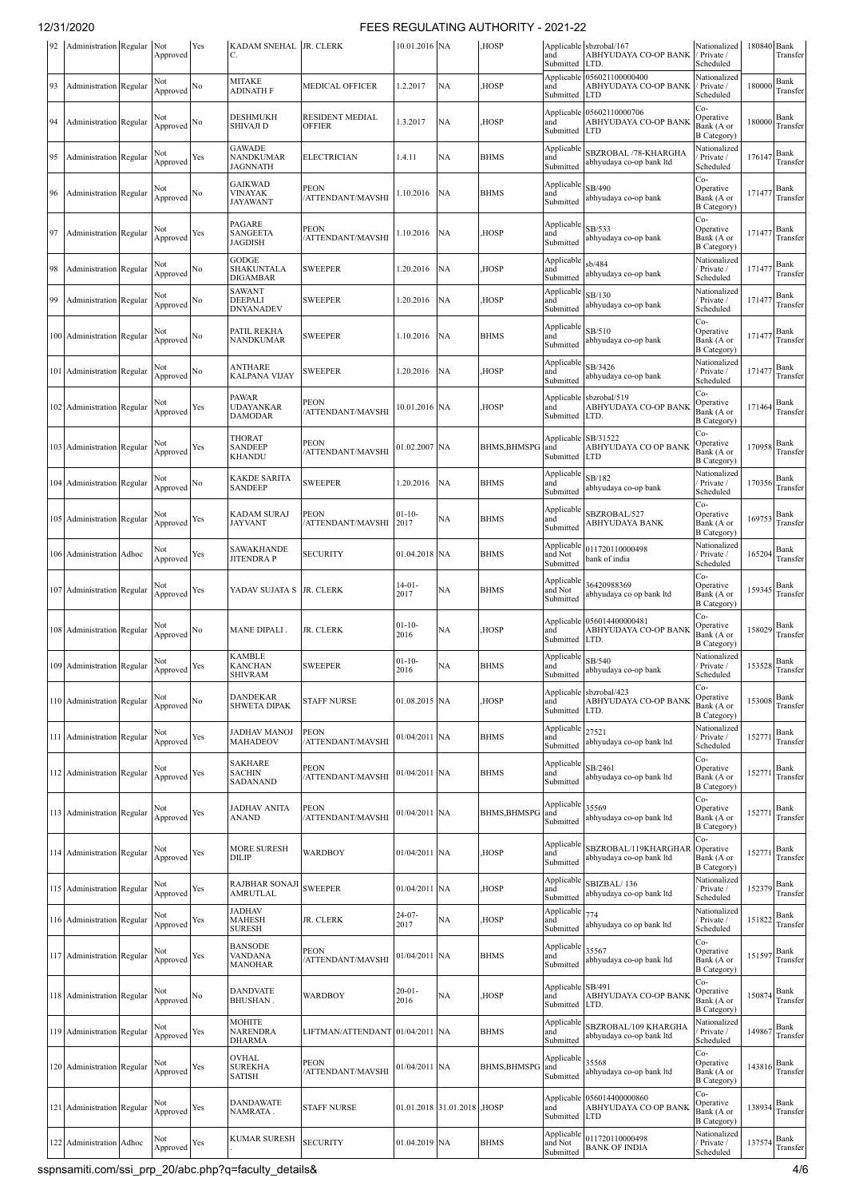| 92 | Administration Regular        |       | Not<br>Approved     | Yes | KADAM SNEHAL   JR. CLERK<br>C.               |                                         | 10.01.2016 NA       |                            | HOSP.               | and<br>Submitted                        | Applicable sbzrobal/167<br>ABHYUDAYA CO-OP BANK<br>LTD.          | Nationalized<br>Private /<br>Scheduled               | 180840 Bank | Transfer                                        |
|----|-------------------------------|-------|---------------------|-----|----------------------------------------------|-----------------------------------------|---------------------|----------------------------|---------------------|-----------------------------------------|------------------------------------------------------------------|------------------------------------------------------|-------------|-------------------------------------------------|
| 93 | Administration Regular        |       | Not<br>Approved     | No  | MITAKE<br>ADINATH F                          | MEDICAL OFFICER                         | .2.2017             | NA                         | HOSP,               | and<br>Submitted                        | Applicable 056021100000400<br>ABHYUDAYA CO-OP BANK<br><b>LTD</b> | Nationalized<br>/ Private /<br>Scheduled             | 180000      | Bank<br>Transfer                                |
| 94 | Administration Regular        |       | Not<br>Approved     | No  | DESHMUKH<br><b>SHIVAJI D</b>                 | <b>RESIDENT MEDIAL</b><br><b>OFFIER</b> | 1.3.2017            | NA                         | HOSP,               | and<br>Submitted                        | Applicable 05602110000706<br>ABHYUDAYA CO-OP BANK<br><b>LTD</b>  | Co-<br>Operative<br>Bank (A or<br><b>B</b> Category) | 180000      | Bank<br>Transfer                                |
| 95 | Administration Regular        |       | Not<br>Approved     | Yes | <b>GAWADE</b><br>NANDKUMAR<br>JAGNNATH       | <b>ELECTRICIAN</b>                      | 1.4.11              | NA                         | <b>BHMS</b>         | Applicable<br>and<br>Submitted          | SBZROBAL /78-KHARGHA<br>abhyudaya co-op bank ltd                 | Nationalized<br>Private /<br>Scheduled               | 176147      | Bank<br>Transfer                                |
| 96 | Administration Regular        |       | Not<br>Approved     | No  | <b>GAIKWAD</b><br><b>VINAYAK</b><br>JAYAWANT | PEON<br>/ATTENDANT/MAVSHI               | 1.10.2016           | NA                         | <b>BHMS</b>         | Applicable<br>and<br>Submitted          | SB/490<br>abhyudaya co-op bank                                   | Co-<br>Operative<br>Bank (A or<br><b>B</b> Category) | 171477      | Bank<br>Transfer                                |
| 97 | <b>Administration Regular</b> |       | Not<br>Approved     | Yes | PAGARE<br>SANGEETA<br>JAGDISH                | <b>PEON</b><br>/ATTENDANT/MAVSHI        | .10.2016            | NA                         | HOSP,               | Applicable<br>and<br>Submitted          | SB/533<br>abhyudaya co-op bank                                   | Co-<br>Operative<br>Bank (A or<br><b>B</b> Category) | 171477      | Bank<br>Transfer                                |
| 98 | Administration Regular        |       | Not<br>Approved     | No  | GODGE<br>SHAKUNTALA<br>DIGAMBAR              | <b>SWEEPER</b>                          | .20.2016            | NA                         | HOSP,               | Applicable<br>and<br>Submitted          | sb/484<br>abhyudaya co-op bank                                   | Nationalized<br>Private /<br>Scheduled               | 171477      | Bank<br>Transfer                                |
| 99 | Administration Regular        |       | Not<br>Approved     | No  | SAWANT<br>DEEPALI<br>DNYANADEV               | SWEEPER                                 | .20.2016            | NA                         | HOSP,               | Applicable<br>and<br>Submitted          | SB/130<br>abhyudaya co-op bank                                   | Nationalized<br>Private /<br>Scheduled               | 171477      | Bank<br>Transfer                                |
|    | 100 Administration Regular    |       | Not<br>Approved     | No  | PATIL REKHA<br>NANDKUMAR                     | <b>SWEEPER</b>                          | 1.10.2016           | <b>NA</b>                  | <b>BHMS</b>         | Applicable<br>and<br>Submitted          | SB/510<br>abhyudaya co-op bank                                   | Co-<br>Operative<br>Bank (A or<br><b>B</b> Category) | 171477      | Bank<br>Transfer                                |
|    | 101 Administration Regular    |       | Not<br>Approved     | No  | ANTHARE<br>KALPANA VIJAY                     | SWEEPER                                 | .20.2016            | NA                         | HOSP,               | Applicable<br>and<br>Submitted          | SB/3426<br>abhyudaya co-op bank                                  | Nationalized<br>Private /<br>Scheduled               | 171477      | Bank<br>Transfer                                |
|    | 102 Administration Regular    |       | Not<br>Approved     | Yes | <b>PAWAR</b><br>UDAYANKAR<br><b>DAMODAR</b>  | PEON<br>/ATTENDANT/MAVSHI               | 10.01.2016 NA       |                            | HOSP,               | and<br>Submitted                        | Applicable sbzrobal/519<br>ABHYUDAYA CO-OP BANK<br>LTD.          | Co-<br>Operative<br>Bank (A or<br><b>B</b> Category) | 171464      | Bank<br>Transfer                                |
|    | 103 Administration Regular    |       | Not<br>Approved     | Yes | THORAT<br><b>SANDEEP</b><br><b>KHANDU</b>    | PEON<br><b>/ATTENDANT/MAVSHI</b>        | 01.02.2007 NA       |                            | <b>BHMS, BHMSPC</b> | Applicable SB/31522<br>and<br>Submitted | ABHYUDAYA CO OP BANK<br><b>LTD</b>                               | Co-<br>Operative<br>Bank (A or<br><b>B</b> Category) | 170958      | Bank<br>Transfer                                |
|    | 104 Administration Regular    |       | Not<br>Approved     | No  | KAKDE SARITA<br>SANDEEP                      | <b>SWEEPER</b>                          | .20.2016            | NA                         | <b>BHMS</b>         | Applicable<br>and<br>Submitted          | SB/182<br>abhyudaya co-op bank                                   | Nationalized<br>Private /<br>Scheduled               | 170356      | Bank<br>Transfer                                |
|    | 105 Administration Regular    |       | Not<br>Approved     | Yes | KADAM SURAJ<br><b>JAYVANT</b>                | PEON<br>'ATTENDANT/MAVSHI               | $01-10-$<br>2017    | NA                         | <b>BHMS</b>         | Applicable<br>and<br>Submitted          | SBZROBAL/527<br>ABHYUDAYA BANK                                   | Co-<br>Operative<br>Bank (A or<br><b>B</b> Category) | 169753      | Bank<br>Transfer                                |
|    | 106 Administration Adhoc      |       | Not<br>Approved     | Yes | SAWAKHANDE<br><b>JITENDRA P</b>              | <b>SECURITY</b>                         | 01.04.2018 NA       |                            | <b>BHMS</b>         | Applicable<br>and Not<br>Submitted      | 011720110000498<br>bank of india                                 | Nationalized<br>Private /<br>Scheduled               | 165204      | Bank<br>Transfer                                |
|    | 107 Administration Regular    |       | Not<br>Approved     | Yes | YADAV SUJATA S JR. CLERK                     |                                         | $14 - 01 -$<br>2017 | NA                         | <b>BHMS</b>         | Applicable<br>and Not<br>Submitted      | 36420988369<br>abhyudaya co op bank ltd                          | Co-<br>Operative<br>Bank (A or<br><b>B</b> Category) | 159345      | Bank<br>Transfer                                |
|    | 108 Administration Regular    |       | Not<br>Approved     | No  | MANE DIPALI.                                 | JR. CLERK                               | $01 - 10 -$<br>2016 | NA                         | HOSP,               | and<br>Submitted                        | Applicable 056014400000481<br>ABHYUDAYA CO-OP BANK<br>LTD.       | Co-<br>Operative<br>Bank (A or<br><b>B</b> Category) | 158029      | Bank<br>Transfer                                |
|    | 109 Administration Regular    |       | Not<br>Approved Yes |     | <b>KAMBLE</b><br><b>KANCHAN</b><br>SHIVRAM   | <b>SWEEPER</b>                          | $01-10-$<br>2016    | NA                         | <b>BHMS</b>         | Applicable<br>and<br>Submitted          | SB/540<br>abhyudaya co-op bank                                   | Nationalized<br>Private /<br>Scheduled               |             | 153528 $\frac{D_{\text{max}}}{\text{Transfer}}$ |
|    | 110 Administration Regular    |       | Not<br>Approved     | No  | <b>DANDEKAR</b><br><b>SHWETA DIPAK</b>       | <b>STAFF NURSE</b>                      | 01.08.2015 NA       |                            | HOSP,               | and<br>Submitted                        | Applicable sbzrobal/423<br>ABHYUDAYA CO-OP BANK<br>LTD.          | Co-<br>Operative<br>Bank (A or<br><b>B</b> Category) | 153008      | Bank<br>Transfer                                |
|    | 111 Administration Regular    |       | Not<br>Approved     | Yes | JADHAV MANOJ<br>MAHADEOV                     | <b>PEON</b><br>/ATTENDANT/MAVSHI        | 01/04/2011 NA       |                            | <b>BHMS</b>         | Applicable<br>and<br>Submitted          | 27521<br>abhyudaya co-op bank ltd                                | Nationalized<br>Private /<br>Scheduled               | 152771      | Bank<br>Transfer                                |
|    | 112 Administration Regular    |       | Not<br>Approved     | Yes | <b>SAKHARE</b><br><b>SACHIN</b><br>SADANAND  | <b>PEON</b><br>/ATTENDANT/MAVSHI        | 01/04/2011 NA       |                            | <b>BHMS</b>         | Applicable<br>and<br>Submitted          | SB/2461<br>abhyudaya co-op bank ltd                              | Co-<br>Operative<br>Bank (A or<br><b>B</b> Category) | 152771      | Bank<br>Transfer                                |
|    | 113 Administration Regular    |       | Not<br>Approved     | Yes | JADHAV ANITA<br>ANAND                        | PEON<br>'ATTENDANT/MAVSHI               | 01/04/2011 NA       |                            | <b>BHMS, BHMSPG</b> | Applicable<br>and<br>Submitted          | 35569<br>abhyudaya co-op bank ltd                                | Co-<br>Operative<br>Bank (A or<br><b>B</b> Category) | 152771      | Bank<br>Transfer                                |
|    | 114 Administration Regular    |       | Not<br>Approved     | Yes | <b>MORE SURESH</b><br>DILIP                  | <b>WARDBOY</b>                          | 01/04/2011 NA       |                            | HOSP,               | Applicable<br>and<br>Submitted          | SBZROBAL/119KHARGHAR<br>abhyudaya co-op bank ltd                 | Co-<br>Operative<br>Bank (A or<br><b>B</b> Category) | 152771      | Bank<br>Transfer                                |
|    | 115 Administration Regular    |       | Not<br>Approved     | Yes | RAJBHAR SONAJI<br>AMRUTLAL                   | <b>SWEEPER</b>                          | 01/04/2011 NA       |                            | HOSP,               | Applicable<br>and<br>Submitted          | SBIZBAL/136<br>abhyudaya co-op bank ltd                          | Nationalized<br>Private /<br>Scheduled               | 152379      | Bank<br>Transfer                                |
|    | 116 Administration Regular    |       | Not<br>Approved     | Yes | JADHAV<br>MAHESH<br><b>SURESH</b>            | JR. CLERK                               | $24-07-$<br>2017    | NA                         | HOSP,               | Applicable<br>and<br>Submitted          | 774<br>abhyudaya co op bank ltd                                  | Nationalized<br>Private /<br>Scheduled               | 151822      | Bank<br>Transfer                                |
|    | 117 Administration Regular    |       | Not<br>Approved     | Yes | <b>BANSODE</b><br>VANDANA<br>MANOHAR         | <b>PEON</b><br>/ATTENDANT/MAVSHI        | 01/04/2011 NA       |                            | <b>BHMS</b>         | Applicable<br>and<br>Submitted          | 35567<br>abhyudaya co-op bank ltd                                | Co-<br>Operative<br>Bank (A or<br><b>B</b> Category) | 151597      | Bank<br>Transfer                                |
|    | 118 Administration Regular    |       | Not<br>Approved No  |     | <b>DANDVATE</b><br>BHUSHAN.                  | WARDBOY                                 | $20 - 01 -$<br>2016 | NА                         | HOSP,               | Applicable SB/491<br>and<br>Submitted   | ABHYUDAYA CO-OP BANK<br>LTD.                                     | Co-<br>Operative<br>Bank (A or<br><b>B</b> Category) | 150874      | Bank<br>Transfer                                |
|    | 119 Administration Regular    |       | Not<br>Approved     | Yes | MOHITE<br>NARENDRA<br>DHARMA                 | LIFTMAN/ATTENDANT 01/04/2011 NA         |                     |                            | <b>BHMS</b>         | Applicable<br>and<br>Submitted          | SBZROBAL/109 KHARGHA<br>abhyudaya co-op bank ltd                 | Nationalized<br>Private /<br>Scheduled               | 149867      | Bank<br>Transfer                                |
|    | 120 Administration Regular    |       | Not<br>Approved     | Yes | <b>OVHAL</b><br>SUREKHA<br>SATISH            | PEON<br>/ATTENDANT/MAVSHI               | 01/04/2011 NA       |                            | <b>BHMS, BHMSPG</b> | Applicable<br>and<br>Submitted          | 35568<br>abhyudaya co-op bank ltd                                | Co-<br>Operative<br>Bank (A or<br><b>B</b> Category) | 143816      | Bank<br>Transfer                                |
|    | 121 Administration Regular    |       | Not<br>Approved Yes |     | <b>DANDAWATE</b><br>NAMRATA.                 | <b>STAFF NURSE</b>                      |                     | 01.01.2018 31.01.2018 HOSP |                     | Applicable<br>and<br>Submitted          | 056014400000860<br>ABHYUDAYA CO OP BANK<br><b>LTD</b>            | Co-<br>Operative<br>Bank (A or<br><b>B</b> Category) | 138934      | Bank<br>Transfer                                |
|    | 122 Administration            | Adhoc | Not<br>Approved     | Yes | KUMAR SURESH                                 | <b>SECURITY</b>                         | 01.04.2019 NA       |                            | <b>BHMS</b>         | Applicable<br>and Not<br>Submitted      | 011720110000498<br><b>BANK OF INDIA</b>                          | Nationalized<br>Private /<br>Scheduled               | 137574      | Bank<br>Transfer                                |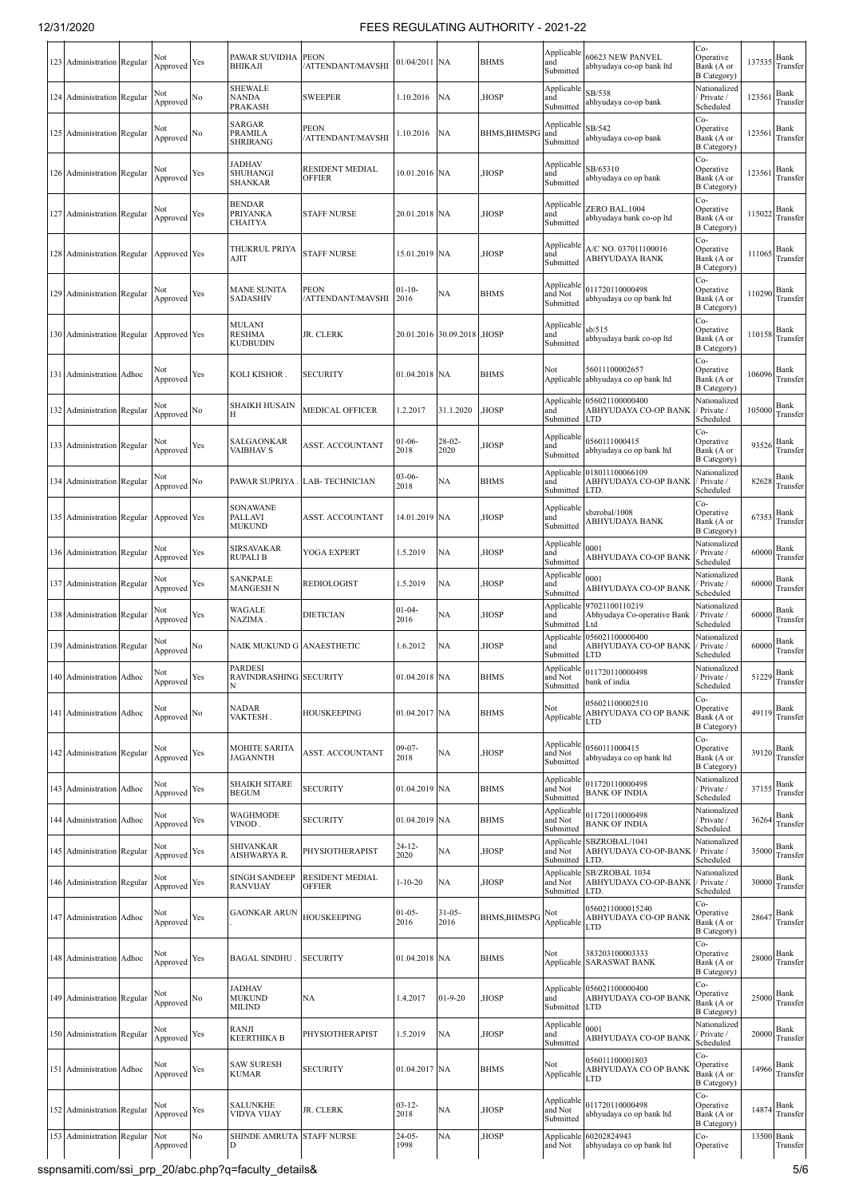|     | 123 Administration Regular |       | Not<br>Approved     | Yes | PAWAR SUVIDHA PEON<br><b>BHIKAJI</b>        | /ATTENDANT/MAVSHI                | 01/04/2011 NA       |                            | <b>BHMS</b>         | Applicable<br>and<br>Submitted     | 60623 NEW PANVEL<br>abhyudaya co-op bank ltd          | $Co-$<br>Operative<br>Bank (A or<br><b>B</b> Category) | 137535 | Bank<br>Transfer       |
|-----|----------------------------|-------|---------------------|-----|---------------------------------------------|----------------------------------|---------------------|----------------------------|---------------------|------------------------------------|-------------------------------------------------------|--------------------------------------------------------|--------|------------------------|
|     | 124 Administration Regular |       | Not<br>Approved     | No  | <b>SHEWALE</b><br>NANDA<br>PRAKASH          | <b>SWEEPER</b>                   | 1.10.2016           | <b>NA</b>                  | HOSP,               | Applicable<br>and<br>Submitted     | SB/538<br>abhyudaya co-op bank                        | Nationalized<br>Private /<br>Scheduled                 | 123561 | Bank<br>Transfer       |
|     | 125 Administration Regular |       | Not<br>Approved     | No  | SARGAR<br><b>PRAMILA</b><br><b>SHRIRANG</b> | <b>PEON</b><br>/ATTENDANT/MAVSHI | 1.10.2016           | <b>NA</b>                  | BHMS, BHMSPG and    | Applicable<br>Submitted            | SB/542<br>abhyudaya co-op bank                        | Co-<br>Operative<br>Bank (A or<br><b>B</b> Category)   | 123561 | Bank<br>Transfer       |
|     | 126 Administration Regular |       | Not<br>Approved     | Yes | <b>ADHAV</b><br>SHUHANGI<br><b>SHANKAR</b>  | RESIDENT MEDIAL<br><b>OFFIER</b> | 10.01.2016 NA       |                            | HOSP,               | Applicable<br>and<br>Submitted     | SB/65310<br>abhyudaya co op bank                      | Co-<br>Operative<br>Bank (A or<br><b>B</b> Category)   | 123561 | Bank<br>Transfer       |
|     | 127 Administration Regular |       | Not<br>Approved     | Yes | <b>BENDAR</b><br>PRIYANKA<br><b>CHAITYA</b> | <b>STAFF NURSE</b>               | 20.01.2018 NA       |                            | HOSP,               | Applicabl<br>and<br>Submitted      | ZERO BAL.1004<br>abhyudaya bank co-op ltd             | Co-<br>Operative<br>Bank (A or<br><b>B</b> Category    | 115022 | Bank<br>Transfer       |
|     | 128 Administration Regular |       | Approved Yes        |     | THUKRUL PRIYA<br>AJIT                       | <b>STAFF NURSE</b>               | 15.01.2019 NA       |                            | HOSP,               | Applicable<br>and<br>Submitted     | A/C NO. 037011100016<br>ABHYUDAYA BANK                | Co-<br>Operative<br>Bank (A or<br><b>B</b> Category)   | 111065 | Bank<br>Transfer       |
|     | 129 Administration Regular |       | Not<br>Approved     | Yes | <b>MANE SUNITA</b><br><b>SADASHIV</b>       | <b>PEON</b><br>/ATTENDANT/MAVSHI | $01 - 10 -$<br>2016 | NA                         | <b>BHMS</b>         | Applicable<br>and Not<br>Submitted | 011720110000498<br>abhyudaya co op bank ltd           | Co-<br>Operative<br>Bank (A or<br>B Category)          | 110290 | Bank<br>Transfer       |
|     | 130 Administration Regular |       | Approved Yes        |     | MULANI<br><b>RESHMA</b><br>KUDBUDIN         | JR. CLERK                        |                     | 20.01.2016 30.09.2018 HOSP |                     | Applicable<br>and<br>Submitted     | sb/515<br>abhyudaya bank co-op ltd                    | Co-<br>Operative<br>Bank (A or<br><b>B</b> Category)   | 110158 | Bank<br>Transfer       |
| 131 | Administration             | Adhoc | Not<br>Approved     | Yes | KOLI KISHOR.                                | <b>SECURITY</b>                  | 01.04.2018 NA       |                            | <b>BHMS</b>         | Not<br>Applicable                  | 56011100002657<br>abhyudaya co op bank ltd            | Co-<br>Operative<br>Bank (A or<br><b>B</b> Category)   | 106096 | Bank<br>Transfer       |
|     | 132 Administration Regular |       | Not<br>Approved     | No  | SHAIKH HUSAIN                               | <b>MEDICAL OFFICER</b>           | 1.2.2017            | 31.1.2020                  | HOSP,               | Applicable<br>and<br>Submitted     | 056021100000400<br>ABHYUDAYA CO-OP BANK<br><b>LTD</b> | Nationalized<br>Private /<br>Scheduled                 | 105000 | Bank<br>Transfer       |
|     | 133 Administration Regular |       | Not<br>Approved     | Yes | SALGAONKAR<br><b>VAIBHAV S</b>              | <b>ASST. ACCOUNTANT</b>          | $01-06-$<br>2018    | $28-02-$<br>2020           | HOSP,               | Applicable<br>and<br>Submitted     | 0560111000415<br>abhyudaya co op bank ltd             | Co-<br>Operative<br>Bank (A or<br><b>B</b> Category)   | 93526  | Bank<br>Transfer       |
|     | 134 Administration Regular |       | Not<br>Approved     | No  | PAWAR SUPRIYA.                              | <b>LAB-TECHNICIAN</b>            | $03-06-$<br>2018    | NA                         | <b>BHMS</b>         | Applicable<br>and<br>Submitted     | 018011100066109<br>ABHYUDAYA CO-OP BANK<br>LTD.       | Nationalized<br>Private /<br>Scheduled                 | 82628  | Bank<br>Transfer       |
|     | 135 Administration Regular |       | Approved Yes        |     | SONAWANE<br><b>PALLAVI</b><br><b>MUKUND</b> | ASST. ACCOUNTANT                 | 14.01.2019 NA       |                            | HOSP,               | Applicable<br>and<br>Submitted     | sbzrobal/1008<br>ABHYUDAYA BANK                       | Co-<br>Operative<br>Bank (A or<br><b>B</b> Category)   | 67353  | Bank<br>Transfer       |
|     | 136 Administration Regular |       | Not<br>Approved     | Yes | SIRSAVAKAR<br>RUPALI B                      | YOGA EXPERT                      | 1.5.2019            | <b>NA</b>                  | HOSP,               | Applicable<br>and<br>Submitted     | 0001<br>ABHYUDAYA CO-OP BANK                          | Nationalized<br>Private /<br>Scheduled                 | 60000  | Bank<br>Transfer       |
|     | 137 Administration Regular |       | Not<br>Approved     | Yes | SANKPALE<br>MANGESH N                       | <b>REDIOLOGIST</b>               | 1.5.2019            | NA                         | HOSP,               | Applicable<br>and<br>Submitted     | 0001<br>ABHYUDAYA CO-OP BANK                          | Nationalized<br>Private /<br>Scheduled                 | 60000  | Bank<br>Transfer       |
|     | 138 Administration Regular |       | Not<br>Approved     | Yes | WAGALE<br>NAZIMA.                           | <b>DIETICIAN</b>                 | $01 - 04 -$<br>2016 | NA                         | HOSP,               | Applicabl<br>and<br>Submitted      | 97021100110219<br>Abhyudaya Co-operative Bank<br>Ltd  | Nationalized<br>Private /<br>Scheduled                 | 60000  | Bank<br>Transfer       |
|     | 139 Administration Regular |       | Not<br>Approved     | No  | NAIK MUKUND G ANAESTHETIC                   |                                  | 1.6.2012            | <b>NA</b>                  | HOSP,               | Applicable<br>and<br>Submitted     | 056021100000400<br>ABHYUDAYA CO-OP BANK<br><b>LTD</b> | Nationalized<br>Private /<br>Scheduled                 | 60000  | Bank<br>Transfer       |
| 140 | Administration Adhoc       |       | Not<br>Approved     | Yes | <b>PARDESI</b><br>RAVINDRASHING SECURITY    |                                  | 01.04.2018 NA       |                            | <b>BHMS</b>         | and Not<br>Submitted               | Applicable 011720110000498<br>bank of india           | Nationalized<br>Private /<br>Scheduled                 | 51229  | Bank<br>Transfer       |
|     | 141 Administration Adhoc   |       | Not<br>Approved     | No  | <b>NADAR</b><br>VAKTESH.                    | <b>HOUSKEEPING</b>               | 01.04.2017 NA       |                            | <b>BHMS</b>         | Not<br>Applicable                  | 056021100002510<br>ABHYUDAYA CO OP BANK<br>LTD        | Co-<br>Operative<br>Bank (A or<br><b>B</b> Category)   | 49119  | Bank<br>Transfer       |
|     | 142 Administration Regular |       | Not<br>Approved     | Yes | <b>MOHITE SARITA</b><br><b>JAGANNTH</b>     | <b>ASST. ACCOUNTANT</b>          | $09 - 07 -$<br>2018 | <b>NA</b>                  | HOSP,               | Applicable<br>and Not<br>Submitted | 0560111000415<br>abhyudaya co op bank ltd             | Co-<br>Operative<br>Bank (A or<br><b>B</b> Category)   | 39120  | Bank<br>Transfer       |
|     | 143 Administration Adhoc   |       | Not<br>Approved     | Yes | SHAIKH SITARE<br><b>BEGUM</b>               | <b>SECURITY</b>                  | 01.04.2019 NA       |                            | <b>BHMS</b>         | Applicable<br>and Not<br>Submitted | 011720110000498<br><b>BANK OF INDIA</b>               | Nationalized<br>Private /<br>Scheduled                 | 37155  | Bank<br>Transfer       |
|     | 144 Administration Adhoc   |       | Not<br>Approved     | Yes | WAGHMODE<br>VINOD.                          | <b>SECURITY</b>                  | 01.04.2019 NA       |                            | <b>BHMS</b>         | Applicabl<br>and Not<br>Submitted  | 011720110000498<br><b>BANK OF INDIA</b>               | Nationalized<br>Private /<br>Scheduled                 | 36264  | Bank<br>Transfer       |
|     | 145 Administration Regular |       | Not<br>Approved     | Yes | <b>SHIVANKAR</b><br>AISHWARYA R.            | PHYSIOTHERAPIST                  | $24 - 12 -$<br>2020 | NA                         | HOSP,               | Applicable<br>and Not<br>Submitted | SBZROBAL/1041<br>ABHYUDAYA CO-OP-BANK<br>LTD.         | Nationalized<br>Private /<br>Scheduled                 | 35000  | Bank<br>Transfer       |
|     | 146 Administration Regular |       | Not<br>Approved     | Yes | <b>SINGH SANDEEP</b><br><b>RANVIJAY</b>     | RESIDENT MEDIAL<br><b>OFFIER</b> | $1 - 10 - 20$       | <b>NA</b>                  | HOSP,               | Applicable<br>and Not<br>Submitted | SB/ZROBAL 1034<br>ABHYUDAYA CO-OP-BANK<br>LTD.        | Nationalized<br>Private /<br>Scheduled                 | 30000  | Bank<br>Transfer       |
|     | 147 Administration Adhoc   |       | Not<br>Approved     | Yes | <b>GAONKAR ARUN</b>                         | HOUSKEEPING                      | $01 - 05 -$<br>2016 | $31 - 05 -$<br>2016        | <b>BHMS, BHMSPG</b> | Not<br>Applicable                  | 0560211000015240<br>ABHYUDAYA CO-OP BANK<br>LTD       | $Co-$<br>Operative<br>Bank (A or<br><b>B</b> Category) | 28647  | Bank<br>Transfer       |
|     | 148 Administration Adhoc   |       | Not<br>Approved     | Yes | <b>BAGAL SINDHU</b>                         | <b>SECURITY</b>                  | 01.04.2018 NA       |                            | <b>BHMS</b>         | Not                                | 383203100003333<br>Applicable SARASWAT BANK           | Co-<br>Operative<br>Bank (A or<br><b>B</b> Category)   | 28000  | Bank<br>Transfer       |
|     | 149 Administration Regular |       | Not<br>Approved     | No  | JADHAV<br><b>MUKUND</b><br><b>MILIND</b>    | NA                               | 1.4.2017            | $01 - 9 - 20$              | HOSP,               | Applicable<br>and<br>Submitted     | 056021100000400<br>ABHYUDAYA CO-OP BANK<br><b>LTD</b> | Co-<br>Operative<br>Bank (A or<br><b>B</b> Category)   | 25000  | Bank<br>Transfer       |
|     | 150 Administration Regular |       | Not<br>Approved Yes |     | RANJI<br>KEERTHIKA B                        | PHYSIOTHERAPIST                  | 1.5.2019            | <b>NA</b>                  | HOSP,               | Applicable<br>and<br>Submitted     | 0001<br>ABHYUDAYA CO-OP BANK                          | Nationalized<br>Private /<br>Scheduled                 | 20000  | Bank<br>Transfer       |
|     | 151 Administration Adhoc   |       | Not<br>Approved     | Yes | <b>SAW SURESH</b><br><b>KUMAR</b>           | <b>SECURITY</b>                  | 01.04.2017 NA       |                            | <b>BHMS</b>         | Not<br>Applicable                  | 056011100001803<br>ABHYUDAYA CO OP BANK<br>LTD        | Co-<br>Operative<br>Bank (A or<br><b>B</b> Category)   | 14966  | Bank<br>Transfer       |
|     | 152 Administration Regular |       | Not<br>Approved     | Yes | <b>SALUNKHE</b><br>VIDYA VIJAY              | JR. CLERK                        | $03 - 12 -$<br>2018 | NA                         | HOSP,               | Applicable<br>and Not<br>Submitted | 011720110000498<br>abhyudaya co op bank ltd           | Co-<br>Operative<br>Bank (A or<br><b>B</b> Category)   | 14874  | Bank<br>Transfer       |
|     | 153 Administration Regular |       | Not<br>Approved     | No  | SHINDE AMRUTA STAFF NURSE                   |                                  | $24 - 05 -$<br>1998 | NA                         | HOSP,               | Applicable<br>and Not              | 60202824943<br>abhyudaya co op bank ltd               | Co-<br>Operative                                       |        | 13500 Bank<br>Transfer |